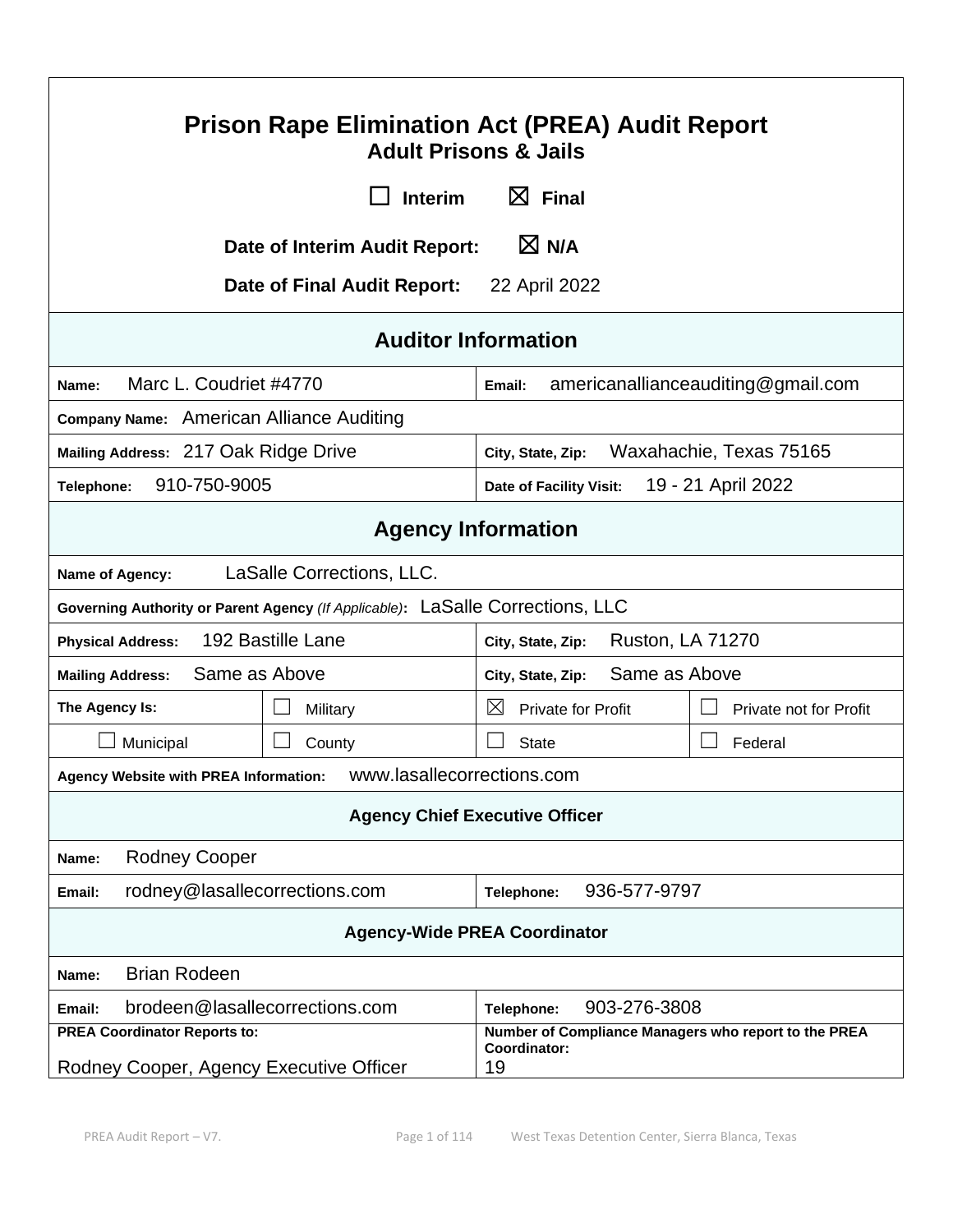| <b>Prison Rape Elimination Act (PREA) Audit Report</b><br><b>Adult Prisons &amp; Jails</b>                                                                   |                                              |                                    |
|--------------------------------------------------------------------------------------------------------------------------------------------------------------|----------------------------------------------|------------------------------------|
| <b>Interim</b>                                                                                                                                               | $\boxtimes$ Final                            |                                    |
| Date of Interim Audit Report:                                                                                                                                | $\boxtimes$ N/A                              |                                    |
| <b>Date of Final Audit Report:</b>                                                                                                                           | 22 April 2022                                |                                    |
|                                                                                                                                                              | <b>Auditor Information</b>                   |                                    |
| Marc L. Coudriet #4770<br>Name:                                                                                                                              | Email:                                       | americanallianceauditing@gmail.com |
| Company Name: American Alliance Auditing                                                                                                                     |                                              |                                    |
| Mailing Address: 217 Oak Ridge Drive                                                                                                                         | Waxahachie, Texas 75165<br>City, State, Zip: |                                    |
| 910-750-9005<br>Telephone:                                                                                                                                   | Date of Facility Visit:                      | 19 - 21 April 2022                 |
|                                                                                                                                                              | <b>Agency Information</b>                    |                                    |
| LaSalle Corrections, LLC.<br>Name of Agency:                                                                                                                 |                                              |                                    |
| Governing Authority or Parent Agency (If Applicable): LaSalle Corrections, LLC                                                                               |                                              |                                    |
| 192 Bastille Lane<br><b>Ruston, LA 71270</b><br><b>Physical Address:</b><br>City, State, Zip:                                                                |                                              |                                    |
| Same as Above<br>Same as Above<br><b>Mailing Address:</b><br>City, State, Zip:                                                                               |                                              |                                    |
| The Agency Is:<br>Military                                                                                                                                   | $\boxtimes$<br><b>Private for Profit</b>     | Private not for Profit             |
| Municipal<br>County                                                                                                                                          | <b>State</b>                                 | Federal                            |
| Agency Website with PREA Information:    WWW.lasallecorrections.com                                                                                          |                                              |                                    |
| <b>Agency Chief Executive Officer</b>                                                                                                                        |                                              |                                    |
| <b>Rodney Cooper</b><br>Name:                                                                                                                                |                                              |                                    |
| 936-577-9797<br>rodney@lasallecorrections.com<br>Telephone:<br>Email:                                                                                        |                                              |                                    |
| <b>Agency-Wide PREA Coordinator</b>                                                                                                                          |                                              |                                    |
| <b>Brian Rodeen</b><br>Name:                                                                                                                                 |                                              |                                    |
| brodeen@lasallecorrections.com<br>Email:                                                                                                                     | 903-276-3808<br>Telephone:                   |                                    |
| <b>PREA Coordinator Reports to:</b><br>Number of Compliance Managers who report to the PREA<br>Coordinator:<br>Rodney Cooper, Agency Executive Officer<br>19 |                                              |                                    |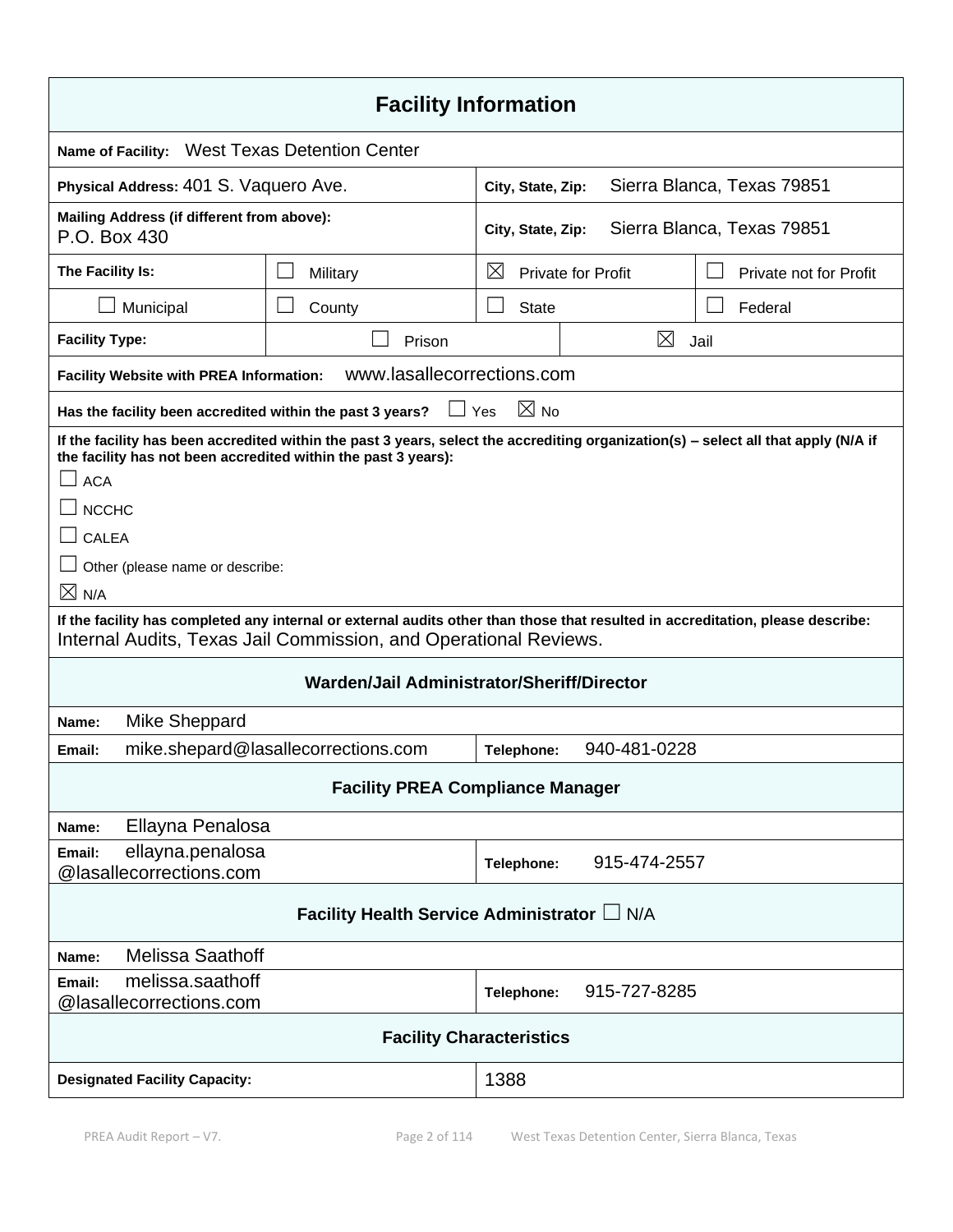| <b>Facility Information</b>                                                                                                                                                                         |                                                                                                                                     |                                                 |              |                        |
|-----------------------------------------------------------------------------------------------------------------------------------------------------------------------------------------------------|-------------------------------------------------------------------------------------------------------------------------------------|-------------------------------------------------|--------------|------------------------|
| <b>Name of Facility:</b>                                                                                                                                                                            | <b>West Texas Detention Center</b>                                                                                                  |                                                 |              |                        |
| Physical Address: 401 S. Vaquero Ave.<br>Sierra Blanca, Texas 79851<br>City, State, Zip:                                                                                                            |                                                                                                                                     |                                                 |              |                        |
| Mailing Address (if different from above):<br>P.O. Box 430                                                                                                                                          |                                                                                                                                     | Sierra Blanca, Texas 79851<br>City, State, Zip: |              |                        |
| The Facility Is:                                                                                                                                                                                    | Military                                                                                                                            | $\boxtimes$<br><b>Private for Profit</b>        |              | Private not for Profit |
| Municipal                                                                                                                                                                                           | County                                                                                                                              | <b>State</b>                                    |              | Federal                |
| <b>Facility Type:</b>                                                                                                                                                                               | Prison                                                                                                                              |                                                 | ⊠            | Jail                   |
| Facility Website with PREA Information:                                                                                                                                                             | www.lasallecorrections.com                                                                                                          |                                                 |              |                        |
| Has the facility been accredited within the past 3 years?                                                                                                                                           |                                                                                                                                     | $\boxtimes$ No<br>Yes                           |              |                        |
| the facility has not been accredited within the past 3 years):                                                                                                                                      | If the facility has been accredited within the past 3 years, select the accrediting organization(s) - select all that apply (N/A if |                                                 |              |                        |
| <b>ACA</b>                                                                                                                                                                                          |                                                                                                                                     |                                                 |              |                        |
| <b>NCCHC</b>                                                                                                                                                                                        |                                                                                                                                     |                                                 |              |                        |
| <b>CALEA</b>                                                                                                                                                                                        |                                                                                                                                     |                                                 |              |                        |
| Other (please name or describe:                                                                                                                                                                     |                                                                                                                                     |                                                 |              |                        |
| $\boxtimes$ N/A                                                                                                                                                                                     |                                                                                                                                     |                                                 |              |                        |
| If the facility has completed any internal or external audits other than those that resulted in accreditation, please describe:<br>Internal Audits, Texas Jail Commission, and Operational Reviews. |                                                                                                                                     |                                                 |              |                        |
|                                                                                                                                                                                                     | Warden/Jail Administrator/Sheriff/Director                                                                                          |                                                 |              |                        |
| Mike Sheppard<br>Name:                                                                                                                                                                              |                                                                                                                                     |                                                 |              |                        |
| Email:                                                                                                                                                                                              | mike.shepard@lasallecorrections.com                                                                                                 | Telephone:                                      | 940-481-0228 |                        |
| <b>Facility PREA Compliance Manager</b>                                                                                                                                                             |                                                                                                                                     |                                                 |              |                        |
| Ellayna Penalosa<br>Name:                                                                                                                                                                           |                                                                                                                                     |                                                 |              |                        |
| ellayna.penalosa<br>Email:<br>@lasallecorrections.com                                                                                                                                               |                                                                                                                                     | Telephone:                                      | 915-474-2557 |                        |
| Facility Health Service Administrator L N/A                                                                                                                                                         |                                                                                                                                     |                                                 |              |                        |
| <b>Melissa Saathoff</b><br>Name:                                                                                                                                                                    |                                                                                                                                     |                                                 |              |                        |
| melissa.saathoff<br>Email:<br>@lasallecorrections.com                                                                                                                                               |                                                                                                                                     | Telephone:                                      | 915-727-8285 |                        |
| <b>Facility Characteristics</b>                                                                                                                                                                     |                                                                                                                                     |                                                 |              |                        |
| <b>Designated Facility Capacity:</b>                                                                                                                                                                |                                                                                                                                     | 1388                                            |              |                        |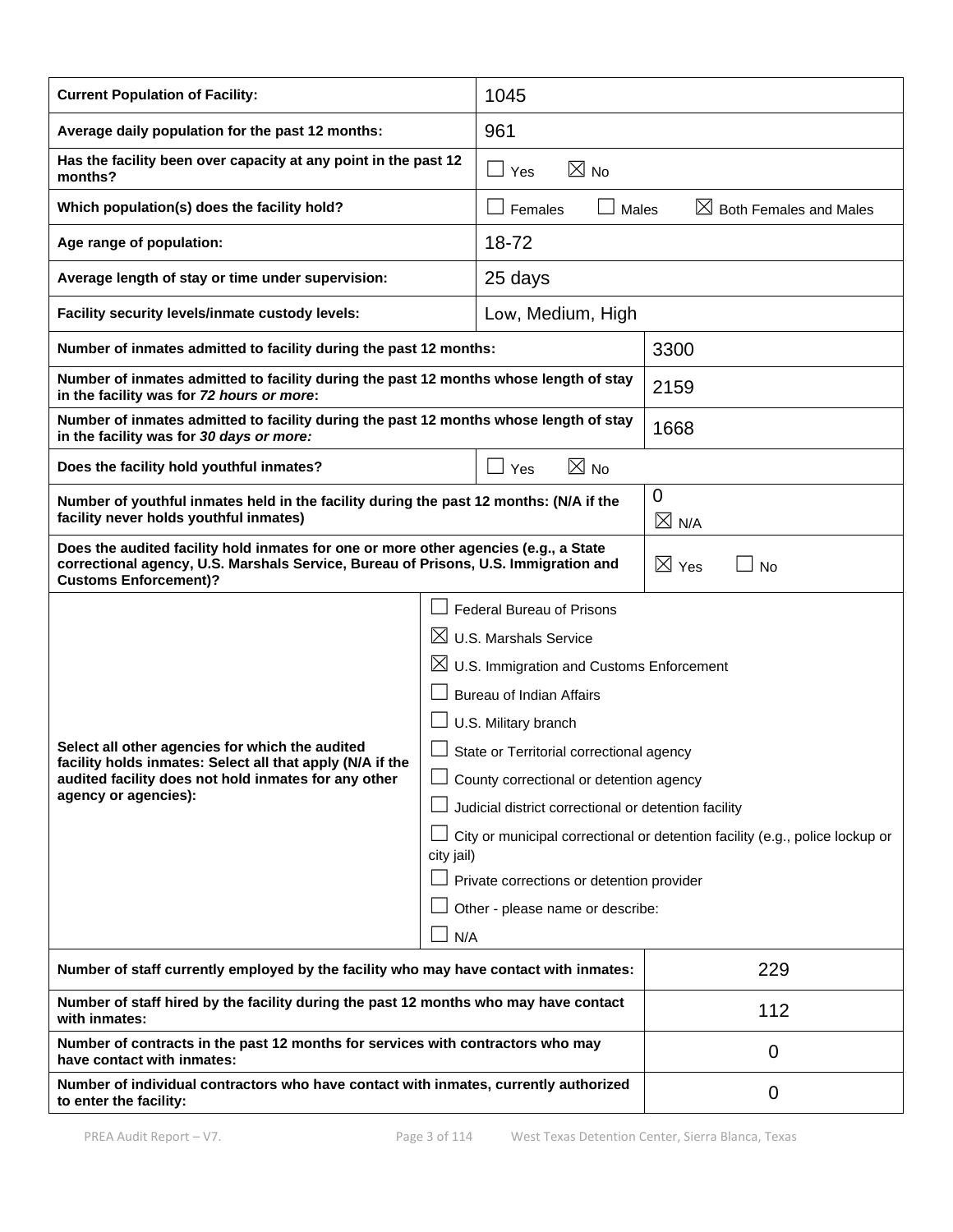| <b>Current Population of Facility:</b>                                                                                                                                                                                                                                                                                                                                                                                                                                                                                                                                                                                                                  |  | 1045                                                                         |                                              |  |
|---------------------------------------------------------------------------------------------------------------------------------------------------------------------------------------------------------------------------------------------------------------------------------------------------------------------------------------------------------------------------------------------------------------------------------------------------------------------------------------------------------------------------------------------------------------------------------------------------------------------------------------------------------|--|------------------------------------------------------------------------------|----------------------------------------------|--|
| Average daily population for the past 12 months:                                                                                                                                                                                                                                                                                                                                                                                                                                                                                                                                                                                                        |  | 961                                                                          |                                              |  |
| Has the facility been over capacity at any point in the past 12<br>months?                                                                                                                                                                                                                                                                                                                                                                                                                                                                                                                                                                              |  | $\boxtimes$ No<br>$\Box$ Yes                                                 |                                              |  |
| Which population(s) does the facility hold?                                                                                                                                                                                                                                                                                                                                                                                                                                                                                                                                                                                                             |  | $\Box$ Females<br>Males                                                      | $\boxtimes$<br><b>Both Females and Males</b> |  |
| Age range of population:                                                                                                                                                                                                                                                                                                                                                                                                                                                                                                                                                                                                                                |  | 18-72                                                                        |                                              |  |
| Average length of stay or time under supervision:                                                                                                                                                                                                                                                                                                                                                                                                                                                                                                                                                                                                       |  | 25 days                                                                      |                                              |  |
| Facility security levels/inmate custody levels:                                                                                                                                                                                                                                                                                                                                                                                                                                                                                                                                                                                                         |  | Low, Medium, High                                                            |                                              |  |
| Number of inmates admitted to facility during the past 12 months:                                                                                                                                                                                                                                                                                                                                                                                                                                                                                                                                                                                       |  |                                                                              | 3300                                         |  |
| Number of inmates admitted to facility during the past 12 months whose length of stay<br>in the facility was for 72 hours or more:                                                                                                                                                                                                                                                                                                                                                                                                                                                                                                                      |  |                                                                              | 2159                                         |  |
| Number of inmates admitted to facility during the past 12 months whose length of stay<br>in the facility was for 30 days or more:                                                                                                                                                                                                                                                                                                                                                                                                                                                                                                                       |  | 1668                                                                         |                                              |  |
| Does the facility hold youthful inmates?                                                                                                                                                                                                                                                                                                                                                                                                                                                                                                                                                                                                                |  | $\boxtimes$ No<br>$\sqcup$ Yes                                               |                                              |  |
| Number of youthful inmates held in the facility during the past 12 months: (N/A if the<br>facility never holds youthful inmates)                                                                                                                                                                                                                                                                                                                                                                                                                                                                                                                        |  |                                                                              | 0<br>$\boxtimes$ N/A                         |  |
| Does the audited facility hold inmates for one or more other agencies (e.g., a State<br>correctional agency, U.S. Marshals Service, Bureau of Prisons, U.S. Immigration and<br><b>Customs Enforcement)?</b>                                                                                                                                                                                                                                                                                                                                                                                                                                             |  |                                                                              | $\boxtimes$ Yes<br><b>No</b>                 |  |
| <b>Federal Bureau of Prisons</b><br>$\boxtimes$<br><b>U.S. Marshals Service</b><br>$\boxtimes$ U.S. Immigration and Customs Enforcement<br><b>Bureau of Indian Affairs</b><br>U.S. Military branch<br>Select all other agencies for which the audited<br>State or Territorial correctional agency<br>facility holds inmates: Select all that apply (N/A if the<br>┌─┐<br>audited facility does not hold inmates for any other<br>County correctional or detention agency<br>agency or agencies):<br>Judicial district correctional or detention facility<br>city jail)<br>Private corrections or detention provider<br>Other - please name or describe: |  | City or municipal correctional or detention facility (e.g., police lockup or |                                              |  |
| Number of staff currently employed by the facility who may have contact with inmates:                                                                                                                                                                                                                                                                                                                                                                                                                                                                                                                                                                   |  | 229                                                                          |                                              |  |
| Number of staff hired by the facility during the past 12 months who may have contact<br>with inmates:                                                                                                                                                                                                                                                                                                                                                                                                                                                                                                                                                   |  | 112                                                                          |                                              |  |
| Number of contracts in the past 12 months for services with contractors who may<br>have contact with inmates:                                                                                                                                                                                                                                                                                                                                                                                                                                                                                                                                           |  | 0                                                                            |                                              |  |
| Number of individual contractors who have contact with inmates, currently authorized<br>to enter the facility:                                                                                                                                                                                                                                                                                                                                                                                                                                                                                                                                          |  | 0                                                                            |                                              |  |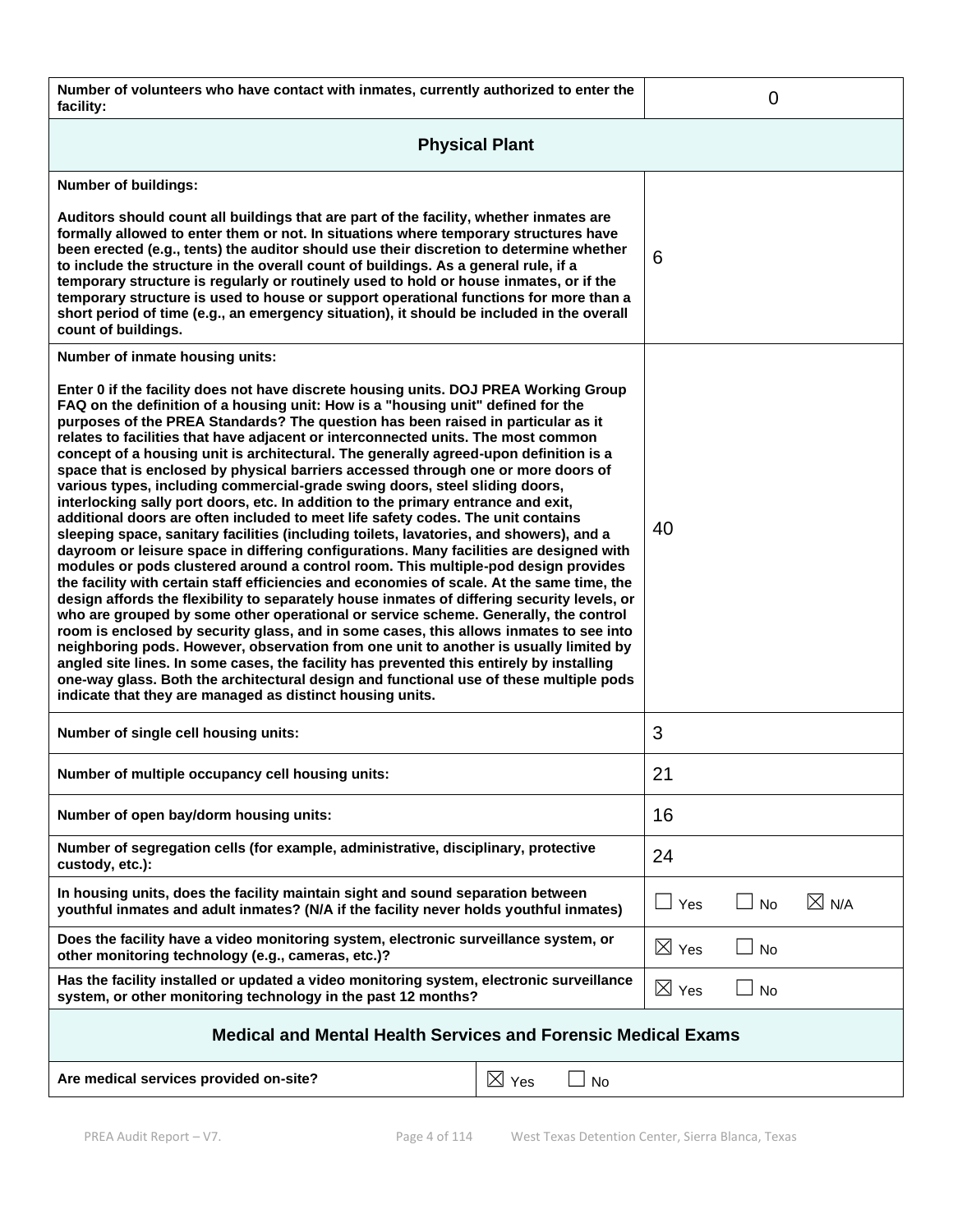| Number of volunteers who have contact with inmates, currently authorized to enter the<br>facility:                                                                                                                                                                                                                                                                                                                                                                                                                                                                                                                                                                                                                                                                                                                                                                                                                                                                                                                                                                                                                                                                                                                                                                                                                                                                                                                                                                                                                                                                                                                                                                                                                                                                                            |                       |                 | 0         |                 |
|-----------------------------------------------------------------------------------------------------------------------------------------------------------------------------------------------------------------------------------------------------------------------------------------------------------------------------------------------------------------------------------------------------------------------------------------------------------------------------------------------------------------------------------------------------------------------------------------------------------------------------------------------------------------------------------------------------------------------------------------------------------------------------------------------------------------------------------------------------------------------------------------------------------------------------------------------------------------------------------------------------------------------------------------------------------------------------------------------------------------------------------------------------------------------------------------------------------------------------------------------------------------------------------------------------------------------------------------------------------------------------------------------------------------------------------------------------------------------------------------------------------------------------------------------------------------------------------------------------------------------------------------------------------------------------------------------------------------------------------------------------------------------------------------------|-----------------------|-----------------|-----------|-----------------|
| <b>Physical Plant</b>                                                                                                                                                                                                                                                                                                                                                                                                                                                                                                                                                                                                                                                                                                                                                                                                                                                                                                                                                                                                                                                                                                                                                                                                                                                                                                                                                                                                                                                                                                                                                                                                                                                                                                                                                                         |                       |                 |           |                 |
| Number of buildings:                                                                                                                                                                                                                                                                                                                                                                                                                                                                                                                                                                                                                                                                                                                                                                                                                                                                                                                                                                                                                                                                                                                                                                                                                                                                                                                                                                                                                                                                                                                                                                                                                                                                                                                                                                          |                       |                 |           |                 |
| Auditors should count all buildings that are part of the facility, whether inmates are<br>formally allowed to enter them or not. In situations where temporary structures have<br>been erected (e.g., tents) the auditor should use their discretion to determine whether<br>to include the structure in the overall count of buildings. As a general rule, if a<br>temporary structure is regularly or routinely used to hold or house inmates, or if the<br>temporary structure is used to house or support operational functions for more than a<br>short period of time (e.g., an emergency situation), it should be included in the overall<br>count of buildings.                                                                                                                                                                                                                                                                                                                                                                                                                                                                                                                                                                                                                                                                                                                                                                                                                                                                                                                                                                                                                                                                                                                       |                       | 6               |           |                 |
| Number of inmate housing units:                                                                                                                                                                                                                                                                                                                                                                                                                                                                                                                                                                                                                                                                                                                                                                                                                                                                                                                                                                                                                                                                                                                                                                                                                                                                                                                                                                                                                                                                                                                                                                                                                                                                                                                                                               |                       |                 |           |                 |
| Enter 0 if the facility does not have discrete housing units. DOJ PREA Working Group<br>FAQ on the definition of a housing unit: How is a "housing unit" defined for the<br>purposes of the PREA Standards? The question has been raised in particular as it<br>relates to facilities that have adjacent or interconnected units. The most common<br>concept of a housing unit is architectural. The generally agreed-upon definition is a<br>space that is enclosed by physical barriers accessed through one or more doors of<br>various types, including commercial-grade swing doors, steel sliding doors,<br>interlocking sally port doors, etc. In addition to the primary entrance and exit,<br>additional doors are often included to meet life safety codes. The unit contains<br>sleeping space, sanitary facilities (including toilets, lavatories, and showers), and a<br>dayroom or leisure space in differing configurations. Many facilities are designed with<br>modules or pods clustered around a control room. This multiple-pod design provides<br>the facility with certain staff efficiencies and economies of scale. At the same time, the<br>design affords the flexibility to separately house inmates of differing security levels, or<br>who are grouped by some other operational or service scheme. Generally, the control<br>room is enclosed by security glass, and in some cases, this allows inmates to see into<br>neighboring pods. However, observation from one unit to another is usually limited by<br>angled site lines. In some cases, the facility has prevented this entirely by installing<br>one-way glass. Both the architectural design and functional use of these multiple pods<br>indicate that they are managed as distinct housing units. |                       | 40              |           |                 |
| Number of single cell housing units:                                                                                                                                                                                                                                                                                                                                                                                                                                                                                                                                                                                                                                                                                                                                                                                                                                                                                                                                                                                                                                                                                                                                                                                                                                                                                                                                                                                                                                                                                                                                                                                                                                                                                                                                                          |                       | 3               |           |                 |
| Number of multiple occupancy cell housing units:                                                                                                                                                                                                                                                                                                                                                                                                                                                                                                                                                                                                                                                                                                                                                                                                                                                                                                                                                                                                                                                                                                                                                                                                                                                                                                                                                                                                                                                                                                                                                                                                                                                                                                                                              |                       | 21              |           |                 |
| Number of open bay/dorm housing units:                                                                                                                                                                                                                                                                                                                                                                                                                                                                                                                                                                                                                                                                                                                                                                                                                                                                                                                                                                                                                                                                                                                                                                                                                                                                                                                                                                                                                                                                                                                                                                                                                                                                                                                                                        |                       | 16              |           |                 |
| Number of segregation cells (for example, administrative, disciplinary, protective<br>custody, etc.):                                                                                                                                                                                                                                                                                                                                                                                                                                                                                                                                                                                                                                                                                                                                                                                                                                                                                                                                                                                                                                                                                                                                                                                                                                                                                                                                                                                                                                                                                                                                                                                                                                                                                         |                       | 24              |           |                 |
| In housing units, does the facility maintain sight and sound separation between<br>youthful inmates and adult inmates? (N/A if the facility never holds youthful inmates)                                                                                                                                                                                                                                                                                                                                                                                                                                                                                                                                                                                                                                                                                                                                                                                                                                                                                                                                                                                                                                                                                                                                                                                                                                                                                                                                                                                                                                                                                                                                                                                                                     |                       | Yes             | $\Box$ No | $\boxtimes$ N/A |
| Does the facility have a video monitoring system, electronic surveillance system, or<br>other monitoring technology (e.g., cameras, etc.)?                                                                                                                                                                                                                                                                                                                                                                                                                                                                                                                                                                                                                                                                                                                                                                                                                                                                                                                                                                                                                                                                                                                                                                                                                                                                                                                                                                                                                                                                                                                                                                                                                                                    |                       | $\boxtimes$ Yes | $\Box$ No |                 |
| Has the facility installed or updated a video monitoring system, electronic surveillance<br>system, or other monitoring technology in the past 12 months?                                                                                                                                                                                                                                                                                                                                                                                                                                                                                                                                                                                                                                                                                                                                                                                                                                                                                                                                                                                                                                                                                                                                                                                                                                                                                                                                                                                                                                                                                                                                                                                                                                     |                       | $\boxtimes$ Yes | $\Box$ No |                 |
| Medical and Mental Health Services and Forensic Medical Exams                                                                                                                                                                                                                                                                                                                                                                                                                                                                                                                                                                                                                                                                                                                                                                                                                                                                                                                                                                                                                                                                                                                                                                                                                                                                                                                                                                                                                                                                                                                                                                                                                                                                                                                                 |                       |                 |           |                 |
| Are medical services provided on-site?                                                                                                                                                                                                                                                                                                                                                                                                                                                                                                                                                                                                                                                                                                                                                                                                                                                                                                                                                                                                                                                                                                                                                                                                                                                                                                                                                                                                                                                                                                                                                                                                                                                                                                                                                        | $\boxtimes$ Yes<br>No |                 |           |                 |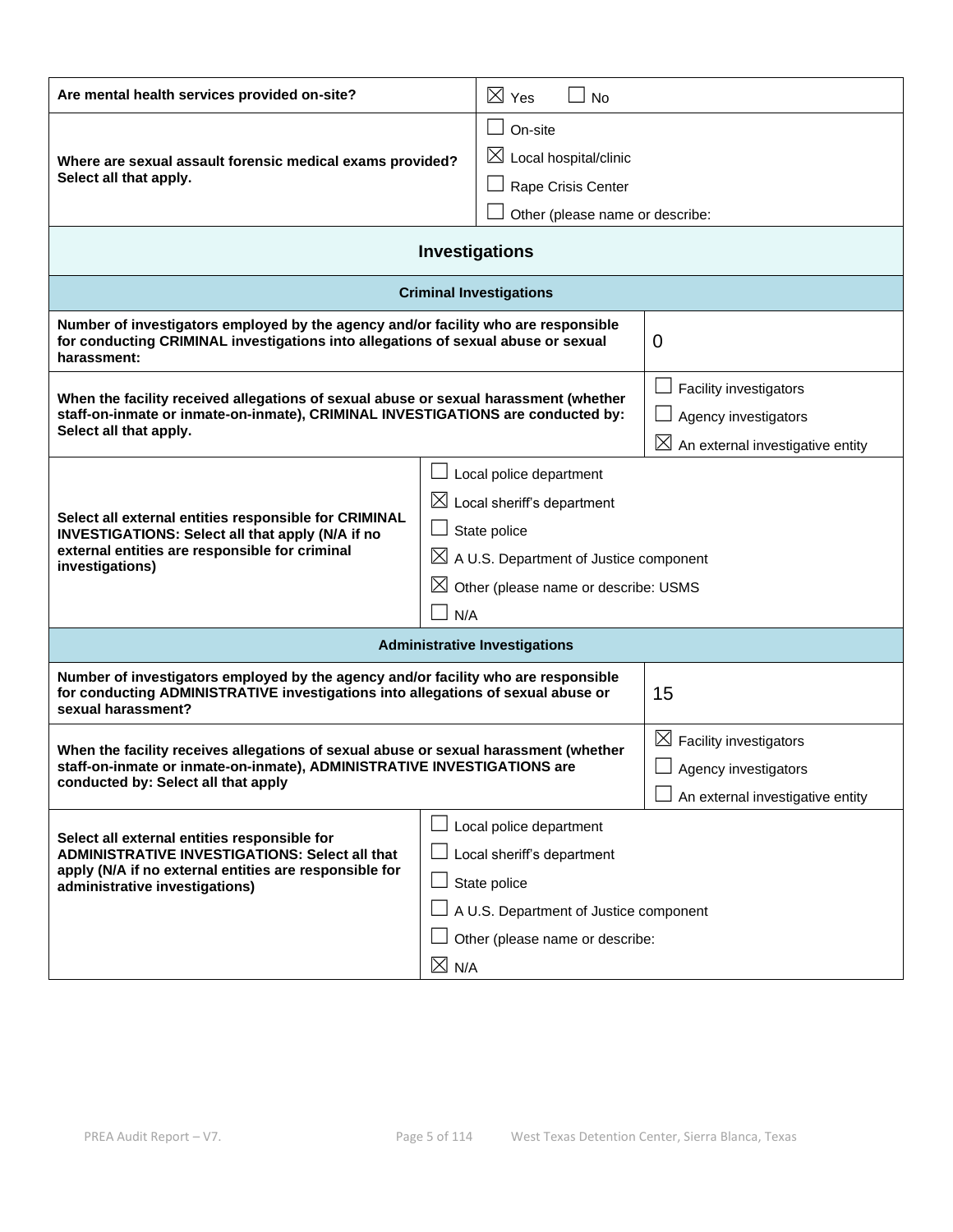| Are mental health services provided on-site?                                                                                                                                                                                                                                                                                                                                                                                         | $\boxtimes$ Yes<br>No                                                                                                                                                 |                                                                                                   |
|--------------------------------------------------------------------------------------------------------------------------------------------------------------------------------------------------------------------------------------------------------------------------------------------------------------------------------------------------------------------------------------------------------------------------------------|-----------------------------------------------------------------------------------------------------------------------------------------------------------------------|---------------------------------------------------------------------------------------------------|
| Where are sexual assault forensic medical exams provided?<br>Select all that apply.                                                                                                                                                                                                                                                                                                                                                  | On-site<br>$\boxtimes$ Local hospital/clinic<br>Rape Crisis Center<br>Other (please name or describe:                                                                 |                                                                                                   |
|                                                                                                                                                                                                                                                                                                                                                                                                                                      | <b>Investigations</b>                                                                                                                                                 |                                                                                                   |
|                                                                                                                                                                                                                                                                                                                                                                                                                                      | <b>Criminal Investigations</b>                                                                                                                                        |                                                                                                   |
| Number of investigators employed by the agency and/or facility who are responsible<br>for conducting CRIMINAL investigations into allegations of sexual abuse or sexual<br>harassment:                                                                                                                                                                                                                                               |                                                                                                                                                                       | 0                                                                                                 |
| When the facility received allegations of sexual abuse or sexual harassment (whether<br>staff-on-inmate or inmate-on-inmate), CRIMINAL INVESTIGATIONS are conducted by:<br>Select all that apply.                                                                                                                                                                                                                                    |                                                                                                                                                                       | Facility investigators<br>Agency investigators<br>$\boxtimes$<br>An external investigative entity |
| Local police department<br>$\Box$<br>$\boxtimes$ Local sheriff's department<br>Select all external entities responsible for CRIMINAL<br>State police<br>$\Box$<br>INVESTIGATIONS: Select all that apply (N/A if no<br>external entities are responsible for criminal<br>$\boxtimes$ A U.S. Department of Justice component<br>investigations)<br>$\boxtimes$ Other (please name or describe: USMS<br>$\overline{\phantom{a}}$<br>N/A |                                                                                                                                                                       |                                                                                                   |
|                                                                                                                                                                                                                                                                                                                                                                                                                                      | <b>Administrative Investigations</b>                                                                                                                                  |                                                                                                   |
| Number of investigators employed by the agency and/or facility who are responsible<br>for conducting ADMINISTRATIVE investigations into allegations of sexual abuse or<br>sexual harassment?                                                                                                                                                                                                                                         |                                                                                                                                                                       | 15                                                                                                |
| When the facility receives allegations of sexual abuse or sexual harassment (whether<br>staff-on-inmate or inmate-on-inmate), ADMINISTRATIVE INVESTIGATIONS are<br>conducted by: Select all that apply                                                                                                                                                                                                                               |                                                                                                                                                                       | $\boxtimes$ Facility investigators<br>Agency investigators<br>An external investigative entity    |
| Select all external entities responsible for<br><b>ADMINISTRATIVE INVESTIGATIONS: Select all that</b><br>apply (N/A if no external entities are responsible for<br>administrative investigations)                                                                                                                                                                                                                                    | Local police department<br>Local sheriff's department<br>State police<br>A U.S. Department of Justice component<br>Other (please name or describe:<br>$\boxtimes$ N/A |                                                                                                   |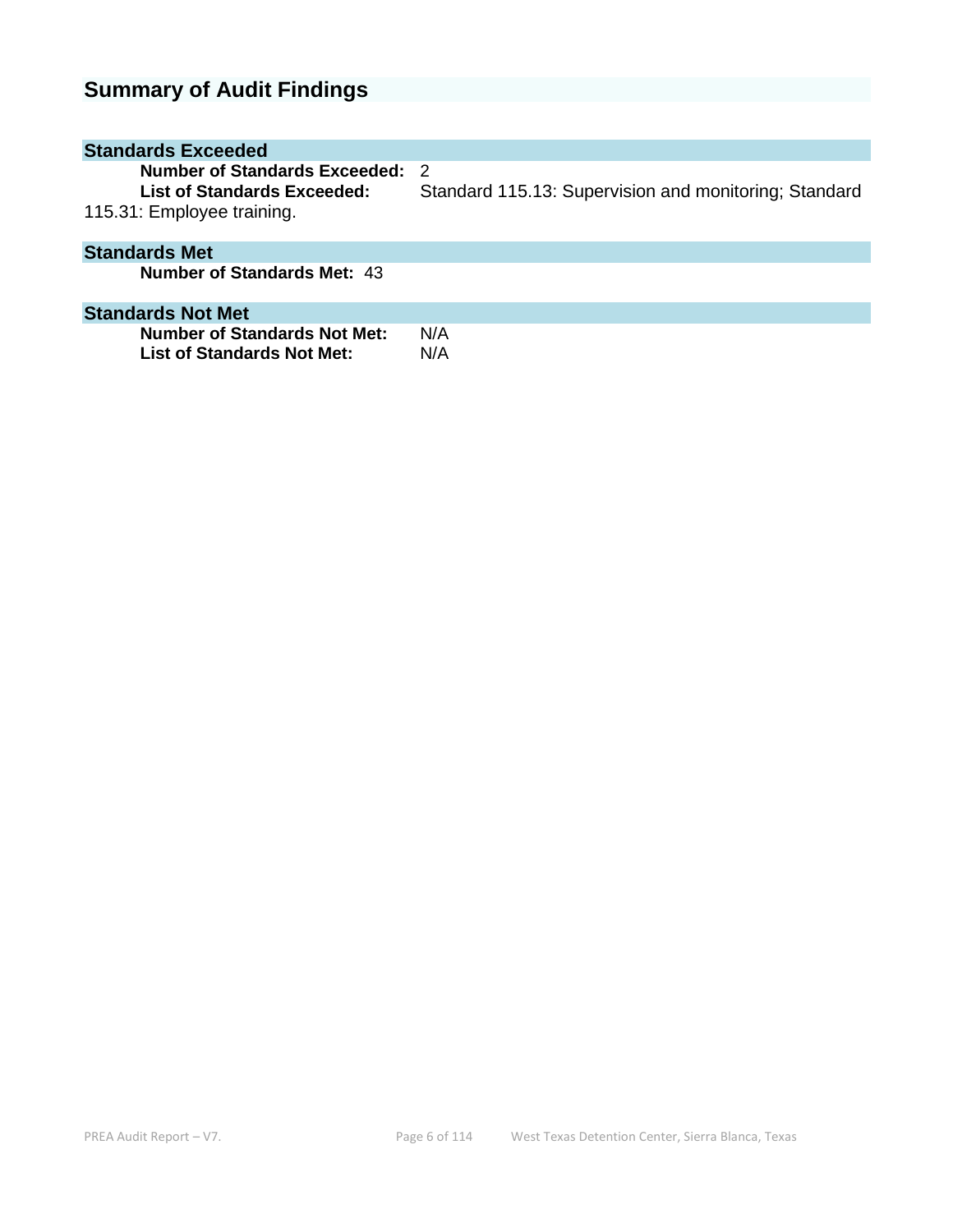# **Summary of Audit Findings**

| <b>Standards Exceeded</b>                                                                  |                                                              |
|--------------------------------------------------------------------------------------------|--------------------------------------------------------------|
| Number of Standards Exceeded:<br>List of Standards Exceeded:<br>115.31: Employee training. | - 2<br>Standard 115.13: Supervision and monitoring; Standard |
| <b>Standards Met</b>                                                                       |                                                              |
| <b>Number of Standards Met: 43</b>                                                         |                                                              |
| <b>Standards Not Met</b>                                                                   |                                                              |
| <b>Number of Standards Not Met:</b><br>List of Standards Not Met:                          | N/A<br>N/A                                                   |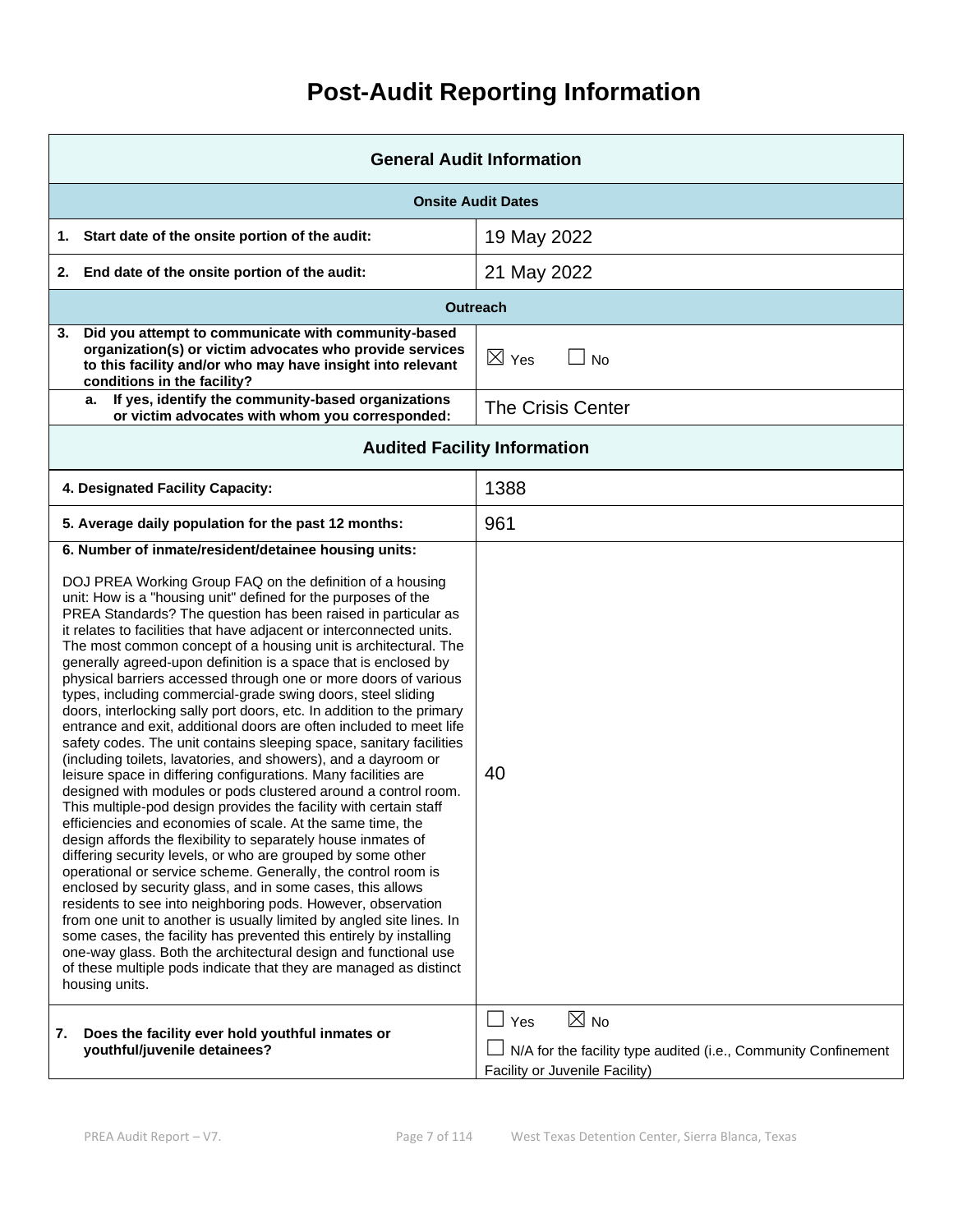# **Post-Audit Reporting Information**

| <b>General Audit Information</b>                                                                                                                                                                                                                                                                                                                                                                                                                                                                                                                                                                                                                                                                                                                                                                                                                                                                                                                                                                                                                                                                                                                                                                                                                                                                                                                                                                                                                                                                                                                                                                                                                                                                                                                                                                            |                                                                                                                |  |
|-------------------------------------------------------------------------------------------------------------------------------------------------------------------------------------------------------------------------------------------------------------------------------------------------------------------------------------------------------------------------------------------------------------------------------------------------------------------------------------------------------------------------------------------------------------------------------------------------------------------------------------------------------------------------------------------------------------------------------------------------------------------------------------------------------------------------------------------------------------------------------------------------------------------------------------------------------------------------------------------------------------------------------------------------------------------------------------------------------------------------------------------------------------------------------------------------------------------------------------------------------------------------------------------------------------------------------------------------------------------------------------------------------------------------------------------------------------------------------------------------------------------------------------------------------------------------------------------------------------------------------------------------------------------------------------------------------------------------------------------------------------------------------------------------------------|----------------------------------------------------------------------------------------------------------------|--|
| <b>Onsite Audit Dates</b>                                                                                                                                                                                                                                                                                                                                                                                                                                                                                                                                                                                                                                                                                                                                                                                                                                                                                                                                                                                                                                                                                                                                                                                                                                                                                                                                                                                                                                                                                                                                                                                                                                                                                                                                                                                   |                                                                                                                |  |
| Start date of the onsite portion of the audit:<br>1.                                                                                                                                                                                                                                                                                                                                                                                                                                                                                                                                                                                                                                                                                                                                                                                                                                                                                                                                                                                                                                                                                                                                                                                                                                                                                                                                                                                                                                                                                                                                                                                                                                                                                                                                                        | 19 May 2022                                                                                                    |  |
| End date of the onsite portion of the audit:<br>2.                                                                                                                                                                                                                                                                                                                                                                                                                                                                                                                                                                                                                                                                                                                                                                                                                                                                                                                                                                                                                                                                                                                                                                                                                                                                                                                                                                                                                                                                                                                                                                                                                                                                                                                                                          | 21 May 2022                                                                                                    |  |
|                                                                                                                                                                                                                                                                                                                                                                                                                                                                                                                                                                                                                                                                                                                                                                                                                                                                                                                                                                                                                                                                                                                                                                                                                                                                                                                                                                                                                                                                                                                                                                                                                                                                                                                                                                                                             | <b>Outreach</b>                                                                                                |  |
| Did you attempt to communicate with community-based<br>3.<br>organization(s) or victim advocates who provide services<br>to this facility and/or who may have insight into relevant<br>conditions in the facility?                                                                                                                                                                                                                                                                                                                                                                                                                                                                                                                                                                                                                                                                                                                                                                                                                                                                                                                                                                                                                                                                                                                                                                                                                                                                                                                                                                                                                                                                                                                                                                                          | $\boxtimes$ Yes<br><b>No</b>                                                                                   |  |
| If yes, identify the community-based organizations<br>a.<br>or victim advocates with whom you corresponded:                                                                                                                                                                                                                                                                                                                                                                                                                                                                                                                                                                                                                                                                                                                                                                                                                                                                                                                                                                                                                                                                                                                                                                                                                                                                                                                                                                                                                                                                                                                                                                                                                                                                                                 | <b>The Crisis Center</b>                                                                                       |  |
| <b>Audited Facility Information</b>                                                                                                                                                                                                                                                                                                                                                                                                                                                                                                                                                                                                                                                                                                                                                                                                                                                                                                                                                                                                                                                                                                                                                                                                                                                                                                                                                                                                                                                                                                                                                                                                                                                                                                                                                                         |                                                                                                                |  |
| 4. Designated Facility Capacity:                                                                                                                                                                                                                                                                                                                                                                                                                                                                                                                                                                                                                                                                                                                                                                                                                                                                                                                                                                                                                                                                                                                                                                                                                                                                                                                                                                                                                                                                                                                                                                                                                                                                                                                                                                            | 1388                                                                                                           |  |
| 5. Average daily population for the past 12 months:                                                                                                                                                                                                                                                                                                                                                                                                                                                                                                                                                                                                                                                                                                                                                                                                                                                                                                                                                                                                                                                                                                                                                                                                                                                                                                                                                                                                                                                                                                                                                                                                                                                                                                                                                         | 961                                                                                                            |  |
| 6. Number of inmate/resident/detainee housing units:<br>DOJ PREA Working Group FAQ on the definition of a housing<br>unit: How is a "housing unit" defined for the purposes of the<br>PREA Standards? The question has been raised in particular as<br>it relates to facilities that have adjacent or interconnected units.<br>The most common concept of a housing unit is architectural. The<br>generally agreed-upon definition is a space that is enclosed by<br>physical barriers accessed through one or more doors of various<br>types, including commercial-grade swing doors, steel sliding<br>doors, interlocking sally port doors, etc. In addition to the primary<br>entrance and exit, additional doors are often included to meet life<br>safety codes. The unit contains sleeping space, sanitary facilities<br>(including toilets, lavatories, and showers), and a dayroom or<br>leisure space in differing configurations. Many facilities are<br>designed with modules or pods clustered around a control room.<br>This multiple-pod design provides the facility with certain staff<br>efficiencies and economies of scale. At the same time, the<br>design affords the flexibility to separately house inmates of<br>differing security levels, or who are grouped by some other<br>operational or service scheme. Generally, the control room is<br>enclosed by security glass, and in some cases, this allows<br>residents to see into neighboring pods. However, observation<br>from one unit to another is usually limited by angled site lines. In<br>some cases, the facility has prevented this entirely by installing<br>one-way glass. Both the architectural design and functional use<br>of these multiple pods indicate that they are managed as distinct<br>housing units. | 40<br>$\boxtimes$ No                                                                                           |  |
| 7.<br>Does the facility ever hold youthful inmates or<br>youthful/juvenile detainees?                                                                                                                                                                                                                                                                                                                                                                                                                                                                                                                                                                                                                                                                                                                                                                                                                                                                                                                                                                                                                                                                                                                                                                                                                                                                                                                                                                                                                                                                                                                                                                                                                                                                                                                       | $\Box$ Yes<br>N/A for the facility type audited (i.e., Community Confinement<br>Facility or Juvenile Facility) |  |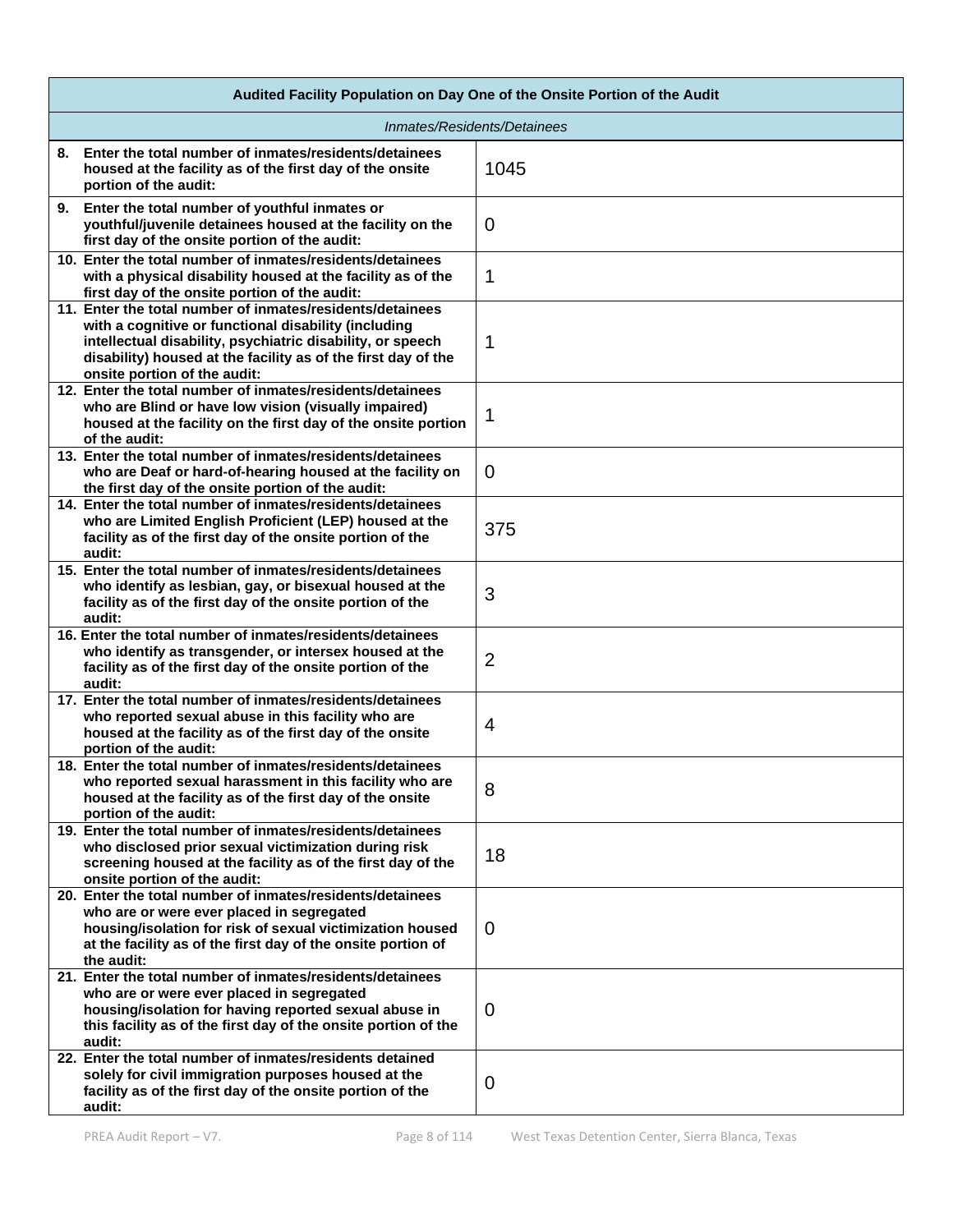| Audited Facility Population on Day One of the Onsite Portion of the Audit                                                                                                                                                                                                        |                |  |
|----------------------------------------------------------------------------------------------------------------------------------------------------------------------------------------------------------------------------------------------------------------------------------|----------------|--|
| Inmates/Residents/Detainees                                                                                                                                                                                                                                                      |                |  |
| 8. Enter the total number of inmates/residents/detainees<br>housed at the facility as of the first day of the onsite<br>portion of the audit:                                                                                                                                    | 1045           |  |
| 9. Enter the total number of youthful inmates or<br>youthful/juvenile detainees housed at the facility on the<br>first day of the onsite portion of the audit:                                                                                                                   | $\overline{0}$ |  |
| 10. Enter the total number of inmates/residents/detainees<br>with a physical disability housed at the facility as of the<br>first day of the onsite portion of the audit:                                                                                                        | 1              |  |
| 11. Enter the total number of inmates/residents/detainees<br>with a cognitive or functional disability (including<br>intellectual disability, psychiatric disability, or speech<br>disability) housed at the facility as of the first day of the<br>onsite portion of the audit: | 1              |  |
| 12. Enter the total number of inmates/residents/detainees<br>who are Blind or have low vision (visually impaired)<br>housed at the facility on the first day of the onsite portion<br>of the audit:                                                                              | 1              |  |
| 13. Enter the total number of inmates/residents/detainees<br>who are Deaf or hard-of-hearing housed at the facility on<br>the first day of the onsite portion of the audit:                                                                                                      | $\mathbf 0$    |  |
| 14. Enter the total number of inmates/residents/detainees<br>who are Limited English Proficient (LEP) housed at the<br>facility as of the first day of the onsite portion of the<br>audit:                                                                                       | 375            |  |
| 15. Enter the total number of inmates/residents/detainees<br>who identify as lesbian, gay, or bisexual housed at the<br>facility as of the first day of the onsite portion of the<br>audit:                                                                                      | 3              |  |
| 16. Enter the total number of inmates/residents/detainees<br>who identify as transgender, or intersex housed at the<br>facility as of the first day of the onsite portion of the<br>audit:                                                                                       | $\overline{2}$ |  |
| 17. Enter the total number of inmates/residents/detainees<br>who reported sexual abuse in this facility who are<br>housed at the facility as of the first day of the onsite<br>portion of the audit:                                                                             | $\overline{4}$ |  |
| 18. Enter the total number of inmates/residents/detainees<br>who reported sexual harassment in this facility who are<br>housed at the facility as of the first day of the onsite<br>portion of the audit:                                                                        | 8              |  |
| 19. Enter the total number of inmates/residents/detainees<br>who disclosed prior sexual victimization during risk<br>screening housed at the facility as of the first day of the<br>onsite portion of the audit:                                                                 | 18             |  |
| 20. Enter the total number of inmates/residents/detainees<br>who are or were ever placed in segregated<br>housing/isolation for risk of sexual victimization housed<br>at the facility as of the first day of the onsite portion of<br>the audit:                                | $\mathbf 0$    |  |
| 21. Enter the total number of inmates/residents/detainees<br>who are or were ever placed in segregated<br>housing/isolation for having reported sexual abuse in<br>this facility as of the first day of the onsite portion of the<br>audit:                                      | $\Omega$       |  |
| 22. Enter the total number of inmates/residents detained<br>solely for civil immigration purposes housed at the<br>facility as of the first day of the onsite portion of the<br>audit:                                                                                           | $\overline{0}$ |  |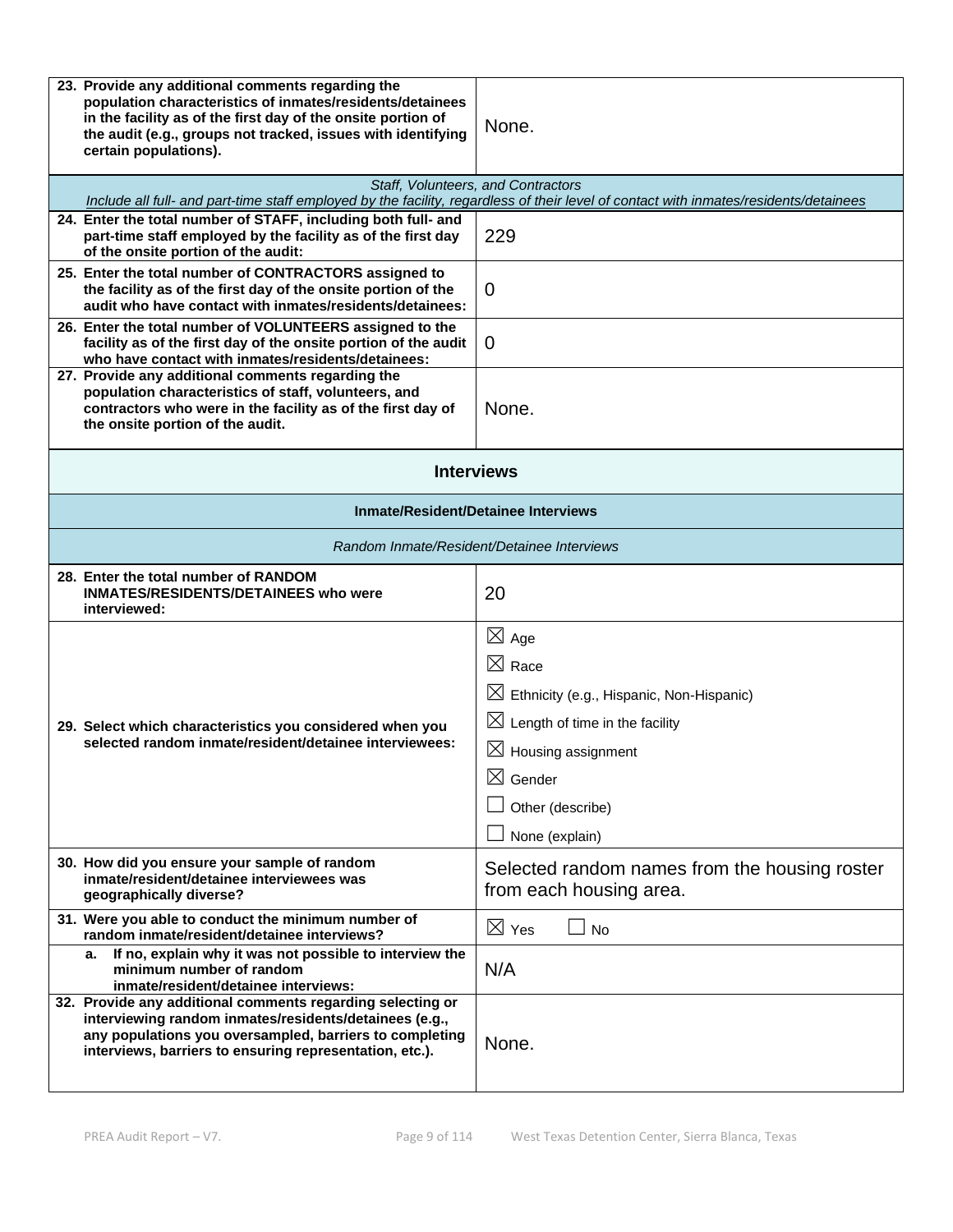| 23. Provide any additional comments regarding the<br>population characteristics of inmates/residents/detainees<br>in the facility as of the first day of the onsite portion of<br>the audit (e.g., groups not tracked, issues with identifying<br>certain populations). | None.                                                                                                                                                                                                                                   |  |
|-------------------------------------------------------------------------------------------------------------------------------------------------------------------------------------------------------------------------------------------------------------------------|-----------------------------------------------------------------------------------------------------------------------------------------------------------------------------------------------------------------------------------------|--|
|                                                                                                                                                                                                                                                                         | Staff, Volunteers, and Contractors<br>Include all full- and part-time staff employed by the facility, regardless of their level of contact with inmates/residents/detainees                                                             |  |
| 24. Enter the total number of STAFF, including both full- and<br>part-time staff employed by the facility as of the first day<br>of the onsite portion of the audit:                                                                                                    | 229                                                                                                                                                                                                                                     |  |
| 25. Enter the total number of CONTRACTORS assigned to<br>the facility as of the first day of the onsite portion of the<br>audit who have contact with inmates/residents/detainees:                                                                                      | 0                                                                                                                                                                                                                                       |  |
| 26. Enter the total number of VOLUNTEERS assigned to the<br>facility as of the first day of the onsite portion of the audit<br>who have contact with inmates/residents/detainees:                                                                                       | $\overline{0}$                                                                                                                                                                                                                          |  |
| 27. Provide any additional comments regarding the<br>population characteristics of staff, volunteers, and<br>contractors who were in the facility as of the first day of<br>the onsite portion of the audit.                                                            | None.                                                                                                                                                                                                                                   |  |
| <b>Interviews</b>                                                                                                                                                                                                                                                       |                                                                                                                                                                                                                                         |  |
| <b>Inmate/Resident/Detainee Interviews</b>                                                                                                                                                                                                                              |                                                                                                                                                                                                                                         |  |
| Random Inmate/Resident/Detainee Interviews                                                                                                                                                                                                                              |                                                                                                                                                                                                                                         |  |
| 28. Enter the total number of RANDOM<br><b>INMATES/RESIDENTS/DETAINEES who were</b><br>interviewed:                                                                                                                                                                     | 20                                                                                                                                                                                                                                      |  |
| 29. Select which characteristics you considered when you<br>selected random inmate/resident/detainee interviewees:                                                                                                                                                      | $\boxtimes$ Age<br>$\boxtimes$ Race<br>$\boxtimes$ Ethnicity (e.g., Hispanic, Non-Hispanic)<br>$\boxtimes$ Length of time in the facility<br>$\boxtimes$ Housing assignment<br>$\boxtimes$ Gender<br>Other (describe)<br>None (explain) |  |
| 30. How did you ensure your sample of random<br>inmate/resident/detainee interviewees was<br>geographically diverse?                                                                                                                                                    | Selected random names from the housing roster<br>from each housing area.                                                                                                                                                                |  |
| 31. Were you able to conduct the minimum number of<br>random inmate/resident/detainee interviews?                                                                                                                                                                       | $\boxtimes$ Yes<br><b>No</b>                                                                                                                                                                                                            |  |
| If no, explain why it was not possible to interview the<br>а.<br>minimum number of random<br>inmate/resident/detainee interviews:                                                                                                                                       | N/A                                                                                                                                                                                                                                     |  |
| 32. Provide any additional comments regarding selecting or<br>interviewing random inmates/residents/detainees (e.g.,<br>any populations you oversampled, barriers to completing<br>interviews, barriers to ensuring representation, etc.).                              | None.                                                                                                                                                                                                                                   |  |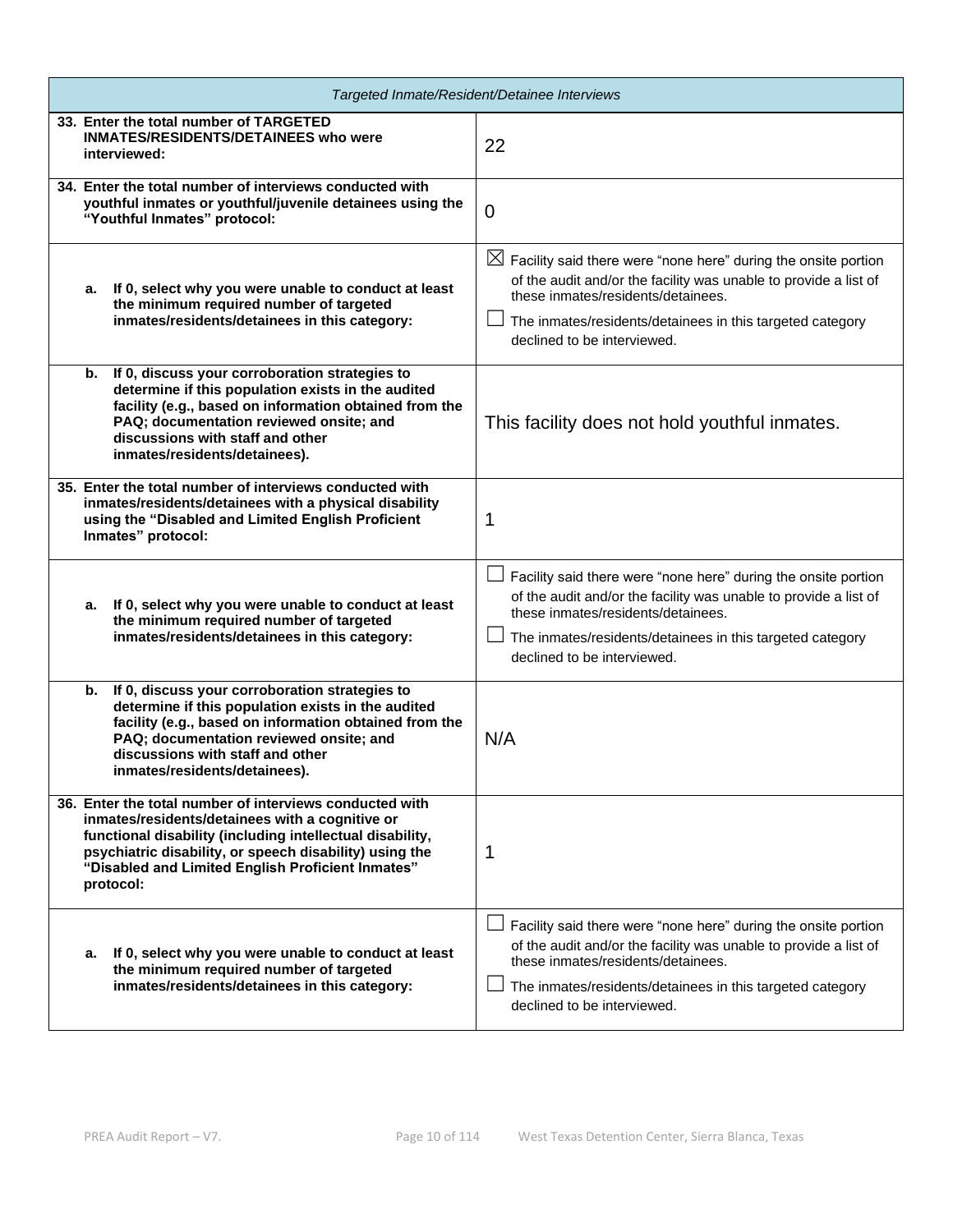| Targeted Inmate/Resident/Detainee Interviews                                                                                                                                                                                                                                                         |                                                                                                                                                                                                                                                                                  |  |
|------------------------------------------------------------------------------------------------------------------------------------------------------------------------------------------------------------------------------------------------------------------------------------------------------|----------------------------------------------------------------------------------------------------------------------------------------------------------------------------------------------------------------------------------------------------------------------------------|--|
| 33. Enter the total number of TARGETED<br><b>INMATES/RESIDENTS/DETAINEES who were</b><br>interviewed:                                                                                                                                                                                                | 22                                                                                                                                                                                                                                                                               |  |
| 34. Enter the total number of interviews conducted with<br>youthful inmates or youthful/juvenile detainees using the<br>"Youthful Inmates" protocol:                                                                                                                                                 | $\overline{0}$                                                                                                                                                                                                                                                                   |  |
| a. If 0, select why you were unable to conduct at least<br>the minimum required number of targeted<br>inmates/residents/detainees in this category:                                                                                                                                                  | $\boxtimes$ Facility said there were "none here" during the onsite portion<br>of the audit and/or the facility was unable to provide a list of<br>these inmates/residents/detainees.<br>The inmates/residents/detainees in this targeted category<br>declined to be interviewed. |  |
| If 0, discuss your corroboration strategies to<br>b.<br>determine if this population exists in the audited<br>facility (e.g., based on information obtained from the<br>PAQ; documentation reviewed onsite; and<br>discussions with staff and other<br>inmates/residents/detainees).                 | This facility does not hold youthful inmates.                                                                                                                                                                                                                                    |  |
| 35. Enter the total number of interviews conducted with<br>inmates/residents/detainees with a physical disability<br>using the "Disabled and Limited English Proficient<br>Inmates" protocol:                                                                                                        | 1                                                                                                                                                                                                                                                                                |  |
| If 0, select why you were unable to conduct at least<br>а.<br>the minimum required number of targeted<br>inmates/residents/detainees in this category:                                                                                                                                               | Facility said there were "none here" during the onsite portion<br>of the audit and/or the facility was unable to provide a list of<br>these inmates/residents/detainees.<br>The inmates/residents/detainees in this targeted category<br>declined to be interviewed.             |  |
| b. If 0, discuss your corroboration strategies to<br>determine if this population exists in the audited<br>facility (e.g., based on information obtained from the<br>PAQ; documentation reviewed onsite; and<br>discussions with staff and other<br>inmates/residents/detainees).                    | N/A                                                                                                                                                                                                                                                                              |  |
| 36. Enter the total number of interviews conducted with<br>inmates/residents/detainees with a cognitive or<br>functional disability (including intellectual disability,<br>psychiatric disability, or speech disability) using the<br>"Disabled and Limited English Proficient Inmates"<br>protocol: | 1                                                                                                                                                                                                                                                                                |  |
| If 0, select why you were unable to conduct at least<br>а.<br>the minimum required number of targeted<br>inmates/residents/detainees in this category:                                                                                                                                               | Facility said there were "none here" during the onsite portion<br>of the audit and/or the facility was unable to provide a list of<br>these inmates/residents/detainees.<br>The inmates/residents/detainees in this targeted category<br>declined to be interviewed.             |  |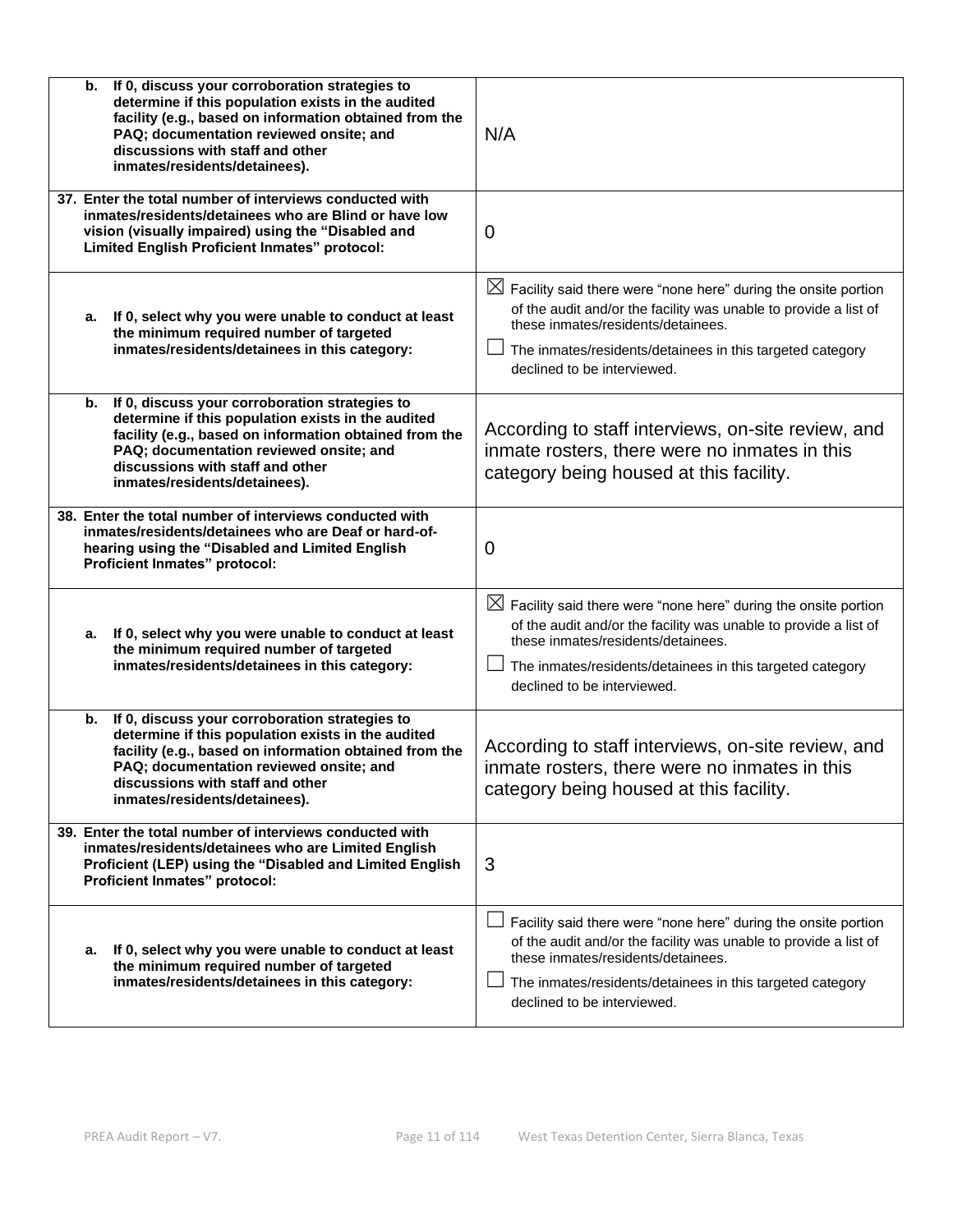| If 0, discuss your corroboration strategies to<br>b.<br>determine if this population exists in the audited<br>facility (e.g., based on information obtained from the<br>PAQ; documentation reviewed onsite; and<br>discussions with staff and other<br>inmates/residents/detainees). | N/A                                                                                                                                                                                                                                                                              |
|--------------------------------------------------------------------------------------------------------------------------------------------------------------------------------------------------------------------------------------------------------------------------------------|----------------------------------------------------------------------------------------------------------------------------------------------------------------------------------------------------------------------------------------------------------------------------------|
| 37. Enter the total number of interviews conducted with<br>inmates/residents/detainees who are Blind or have low<br>vision (visually impaired) using the "Disabled and<br>Limited English Proficient Inmates" protocol:                                                              | 0                                                                                                                                                                                                                                                                                |
| a. If 0, select why you were unable to conduct at least<br>the minimum required number of targeted<br>inmates/residents/detainees in this category:                                                                                                                                  | $\boxtimes$ Facility said there were "none here" during the onsite portion<br>of the audit and/or the facility was unable to provide a list of<br>these inmates/residents/detainees.<br>The inmates/residents/detainees in this targeted category<br>declined to be interviewed. |
| If 0, discuss your corroboration strategies to<br>b.<br>determine if this population exists in the audited<br>facility (e.g., based on information obtained from the<br>PAQ; documentation reviewed onsite; and<br>discussions with staff and other<br>inmates/residents/detainees). | According to staff interviews, on-site review, and<br>inmate rosters, there were no inmates in this<br>category being housed at this facility.                                                                                                                                   |
| 38. Enter the total number of interviews conducted with<br>inmates/residents/detainees who are Deaf or hard-of-<br>hearing using the "Disabled and Limited English<br>Proficient Inmates" protocol:                                                                                  | 0                                                                                                                                                                                                                                                                                |
| a. If 0, select why you were unable to conduct at least<br>the minimum required number of targeted<br>inmates/residents/detainees in this category:                                                                                                                                  | $\boxtimes$ Facility said there were "none here" during the onsite portion<br>of the audit and/or the facility was unable to provide a list of<br>these inmates/residents/detainees.<br>The inmates/residents/detainees in this targeted category<br>declined to be interviewed. |
| If 0, discuss your corroboration strategies to<br>b.<br>determine if this population exists in the audited<br>facility (e.g., based on information obtained from the<br>PAQ; documentation reviewed onsite; and<br>discussions with staff and other<br>inmates/residents/detainees). | According to staff interviews, on-site review, and<br>inmate rosters, there were no inmates in this<br>category being housed at this facility.                                                                                                                                   |
| 39. Enter the total number of interviews conducted with<br>inmates/residents/detainees who are Limited English<br>Proficient (LEP) using the "Disabled and Limited English<br>Proficient Inmates" protocol:                                                                          | 3                                                                                                                                                                                                                                                                                |
| If 0, select why you were unable to conduct at least<br>а.<br>the minimum required number of targeted<br>inmates/residents/detainees in this category:                                                                                                                               | Facility said there were "none here" during the onsite portion<br>of the audit and/or the facility was unable to provide a list of<br>these inmates/residents/detainees.<br>The inmates/residents/detainees in this targeted category<br>declined to be interviewed.             |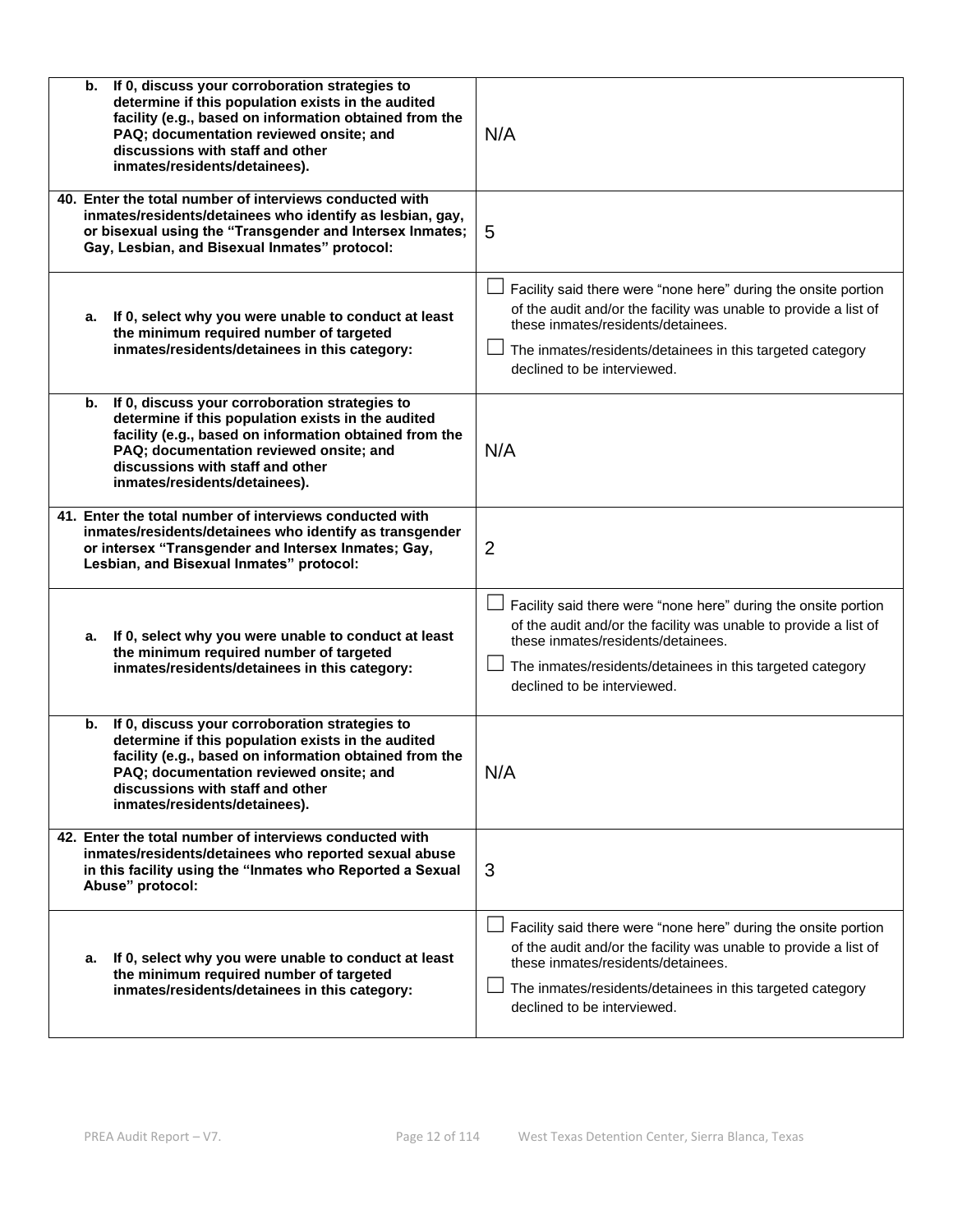| If 0, discuss your corroboration strategies to<br>b.<br>determine if this population exists in the audited<br>facility (e.g., based on information obtained from the<br>PAQ; documentation reviewed onsite; and<br>discussions with staff and other<br>inmates/residents/detainees). | N/A                                                                                                                                                                                                                                                                  |
|--------------------------------------------------------------------------------------------------------------------------------------------------------------------------------------------------------------------------------------------------------------------------------------|----------------------------------------------------------------------------------------------------------------------------------------------------------------------------------------------------------------------------------------------------------------------|
| 40. Enter the total number of interviews conducted with<br>inmates/residents/detainees who identify as lesbian, gay,<br>or bisexual using the "Transgender and Intersex Inmates;<br>Gay, Lesbian, and Bisexual Inmates" protocol:                                                    | 5                                                                                                                                                                                                                                                                    |
| If 0, select why you were unable to conduct at least<br>а.<br>the minimum required number of targeted<br>inmates/residents/detainees in this category:                                                                                                                               | Facility said there were "none here" during the onsite portion<br>of the audit and/or the facility was unable to provide a list of<br>these inmates/residents/detainees.<br>The inmates/residents/detainees in this targeted category<br>declined to be interviewed. |
| If 0, discuss your corroboration strategies to<br>b.<br>determine if this population exists in the audited<br>facility (e.g., based on information obtained from the<br>PAQ; documentation reviewed onsite; and<br>discussions with staff and other<br>inmates/residents/detainees). | N/A                                                                                                                                                                                                                                                                  |
| 41. Enter the total number of interviews conducted with<br>inmates/residents/detainees who identify as transgender<br>or intersex "Transgender and Intersex Inmates; Gay,<br>Lesbian, and Bisexual Inmates" protocol:                                                                | $\overline{2}$                                                                                                                                                                                                                                                       |
| If 0, select why you were unable to conduct at least<br>а.<br>the minimum required number of targeted<br>inmates/residents/detainees in this category:                                                                                                                               | Facility said there were "none here" during the onsite portion<br>of the audit and/or the facility was unable to provide a list of<br>these inmates/residents/detainees.<br>The inmates/residents/detainees in this targeted category<br>declined to be interviewed. |
| If 0, discuss your corroboration strategies to<br>b.<br>determine if this population exists in the audited<br>facility (e.g., based on information obtained from the<br>PAQ; documentation reviewed onsite; and<br>discussions with staff and other<br>inmates/residents/detainees). | N/A                                                                                                                                                                                                                                                                  |
| 42. Enter the total number of interviews conducted with<br>inmates/residents/detainees who reported sexual abuse<br>in this facility using the "Inmates who Reported a Sexual<br>Abuse" protocol:                                                                                    | 3                                                                                                                                                                                                                                                                    |
| If 0, select why you were unable to conduct at least<br>а.<br>the minimum required number of targeted<br>inmates/residents/detainees in this category:                                                                                                                               | Facility said there were "none here" during the onsite portion<br>of the audit and/or the facility was unable to provide a list of<br>these inmates/residents/detainees.<br>The inmates/residents/detainees in this targeted category<br>declined to be interviewed. |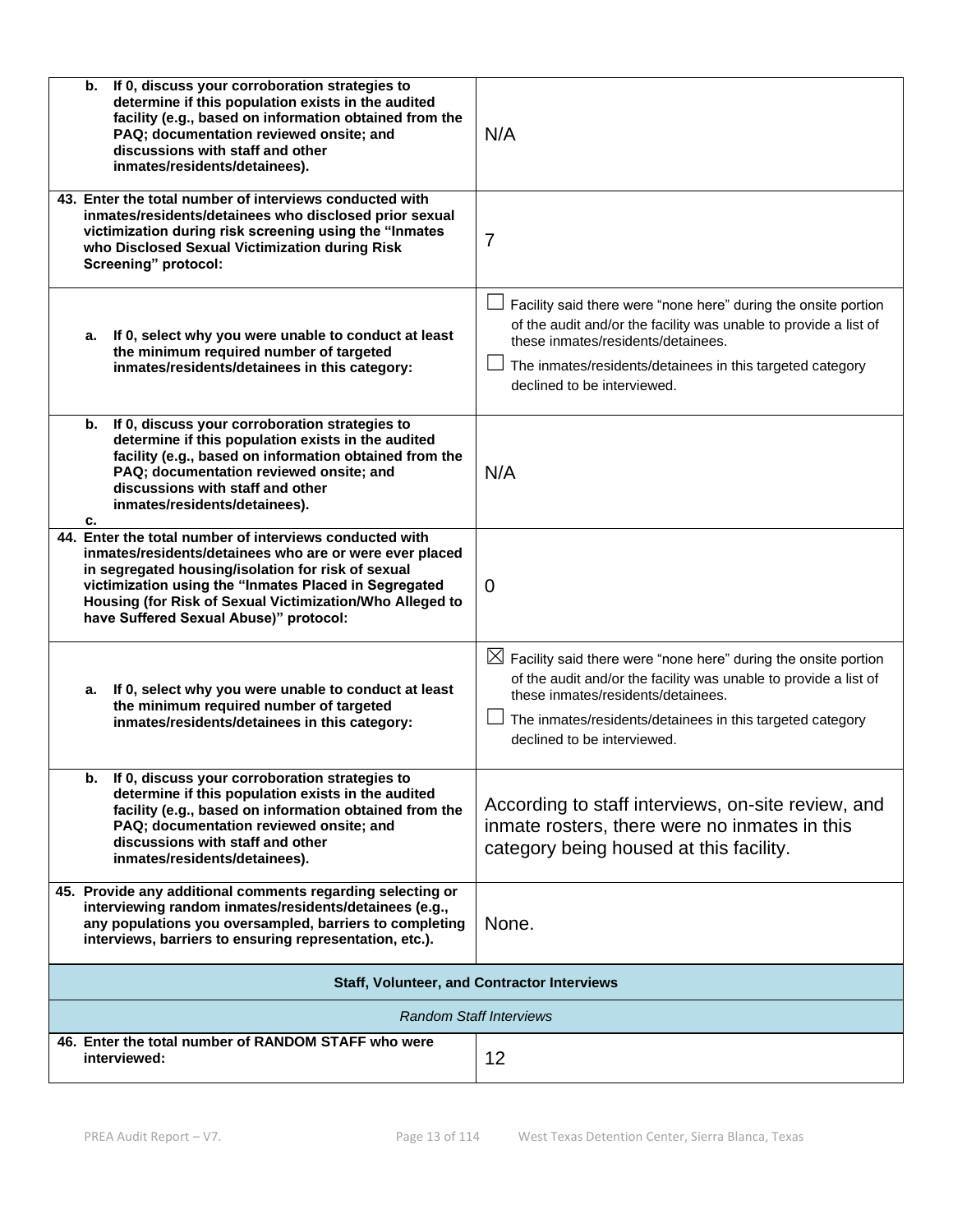| If 0, discuss your corroboration strategies to<br>b.<br>determine if this population exists in the audited<br>facility (e.g., based on information obtained from the<br>PAQ; documentation reviewed onsite; and<br>discussions with staff and other<br>inmates/residents/detainees).                                                    | N/A                                                                                                                                                                                                                                                                              |
|-----------------------------------------------------------------------------------------------------------------------------------------------------------------------------------------------------------------------------------------------------------------------------------------------------------------------------------------|----------------------------------------------------------------------------------------------------------------------------------------------------------------------------------------------------------------------------------------------------------------------------------|
| 43. Enter the total number of interviews conducted with<br>inmates/residents/detainees who disclosed prior sexual<br>victimization during risk screening using the "Inmates<br>who Disclosed Sexual Victimization during Risk<br>Screening" protocol:                                                                                   | $\overline{7}$                                                                                                                                                                                                                                                                   |
| a. If 0, select why you were unable to conduct at least<br>the minimum required number of targeted<br>inmates/residents/detainees in this category:                                                                                                                                                                                     | Facility said there were "none here" during the onsite portion<br>of the audit and/or the facility was unable to provide a list of<br>these inmates/residents/detainees.<br>The inmates/residents/detainees in this targeted category<br>declined to be interviewed.             |
| If 0, discuss your corroboration strategies to<br>b.<br>determine if this population exists in the audited<br>facility (e.g., based on information obtained from the<br>PAQ; documentation reviewed onsite; and<br>discussions with staff and other<br>inmates/residents/detainees).<br>c.                                              | N/A                                                                                                                                                                                                                                                                              |
| 44. Enter the total number of interviews conducted with<br>inmates/residents/detainees who are or were ever placed<br>in segregated housing/isolation for risk of sexual<br>victimization using the "Inmates Placed in Segregated<br>Housing (for Risk of Sexual Victimization/Who Alleged to<br>have Suffered Sexual Abuse)" protocol: | $\Omega$                                                                                                                                                                                                                                                                         |
| If 0, select why you were unable to conduct at least<br>а.<br>the minimum required number of targeted<br>inmates/residents/detainees in this category:                                                                                                                                                                                  | $\boxtimes$ Facility said there were "none here" during the onsite portion<br>of the audit and/or the facility was unable to provide a list of<br>these inmates/residents/detainees.<br>The inmates/residents/detainees in this targeted category<br>declined to be interviewed. |
| b. If 0, discuss your corroboration strategies to<br>determine if this population exists in the audited<br>facility (e.g., based on information obtained from the<br>PAQ; documentation reviewed onsite; and<br>discussions with staff and other<br>inmates/residents/detainees).                                                       | According to staff interviews, on-site review, and<br>inmate rosters, there were no inmates in this<br>category being housed at this facility.                                                                                                                                   |
| 45. Provide any additional comments regarding selecting or<br>interviewing random inmates/residents/detainees (e.g.,<br>any populations you oversampled, barriers to completing<br>interviews, barriers to ensuring representation, etc.).                                                                                              | None.                                                                                                                                                                                                                                                                            |
|                                                                                                                                                                                                                                                                                                                                         | <b>Staff, Volunteer, and Contractor Interviews</b>                                                                                                                                                                                                                               |
|                                                                                                                                                                                                                                                                                                                                         | <b>Random Staff Interviews</b>                                                                                                                                                                                                                                                   |
| 46. Enter the total number of RANDOM STAFF who were<br>interviewed:                                                                                                                                                                                                                                                                     | 12                                                                                                                                                                                                                                                                               |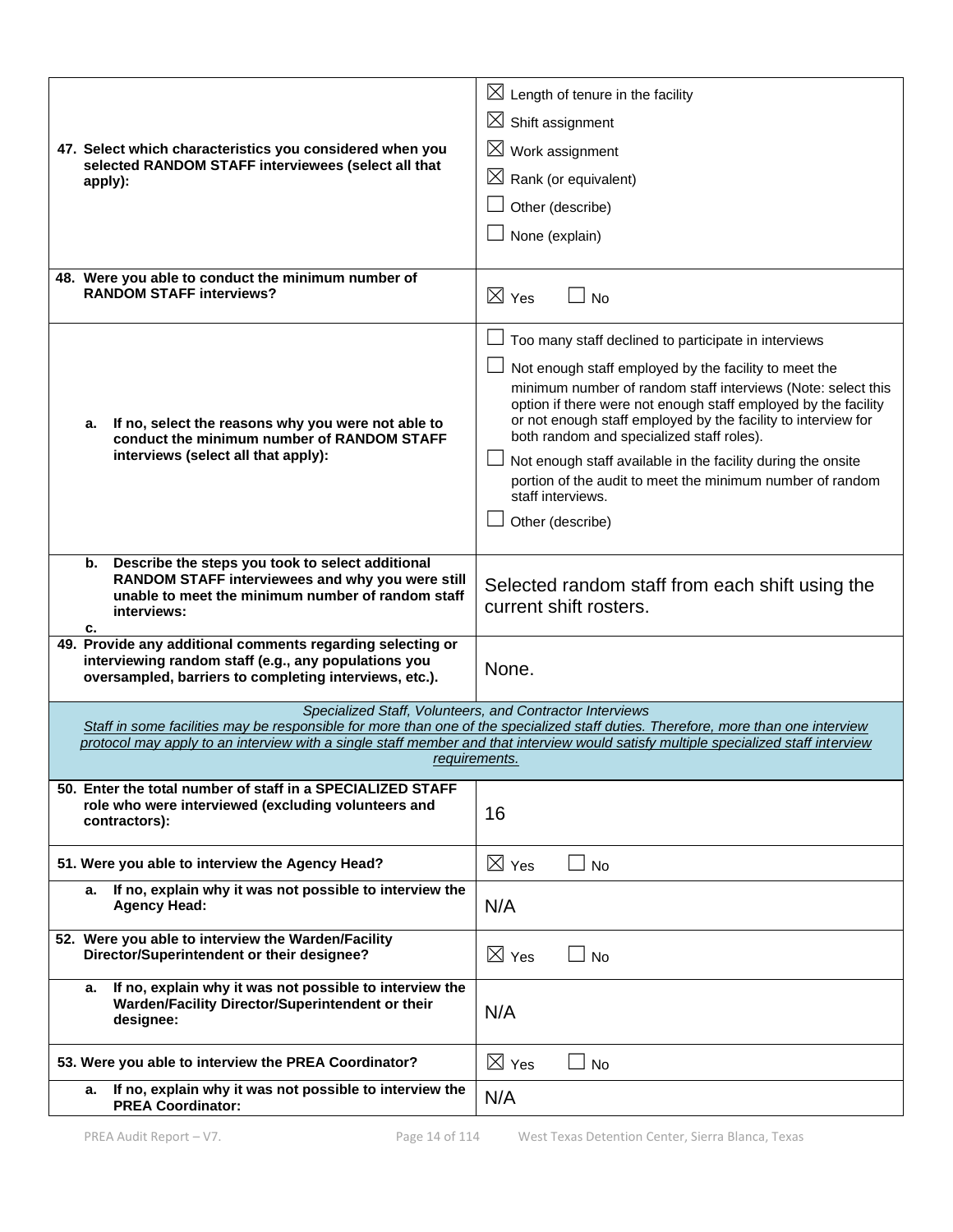| 47. Select which characteristics you considered when you<br>selected RANDOM STAFF interviewees (select all that<br>apply):                                                           | $\boxtimes$ Length of tenure in the facility<br>$\boxtimes$ Shift assignment<br>$\boxtimes$ Work assignment<br>$\boxtimes$ Rank (or equivalent)<br>Other (describe)<br>None (explain)                                                                                                                                                                                                                                                                                                                                               |
|--------------------------------------------------------------------------------------------------------------------------------------------------------------------------------------|-------------------------------------------------------------------------------------------------------------------------------------------------------------------------------------------------------------------------------------------------------------------------------------------------------------------------------------------------------------------------------------------------------------------------------------------------------------------------------------------------------------------------------------|
| 48. Were you able to conduct the minimum number of<br><b>RANDOM STAFF interviews?</b>                                                                                                | $\boxtimes$ Yes<br>$\Box$ No                                                                                                                                                                                                                                                                                                                                                                                                                                                                                                        |
| If no, select the reasons why you were not able to<br>а.<br>conduct the minimum number of RANDOM STAFF<br>interviews (select all that apply):                                        | Too many staff declined to participate in interviews<br>Not enough staff employed by the facility to meet the<br>minimum number of random staff interviews (Note: select this<br>option if there were not enough staff employed by the facility<br>or not enough staff employed by the facility to interview for<br>both random and specialized staff roles).<br>Not enough staff available in the facility during the onsite<br>portion of the audit to meet the minimum number of random<br>staff interviews.<br>Other (describe) |
| Describe the steps you took to select additional<br>b.<br>RANDOM STAFF interviewees and why you were still<br>unable to meet the minimum number of random staff<br>interviews:<br>с. | Selected random staff from each shift using the<br>current shift rosters.                                                                                                                                                                                                                                                                                                                                                                                                                                                           |
| 49. Provide any additional comments regarding selecting or<br>interviewing random staff (e.g., any populations you<br>oversampled, barriers to completing interviews, etc.).         | None.                                                                                                                                                                                                                                                                                                                                                                                                                                                                                                                               |
|                                                                                                                                                                                      | Specialized Staff, Volunteers, and Contractor Interviews<br>Staff in some facilities may be responsible for more than one of the specialized staff duties. Therefore, more than one interview<br>protocol may apply to an interview with a single staff member and that interview would satisfy multiple specialized staff interview<br>requirements.                                                                                                                                                                               |
| 50. Enter the total number of staff in a SPECIALIZED STAFF<br>role who were interviewed (excluding volunteers and<br>contractors):                                                   | 16                                                                                                                                                                                                                                                                                                                                                                                                                                                                                                                                  |
| 51. Were you able to interview the Agency Head?                                                                                                                                      | $\boxtimes$ Yes<br>$\square$ No                                                                                                                                                                                                                                                                                                                                                                                                                                                                                                     |
| If no, explain why it was not possible to interview the<br>а.<br><b>Agency Head:</b>                                                                                                 | N/A                                                                                                                                                                                                                                                                                                                                                                                                                                                                                                                                 |
| 52. Were you able to interview the Warden/Facility<br>Director/Superintendent or their designee?                                                                                     | $\boxtimes$ Yes<br>$\Box$ No                                                                                                                                                                                                                                                                                                                                                                                                                                                                                                        |
| If no, explain why it was not possible to interview the<br>а.<br>Warden/Facility Director/Superintendent or their<br>designee:                                                       | N/A                                                                                                                                                                                                                                                                                                                                                                                                                                                                                                                                 |
| 53. Were you able to interview the PREA Coordinator?                                                                                                                                 | $\boxtimes$ Yes<br>$\Box$ No                                                                                                                                                                                                                                                                                                                                                                                                                                                                                                        |
| If no, explain why it was not possible to interview the<br>а.<br><b>PREA Coordinator:</b>                                                                                            | N/A                                                                                                                                                                                                                                                                                                                                                                                                                                                                                                                                 |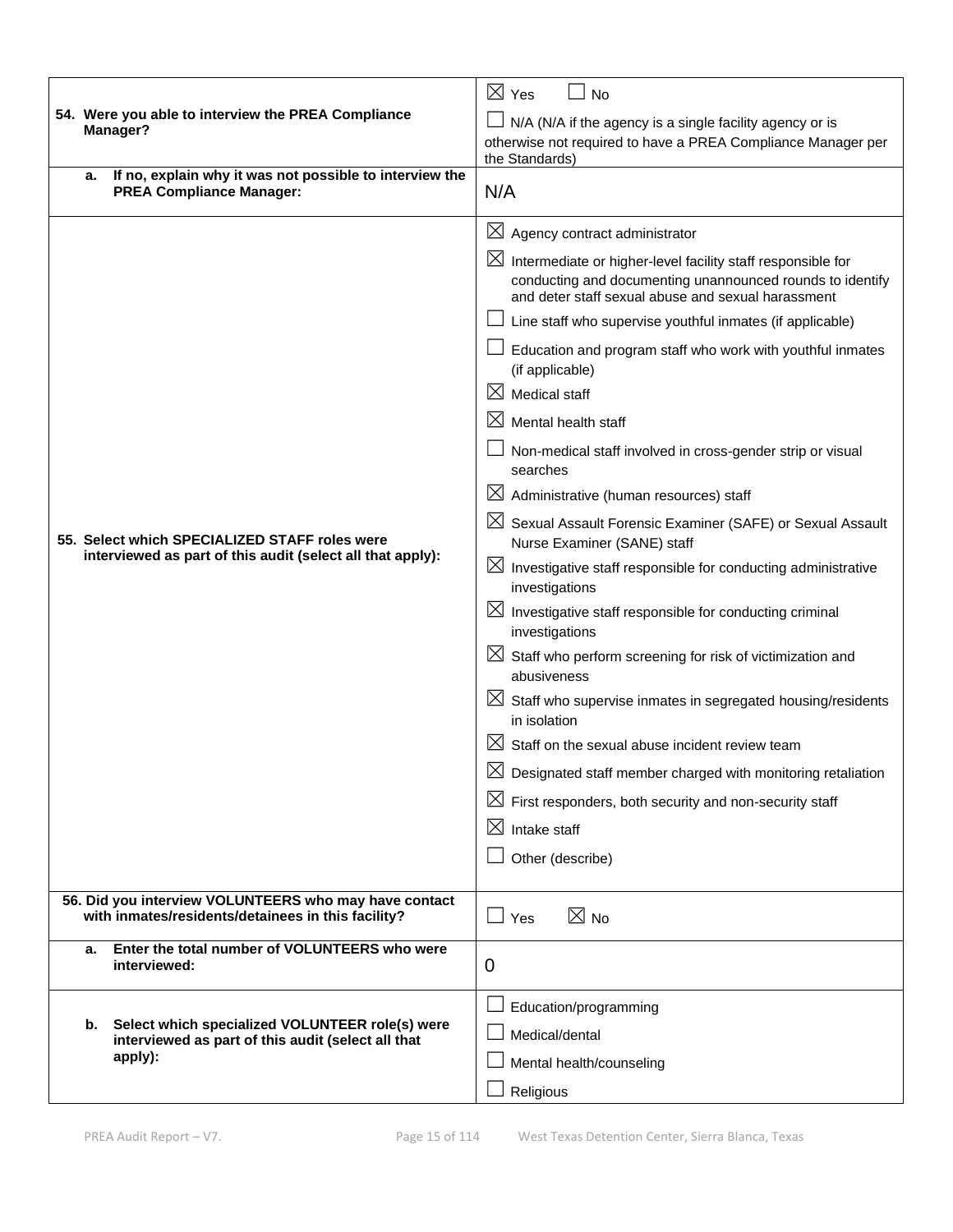|                                                                                                             | $\boxtimes$ Yes<br><b>No</b>                                                                                                                                                                  |  |  |  |
|-------------------------------------------------------------------------------------------------------------|-----------------------------------------------------------------------------------------------------------------------------------------------------------------------------------------------|--|--|--|
| 54. Were you able to interview the PREA Compliance<br>Manager?                                              | N/A (N/A if the agency is a single facility agency or is                                                                                                                                      |  |  |  |
|                                                                                                             | otherwise not required to have a PREA Compliance Manager per                                                                                                                                  |  |  |  |
| If no, explain why it was not possible to interview the<br>a.                                               | the Standards)                                                                                                                                                                                |  |  |  |
| <b>PREA Compliance Manager:</b>                                                                             | N/A                                                                                                                                                                                           |  |  |  |
|                                                                                                             | $\boxtimes$<br>Agency contract administrator                                                                                                                                                  |  |  |  |
|                                                                                                             | $\boxtimes$<br>Intermediate or higher-level facility staff responsible for<br>conducting and documenting unannounced rounds to identify<br>and deter staff sexual abuse and sexual harassment |  |  |  |
|                                                                                                             | Line staff who supervise youthful inmates (if applicable)                                                                                                                                     |  |  |  |
|                                                                                                             | Education and program staff who work with youthful inmates<br>(if applicable)                                                                                                                 |  |  |  |
|                                                                                                             | $\boxtimes$<br>Medical staff                                                                                                                                                                  |  |  |  |
|                                                                                                             | $\boxtimes$<br>Mental health staff                                                                                                                                                            |  |  |  |
|                                                                                                             | Non-medical staff involved in cross-gender strip or visual<br>searches                                                                                                                        |  |  |  |
| 55. Select which SPECIALIZED STAFF roles were<br>interviewed as part of this audit (select all that apply): | $\boxtimes$<br>Administrative (human resources) staff                                                                                                                                         |  |  |  |
|                                                                                                             | $\boxtimes$<br>Sexual Assault Forensic Examiner (SAFE) or Sexual Assault<br>Nurse Examiner (SANE) staff                                                                                       |  |  |  |
|                                                                                                             | $\boxtimes$ Investigative staff responsible for conducting administrative<br>investigations                                                                                                   |  |  |  |
|                                                                                                             | $\boxtimes$ Investigative staff responsible for conducting criminal<br>investigations                                                                                                         |  |  |  |
|                                                                                                             | $\boxtimes$ Staff who perform screening for risk of victimization and<br>abusiveness                                                                                                          |  |  |  |
|                                                                                                             | $\boxtimes$ Staff who supervise inmates in segregated housing/residents<br>in isolation                                                                                                       |  |  |  |
|                                                                                                             | $\bowtie$<br>Staff on the sexual abuse incident review team                                                                                                                                   |  |  |  |
|                                                                                                             | ⋈<br>Designated staff member charged with monitoring retaliation                                                                                                                              |  |  |  |
|                                                                                                             | $\boxtimes$ First responders, both security and non-security staff                                                                                                                            |  |  |  |
|                                                                                                             | $\boxtimes$<br>Intake staff                                                                                                                                                                   |  |  |  |
|                                                                                                             | Other (describe)                                                                                                                                                                              |  |  |  |
| 56. Did you interview VOLUNTEERS who may have contact<br>with inmates/residents/detainees in this facility? | $\boxtimes$ No<br>$\Box$ Yes                                                                                                                                                                  |  |  |  |
| Enter the total number of VOLUNTEERS who were<br>а.<br>interviewed:                                         | 0                                                                                                                                                                                             |  |  |  |
|                                                                                                             | Education/programming                                                                                                                                                                         |  |  |  |
| Select which specialized VOLUNTEER role(s) were<br>b.                                                       | Medical/dental                                                                                                                                                                                |  |  |  |
| interviewed as part of this audit (select all that<br>apply):                                               | Mental health/counseling                                                                                                                                                                      |  |  |  |
|                                                                                                             | Religious                                                                                                                                                                                     |  |  |  |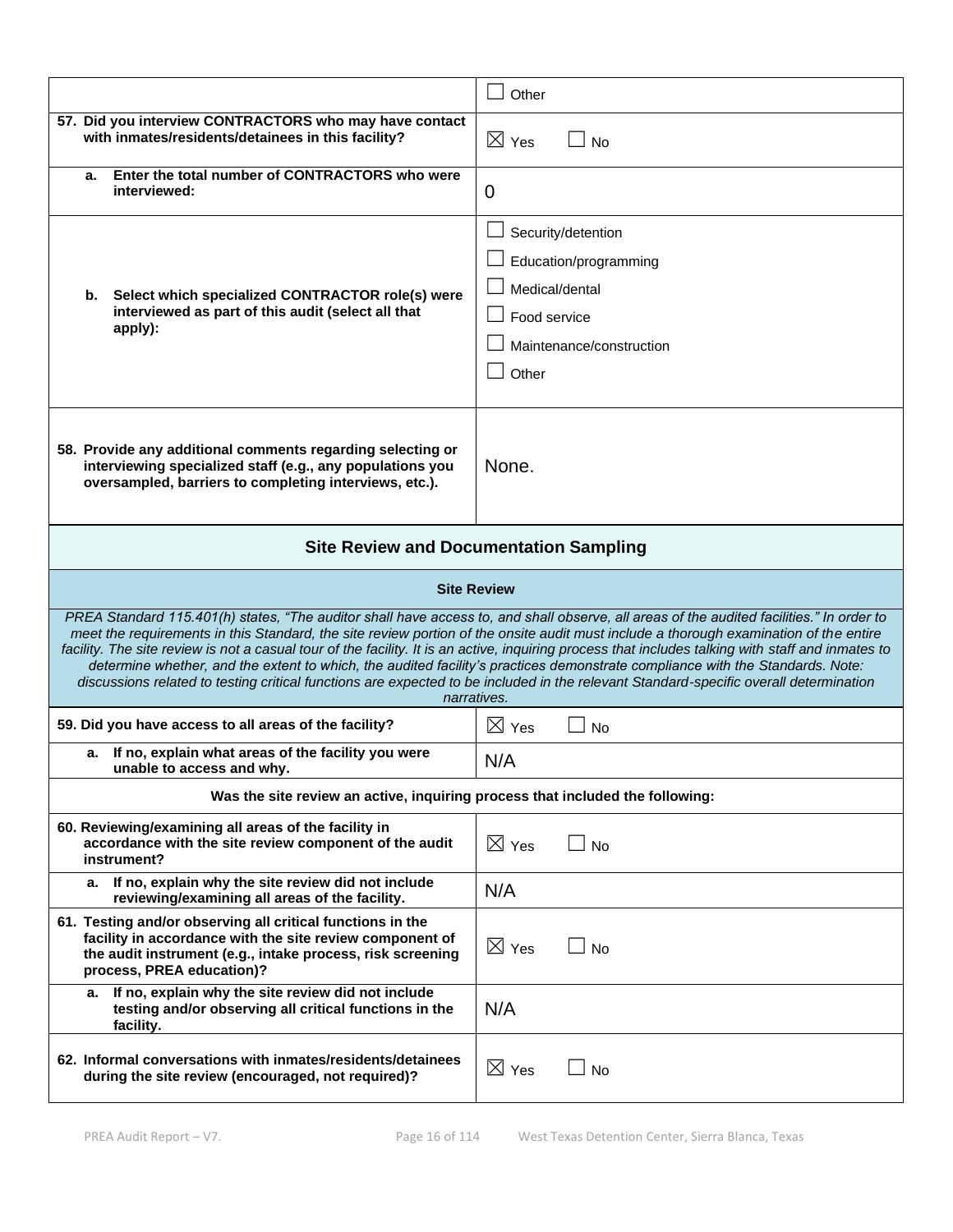|                                                                                                                                                                                                                                                                                                                                                                                                                                                                                                                                                                                                                                                                                                                                  | Other                                                                                                              |  |  |
|----------------------------------------------------------------------------------------------------------------------------------------------------------------------------------------------------------------------------------------------------------------------------------------------------------------------------------------------------------------------------------------------------------------------------------------------------------------------------------------------------------------------------------------------------------------------------------------------------------------------------------------------------------------------------------------------------------------------------------|--------------------------------------------------------------------------------------------------------------------|--|--|
| 57. Did you interview CONTRACTORS who may have contact<br>with inmates/residents/detainees in this facility?                                                                                                                                                                                                                                                                                                                                                                                                                                                                                                                                                                                                                     | $\boxtimes$ Yes<br><b>No</b>                                                                                       |  |  |
| Enter the total number of CONTRACTORS who were<br>a.<br>interviewed:                                                                                                                                                                                                                                                                                                                                                                                                                                                                                                                                                                                                                                                             | 0                                                                                                                  |  |  |
| Select which specialized CONTRACTOR role(s) were<br>b.<br>interviewed as part of this audit (select all that<br>apply):                                                                                                                                                                                                                                                                                                                                                                                                                                                                                                                                                                                                          | Security/detention<br>Education/programming<br>Medical/dental<br>Food service<br>Maintenance/construction<br>Other |  |  |
| 58. Provide any additional comments regarding selecting or<br>interviewing specialized staff (e.g., any populations you<br>oversampled, barriers to completing interviews, etc.).                                                                                                                                                                                                                                                                                                                                                                                                                                                                                                                                                | None.                                                                                                              |  |  |
|                                                                                                                                                                                                                                                                                                                                                                                                                                                                                                                                                                                                                                                                                                                                  | <b>Site Review and Documentation Sampling</b>                                                                      |  |  |
|                                                                                                                                                                                                                                                                                                                                                                                                                                                                                                                                                                                                                                                                                                                                  | <b>Site Review</b>                                                                                                 |  |  |
| PREA Standard 115.401(h) states, "The auditor shall have access to, and shall observe, all areas of the audited facilities." In order to<br>meet the requirements in this Standard, the site review portion of the onsite audit must include a thorough examination of the entire<br>facility. The site review is not a casual tour of the facility. It is an active, inquiring process that includes talking with staff and inmates to<br>determine whether, and the extent to which, the audited facility's practices demonstrate compliance with the Standards. Note:<br>discussions related to testing critical functions are expected to be included in the relevant Standard-specific overall determination<br>narratives. |                                                                                                                    |  |  |
| 59. Did you have access to all areas of the facility?                                                                                                                                                                                                                                                                                                                                                                                                                                                                                                                                                                                                                                                                            | $\boxtimes$ Yes<br><b>No</b>                                                                                       |  |  |
| a. If no, explain what areas of the facility you were<br>unable to access and why.                                                                                                                                                                                                                                                                                                                                                                                                                                                                                                                                                                                                                                               | N/A                                                                                                                |  |  |
| Was the site review an active, inquiring process that included the following:                                                                                                                                                                                                                                                                                                                                                                                                                                                                                                                                                                                                                                                    |                                                                                                                    |  |  |
| 60. Reviewing/examining all areas of the facility in<br>accordance with the site review component of the audit<br>instrument?                                                                                                                                                                                                                                                                                                                                                                                                                                                                                                                                                                                                    | $\boxtimes$ Yes<br><b>No</b>                                                                                       |  |  |
| If no, explain why the site review did not include<br>а.<br>reviewing/examining all areas of the facility.                                                                                                                                                                                                                                                                                                                                                                                                                                                                                                                                                                                                                       | N/A                                                                                                                |  |  |
| 61. Testing and/or observing all critical functions in the<br>facility in accordance with the site review component of<br>the audit instrument (e.g., intake process, risk screening<br>process, PREA education)?                                                                                                                                                                                                                                                                                                                                                                                                                                                                                                                | $\boxtimes$ Yes<br><b>No</b>                                                                                       |  |  |
| If no, explain why the site review did not include<br>а.<br>testing and/or observing all critical functions in the<br>facility.                                                                                                                                                                                                                                                                                                                                                                                                                                                                                                                                                                                                  | N/A                                                                                                                |  |  |
| 62. Informal conversations with inmates/residents/detainees                                                                                                                                                                                                                                                                                                                                                                                                                                                                                                                                                                                                                                                                      |                                                                                                                    |  |  |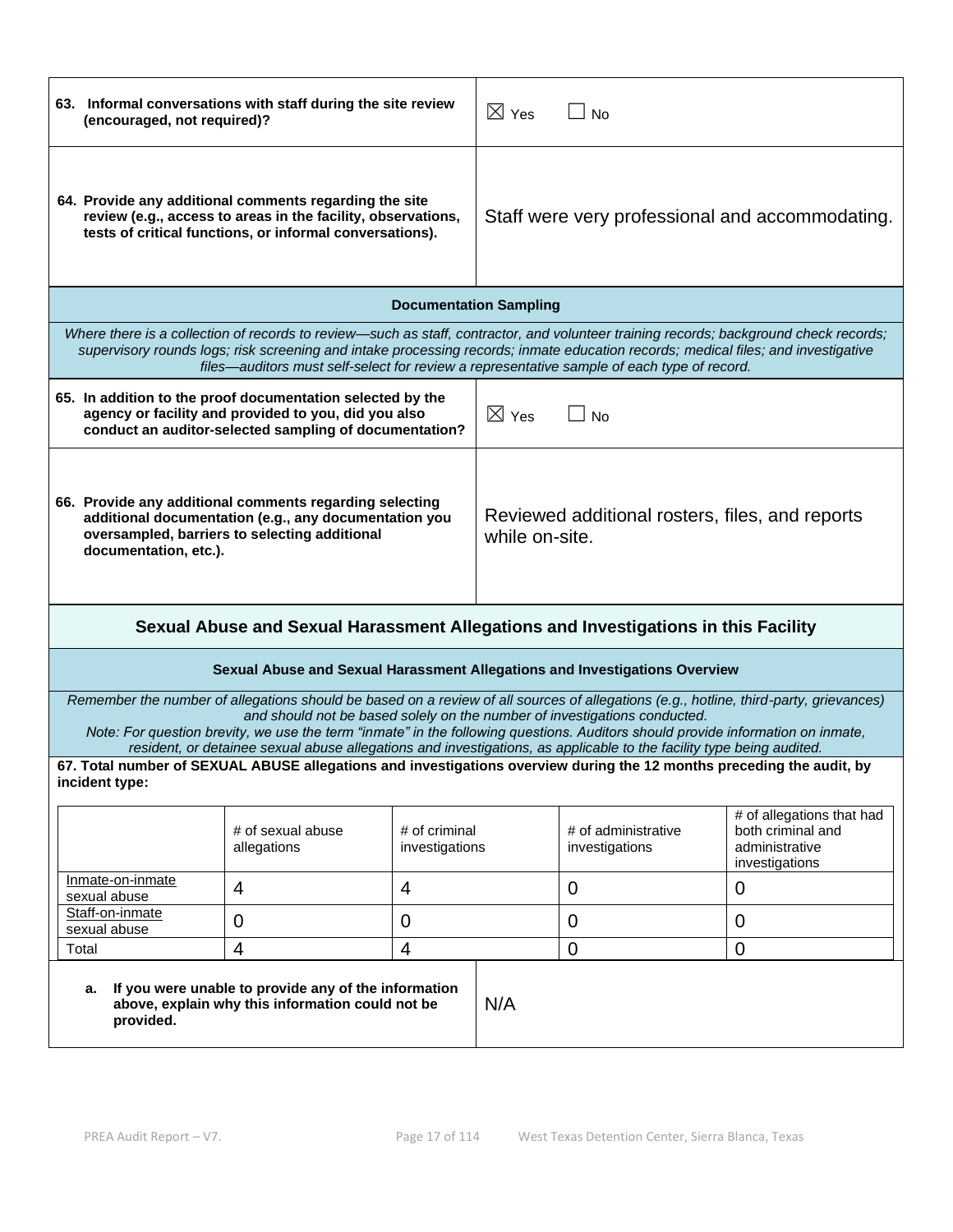| 63. Informal conversations with staff during the site review<br>(encouraged, not required)?                                                                                                                                                                                                                                                                                                                                                                                                                                                                                                                              |                                                                                                                                                                                                                                 | $\boxtimes$ Yes                                                   | ⊿ No            |                                       |                                                                                                                                       |
|--------------------------------------------------------------------------------------------------------------------------------------------------------------------------------------------------------------------------------------------------------------------------------------------------------------------------------------------------------------------------------------------------------------------------------------------------------------------------------------------------------------------------------------------------------------------------------------------------------------------------|---------------------------------------------------------------------------------------------------------------------------------------------------------------------------------------------------------------------------------|-------------------------------------------------------------------|-----------------|---------------------------------------|---------------------------------------------------------------------------------------------------------------------------------------|
| 64. Provide any additional comments regarding the site<br>review (e.g., access to areas in the facility, observations,<br>tests of critical functions, or informal conversations).                                                                                                                                                                                                                                                                                                                                                                                                                                       |                                                                                                                                                                                                                                 | Staff were very professional and accommodating.                   |                 |                                       |                                                                                                                                       |
|                                                                                                                                                                                                                                                                                                                                                                                                                                                                                                                                                                                                                          |                                                                                                                                                                                                                                 | <b>Documentation Sampling</b>                                     |                 |                                       |                                                                                                                                       |
|                                                                                                                                                                                                                                                                                                                                                                                                                                                                                                                                                                                                                          | supervisory rounds logs; risk screening and intake processing records; inmate education records; medical files; and investigative<br>files—auditors must self-select for review a representative sample of each type of record. |                                                                   |                 |                                       | Where there is a collection of records to review—such as staff, contractor, and volunteer training records; background check records; |
|                                                                                                                                                                                                                                                                                                                                                                                                                                                                                                                                                                                                                          | 65. In addition to the proof documentation selected by the<br>agency or facility and provided to you, did you also<br>conduct an auditor-selected sampling of documentation?                                                    |                                                                   | $\boxtimes$ Yes | <b>No</b>                             |                                                                                                                                       |
| 66. Provide any additional comments regarding selecting<br>additional documentation (e.g., any documentation you<br>oversampled, barriers to selecting additional<br>documentation, etc.).                                                                                                                                                                                                                                                                                                                                                                                                                               |                                                                                                                                                                                                                                 | Reviewed additional rosters, files, and reports<br>while on-site. |                 |                                       |                                                                                                                                       |
| Sexual Abuse and Sexual Harassment Allegations and Investigations in this Facility                                                                                                                                                                                                                                                                                                                                                                                                                                                                                                                                       |                                                                                                                                                                                                                                 |                                                                   |                 |                                       |                                                                                                                                       |
|                                                                                                                                                                                                                                                                                                                                                                                                                                                                                                                                                                                                                          | Sexual Abuse and Sexual Harassment Allegations and Investigations Overview                                                                                                                                                      |                                                                   |                 |                                       |                                                                                                                                       |
| Remember the number of allegations should be based on a review of all sources of allegations (e.g., hotline, third-party, grievances)<br>and should not be based solely on the number of investigations conducted.<br>Note: For question brevity, we use the term "inmate" in the following questions. Auditors should provide information on inmate,<br>resident, or detainee sexual abuse allegations and investigations, as applicable to the facility type being audited.<br>67. Total number of SEXUAL ABUSE allegations and investigations overview during the 12 months preceding the audit, by<br>incident type: |                                                                                                                                                                                                                                 |                                                                   |                 |                                       |                                                                                                                                       |
|                                                                                                                                                                                                                                                                                                                                                                                                                                                                                                                                                                                                                          | # of sexual abuse<br>allegations                                                                                                                                                                                                | # of criminal<br>investigations                                   |                 | # of administrative<br>investigations | # of allegations that had<br>both criminal and<br>administrative<br>investigations                                                    |
| Inmate-on-inmate<br>sexual abuse                                                                                                                                                                                                                                                                                                                                                                                                                                                                                                                                                                                         | $\overline{4}$                                                                                                                                                                                                                  | 4                                                                 |                 | $\mathbf 0$                           | 0                                                                                                                                     |
| Staff-on-inmate<br>sexual abuse                                                                                                                                                                                                                                                                                                                                                                                                                                                                                                                                                                                          | 0                                                                                                                                                                                                                               | 0                                                                 |                 | 0                                     | $\mathbf 0$                                                                                                                           |
| Total                                                                                                                                                                                                                                                                                                                                                                                                                                                                                                                                                                                                                    | 4                                                                                                                                                                                                                               | 4                                                                 |                 | $\overline{0}$                        | $\overline{0}$                                                                                                                        |
| а.<br>provided.                                                                                                                                                                                                                                                                                                                                                                                                                                                                                                                                                                                                          | If you were unable to provide any of the information<br>N/A<br>above, explain why this information could not be                                                                                                                 |                                                                   |                 |                                       |                                                                                                                                       |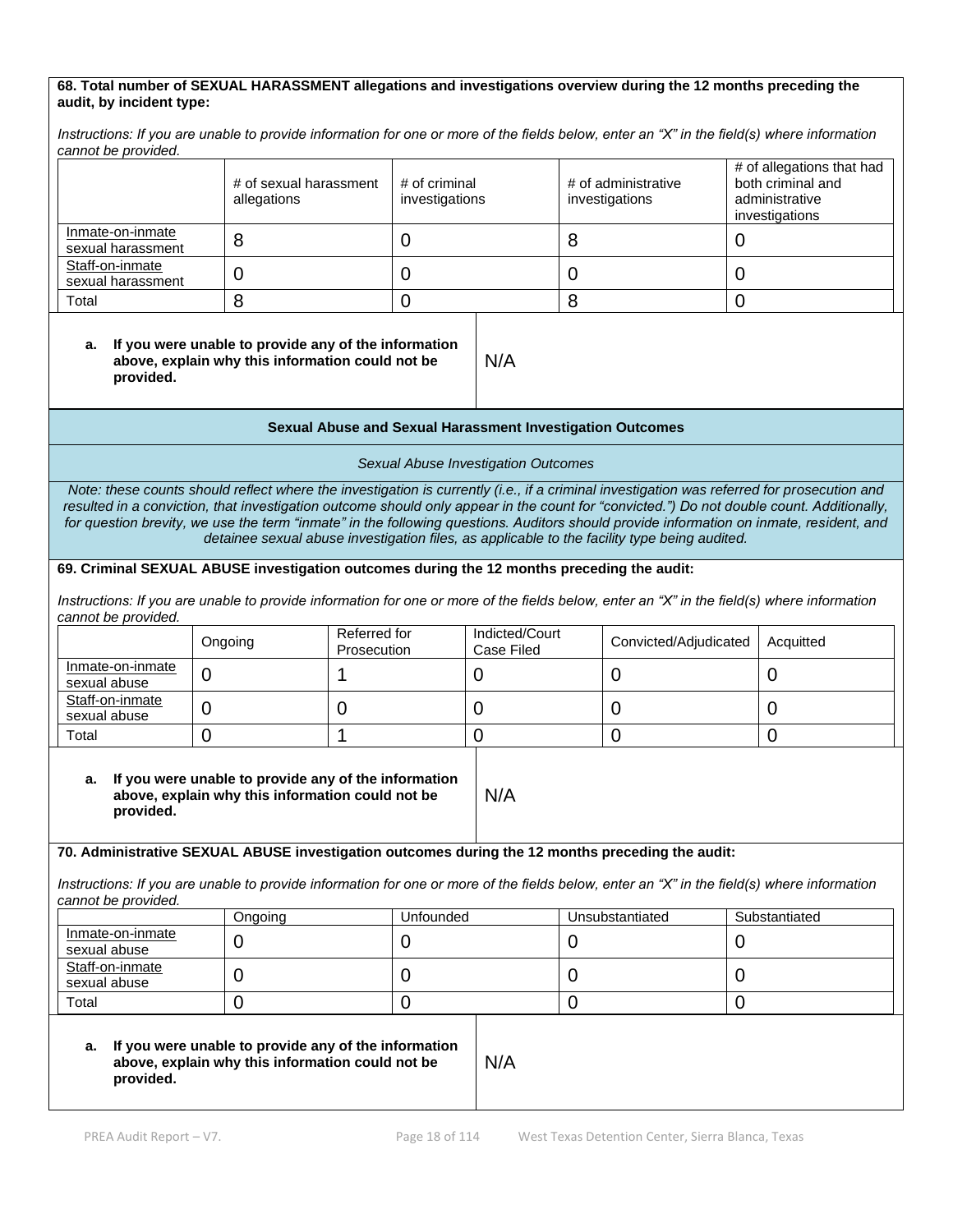#### **68. Total number of SEXUAL HARASSMENT allegations and investigations overview during the 12 months preceding the audit, by incident type:**

*Instructions: If you are unable to provide information for one or more of the fields below, enter an "X" in the field(s) where information cannot be provided.*

|                                       | # of sexual harassment<br>allegations | # of criminal<br>investigations | # of administrative<br>investigations | # of allegations that had<br>both criminal and<br>administrative<br>investigations |
|---------------------------------------|---------------------------------------|---------------------------------|---------------------------------------|------------------------------------------------------------------------------------|
| Inmate-on-inmate<br>sexual harassment | 8                                     |                                 | О                                     |                                                                                    |
| Staff-on-inmate<br>sexual harassment  | O                                     |                                 |                                       |                                                                                    |
| Total                                 | Ω                                     |                                 |                                       |                                                                                    |

#### **a. If you were unable to provide any of the information above, explain why this information could not be provided.**

#### **Sexual Abuse and Sexual Harassment Investigation Outcomes**

N/A

*Sexual Abuse Investigation Outcomes* 

*Note: these counts should reflect where the investigation is currently (i.e., if a criminal investigation was referred for prosecution and resulted in a conviction, that investigation outcome should only appear in the count for "convicted.") Do not double count. Additionally, for question brevity, we use the term "inmate" in the following questions. Auditors should provide information on inmate, resident, and detainee sexual abuse investigation files, as applicable to the facility type being audited.*

#### **69. Criminal SEXUAL ABUSE investigation outcomes during the 12 months preceding the audit:**

*Instructions: If you are unable to provide information for one or more of the fields below, enter an "X" in the field(s) where information cannot be provided.*

|                                  | Ongoing | Referred for<br>Prosecution | Indicted/Court<br>Case Filed | Convicted/Adjudicated | Acquitted |
|----------------------------------|---------|-----------------------------|------------------------------|-----------------------|-----------|
| Inmate-on-inmate<br>sexual abuse |         |                             |                              |                       |           |
| Staff-on-inmate<br>sexual abuse  |         |                             |                              |                       |           |
| Total                            |         |                             |                              |                       |           |

N/A

#### **a. If you were unable to provide any of the information above, explain why this information could not be provided.**

#### **70. Administrative SEXUAL ABUSE investigation outcomes during the 12 months preceding the audit:**

*Instructions: If you are unable to provide information for one or more of the fields below, enter an "X" in the field(s) where information cannot be provided.*

|                                  | Ongoing | Unfounded | Unsubstantiated | Substantiated |
|----------------------------------|---------|-----------|-----------------|---------------|
| Inmate-on-inmate<br>sexual abuse | ີ       |           |                 |               |
| Staff-on-inmate<br>sexual abuse  | ີ       |           |                 |               |
| Total                            |         |           |                 |               |

#### **a. If you were unable to provide any of the information above, explain why this information could not be provided.**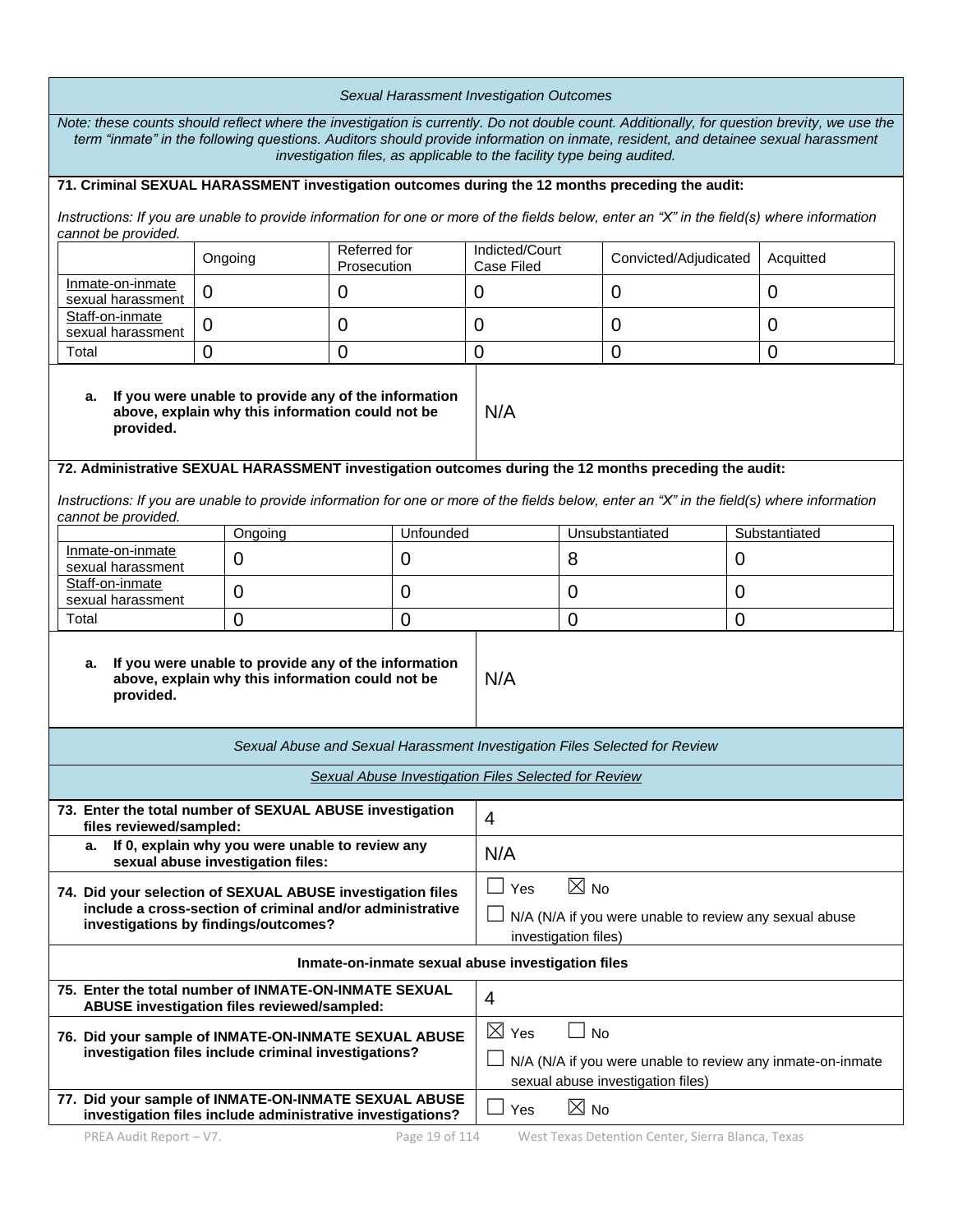| Sexual Harassment Investigation Outcomes                                                                                                                                                                                                                                                                                                                   |                                                                                      |                             |                                                                                                                              |                                                                                                                                 |          |                                                                            |                                                                                                                                            |
|------------------------------------------------------------------------------------------------------------------------------------------------------------------------------------------------------------------------------------------------------------------------------------------------------------------------------------------------------------|--------------------------------------------------------------------------------------|-----------------------------|------------------------------------------------------------------------------------------------------------------------------|---------------------------------------------------------------------------------------------------------------------------------|----------|----------------------------------------------------------------------------|--------------------------------------------------------------------------------------------------------------------------------------------|
| Note: these counts should reflect where the investigation is currently. Do not double count. Additionally, for question brevity, we use the<br>term "inmate" in the following questions. Auditors should provide information on inmate, resident, and detainee sexual harassment<br>investigation files, as applicable to the facility type being audited. |                                                                                      |                             |                                                                                                                              |                                                                                                                                 |          |                                                                            |                                                                                                                                            |
| 71. Criminal SEXUAL HARASSMENT investigation outcomes during the 12 months preceding the audit:                                                                                                                                                                                                                                                            |                                                                                      |                             |                                                                                                                              |                                                                                                                                 |          |                                                                            |                                                                                                                                            |
| cannot be provided.                                                                                                                                                                                                                                                                                                                                        |                                                                                      |                             |                                                                                                                              |                                                                                                                                 |          |                                                                            | Instructions: If you are unable to provide information for one or more of the fields below, enter an "X" in the field(s) where information |
|                                                                                                                                                                                                                                                                                                                                                            | Ongoing                                                                              | Referred for<br>Prosecution |                                                                                                                              | Indicted/Court<br>Case Filed                                                                                                    |          | Convicted/Adjudicated                                                      | Acquitted                                                                                                                                  |
| Inmate-on-inmate<br>sexual harassment                                                                                                                                                                                                                                                                                                                      | $\overline{0}$                                                                       | $\mathbf 0$                 |                                                                                                                              | $\mathbf 0$                                                                                                                     |          | 0                                                                          | $\mathbf 0$                                                                                                                                |
| Staff-on-inmate<br>sexual harassment                                                                                                                                                                                                                                                                                                                       | 0                                                                                    | 0                           |                                                                                                                              | 0                                                                                                                               |          | 0                                                                          | $\overline{0}$                                                                                                                             |
| Total                                                                                                                                                                                                                                                                                                                                                      | $\overline{0}$                                                                       | $\overline{0}$              |                                                                                                                              | $\overline{0}$                                                                                                                  |          | 0                                                                          | $\overline{0}$                                                                                                                             |
| If you were unable to provide any of the information<br>а.<br>above, explain why this information could not be<br>provided.                                                                                                                                                                                                                                |                                                                                      |                             |                                                                                                                              | N/A                                                                                                                             |          |                                                                            |                                                                                                                                            |
| 72. Administrative SEXUAL HARASSMENT investigation outcomes during the 12 months preceding the audit:                                                                                                                                                                                                                                                      |                                                                                      |                             |                                                                                                                              |                                                                                                                                 |          |                                                                            |                                                                                                                                            |
| cannot be provided.                                                                                                                                                                                                                                                                                                                                        |                                                                                      |                             |                                                                                                                              |                                                                                                                                 |          |                                                                            | Instructions: If you are unable to provide information for one or more of the fields below, enter an "X" in the field(s) where information |
|                                                                                                                                                                                                                                                                                                                                                            | Ongoing                                                                              |                             | Unfounded                                                                                                                    |                                                                                                                                 |          | Unsubstantiated                                                            | Substantiated                                                                                                                              |
| Inmate-on-inmate<br>sexual harassment                                                                                                                                                                                                                                                                                                                      | $\mathbf 0$                                                                          |                             | 0                                                                                                                            |                                                                                                                                 | 8<br>0   |                                                                            |                                                                                                                                            |
| Staff-on-inmate<br>sexual harassment                                                                                                                                                                                                                                                                                                                       | 0                                                                                    |                             | 0                                                                                                                            |                                                                                                                                 | 0        |                                                                            | 0                                                                                                                                          |
| $\overline{0}$<br>Total<br>$\overline{0}$                                                                                                                                                                                                                                                                                                                  |                                                                                      |                             | $\overline{0}$                                                                                                               |                                                                                                                                 | $\Omega$ |                                                                            |                                                                                                                                            |
| If you were unable to provide any of the information<br>а.<br>above, explain why this information could not be<br>provided.                                                                                                                                                                                                                                |                                                                                      |                             | N/A                                                                                                                          |                                                                                                                                 |          |                                                                            |                                                                                                                                            |
|                                                                                                                                                                                                                                                                                                                                                            |                                                                                      |                             |                                                                                                                              |                                                                                                                                 |          | Sexual Abuse and Sexual Harassment Investigation Files Selected for Review |                                                                                                                                            |
|                                                                                                                                                                                                                                                                                                                                                            |                                                                                      |                             |                                                                                                                              | <b>Sexual Abuse Investigation Files Selected for Review</b>                                                                     |          |                                                                            |                                                                                                                                            |
| 73. Enter the total number of SEXUAL ABUSE investigation<br>files reviewed/sampled:                                                                                                                                                                                                                                                                        |                                                                                      |                             |                                                                                                                              | $\overline{4}$                                                                                                                  |          |                                                                            |                                                                                                                                            |
| а.                                                                                                                                                                                                                                                                                                                                                         | If 0, explain why you were unable to review any<br>sexual abuse investigation files: |                             |                                                                                                                              | N/A                                                                                                                             |          |                                                                            |                                                                                                                                            |
| 74. Did your selection of SEXUAL ABUSE investigation files<br>include a cross-section of criminal and/or administrative<br>investigations by findings/outcomes?                                                                                                                                                                                            |                                                                                      |                             | $\boxtimes$ No<br>$\vert \ \ \vert$<br>Yes<br>N/A (N/A if you were unable to review any sexual abuse<br>investigation files) |                                                                                                                                 |          |                                                                            |                                                                                                                                            |
|                                                                                                                                                                                                                                                                                                                                                            | Inmate-on-inmate sexual abuse investigation files                                    |                             |                                                                                                                              |                                                                                                                                 |          |                                                                            |                                                                                                                                            |
| 75. Enter the total number of INMATE-ON-INMATE SEXUAL                                                                                                                                                                                                                                                                                                      | ABUSE investigation files reviewed/sampled:                                          |                             |                                                                                                                              | $\overline{4}$                                                                                                                  |          |                                                                            |                                                                                                                                            |
| 76. Did your sample of INMATE-ON-INMATE SEXUAL ABUSE                                                                                                                                                                                                                                                                                                       | investigation files include criminal investigations?                                 |                             |                                                                                                                              | $\boxtimes$ Yes<br><b>No</b><br>N/A (N/A if you were unable to review any inmate-on-inmate<br>sexual abuse investigation files) |          |                                                                            |                                                                                                                                            |
| 77. Did your sample of INMATE-ON-INMATE SEXUAL ABUSE<br>investigation files include administrative investigations?                                                                                                                                                                                                                                         |                                                                                      |                             | $\Box$<br>Yes                                                                                                                | $\boxtimes$ No                                                                                                                  |          |                                                                            |                                                                                                                                            |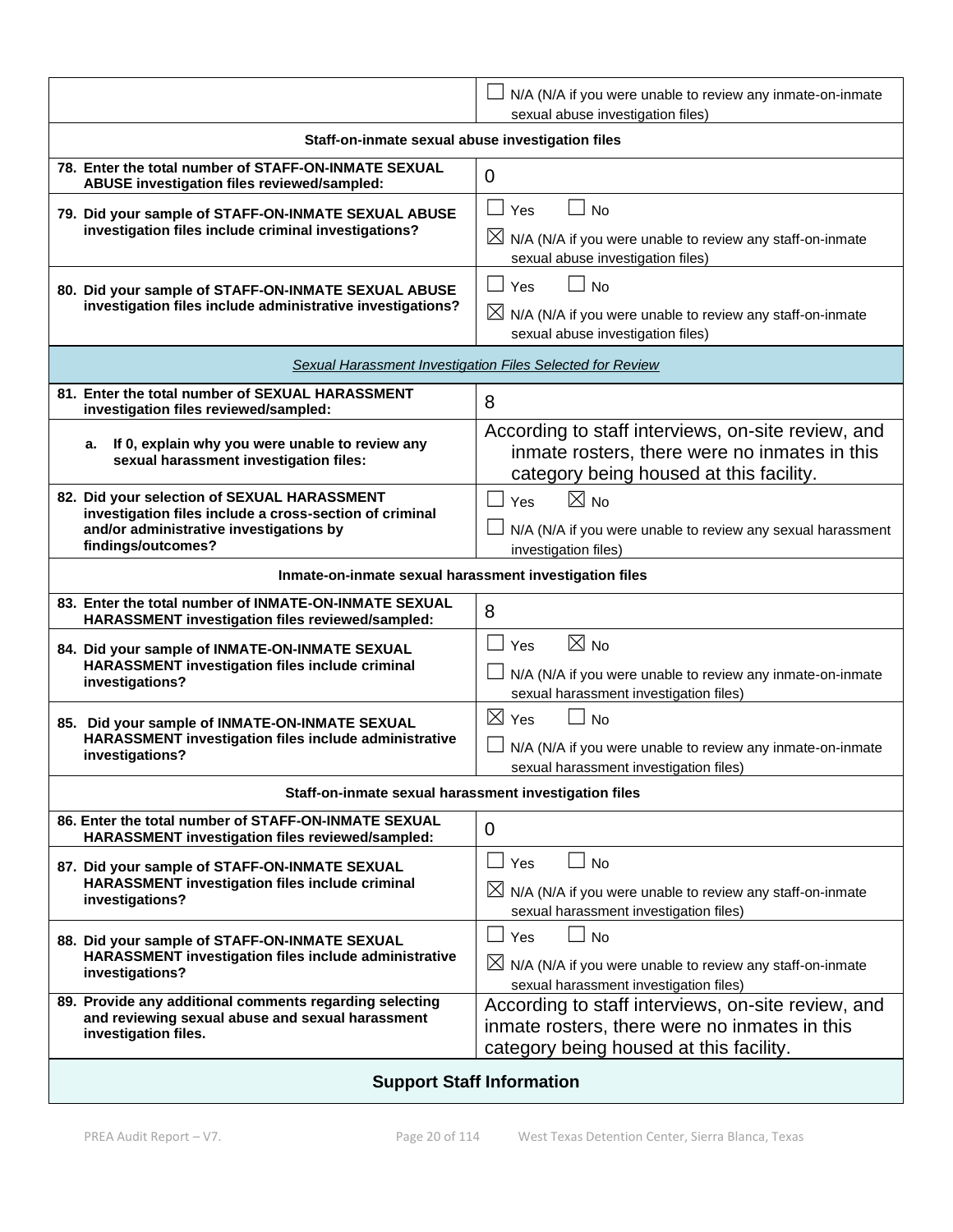|                                                                                                                                                                         | N/A (N/A if you were unable to review any inmate-on-inmate<br>sexual abuse investigation files)                                                                 |  |  |  |
|-------------------------------------------------------------------------------------------------------------------------------------------------------------------------|-----------------------------------------------------------------------------------------------------------------------------------------------------------------|--|--|--|
| Staff-on-inmate sexual abuse investigation files                                                                                                                        |                                                                                                                                                                 |  |  |  |
| 78. Enter the total number of STAFF-ON-INMATE SEXUAL<br>ABUSE investigation files reviewed/sampled:                                                                     | $\mathbf 0$                                                                                                                                                     |  |  |  |
| 79. Did your sample of STAFF-ON-INMATE SEXUAL ABUSE<br>investigation files include criminal investigations?                                                             | $\Box$<br>Yes<br><b>No</b><br>$\boxtimes$ N/A (N/A if you were unable to review any staff-on-inmate<br>sexual abuse investigation files)                        |  |  |  |
| 80. Did your sample of STAFF-ON-INMATE SEXUAL ABUSE<br>investigation files include administrative investigations?                                                       | $\Box$ Yes<br><b>No</b><br>$\Box$<br>$\boxtimes$ N/A (N/A if you were unable to review any staff-on-inmate<br>sexual abuse investigation files)                 |  |  |  |
|                                                                                                                                                                         | Sexual Harassment Investigation Files Selected for Review                                                                                                       |  |  |  |
| 81. Enter the total number of SEXUAL HARASSMENT<br>investigation files reviewed/sampled:                                                                                | 8                                                                                                                                                               |  |  |  |
| If 0, explain why you were unable to review any<br>a.<br>sexual harassment investigation files:                                                                         | According to staff interviews, on-site review, and<br>inmate rosters, there were no inmates in this<br>category being housed at this facility.                  |  |  |  |
| 82. Did your selection of SEXUAL HARASSMENT<br>investigation files include a cross-section of criminal<br>and/or administrative investigations by<br>findings/outcomes? | $\boxtimes$ No<br>$\perp$<br>Yes<br>N/A (N/A if you were unable to review any sexual harassment<br>investigation files)                                         |  |  |  |
| Inmate-on-inmate sexual harassment investigation files                                                                                                                  |                                                                                                                                                                 |  |  |  |
| 83. Enter the total number of INMATE-ON-INMATE SEXUAL<br>HARASSMENT investigation files reviewed/sampled:                                                               | 8                                                                                                                                                               |  |  |  |
| 84. Did your sample of INMATE-ON-INMATE SEXUAL<br>HARASSMENT investigation files include criminal<br>investigations?                                                    | $\boxtimes$ No<br>$\Box$<br>Yes<br>N/A (N/A if you were unable to review any inmate-on-inmate<br>sexual harassment investigation files)                         |  |  |  |
| 85. Did your sample of INMATE-ON-INMATE SEXUAL<br>HARASSMENT investigation files include administrative<br>investigations?                                              | $\boxtimes$ Yes<br>$\Box$ No<br>N/A (N/A if you were unable to review any inmate-on-inmate<br>sexual harassment investigation files)                            |  |  |  |
| Staff-on-inmate sexual harassment investigation files                                                                                                                   |                                                                                                                                                                 |  |  |  |
| 86. Enter the total number of STAFF-ON-INMATE SEXUAL<br>HARASSMENT investigation files reviewed/sampled:                                                                | 0                                                                                                                                                               |  |  |  |
| 87. Did your sample of STAFF-ON-INMATE SEXUAL<br>HARASSMENT investigation files include criminal<br>investigations?                                                     | $\overline{\phantom{a}}$<br>Yes<br>$\Box$ No<br>$\boxtimes$ N/A (N/A if you were unable to review any staff-on-inmate<br>sexual harassment investigation files) |  |  |  |
| 88. Did your sample of STAFF-ON-INMATE SEXUAL<br>HARASSMENT investigation files include administrative<br>investigations?                                               | $\Box$ No<br>$\Box$<br>Yes<br>$\boxtimes$ N/A (N/A if you were unable to review any staff-on-inmate<br>sexual harassment investigation files)                   |  |  |  |
| 89. Provide any additional comments regarding selecting<br>and reviewing sexual abuse and sexual harassment<br>investigation files.                                     | According to staff interviews, on-site review, and<br>inmate rosters, there were no inmates in this<br>category being housed at this facility.                  |  |  |  |
| <b>Support Staff Information</b>                                                                                                                                        |                                                                                                                                                                 |  |  |  |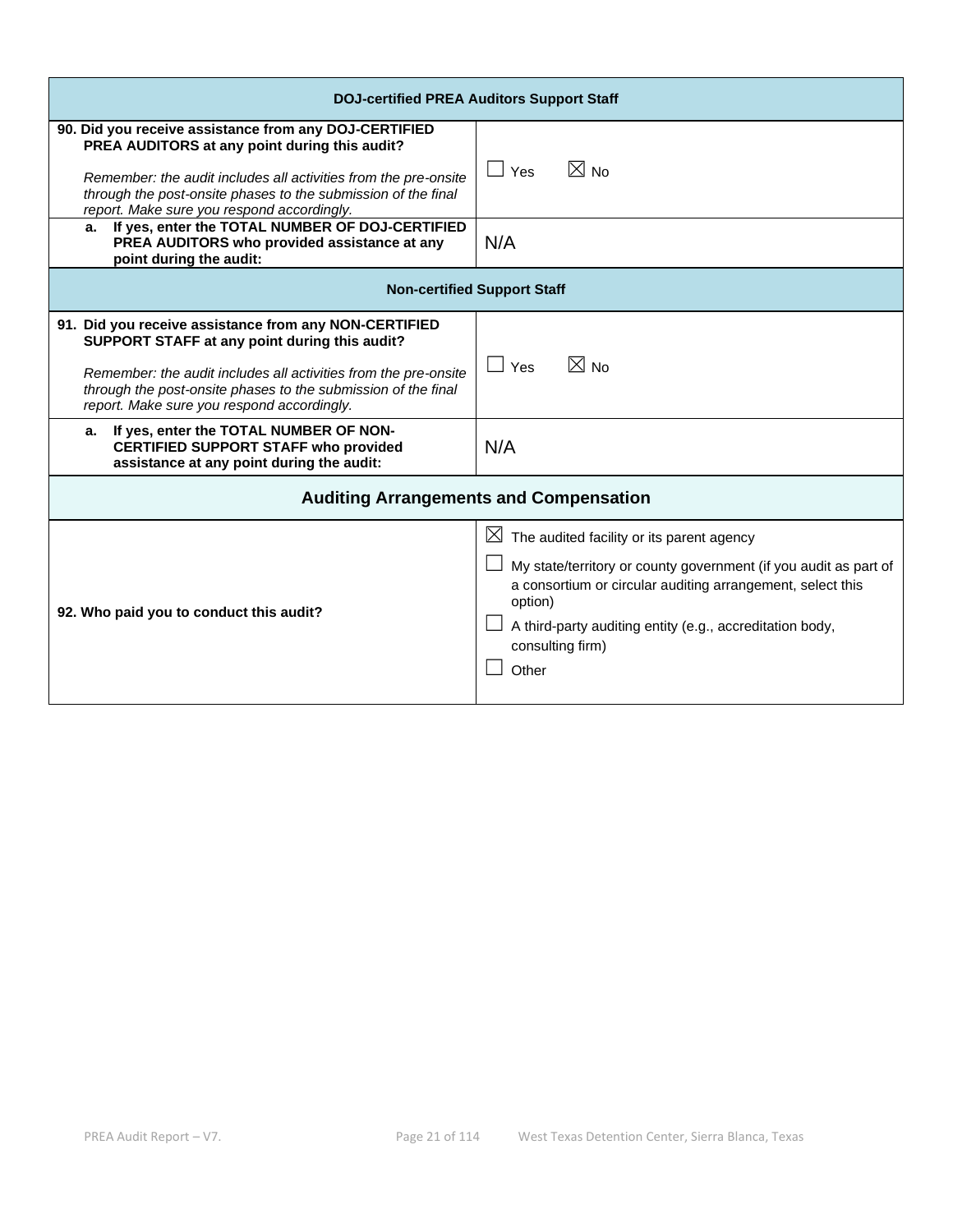| <b>DOJ-certified PREA Auditors Support Staff</b>                                                                                                                                                                                                                                         |                                                                                                                                                                                                                                                                                                |  |  |  |
|------------------------------------------------------------------------------------------------------------------------------------------------------------------------------------------------------------------------------------------------------------------------------------------|------------------------------------------------------------------------------------------------------------------------------------------------------------------------------------------------------------------------------------------------------------------------------------------------|--|--|--|
| 90. Did you receive assistance from any DOJ-CERTIFIED<br>PREA AUDITORS at any point during this audit?<br>Remember: the audit includes all activities from the pre-onsite<br>through the post-onsite phases to the submission of the final<br>report. Make sure you respond accordingly. | $\boxtimes$ No<br>$\Box$ Yes                                                                                                                                                                                                                                                                   |  |  |  |
| If yes, enter the TOTAL NUMBER OF DOJ-CERTIFIED<br>а.<br>PREA AUDITORS who provided assistance at any<br>point during the audit:                                                                                                                                                         | N/A                                                                                                                                                                                                                                                                                            |  |  |  |
|                                                                                                                                                                                                                                                                                          | <b>Non-certified Support Staff</b>                                                                                                                                                                                                                                                             |  |  |  |
| 91. Did you receive assistance from any NON-CERTIFIED<br>SUPPORT STAFF at any point during this audit?<br>Remember: the audit includes all activities from the pre-onsite<br>through the post-onsite phases to the submission of the final<br>report. Make sure you respond accordingly. | $\boxtimes$ No<br>$\Box$ Yes                                                                                                                                                                                                                                                                   |  |  |  |
| a. If yes, enter the TOTAL NUMBER OF NON-<br><b>CERTIFIED SUPPORT STAFF who provided</b><br>assistance at any point during the audit:                                                                                                                                                    | N/A                                                                                                                                                                                                                                                                                            |  |  |  |
| <b>Auditing Arrangements and Compensation</b>                                                                                                                                                                                                                                            |                                                                                                                                                                                                                                                                                                |  |  |  |
| 92. Who paid you to conduct this audit?                                                                                                                                                                                                                                                  | The audited facility or its parent agency<br>$\boxtimes$<br>My state/territory or county government (if you audit as part of<br>a consortium or circular auditing arrangement, select this<br>option)<br>A third-party auditing entity (e.g., accreditation body,<br>consulting firm)<br>Other |  |  |  |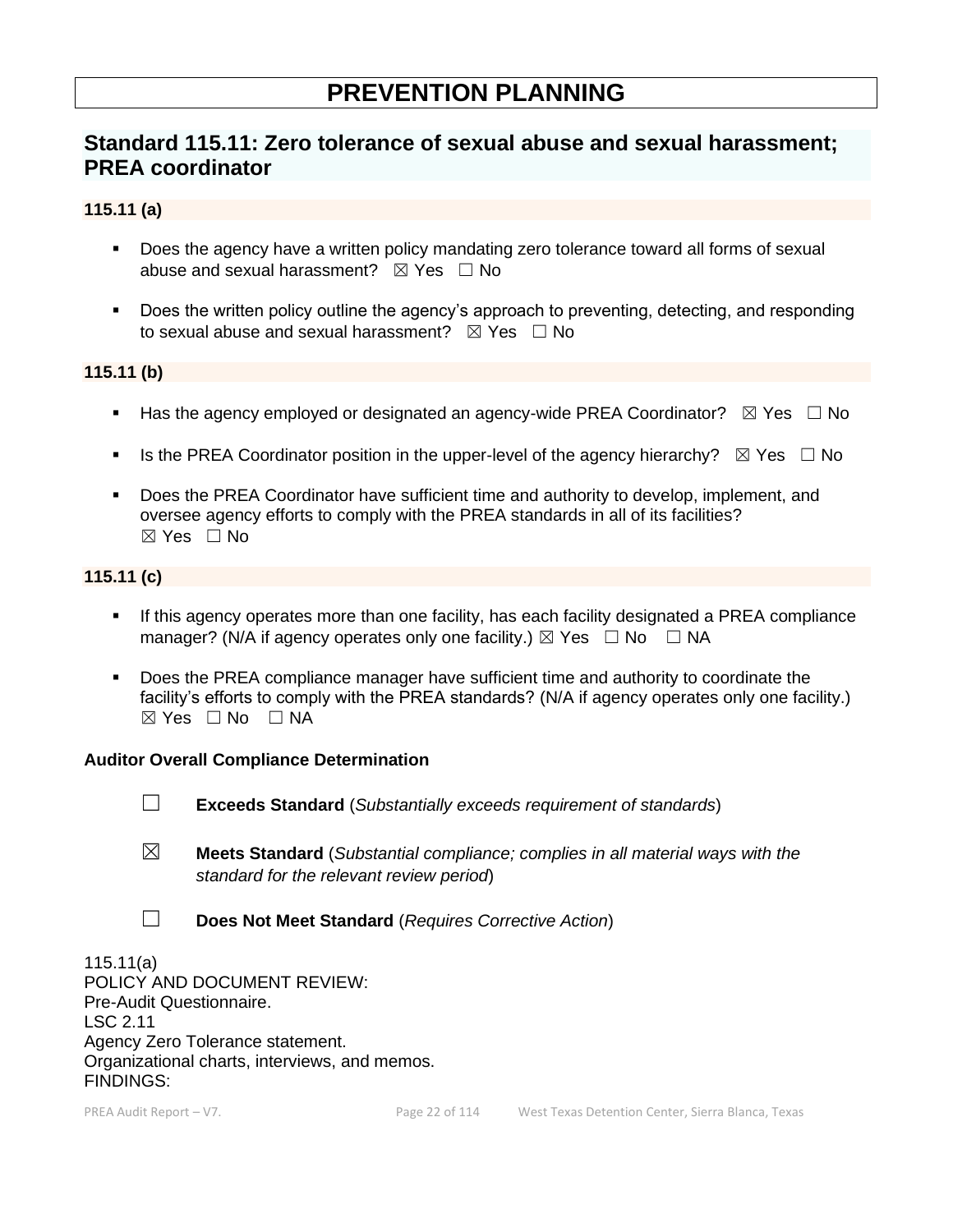# **PREVENTION PLANNING**

# **Standard 115.11: Zero tolerance of sexual abuse and sexual harassment; PREA coordinator**

#### **115.11 (a)**

- Does the agency have a written policy mandating zero tolerance toward all forms of sexual abuse and sexual harassment?  $\boxtimes$  Yes  $\Box$  No
- Does the written policy outline the agency's approach to preventing, detecting, and responding to sexual abuse and sexual harassment?  $\boxtimes$  Yes  $\Box$  No

#### **115.11 (b)**

- **■** Has the agency employed or designated an agency-wide PREA Coordinator?  $\boxtimes$  Yes  $\Box$  No
- **■** Is the PREA Coordinator position in the upper-level of the agency hierarchy?  $\boxtimes$  Yes  $\Box$  No
- Does the PREA Coordinator have sufficient time and authority to develop, implement, and oversee agency efforts to comply with the PREA standards in all of its facilities? ☒ Yes ☐ No

### **115.11 (c)**

- If this agency operates more than one facility, has each facility designated a PREA compliance manager? (N/A if agency operates only one facility.)  $\boxtimes$  Yes  $\Box$  No  $\Box$  NA
- **•** Does the PREA compliance manager have sufficient time and authority to coordinate the facility's efforts to comply with the PREA standards? (N/A if agency operates only one facility.)  $\boxtimes$  Yes  $\Box$  No  $\Box$  NA

#### **Auditor Overall Compliance Determination**

- ☐ **Exceeds Standard** (*Substantially exceeds requirement of standards*)
- ☒ **Meets Standard** (*Substantial compliance; complies in all material ways with the standard for the relevant review period*)
- ☐ **Does Not Meet Standard** (*Requires Corrective Action*)

115.11(a) POLICY AND DOCUMENT REVIEW: Pre-Audit Questionnaire. LSC 2.11 Agency Zero Tolerance statement. Organizational charts, interviews, and memos. FINDINGS: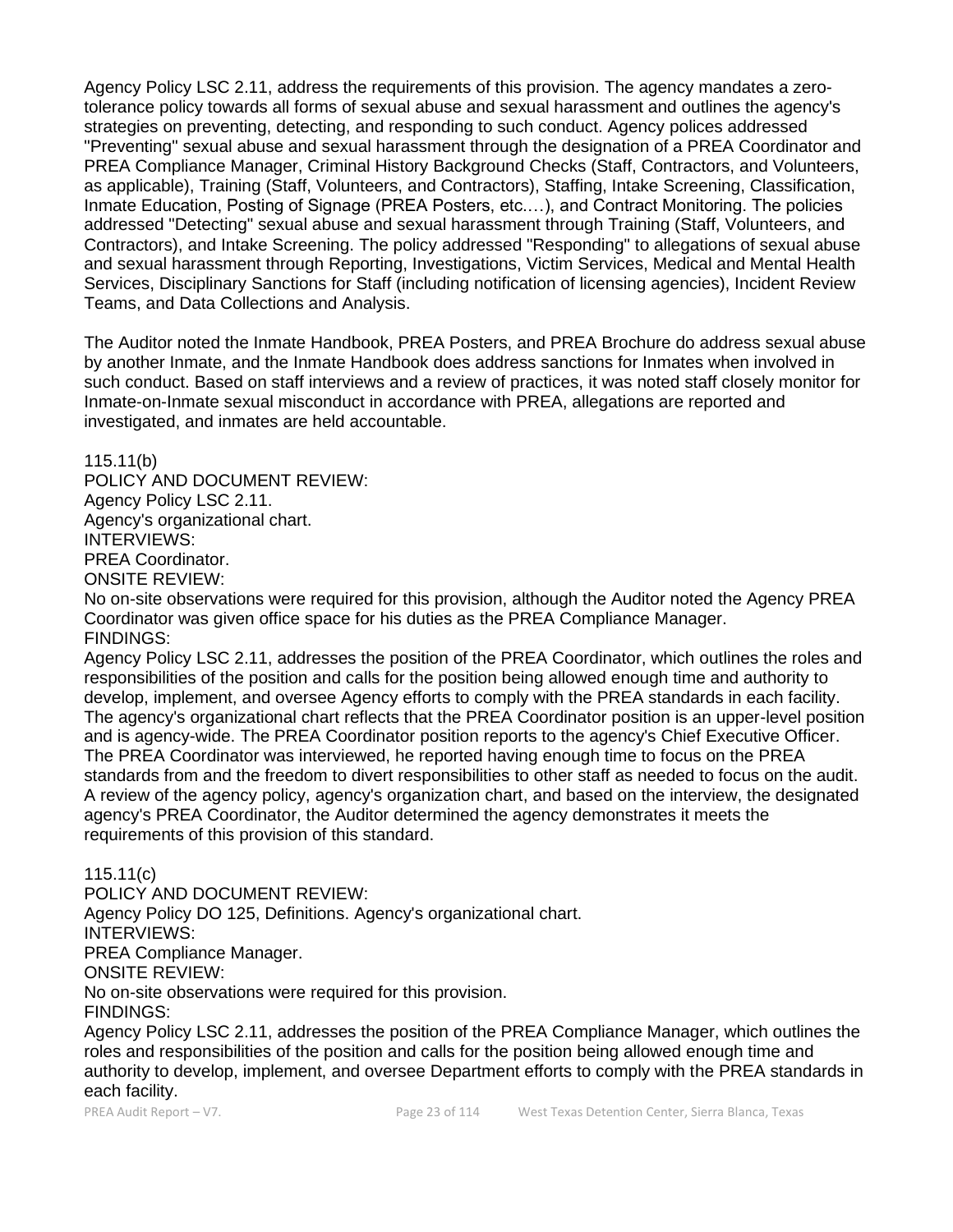Agency Policy LSC 2.11, address the requirements of this provision. The agency mandates a zerotolerance policy towards all forms of sexual abuse and sexual harassment and outlines the agency's strategies on preventing, detecting, and responding to such conduct. Agency polices addressed "Preventing" sexual abuse and sexual harassment through the designation of a PREA Coordinator and PREA Compliance Manager, Criminal History Background Checks (Staff, Contractors, and Volunteers, as applicable), Training (Staff, Volunteers, and Contractors), Staffing, Intake Screening, Classification, Inmate Education, Posting of Signage (PREA Posters, etc.…), and Contract Monitoring. The policies addressed "Detecting" sexual abuse and sexual harassment through Training (Staff, Volunteers, and Contractors), and Intake Screening. The policy addressed "Responding" to allegations of sexual abuse and sexual harassment through Reporting, Investigations, Victim Services, Medical and Mental Health Services, Disciplinary Sanctions for Staff (including notification of licensing agencies), Incident Review Teams, and Data Collections and Analysis.

The Auditor noted the Inmate Handbook, PREA Posters, and PREA Brochure do address sexual abuse by another Inmate, and the Inmate Handbook does address sanctions for Inmates when involved in such conduct. Based on staff interviews and a review of practices, it was noted staff closely monitor for Inmate-on-Inmate sexual misconduct in accordance with PREA, allegations are reported and investigated, and inmates are held accountable.

115.11(b)

POLICY AND DOCUMENT REVIEW: Agency Policy LSC 2.11. Agency's organizational chart. INTERVIEWS: PREA Coordinator. ONSITE REVIEW:

No on-site observations were required for this provision, although the Auditor noted the Agency PREA Coordinator was given office space for his duties as the PREA Compliance Manager. FINDINGS:

Agency Policy LSC 2.11, addresses the position of the PREA Coordinator, which outlines the roles and responsibilities of the position and calls for the position being allowed enough time and authority to develop, implement, and oversee Agency efforts to comply with the PREA standards in each facility. The agency's organizational chart reflects that the PREA Coordinator position is an upper-level position and is agency-wide. The PREA Coordinator position reports to the agency's Chief Executive Officer. The PREA Coordinator was interviewed, he reported having enough time to focus on the PREA standards from and the freedom to divert responsibilities to other staff as needed to focus on the audit. A review of the agency policy, agency's organization chart, and based on the interview, the designated agency's PREA Coordinator, the Auditor determined the agency demonstrates it meets the requirements of this provision of this standard.

115.11(c)

POLICY AND DOCUMENT REVIEW: Agency Policy DO 125, Definitions. Agency's organizational chart. INTERVIEWS: PREA Compliance Manager. ONSITE REVIEW: No on-site observations were required for this provision. FINDINGS:

Agency Policy LSC 2.11, addresses the position of the PREA Compliance Manager, which outlines the roles and responsibilities of the position and calls for the position being allowed enough time and authority to develop, implement, and oversee Department efforts to comply with the PREA standards in each facility.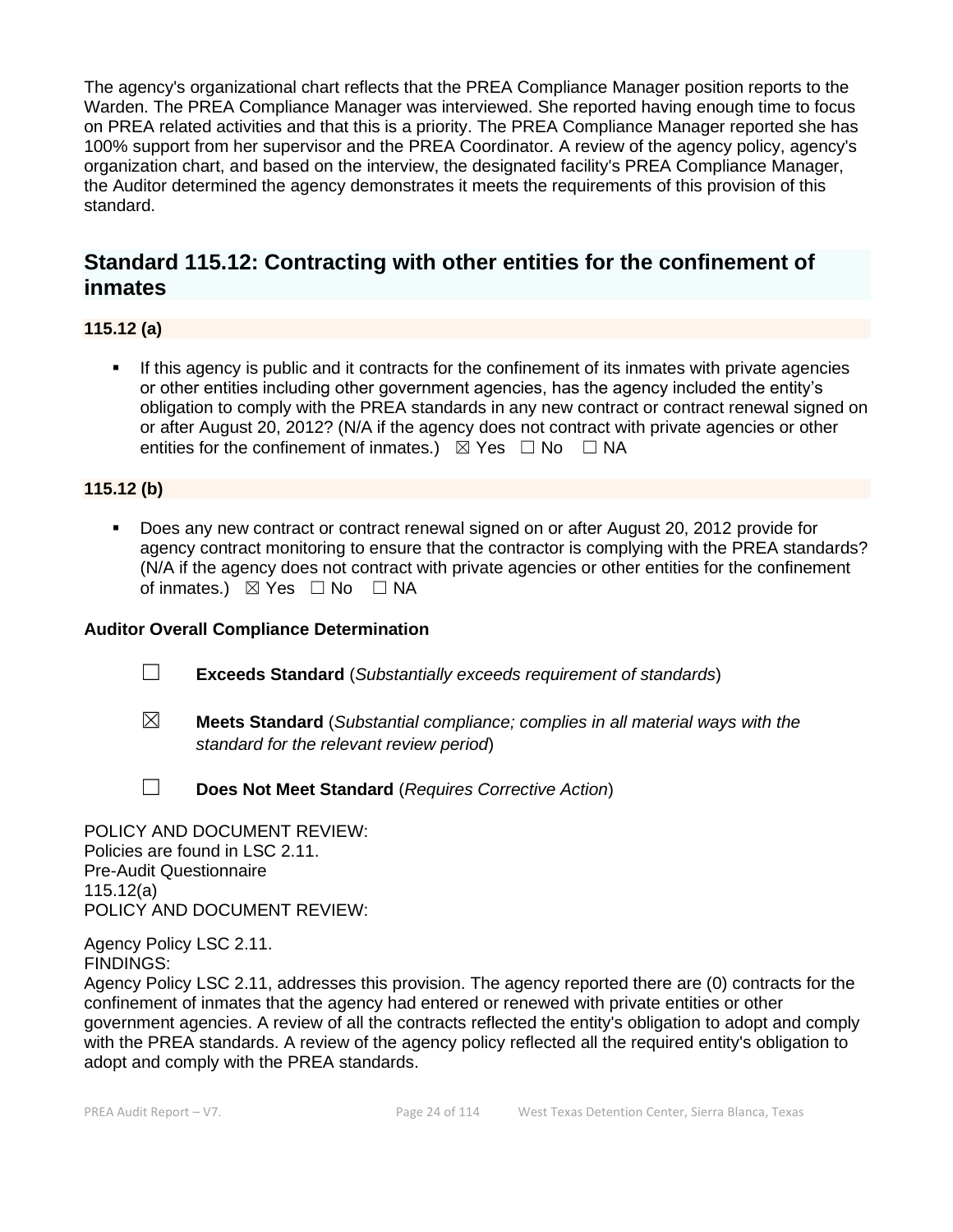The agency's organizational chart reflects that the PREA Compliance Manager position reports to the Warden. The PREA Compliance Manager was interviewed. She reported having enough time to focus on PREA related activities and that this is a priority. The PREA Compliance Manager reported she has 100% support from her supervisor and the PREA Coordinator. A review of the agency policy, agency's organization chart, and based on the interview, the designated facility's PREA Compliance Manager, the Auditor determined the agency demonstrates it meets the requirements of this provision of this standard.

# **Standard 115.12: Contracting with other entities for the confinement of inmates**

**115.12 (a)**

**.** If this agency is public and it contracts for the confinement of its inmates with private agencies or other entities including other government agencies, has the agency included the entity's obligation to comply with the PREA standards in any new contract or contract renewal signed on or after August 20, 2012? (N/A if the agency does not contract with private agencies or other entities for the confinement of inmates.)  $\boxtimes$  Yes  $\Box$  No  $\Box$  NA

## **115.12 (b)**

■ Does any new contract or contract renewal signed on or after August 20, 2012 provide for agency contract monitoring to ensure that the contractor is complying with the PREA standards? (N/A if the agency does not contract with private agencies or other entities for the confinement of inmates.)  $\boxtimes$  Yes  $\Box$  No  $\Box$  NA

## **Auditor Overall Compliance Determination**

- ☐ **Exceeds Standard** (*Substantially exceeds requirement of standards*)
- ☒ **Meets Standard** (*Substantial compliance; complies in all material ways with the standard for the relevant review period*)
- ☐ **Does Not Meet Standard** (*Requires Corrective Action*)

POLICY AND DOCUMENT REVIEW: Policies are found in LSC 2.11. Pre-Audit Questionnaire 115.12(a) POLICY AND DOCUMENT REVIEW:

Agency Policy LSC 2.11. FINDINGS:

Agency Policy LSC 2.11, addresses this provision. The agency reported there are (0) contracts for the confinement of inmates that the agency had entered or renewed with private entities or other government agencies. A review of all the contracts reflected the entity's obligation to adopt and comply with the PREA standards. A review of the agency policy reflected all the required entity's obligation to adopt and comply with the PREA standards.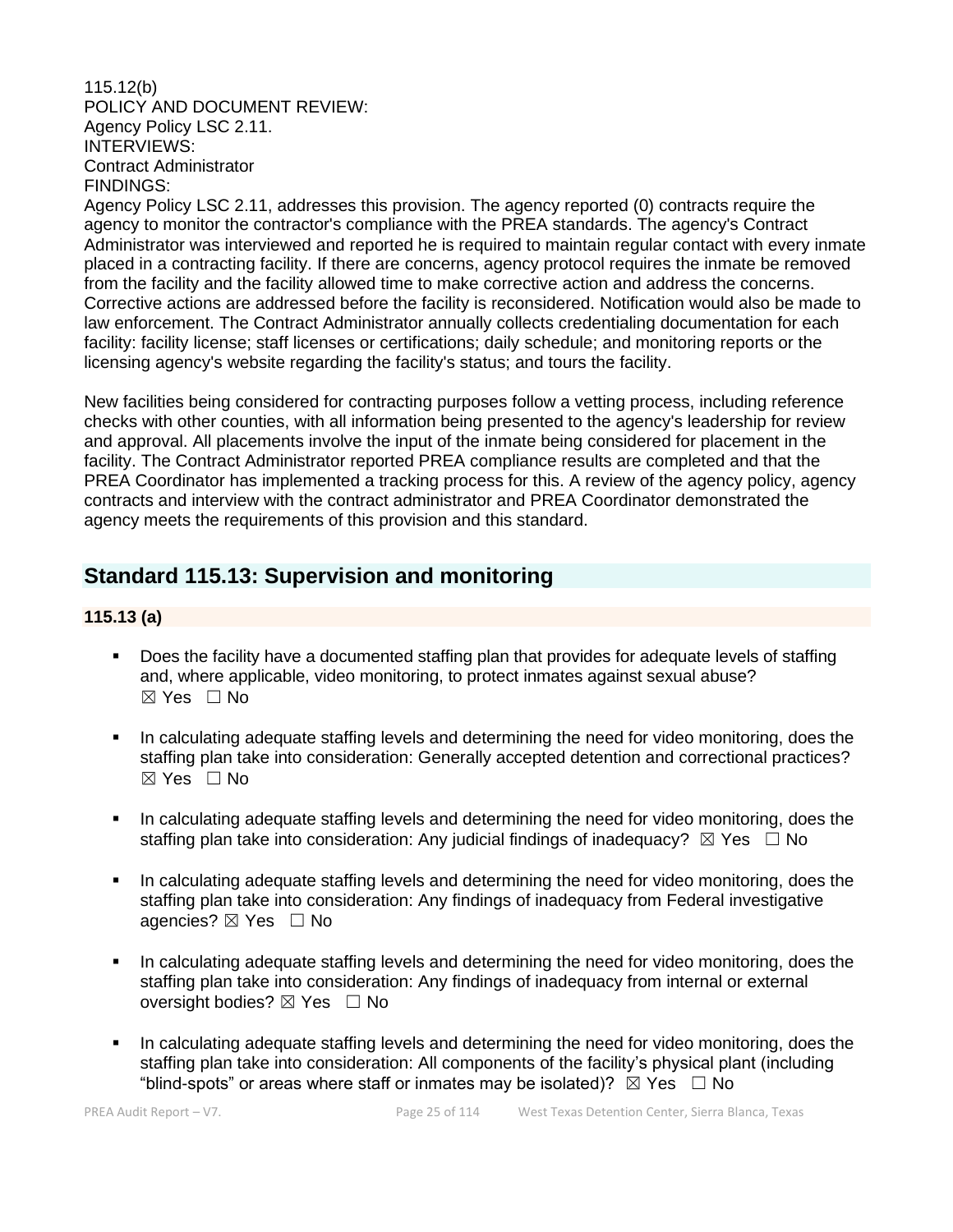#### 115.12(b) POLICY AND DOCUMENT REVIEW: Agency Policy LSC 2.11. INTERVIEWS: Contract Administrator FINDINGS:

Agency Policy LSC 2.11, addresses this provision. The agency reported (0) contracts require the agency to monitor the contractor's compliance with the PREA standards. The agency's Contract Administrator was interviewed and reported he is required to maintain regular contact with every inmate placed in a contracting facility. If there are concerns, agency protocol requires the inmate be removed from the facility and the facility allowed time to make corrective action and address the concerns. Corrective actions are addressed before the facility is reconsidered. Notification would also be made to law enforcement. The Contract Administrator annually collects credentialing documentation for each facility: facility license; staff licenses or certifications; daily schedule; and monitoring reports or the licensing agency's website regarding the facility's status; and tours the facility.

New facilities being considered for contracting purposes follow a vetting process, including reference checks with other counties, with all information being presented to the agency's leadership for review and approval. All placements involve the input of the inmate being considered for placement in the facility. The Contract Administrator reported PREA compliance results are completed and that the PREA Coordinator has implemented a tracking process for this. A review of the agency policy, agency contracts and interview with the contract administrator and PREA Coordinator demonstrated the agency meets the requirements of this provision and this standard.

# **Standard 115.13: Supervision and monitoring**

## **115.13 (a)**

- Does the facility have a documented staffing plan that provides for adequate levels of staffing and, where applicable, video monitoring, to protect inmates against sexual abuse?  $\boxtimes$  Yes  $\Box$  No
- In calculating adequate staffing levels and determining the need for video monitoring, does the staffing plan take into consideration: Generally accepted detention and correctional practices?  $\boxtimes$  Yes  $\Box$  No
- In calculating adequate staffing levels and determining the need for video monitoring, does the staffing plan take into consideration: Any judicial findings of inadequacy?  $\boxtimes$  Yes  $\Box$  No
- In calculating adequate staffing levels and determining the need for video monitoring, does the staffing plan take into consideration: Any findings of inadequacy from Federal investigative agencies?  $\boxtimes$  Yes  $\Box$  No
- In calculating adequate staffing levels and determining the need for video monitoring, does the staffing plan take into consideration: Any findings of inadequacy from internal or external oversight bodies? ⊠ Yes □ No
- In calculating adequate staffing levels and determining the need for video monitoring, does the staffing plan take into consideration: All components of the facility's physical plant (including "blind-spots" or areas where staff or inmates may be isolated)?  $\boxtimes$  Yes  $\Box$  No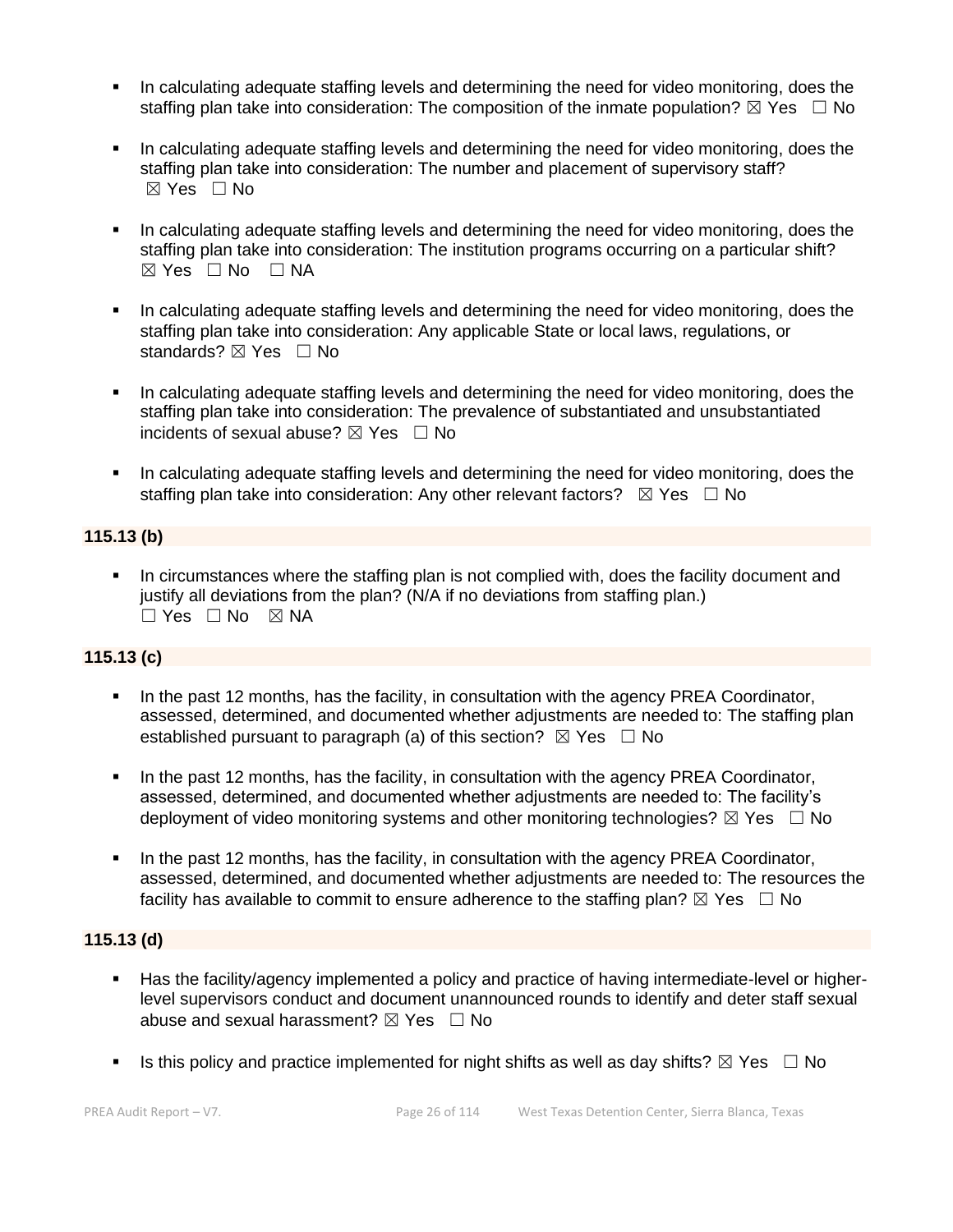- In calculating adequate staffing levels and determining the need for video monitoring, does the staffing plan take into consideration: The composition of the inmate population?  $\boxtimes$  Yes  $\Box$  No
- In calculating adequate staffing levels and determining the need for video monitoring, does the staffing plan take into consideration: The number and placement of supervisory staff? ☒ Yes ☐ No
- In calculating adequate staffing levels and determining the need for video monitoring, does the staffing plan take into consideration: The institution programs occurring on a particular shift?  $⊠ Yes ⊡ No ⊡ NA$
- In calculating adequate staffing levels and determining the need for video monitoring, does the staffing plan take into consideration: Any applicable State or local laws, regulations, or standards? ⊠ Yes □ No
- In calculating adequate staffing levels and determining the need for video monitoring, does the staffing plan take into consideration: The prevalence of substantiated and unsubstantiated incidents of sexual abuse?  $\boxtimes$  Yes  $\Box$  No
- **•** In calculating adequate staffing levels and determining the need for video monitoring, does the staffing plan take into consideration: Any other relevant factors?  $\boxtimes$  Yes  $\Box$  No

### **115.13 (b)**

In circumstances where the staffing plan is not complied with, does the facility document and justify all deviations from the plan? (N/A if no deviations from staffing plan.) ☐ Yes ☐ No ☒ NA

#### **115.13 (c)**

- In the past 12 months, has the facility, in consultation with the agency PREA Coordinator, assessed, determined, and documented whether adjustments are needed to: The staffing plan established pursuant to paragraph (a) of this section?  $\boxtimes$  Yes  $\Box$  No
- In the past 12 months, has the facility, in consultation with the agency PREA Coordinator, assessed, determined, and documented whether adjustments are needed to: The facility's deployment of video monitoring systems and other monitoring technologies?  $\boxtimes$  Yes  $\Box$  No
- In the past 12 months, has the facility, in consultation with the agency PREA Coordinator, assessed, determined, and documented whether adjustments are needed to: The resources the facility has available to commit to ensure adherence to the staffing plan?  $\boxtimes$  Yes  $\Box$  No

#### **115.13 (d)**

- Has the facility/agency implemented a policy and practice of having intermediate-level or higherlevel supervisors conduct and document unannounced rounds to identify and deter staff sexual abuse and sexual harassment?  $\boxtimes$  Yes  $\Box$  No
- **■** Is this policy and practice implemented for night shifts as well as day shifts?  $\boxtimes$  Yes  $\Box$  No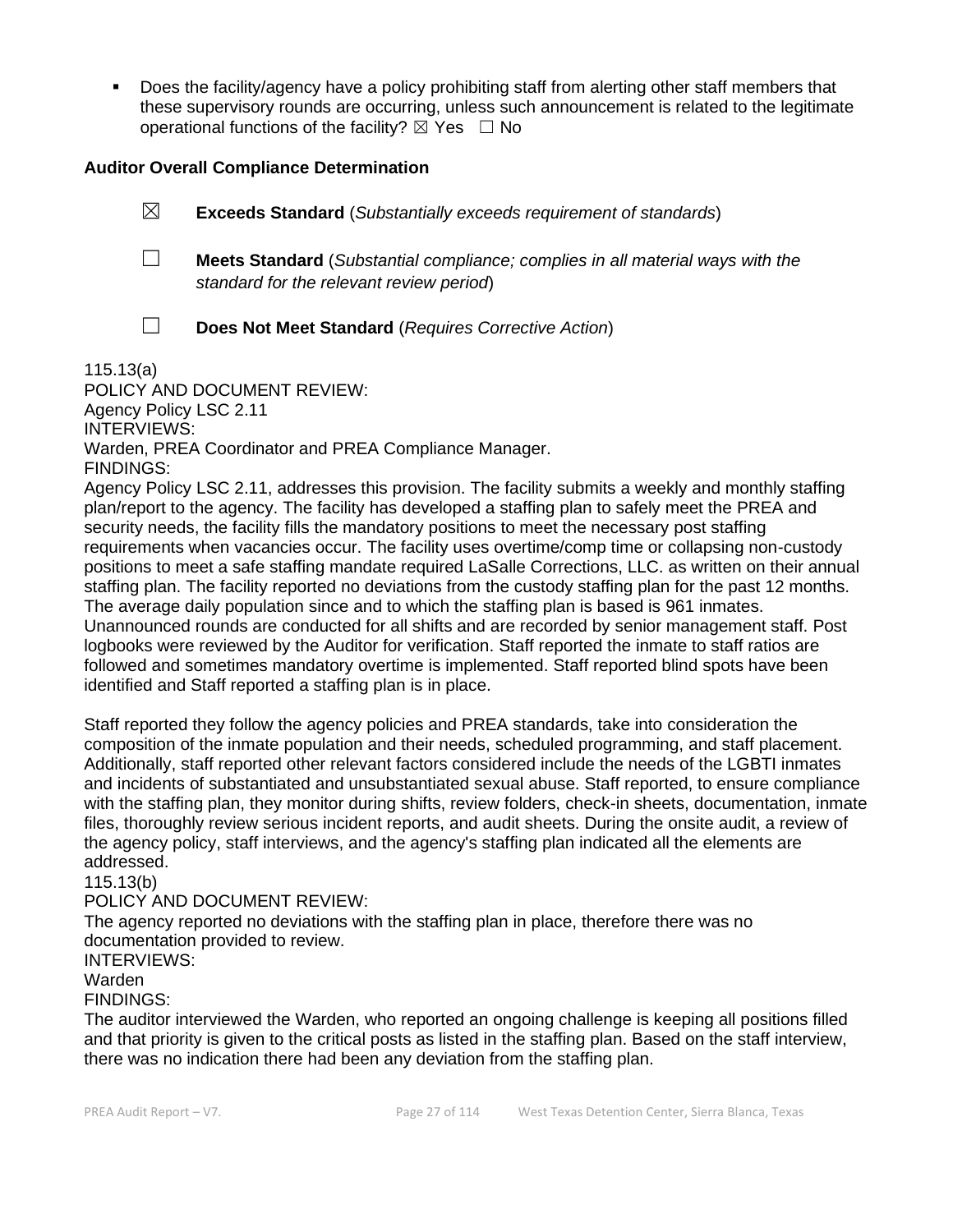▪ Does the facility/agency have a policy prohibiting staff from alerting other staff members that these supervisory rounds are occurring, unless such announcement is related to the legitimate operational functions of the facility?  $\boxtimes$  Yes  $\Box$  No

#### **Auditor Overall Compliance Determination**

- ☒ **Exceeds Standard** (*Substantially exceeds requirement of standards*)
- ☐ **Meets Standard** (*Substantial compliance; complies in all material ways with the standard for the relevant review period*)
- 
- ☐ **Does Not Meet Standard** (*Requires Corrective Action*)

115.13(a)

POLICY AND DOCUMENT REVIEW: Agency Policy LSC 2.11 INTERVIEWS: Warden, PREA Coordinator and PREA Compliance Manager. FINDINGS:

Agency Policy LSC 2.11, addresses this provision. The facility submits a weekly and monthly staffing plan/report to the agency. The facility has developed a staffing plan to safely meet the PREA and security needs, the facility fills the mandatory positions to meet the necessary post staffing requirements when vacancies occur. The facility uses overtime/comp time or collapsing non-custody positions to meet a safe staffing mandate required LaSalle Corrections, LLC. as written on their annual staffing plan. The facility reported no deviations from the custody staffing plan for the past 12 months. The average daily population since and to which the staffing plan is based is 961 inmates. Unannounced rounds are conducted for all shifts and are recorded by senior management staff. Post logbooks were reviewed by the Auditor for verification. Staff reported the inmate to staff ratios are followed and sometimes mandatory overtime is implemented. Staff reported blind spots have been identified and Staff reported a staffing plan is in place.

Staff reported they follow the agency policies and PREA standards, take into consideration the composition of the inmate population and their needs, scheduled programming, and staff placement. Additionally, staff reported other relevant factors considered include the needs of the LGBTI inmates and incidents of substantiated and unsubstantiated sexual abuse. Staff reported, to ensure compliance with the staffing plan, they monitor during shifts, review folders, check-in sheets, documentation, inmate files, thoroughly review serious incident reports, and audit sheets. During the onsite audit, a review of the agency policy, staff interviews, and the agency's staffing plan indicated all the elements are addressed.

115.13(b)

#### POLICY AND DOCUMENT REVIEW:

The agency reported no deviations with the staffing plan in place, therefore there was no documentation provided to review.

#### INTERVIEWS:

#### Warden

#### FINDINGS:

The auditor interviewed the Warden, who reported an ongoing challenge is keeping all positions filled and that priority is given to the critical posts as listed in the staffing plan. Based on the staff interview, there was no indication there had been any deviation from the staffing plan.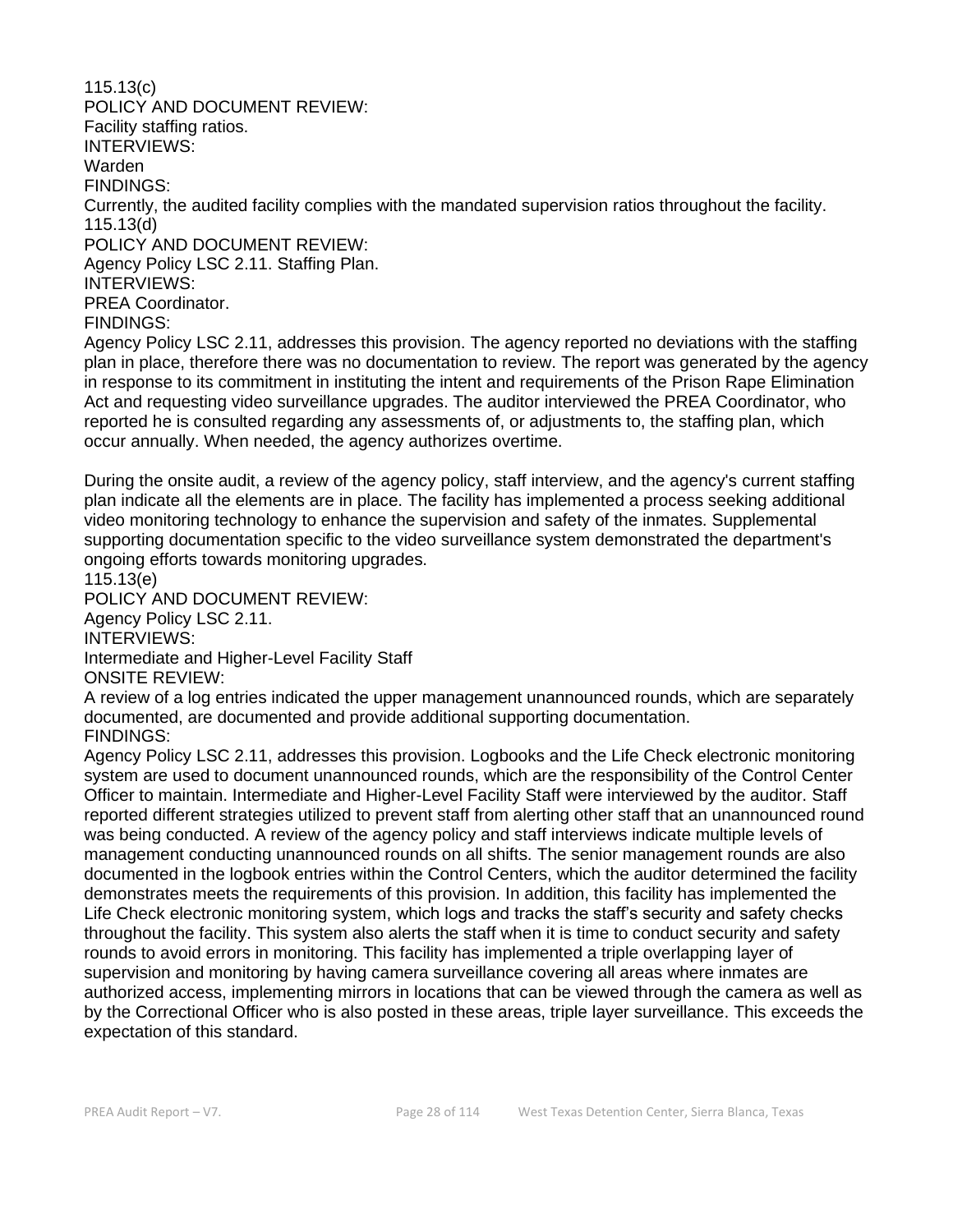115.13(c) POLICY AND DOCUMENT REVIEW: Facility staffing ratios. INTERVIEWS: Warden FINDINGS: Currently, the audited facility complies with the mandated supervision ratios throughout the facility. 115.13(d) POLICY AND DOCUMENT REVIEW: Agency Policy LSC 2.11. Staffing Plan. INTERVIEWS: PREA Coordinator. FINDINGS: Agency Policy LSC 2.11, addresses this provision. The agency reported no deviations with the staffing plan in place, therefore there was no documentation to review. The report was generated by the agency in response to its commitment in instituting the intent and requirements of the Prison Rape Elimination Act and requesting video surveillance upgrades. The auditor interviewed the PREA Coordinator, who reported he is consulted regarding any assessments of, or adjustments to, the staffing plan, which occur annually. When needed, the agency authorizes overtime.

During the onsite audit, a review of the agency policy, staff interview, and the agency's current staffing plan indicate all the elements are in place. The facility has implemented a process seeking additional video monitoring technology to enhance the supervision and safety of the inmates. Supplemental supporting documentation specific to the video surveillance system demonstrated the department's ongoing efforts towards monitoring upgrades.

115.13(e)

POLICY AND DOCUMENT REVIEW: Agency Policy LSC 2.11. INTERVIEWS: Intermediate and Higher-Level Facility Staff

ONSITE REVIEW:

A review of a log entries indicated the upper management unannounced rounds, which are separately documented, are documented and provide additional supporting documentation. FINDINGS:

Agency Policy LSC 2.11, addresses this provision. Logbooks and the Life Check electronic monitoring system are used to document unannounced rounds, which are the responsibility of the Control Center Officer to maintain. Intermediate and Higher-Level Facility Staff were interviewed by the auditor. Staff reported different strategies utilized to prevent staff from alerting other staff that an unannounced round was being conducted. A review of the agency policy and staff interviews indicate multiple levels of management conducting unannounced rounds on all shifts. The senior management rounds are also documented in the logbook entries within the Control Centers, which the auditor determined the facility demonstrates meets the requirements of this provision. In addition, this facility has implemented the Life Check electronic monitoring system, which logs and tracks the staff's security and safety checks throughout the facility. This system also alerts the staff when it is time to conduct security and safety rounds to avoid errors in monitoring. This facility has implemented a triple overlapping layer of supervision and monitoring by having camera surveillance covering all areas where inmates are authorized access, implementing mirrors in locations that can be viewed through the camera as well as by the Correctional Officer who is also posted in these areas, triple layer surveillance. This exceeds the expectation of this standard.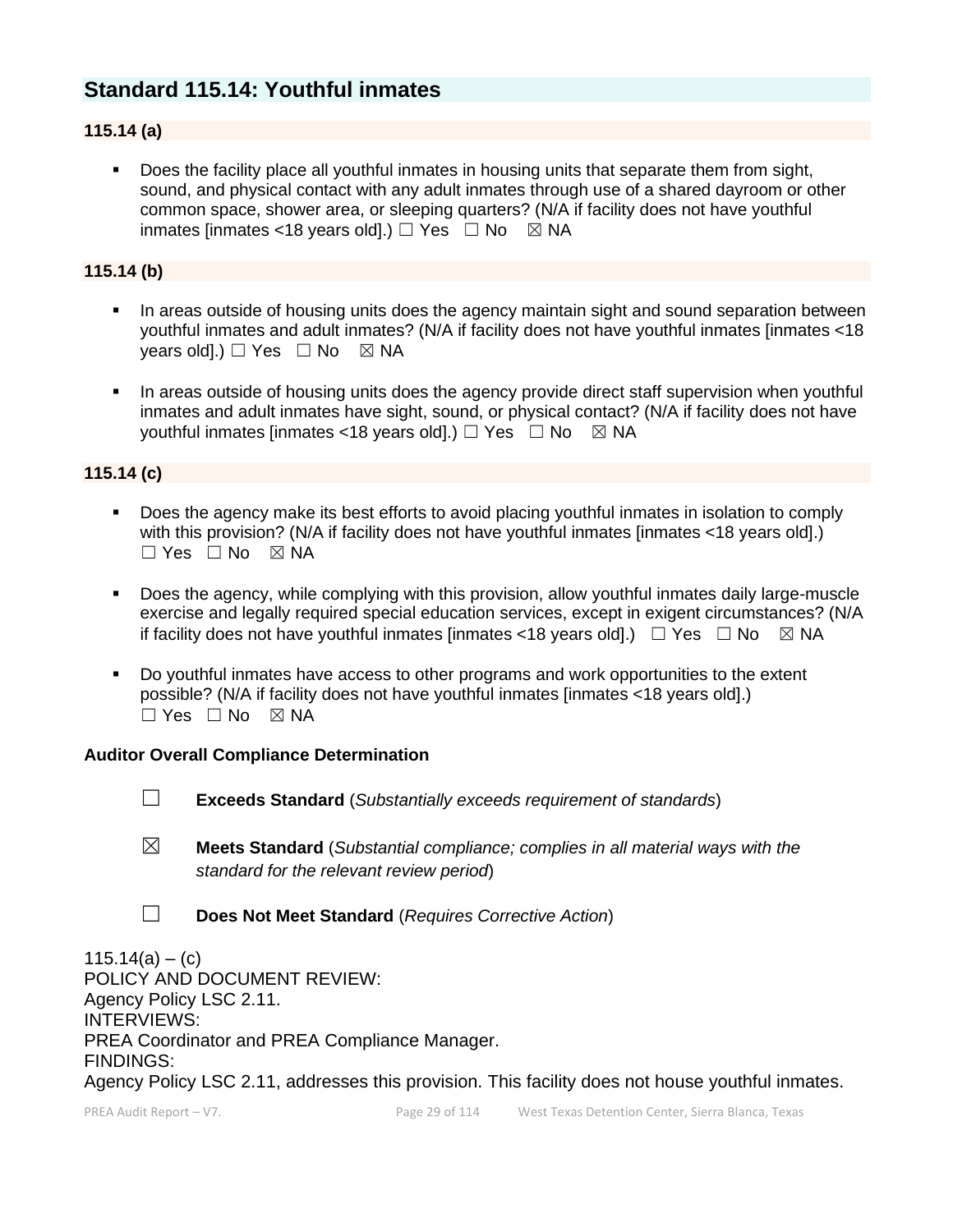# **Standard 115.14: Youthful inmates**

## **115.14 (a)**

**•** Does the facility place all youthful inmates in housing units that separate them from sight, sound, and physical contact with any adult inmates through use of a shared dayroom or other common space, shower area, or sleeping quarters? (N/A if facility does not have youthful inmates [inmates <18 years old].)  $\Box$  Yes  $\Box$  No  $\boxtimes$  NA

#### **115.14 (b)**

- In areas outside of housing units does the agency maintain sight and sound separation between youthful inmates and adult inmates? (N/A if facility does not have youthful inmates [inmates <18 years old].)  $\Box$  Yes  $\Box$  No  $\boxtimes$  NA
- In areas outside of housing units does the agency provide direct staff supervision when youthful inmates and adult inmates have sight, sound, or physical contact? (N/A if facility does not have youthful inmates [inmates <18 years old].)  $\Box$  Yes  $\Box$  No  $\boxtimes$  NA

#### **115.14 (c)**

- Does the agency make its best efforts to avoid placing youthful inmates in isolation to comply with this provision? (N/A if facility does not have youthful inmates [inmates <18 years old].)  $\Box$  Yes  $\Box$  No  $\boxtimes$  NA
- Does the agency, while complying with this provision, allow youthful inmates daily large-muscle exercise and legally required special education services, except in exigent circumstances? (N/A if facility does not have youthful inmates [inmates <18 years old].)  $\Box$  Yes  $\Box$  No  $\boxtimes$  NA
- Do youthful inmates have access to other programs and work opportunities to the extent possible? (N/A if facility does not have youthful inmates [inmates <18 years old].)  $\Box$  Yes  $\Box$  No  $\boxtimes$  NA

#### **Auditor Overall Compliance Determination**

- ☐ **Exceeds Standard** (*Substantially exceeds requirement of standards*)
- ☒ **Meets Standard** (*Substantial compliance; complies in all material ways with the standard for the relevant review period*)
- ☐ **Does Not Meet Standard** (*Requires Corrective Action*)

 $115.14(a) - (c)$ POLICY AND DOCUMENT REVIEW: Agency Policy LSC 2.11. INTERVIEWS: PREA Coordinator and PREA Compliance Manager. FINDINGS: Agency Policy LSC 2.11, addresses this provision. This facility does not house youthful inmates.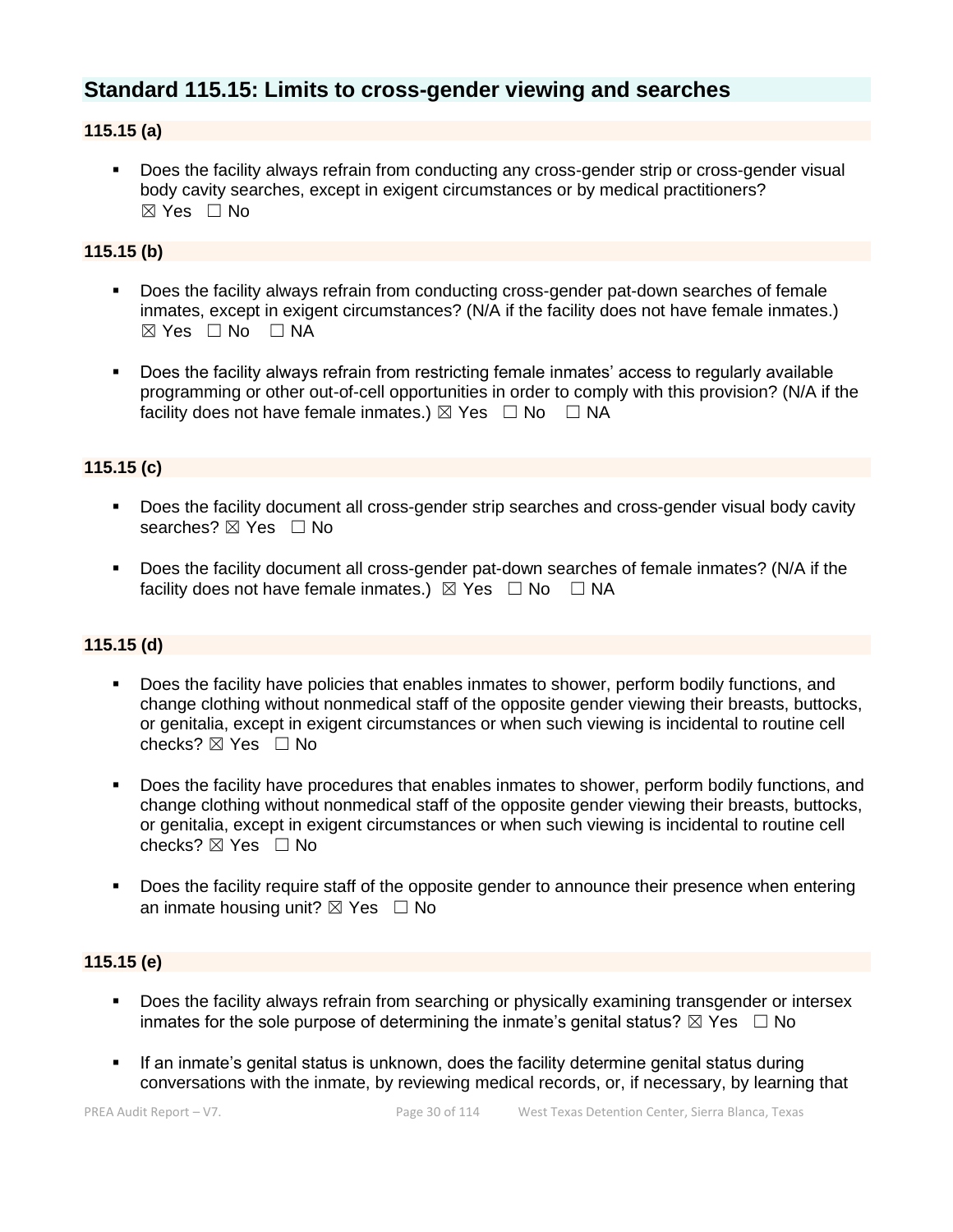# **Standard 115.15: Limits to cross-gender viewing and searches**

### **115.15 (a)**

**•** Does the facility always refrain from conducting any cross-gender strip or cross-gender visual body cavity searches, except in exigent circumstances or by medical practitioners? ☒ Yes ☐ No

#### **115.15 (b)**

- Does the facility always refrain from conducting cross-gender pat-down searches of female inmates, except in exigent circumstances? (N/A if the facility does not have female inmates.)  $\boxtimes$  Yes  $\Box$  No  $\Box$  NA
- Does the facility always refrain from restricting female inmates' access to regularly available programming or other out-of-cell opportunities in order to comply with this provision? (N/A if the facility does not have female inmates.)  $\boxtimes$  Yes  $\Box$  No  $\Box$  NA

### **115.15 (c)**

- Does the facility document all cross-gender strip searches and cross-gender visual body cavity searches?  $⊠$  Yes  $□$  No
- Does the facility document all cross-gender pat-down searches of female inmates? (N/A if the facility does not have female inmates.)  $\boxtimes$  Yes  $\Box$  No  $\Box$  NA

#### **115.15 (d)**

- Does the facility have policies that enables inmates to shower, perform bodily functions, and change clothing without nonmedical staff of the opposite gender viewing their breasts, buttocks, or genitalia, except in exigent circumstances or when such viewing is incidental to routine cell checks?  $\boxtimes$  Yes  $\Box$  No
- Does the facility have procedures that enables inmates to shower, perform bodily functions, and change clothing without nonmedical staff of the opposite gender viewing their breasts, buttocks, or genitalia, except in exigent circumstances or when such viewing is incidental to routine cell checks?  $\boxtimes$  Yes  $\Box$  No
- Does the facility require staff of the opposite gender to announce their presence when entering an inmate housing unit?  $\boxtimes$  Yes  $\Box$  No

#### **115.15 (e)**

- **•** Does the facility always refrain from searching or physically examining transgender or intersex inmates for the sole purpose of determining the inmate's genital status?  $\boxtimes$  Yes  $\Box$  No
- If an inmate's genital status is unknown, does the facility determine genital status during conversations with the inmate, by reviewing medical records, or, if necessary, by learning that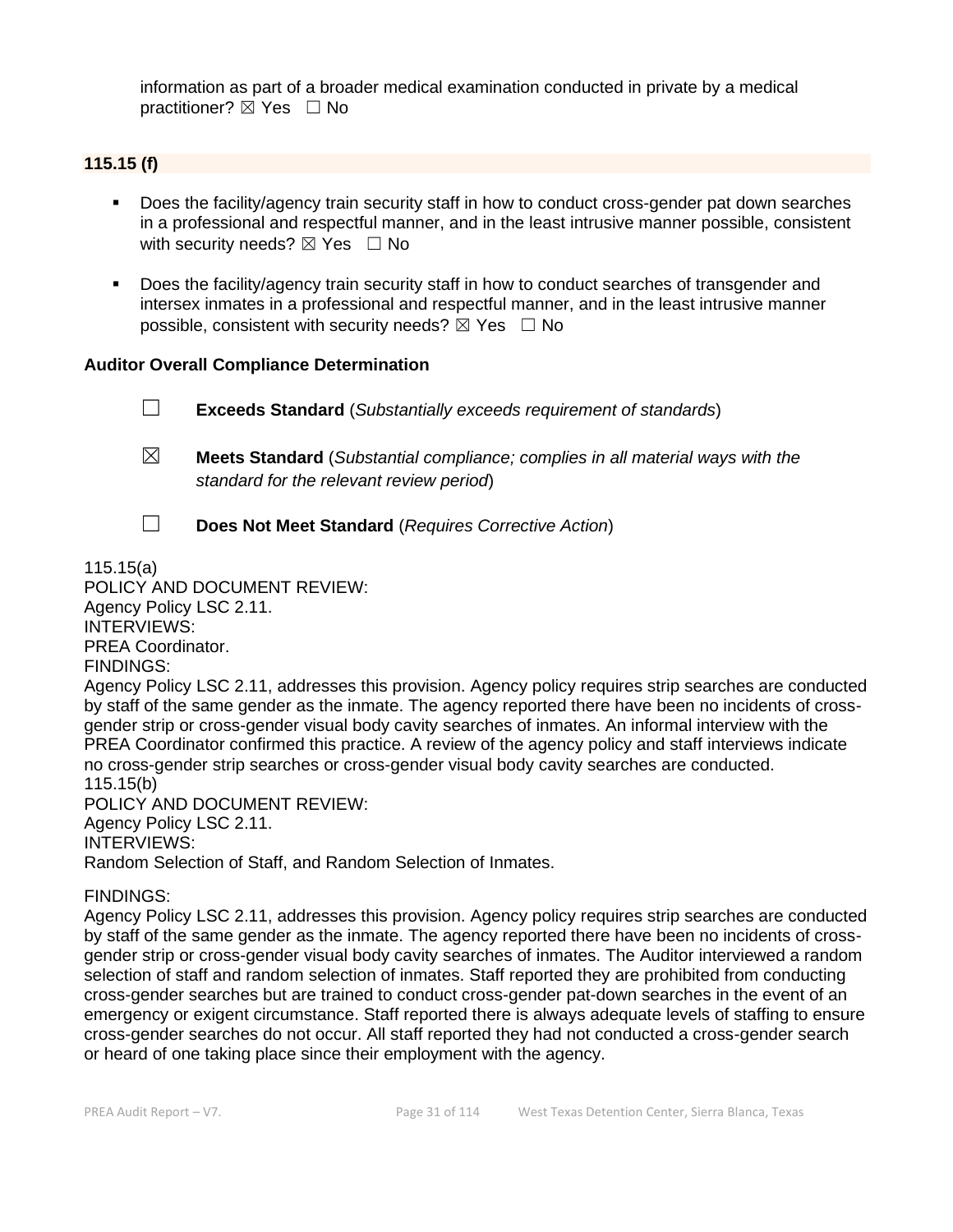information as part of a broader medical examination conducted in private by a medical practitioner? ⊠ Yes □ No

## **115.15 (f)**

- Does the facility/agency train security staff in how to conduct cross-gender pat down searches in a professional and respectful manner, and in the least intrusive manner possible, consistent with security needs?  $\boxtimes$  Yes  $\Box$  No
- Does the facility/agency train security staff in how to conduct searches of transgender and intersex inmates in a professional and respectful manner, and in the least intrusive manner possible, consistent with security needs?  $\boxtimes$  Yes  $\Box$  No

#### **Auditor Overall Compliance Determination**

☐ **Exceeds Standard** (*Substantially exceeds requirement of standards*)

- ☒ **Meets Standard** (*Substantial compliance; complies in all material ways with the standard for the relevant review period*)
- 
- ☐ **Does Not Meet Standard** (*Requires Corrective Action*)

115.15(a) POLICY AND DOCUMENT REVIEW:

Agency Policy LSC 2.11. INTERVIEWS: PREA Coordinator.

FINDINGS:

Agency Policy LSC 2.11, addresses this provision. Agency policy requires strip searches are conducted by staff of the same gender as the inmate. The agency reported there have been no incidents of crossgender strip or cross-gender visual body cavity searches of inmates. An informal interview with the PREA Coordinator confirmed this practice. A review of the agency policy and staff interviews indicate no cross-gender strip searches or cross-gender visual body cavity searches are conducted. 115.15(b)

POLICY AND DOCUMENT REVIEW: Agency Policy LSC 2.11. INTERVIEWS: Random Selection of Staff, and Random Selection of Inmates.

#### FINDINGS:

Agency Policy LSC 2.11, addresses this provision. Agency policy requires strip searches are conducted by staff of the same gender as the inmate. The agency reported there have been no incidents of crossgender strip or cross-gender visual body cavity searches of inmates. The Auditor interviewed a random selection of staff and random selection of inmates. Staff reported they are prohibited from conducting cross-gender searches but are trained to conduct cross-gender pat-down searches in the event of an emergency or exigent circumstance. Staff reported there is always adequate levels of staffing to ensure cross-gender searches do not occur. All staff reported they had not conducted a cross-gender search or heard of one taking place since their employment with the agency.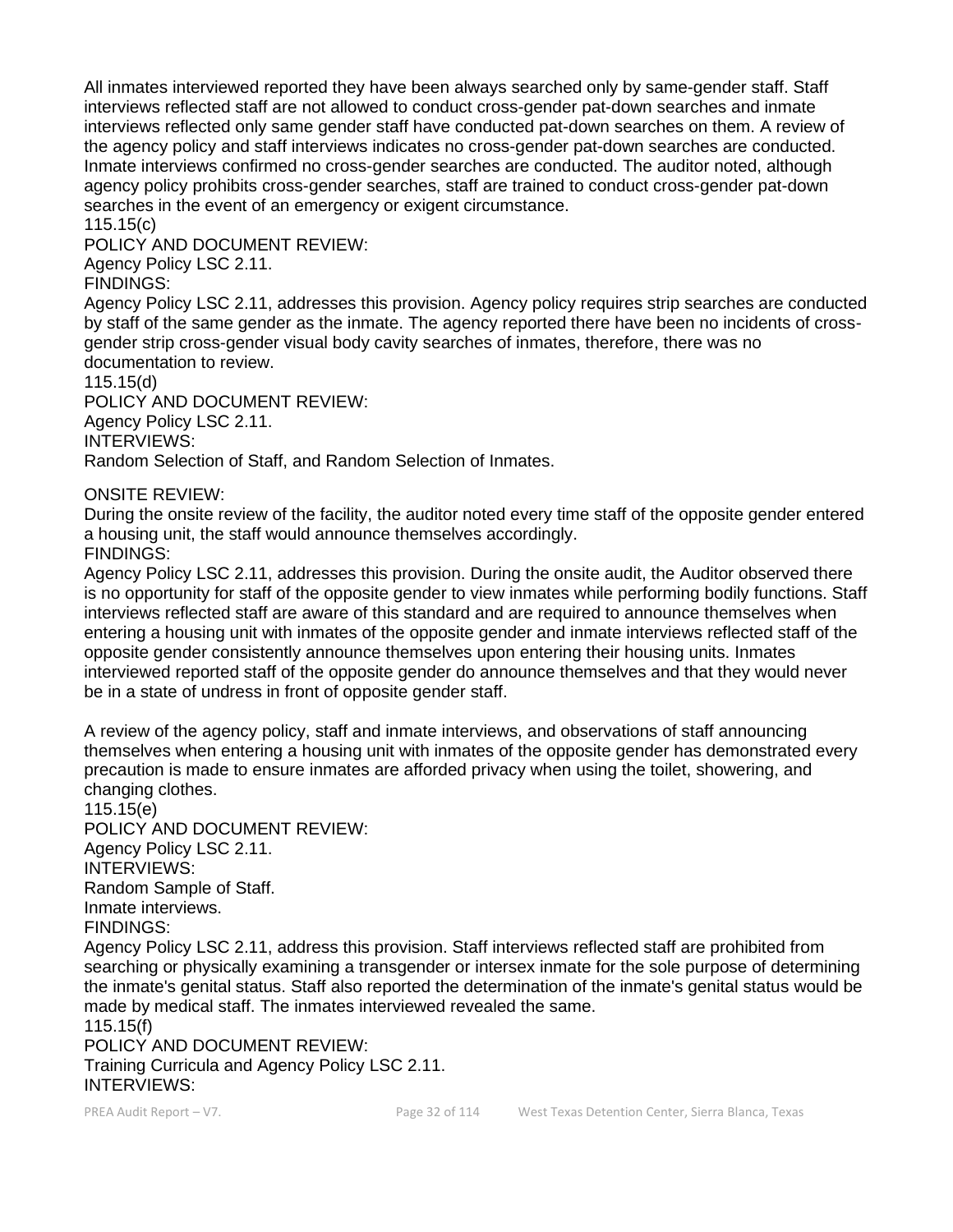All inmates interviewed reported they have been always searched only by same-gender staff. Staff interviews reflected staff are not allowed to conduct cross-gender pat-down searches and inmate interviews reflected only same gender staff have conducted pat-down searches on them. A review of the agency policy and staff interviews indicates no cross-gender pat-down searches are conducted. Inmate interviews confirmed no cross-gender searches are conducted. The auditor noted, although agency policy prohibits cross-gender searches, staff are trained to conduct cross-gender pat-down searches in the event of an emergency or exigent circumstance.

115.15(c)

POLICY AND DOCUMENT REVIEW:

Agency Policy LSC 2.11.

FINDINGS:

Agency Policy LSC 2.11, addresses this provision. Agency policy requires strip searches are conducted by staff of the same gender as the inmate. The agency reported there have been no incidents of crossgender strip cross-gender visual body cavity searches of inmates, therefore, there was no documentation to review.

115.15(d)

POLICY AND DOCUMENT REVIEW: Agency Policy LSC 2.11. INTERVIEWS: Random Selection of Staff, and Random Selection of Inmates.

ONSITE REVIEW:

During the onsite review of the facility, the auditor noted every time staff of the opposite gender entered a housing unit, the staff would announce themselves accordingly. FINDINGS:

Agency Policy LSC 2.11, addresses this provision. During the onsite audit, the Auditor observed there is no opportunity for staff of the opposite gender to view inmates while performing bodily functions. Staff interviews reflected staff are aware of this standard and are required to announce themselves when entering a housing unit with inmates of the opposite gender and inmate interviews reflected staff of the opposite gender consistently announce themselves upon entering their housing units. Inmates interviewed reported staff of the opposite gender do announce themselves and that they would never be in a state of undress in front of opposite gender staff.

A review of the agency policy, staff and inmate interviews, and observations of staff announcing themselves when entering a housing unit with inmates of the opposite gender has demonstrated every precaution is made to ensure inmates are afforded privacy when using the toilet, showering, and changing clothes.

115.15(e) POLICY AND DOCUMENT REVIEW: Agency Policy LSC 2.11. INTERVIEWS: Random Sample of Staff. Inmate interviews. FINDINGS:

Agency Policy LSC 2.11, address this provision. Staff interviews reflected staff are prohibited from searching or physically examining a transgender or intersex inmate for the sole purpose of determining the inmate's genital status. Staff also reported the determination of the inmate's genital status would be made by medical staff. The inmates interviewed revealed the same.

115.15(f) POLICY AND DOCUMENT REVIEW: Training Curricula and Agency Policy LSC 2.11. INTERVIEWS: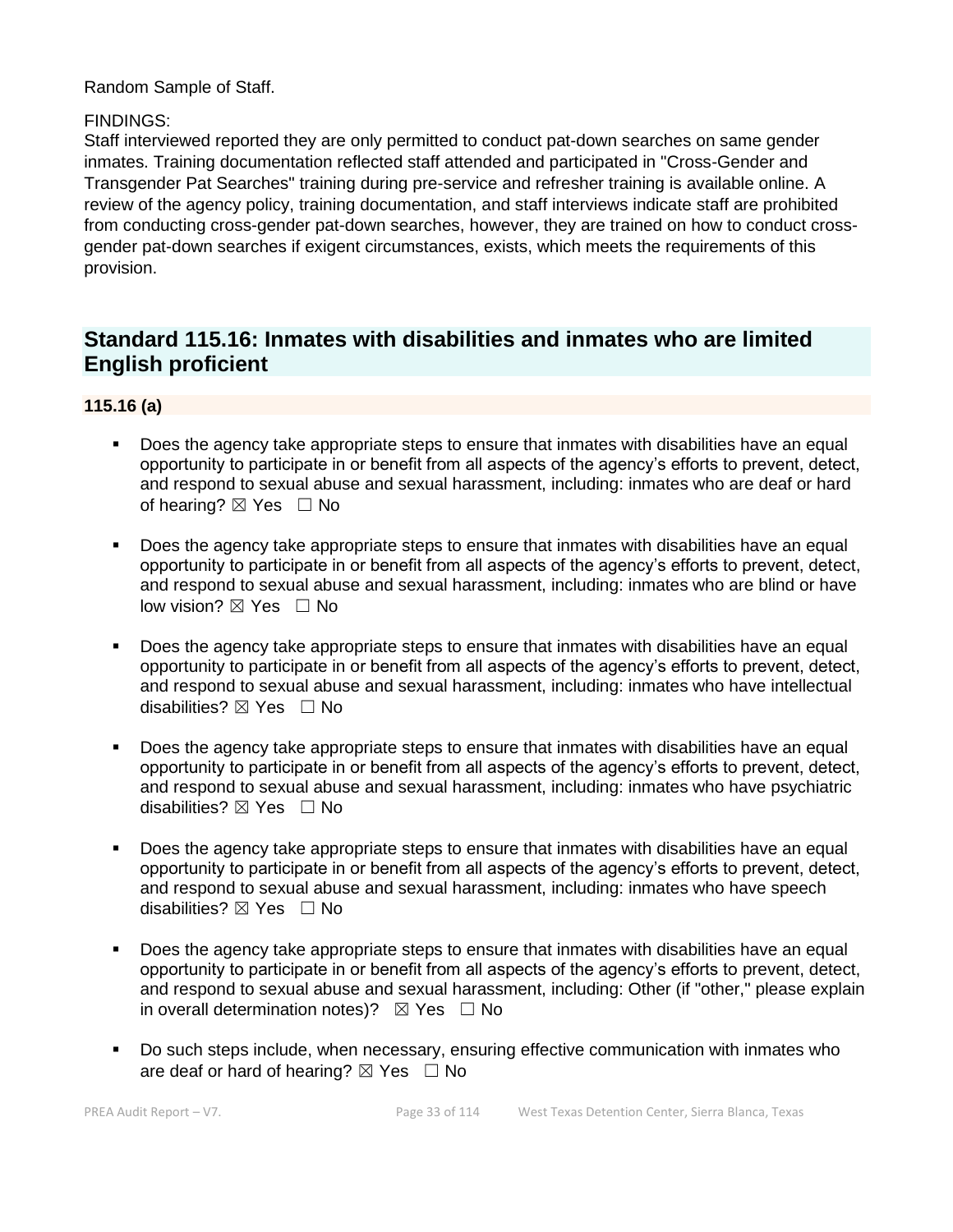Random Sample of Staff.

#### FINDINGS:

Staff interviewed reported they are only permitted to conduct pat-down searches on same gender inmates. Training documentation reflected staff attended and participated in "Cross-Gender and Transgender Pat Searches" training during pre-service and refresher training is available online. A review of the agency policy, training documentation, and staff interviews indicate staff are prohibited from conducting cross-gender pat-down searches, however, they are trained on how to conduct crossgender pat-down searches if exigent circumstances, exists, which meets the requirements of this provision.

## **Standard 115.16: Inmates with disabilities and inmates who are limited English proficient**

#### **115.16 (a)**

- Does the agency take appropriate steps to ensure that inmates with disabilities have an equal opportunity to participate in or benefit from all aspects of the agency's efforts to prevent, detect, and respond to sexual abuse and sexual harassment, including: inmates who are deaf or hard of hearing?  $\boxtimes$  Yes  $\Box$  No
- Does the agency take appropriate steps to ensure that inmates with disabilities have an equal opportunity to participate in or benefit from all aspects of the agency's efforts to prevent, detect, and respond to sexual abuse and sexual harassment, including: inmates who are blind or have low vision? ⊠ Yes □ No
- Does the agency take appropriate steps to ensure that inmates with disabilities have an equal opportunity to participate in or benefit from all aspects of the agency's efforts to prevent, detect, and respond to sexual abuse and sexual harassment, including: inmates who have intellectual disabilities?  $\boxtimes$  Yes  $\Box$  No
- Does the agency take appropriate steps to ensure that inmates with disabilities have an equal opportunity to participate in or benefit from all aspects of the agency's efforts to prevent, detect, and respond to sexual abuse and sexual harassment, including: inmates who have psychiatric disabilities? ⊠ Yes □ No
- Does the agency take appropriate steps to ensure that inmates with disabilities have an equal opportunity to participate in or benefit from all aspects of the agency's efforts to prevent, detect, and respond to sexual abuse and sexual harassment, including: inmates who have speech disabilities?  $\boxtimes$  Yes  $\Box$  No
- Does the agency take appropriate steps to ensure that inmates with disabilities have an equal opportunity to participate in or benefit from all aspects of the agency's efforts to prevent, detect, and respond to sexual abuse and sexual harassment, including: Other (if "other," please explain in overall determination notes)?  $\boxtimes$  Yes  $\Box$  No
- Do such steps include, when necessary, ensuring effective communication with inmates who are deaf or hard of hearing?  $\boxtimes$  Yes  $\Box$  No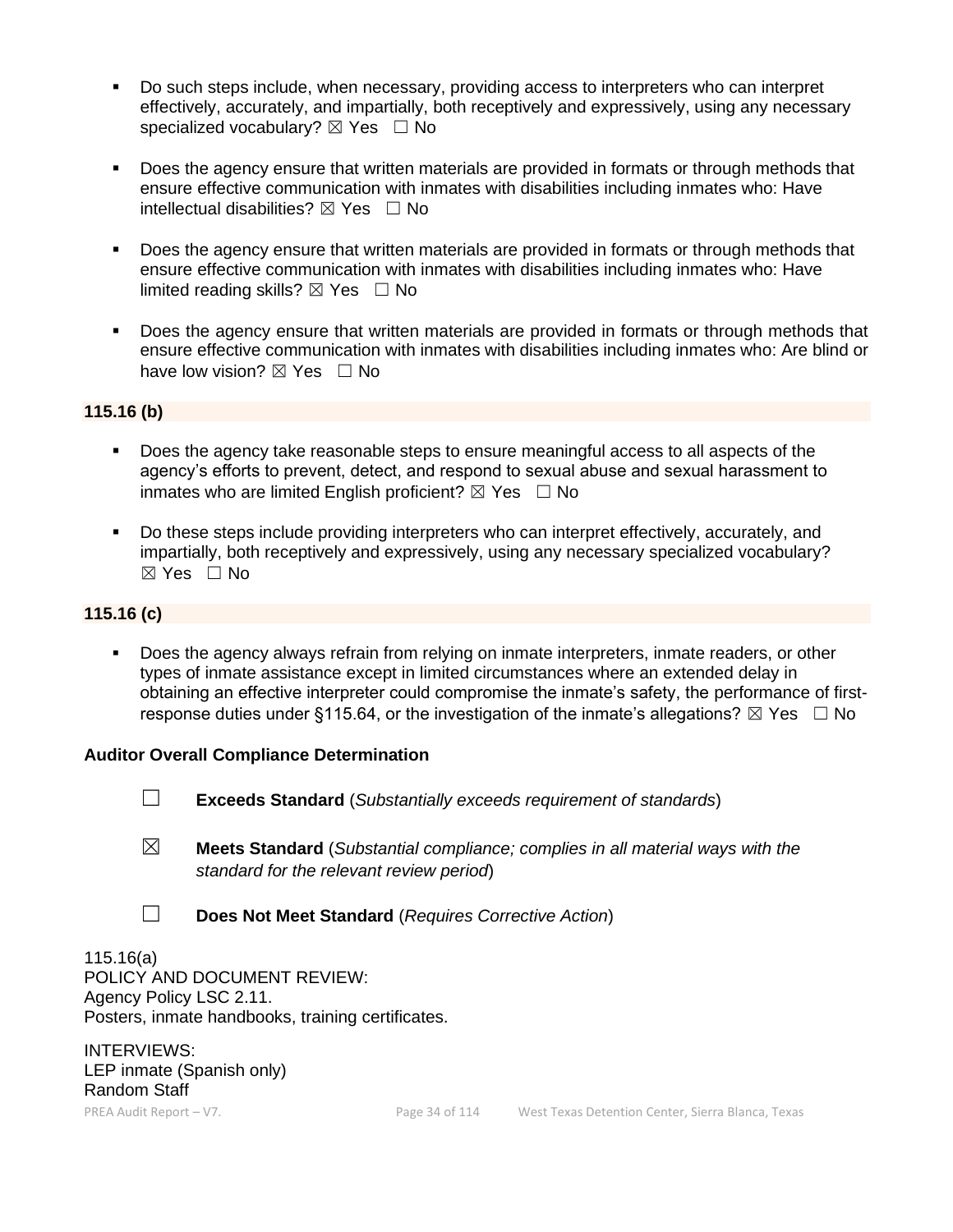- Do such steps include, when necessary, providing access to interpreters who can interpret effectively, accurately, and impartially, both receptively and expressively, using any necessary specialized vocabulary?  $\boxtimes$  Yes  $\Box$  No
- Does the agency ensure that written materials are provided in formats or through methods that ensure effective communication with inmates with disabilities including inmates who: Have intellectual disabilities?  $\boxtimes$  Yes  $\Box$  No
- Does the agency ensure that written materials are provided in formats or through methods that ensure effective communication with inmates with disabilities including inmates who: Have limited reading skills?  $\boxtimes$  Yes  $\Box$  No
- **•** Does the agency ensure that written materials are provided in formats or through methods that ensure effective communication with inmates with disabilities including inmates who: Are blind or have low vision?  $\boxtimes$  Yes  $\Box$  No

#### **115.16 (b)**

- Does the agency take reasonable steps to ensure meaningful access to all aspects of the agency's efforts to prevent, detect, and respond to sexual abuse and sexual harassment to inmates who are limited English proficient?  $\boxtimes$  Yes  $\Box$  No
- Do these steps include providing interpreters who can interpret effectively, accurately, and impartially, both receptively and expressively, using any necessary specialized vocabulary? ☒ Yes ☐ No

#### **115.16 (c)**

Does the agency always refrain from relying on inmate interpreters, inmate readers, or other types of inmate assistance except in limited circumstances where an extended delay in obtaining an effective interpreter could compromise the inmate's safety, the performance of firstresponse duties under §115.64, or the investigation of the inmate's allegations?  $\boxtimes$  Yes  $\Box$  No

#### **Auditor Overall Compliance Determination**

- ☐ **Exceeds Standard** (*Substantially exceeds requirement of standards*)
- ☒ **Meets Standard** (*Substantial compliance; complies in all material ways with the standard for the relevant review period*)
- ☐ **Does Not Meet Standard** (*Requires Corrective Action*)

115.16(a) POLICY AND DOCUMENT REVIEW: Agency Policy LSC 2.11. Posters, inmate handbooks, training certificates.

INTERVIEWS: LEP inmate (Spanish only) Random Staff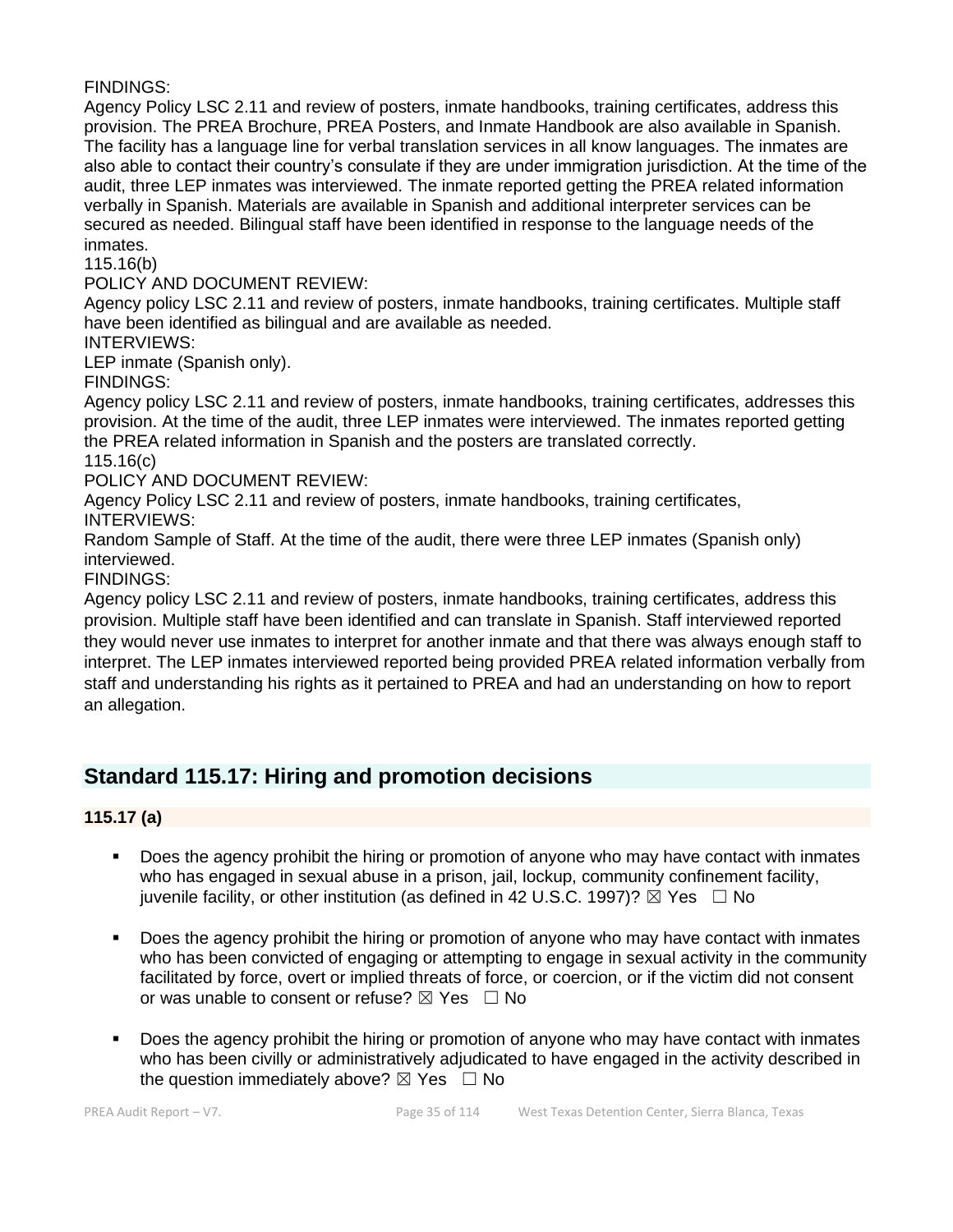FINDINGS:

Agency Policy LSC 2.11 and review of posters, inmate handbooks, training certificates, address this provision. The PREA Brochure, PREA Posters, and Inmate Handbook are also available in Spanish. The facility has a language line for verbal translation services in all know languages. The inmates are also able to contact their country's consulate if they are under immigration jurisdiction. At the time of the audit, three LEP inmates was interviewed. The inmate reported getting the PREA related information verbally in Spanish. Materials are available in Spanish and additional interpreter services can be secured as needed. Bilingual staff have been identified in response to the language needs of the inmates.

115.16(b)

POLICY AND DOCUMENT REVIEW:

Agency policy LSC 2.11 and review of posters, inmate handbooks, training certificates. Multiple staff have been identified as bilingual and are available as needed.

INTERVIEWS:

LEP inmate (Spanish only).

FINDINGS:

Agency policy LSC 2.11 and review of posters, inmate handbooks, training certificates, addresses this provision. At the time of the audit, three LEP inmates were interviewed. The inmates reported getting the PREA related information in Spanish and the posters are translated correctly.

115.16(c)

POLICY AND DOCUMENT REVIEW:

Agency Policy LSC 2.11 and review of posters, inmate handbooks, training certificates, INTERVIEWS:

Random Sample of Staff. At the time of the audit, there were three LEP inmates (Spanish only) interviewed.

FINDINGS:

Agency policy LSC 2.11 and review of posters, inmate handbooks, training certificates, address this provision. Multiple staff have been identified and can translate in Spanish. Staff interviewed reported they would never use inmates to interpret for another inmate and that there was always enough staff to interpret. The LEP inmates interviewed reported being provided PREA related information verbally from staff and understanding his rights as it pertained to PREA and had an understanding on how to report an allegation.

## **Standard 115.17: Hiring and promotion decisions**

**115.17 (a)**

- Does the agency prohibit the hiring or promotion of anyone who may have contact with inmates who has engaged in sexual abuse in a prison, jail, lockup, community confinement facility, juvenile facility, or other institution (as defined in 42 U.S.C. 1997)?  $\boxtimes$  Yes  $\Box$  No
- **•** Does the agency prohibit the hiring or promotion of anyone who may have contact with inmates who has been convicted of engaging or attempting to engage in sexual activity in the community facilitated by force, overt or implied threats of force, or coercion, or if the victim did not consent or was unable to consent or refuse?  $\boxtimes$  Yes  $\Box$  No
- Does the agency prohibit the hiring or promotion of anyone who may have contact with inmates who has been civilly or administratively adjudicated to have engaged in the activity described in the question immediately above?  $\boxtimes$  Yes  $\Box$  No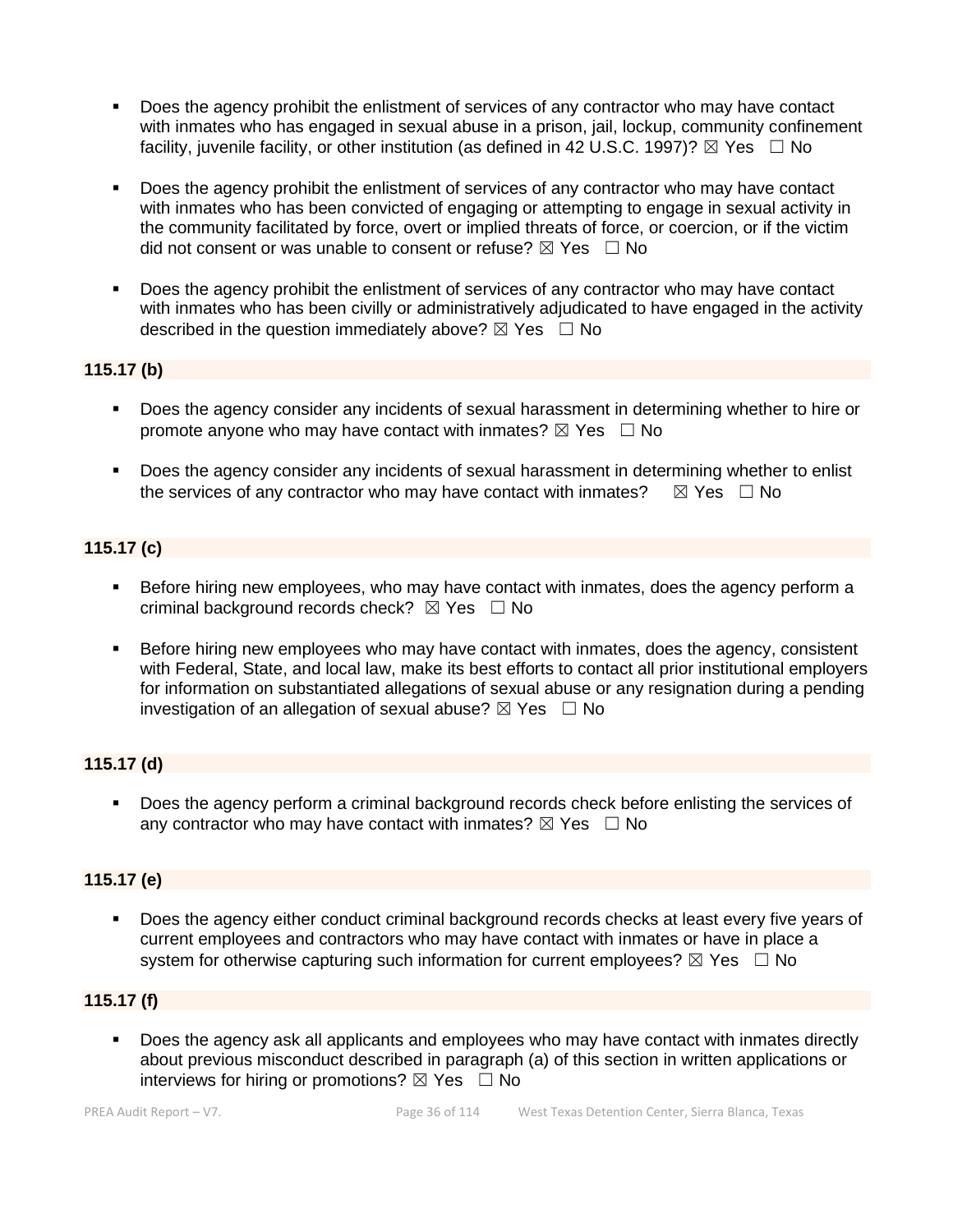- Does the agency prohibit the enlistment of services of any contractor who may have contact with inmates who has engaged in sexual abuse in a prison, jail, lockup, community confinement facility, juvenile facility, or other institution (as defined in 42 U.S.C. 1997)?  $\boxtimes$  Yes  $\Box$  No
- Does the agency prohibit the enlistment of services of any contractor who may have contact with inmates who has been convicted of engaging or attempting to engage in sexual activity in the community facilitated by force, overt or implied threats of force, or coercion, or if the victim did not consent or was unable to consent or refuse?  $\boxtimes$  Yes  $\Box$  No
- Does the agency prohibit the enlistment of services of any contractor who may have contact with inmates who has been civilly or administratively adjudicated to have engaged in the activity described in the question immediately above?  $\boxtimes$  Yes  $\Box$  No

#### **115.17 (b)**

- Does the agency consider any incidents of sexual harassment in determining whether to hire or promote anyone who may have contact with inmates?  $\boxtimes$  Yes  $\Box$  No
- **Does the agency consider any incidents of sexual harassment in determining whether to enlist** the services of any contractor who may have contact with inmates?  $\boxtimes$  Yes  $\Box$  No

#### **115.17 (c)**

- Before hiring new employees, who may have contact with inmates, does the agency perform a criminal background records check?  $\boxtimes$  Yes  $\Box$  No
- Before hiring new employees who may have contact with inmates, does the agency, consistent with Federal, State, and local law, make its best efforts to contact all prior institutional employers for information on substantiated allegations of sexual abuse or any resignation during a pending investigation of an allegation of sexual abuse?  $\boxtimes$  Yes  $\Box$  No

#### **115.17 (d)**

■ Does the agency perform a criminal background records check before enlisting the services of any contractor who may have contact with inmates?  $\boxtimes$  Yes  $\Box$  No

#### **115.17 (e)**

▪ Does the agency either conduct criminal background records checks at least every five years of current employees and contractors who may have contact with inmates or have in place a system for otherwise capturing such information for current employees?  $\boxtimes$  Yes  $\Box$  No

#### **115.17 (f)**

Does the agency ask all applicants and employees who may have contact with inmates directly about previous misconduct described in paragraph (a) of this section in written applications or interviews for hiring or promotions?  $\boxtimes$  Yes  $\Box$  No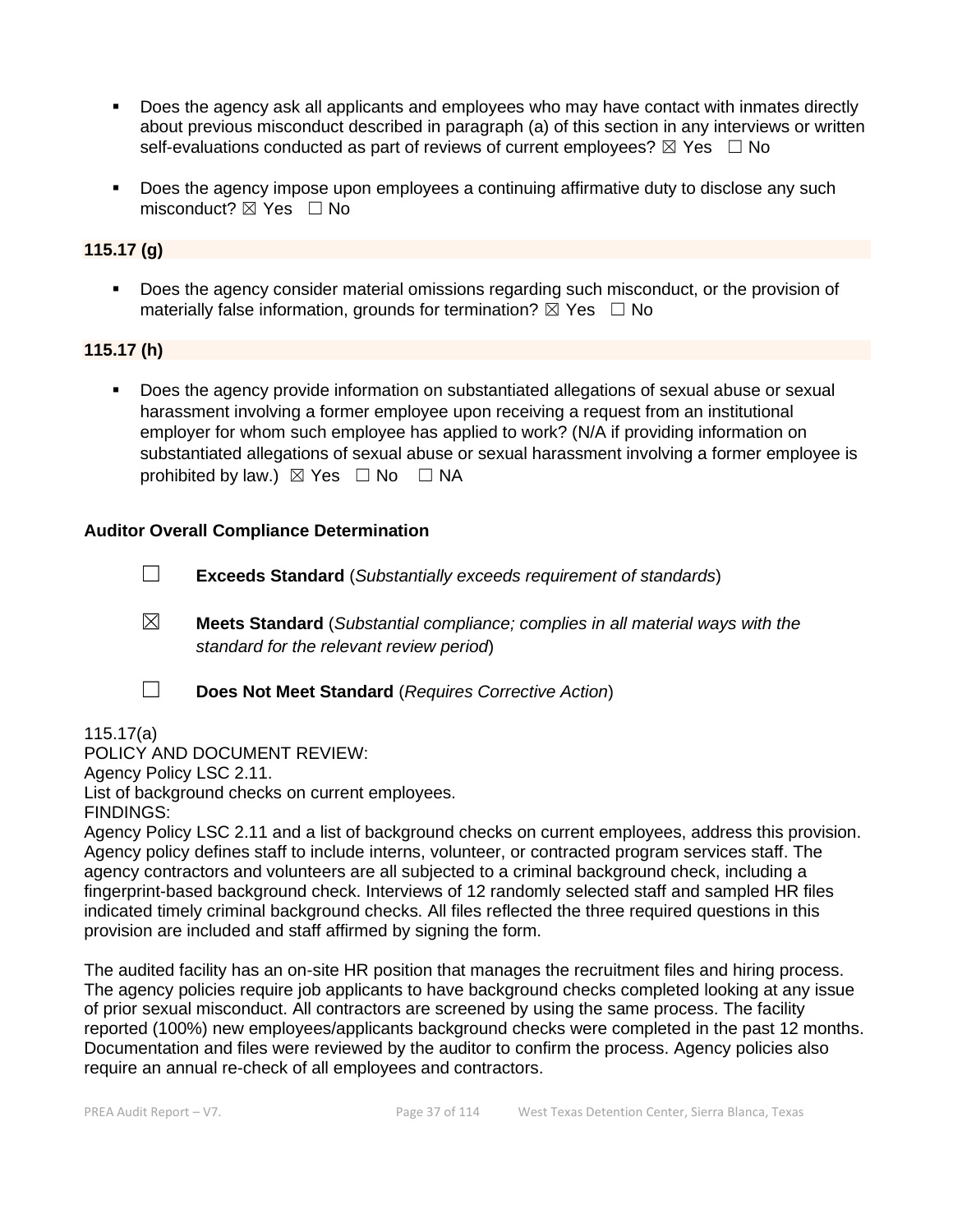- Does the agency ask all applicants and employees who may have contact with inmates directly about previous misconduct described in paragraph (a) of this section in any interviews or written self-evaluations conducted as part of reviews of current employees?  $\boxtimes$  Yes  $\Box$  No
- Does the agency impose upon employees a continuing affirmative duty to disclose any such misconduct?  $\boxtimes$  Yes  $\Box$  No

#### **115.17 (g)**

Does the agency consider material omissions regarding such misconduct, or the provision of materially false information, grounds for termination?  $\boxtimes$  Yes  $\Box$  No

#### **115.17 (h)**

Does the agency provide information on substantiated allegations of sexual abuse or sexual harassment involving a former employee upon receiving a request from an institutional employer for whom such employee has applied to work? (N/A if providing information on substantiated allegations of sexual abuse or sexual harassment involving a former employee is prohibited by law.)  $\boxtimes$  Yes  $\Box$  No  $\Box$  NA

#### **Auditor Overall Compliance Determination**

☐ **Exceeds Standard** (*Substantially exceeds requirement of standards*)

- ☒ **Meets Standard** (*Substantial compliance; complies in all material ways with the standard for the relevant review period*)
- 

☐ **Does Not Meet Standard** (*Requires Corrective Action*)

115.17(a) POLICY AND DOCUMENT REVIEW: Agency Policy LSC 2.11. List of background checks on current employees. FINDINGS:

Agency Policy LSC 2.11 and a list of background checks on current employees, address this provision. Agency policy defines staff to include interns, volunteer, or contracted program services staff. The agency contractors and volunteers are all subjected to a criminal background check, including a fingerprint-based background check. Interviews of 12 randomly selected staff and sampled HR files indicated timely criminal background checks. All files reflected the three required questions in this provision are included and staff affirmed by signing the form.

The audited facility has an on-site HR position that manages the recruitment files and hiring process. The agency policies require job applicants to have background checks completed looking at any issue of prior sexual misconduct. All contractors are screened by using the same process. The facility reported (100%) new employees/applicants background checks were completed in the past 12 months. Documentation and files were reviewed by the auditor to confirm the process. Agency policies also require an annual re-check of all employees and contractors.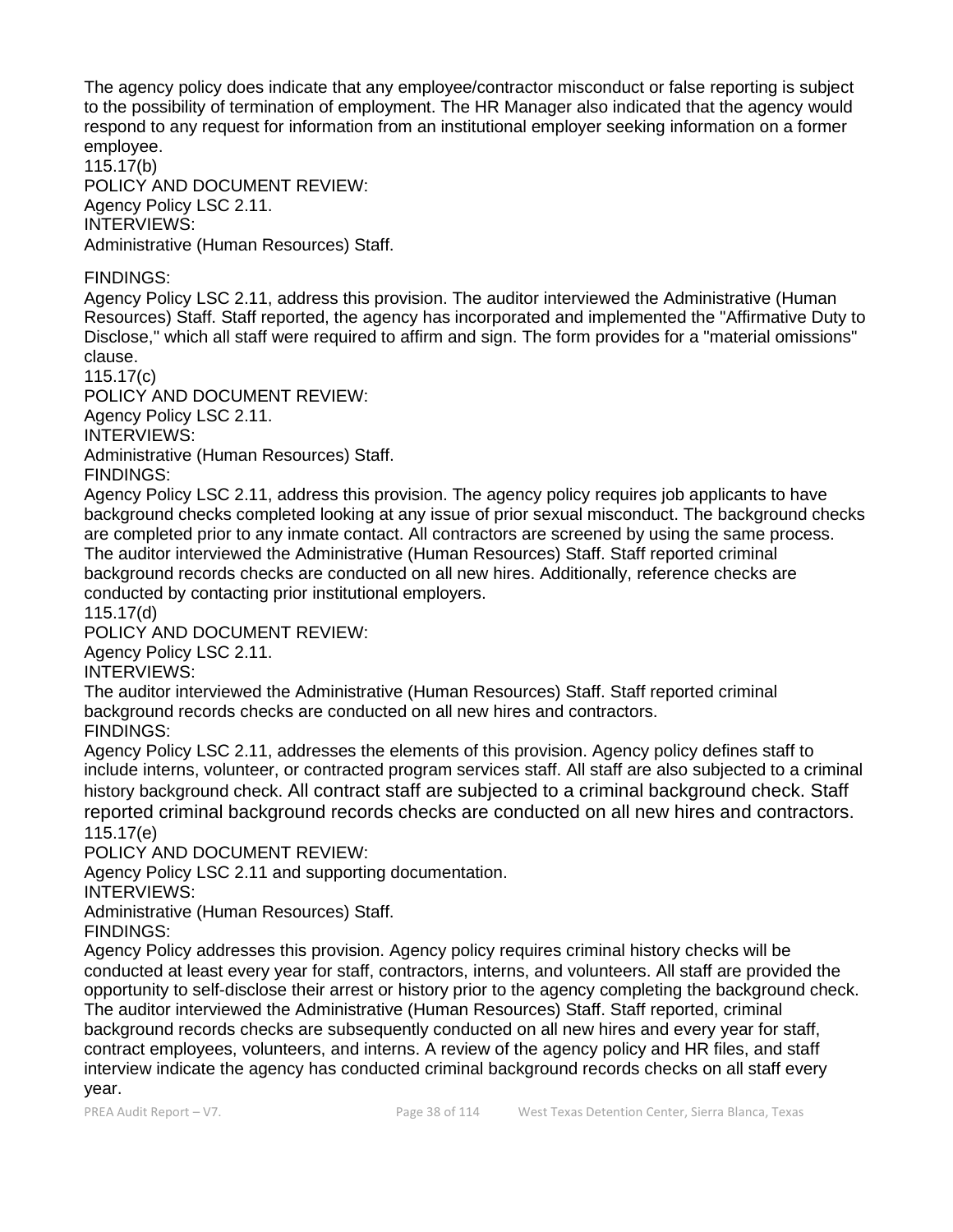The agency policy does indicate that any employee/contractor misconduct or false reporting is subject to the possibility of termination of employment. The HR Manager also indicated that the agency would respond to any request for information from an institutional employer seeking information on a former employee.

115.17(b) POLICY AND DOCUMENT REVIEW: Agency Policy LSC 2.11. INTERVIEWS: Administrative (Human Resources) Staff.

## FINDINGS:

Agency Policy LSC 2.11, address this provision. The auditor interviewed the Administrative (Human Resources) Staff. Staff reported, the agency has incorporated and implemented the "Affirmative Duty to Disclose," which all staff were required to affirm and sign. The form provides for a "material omissions" clause.

115.17(c)

POLICY AND DOCUMENT REVIEW: Agency Policy LSC 2.11. INTERVIEWS: Administrative (Human Resources) Staff.

FINDINGS:

Agency Policy LSC 2.11, address this provision. The agency policy requires job applicants to have background checks completed looking at any issue of prior sexual misconduct. The background checks are completed prior to any inmate contact. All contractors are screened by using the same process. The auditor interviewed the Administrative (Human Resources) Staff. Staff reported criminal background records checks are conducted on all new hires. Additionally, reference checks are conducted by contacting prior institutional employers.

115.17(d)

POLICY AND DOCUMENT REVIEW:

Agency Policy LSC 2.11.

INTERVIEWS:

The auditor interviewed the Administrative (Human Resources) Staff. Staff reported criminal background records checks are conducted on all new hires and contractors.

FINDINGS:

Agency Policy LSC 2.11, addresses the elements of this provision. Agency policy defines staff to include interns, volunteer, or contracted program services staff. All staff are also subjected to a criminal history background check. All contract staff are subjected to a criminal background check. Staff reported criminal background records checks are conducted on all new hires and contractors. 115.17(e)

POLICY AND DOCUMENT REVIEW:

Agency Policy LSC 2.11 and supporting documentation.

INTERVIEWS:

Administrative (Human Resources) Staff.

FINDINGS:

Agency Policy addresses this provision. Agency policy requires criminal history checks will be conducted at least every year for staff, contractors, interns, and volunteers. All staff are provided the opportunity to self-disclose their arrest or history prior to the agency completing the background check. The auditor interviewed the Administrative (Human Resources) Staff. Staff reported, criminal background records checks are subsequently conducted on all new hires and every year for staff, contract employees, volunteers, and interns. A review of the agency policy and HR files, and staff interview indicate the agency has conducted criminal background records checks on all staff every year.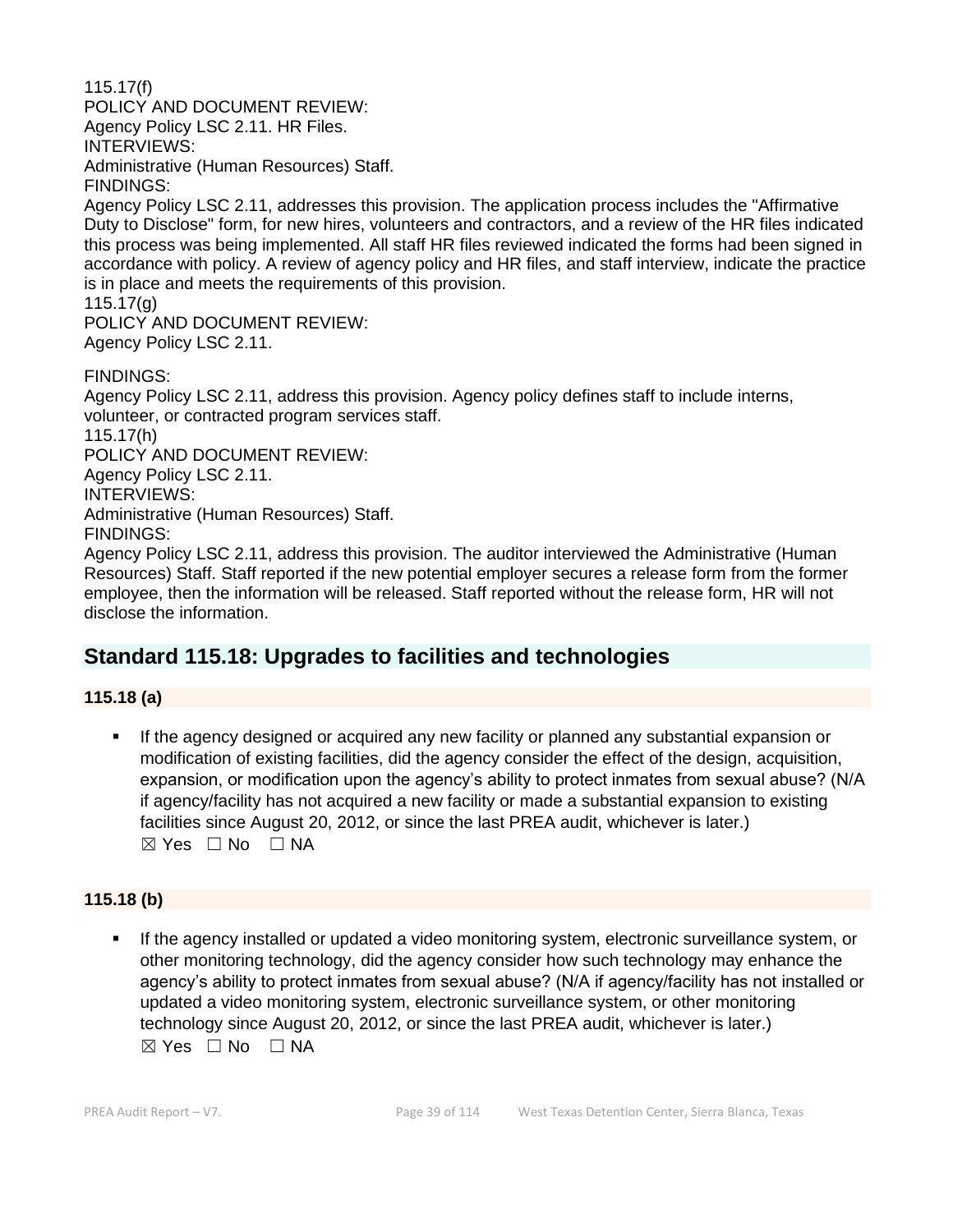115.17(f) POLICY AND DOCUMENT REVIEW: Agency Policy LSC 2.11. HR Files. INTERVIEWS: Administrative (Human Resources) Staff. FINDINGS:

Agency Policy LSC 2.11, addresses this provision. The application process includes the "Affirmative Duty to Disclose" form, for new hires, volunteers and contractors, and a review of the HR files indicated this process was being implemented. All staff HR files reviewed indicated the forms had been signed in accordance with policy. A review of agency policy and HR files, and staff interview, indicate the practice is in place and meets the requirements of this provision.

115.17(g)

POLICY AND DOCUMENT REVIEW: Agency Policy LSC 2.11.

FINDINGS:

Agency Policy LSC 2.11, address this provision. Agency policy defines staff to include interns, volunteer, or contracted program services staff. 115.17(h) POLICY AND DOCUMENT REVIEW: Agency Policy LSC 2.11. INTERVIEWS: Administrative (Human Resources) Staff. FINDINGS:

Agency Policy LSC 2.11, address this provision. The auditor interviewed the Administrative (Human Resources) Staff. Staff reported if the new potential employer secures a release form from the former employee, then the information will be released. Staff reported without the release form, HR will not disclose the information.

# **Standard 115.18: Upgrades to facilities and technologies**

**115.18 (a)**

If the agency designed or acquired any new facility or planned any substantial expansion or modification of existing facilities, did the agency consider the effect of the design, acquisition, expansion, or modification upon the agency's ability to protect inmates from sexual abuse? (N/A if agency/facility has not acquired a new facility or made a substantial expansion to existing facilities since August 20, 2012, or since the last PREA audit, whichever is later.)  $\boxtimes$  Yes  $\Box$  No  $\Box$  NA

## **115.18 (b)**

If the agency installed or updated a video monitoring system, electronic surveillance system, or other monitoring technology, did the agency consider how such technology may enhance the agency's ability to protect inmates from sexual abuse? (N/A if agency/facility has not installed or updated a video monitoring system, electronic surveillance system, or other monitoring technology since August 20, 2012, or since the last PREA audit, whichever is later.) ☒ Yes ☐ No ☐ NA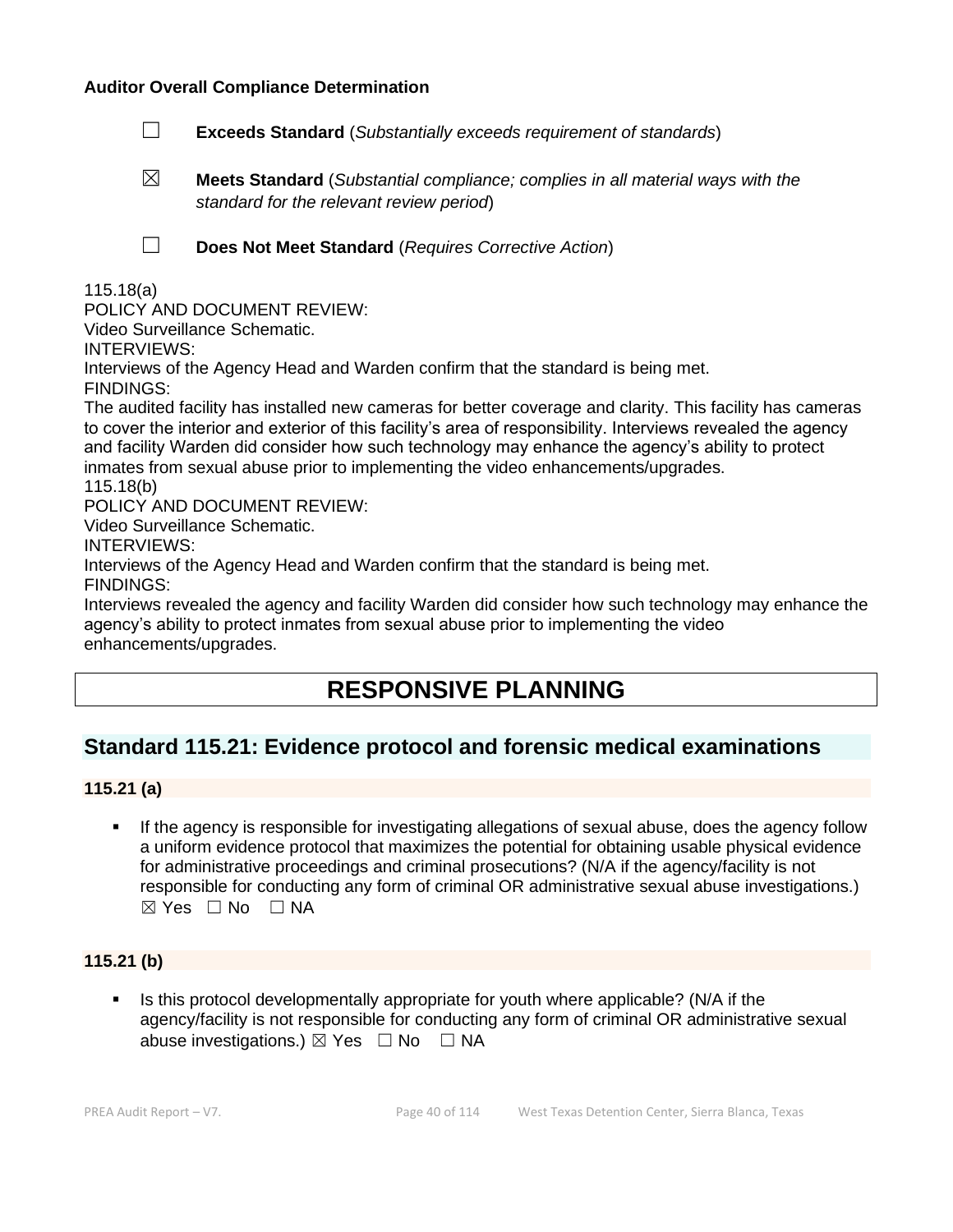#### **Auditor Overall Compliance Determination**

- ☐ **Exceeds Standard** (*Substantially exceeds requirement of standards*)
- ☒ **Meets Standard** (*Substantial compliance; complies in all material ways with the standard for the relevant review period*)

☐ **Does Not Meet Standard** (*Requires Corrective Action*)

115.18(a)

POLICY AND DOCUMENT REVIEW:

Video Surveillance Schematic.

INTERVIEWS:

Interviews of the Agency Head and Warden confirm that the standard is being met.

FINDINGS:

The audited facility has installed new cameras for better coverage and clarity. This facility has cameras to cover the interior and exterior of this facility's area of responsibility. Interviews revealed the agency and facility Warden did consider how such technology may enhance the agency's ability to protect inmates from sexual abuse prior to implementing the video enhancements/upgrades. 115.18(b)

POLICY AND DOCUMENT REVIEW:

Video Surveillance Schematic.

INTERVIEWS:

Interviews of the Agency Head and Warden confirm that the standard is being met. FINDINGS:

Interviews revealed the agency and facility Warden did consider how such technology may enhance the agency's ability to protect inmates from sexual abuse prior to implementing the video enhancements/upgrades.

# **RESPONSIVE PLANNING**

## **Standard 115.21: Evidence protocol and forensic medical examinations**

## **115.21 (a)**

If the agency is responsible for investigating allegations of sexual abuse, does the agency follow a uniform evidence protocol that maximizes the potential for obtaining usable physical evidence for administrative proceedings and criminal prosecutions? (N/A if the agency/facility is not responsible for conducting any form of criminal OR administrative sexual abuse investigations.) ☒ Yes ☐ No ☐ NA

## **115.21 (b)**

Is this protocol developmentally appropriate for youth where applicable? (N/A if the agency/facility is not responsible for conducting any form of criminal OR administrative sexual abuse investigations.)  $\boxtimes$  Yes  $\Box$  No  $\Box$  NA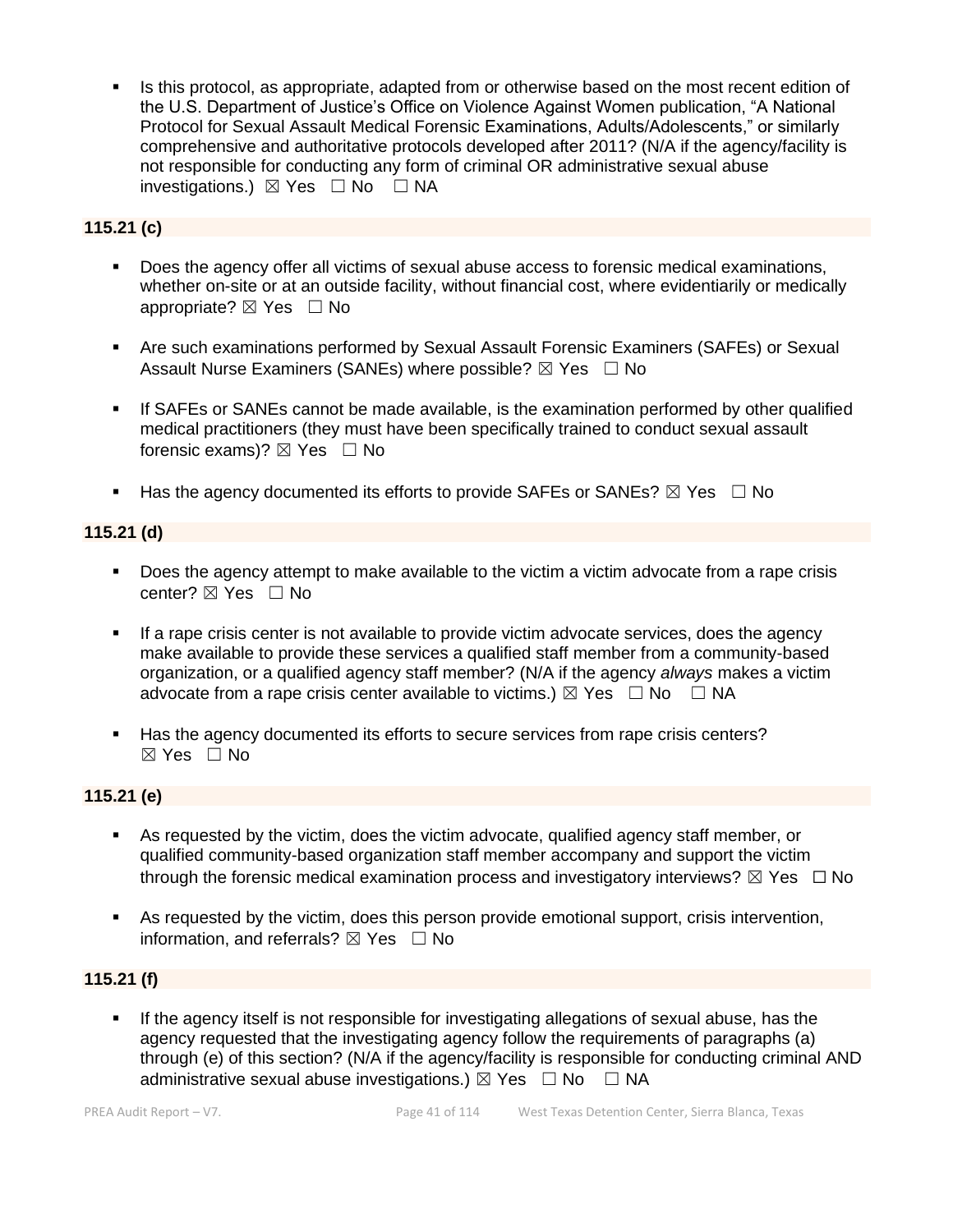Is this protocol, as appropriate, adapted from or otherwise based on the most recent edition of the U.S. Department of Justice's Office on Violence Against Women publication, "A National Protocol for Sexual Assault Medical Forensic Examinations, Adults/Adolescents," or similarly comprehensive and authoritative protocols developed after 2011? (N/A if the agency/facility is not responsible for conducting any form of criminal OR administrative sexual abuse investigations.)  $\boxtimes$  Yes  $\Box$  No  $\Box$  NA

## **115.21 (c)**

- Does the agency offer all victims of sexual abuse access to forensic medical examinations, whether on-site or at an outside facility, without financial cost, where evidentiarily or medically appropriate?  $\boxtimes$  Yes  $\Box$  No
- Are such examinations performed by Sexual Assault Forensic Examiners (SAFEs) or Sexual Assault Nurse Examiners (SANEs) where possible?  $\boxtimes$  Yes  $\Box$  No
- **.** If SAFEs or SANEs cannot be made available, is the examination performed by other qualified medical practitioners (they must have been specifically trained to conduct sexual assault forensic exams)?  $\boxtimes$  Yes  $\Box$  No
- **■** Has the agency documented its efforts to provide SAFEs or SANEs?  $\boxtimes$  Yes  $\Box$  No

## **115.21 (d)**

- **•** Does the agency attempt to make available to the victim a victim advocate from a rape crisis center? ⊠ Yes □ No
- **.** If a rape crisis center is not available to provide victim advocate services, does the agency make available to provide these services a qualified staff member from a community-based organization, or a qualified agency staff member? (N/A if the agency *always* makes a victim advocate from a rape crisis center available to victims.)  $\boxtimes$  Yes  $\Box$  No  $\Box$  NA
- Has the agency documented its efforts to secure services from rape crisis centers?  $\boxtimes$  Yes  $\Box$  No

## **115.21 (e)**

- As requested by the victim, does the victim advocate, qualified agency staff member, or qualified community-based organization staff member accompany and support the victim through the forensic medical examination process and investigatory interviews?  $\boxtimes$  Yes  $\Box$  No
- As requested by the victim, does this person provide emotional support, crisis intervention, information, and referrals?  $\boxtimes$  Yes  $\Box$  No

## **115.21 (f)**

If the agency itself is not responsible for investigating allegations of sexual abuse, has the agency requested that the investigating agency follow the requirements of paragraphs (a) through (e) of this section? (N/A if the agency/facility is responsible for conducting criminal AND administrative sexual abuse investigations.)  $\boxtimes$  Yes  $\Box$  No  $\Box$  NA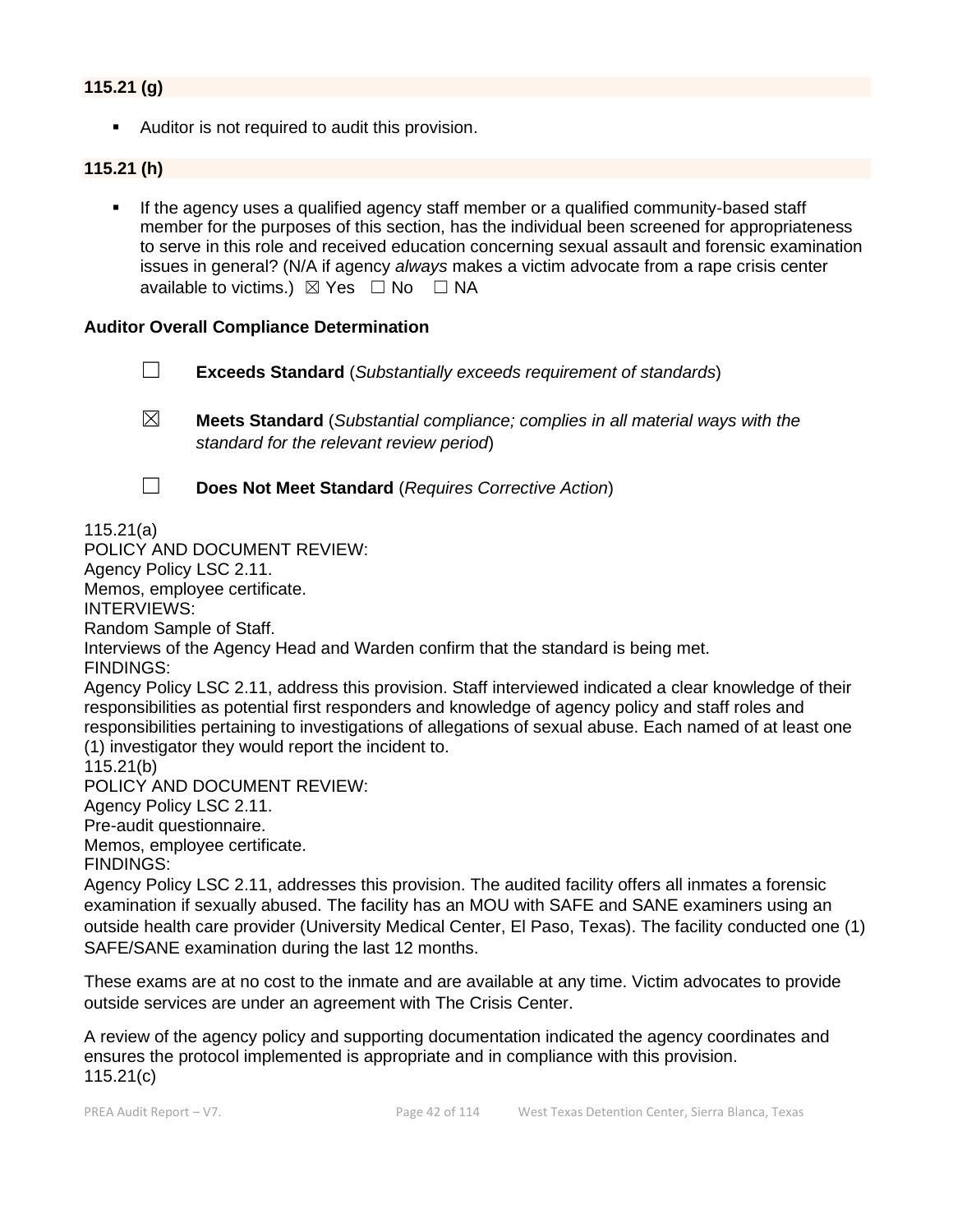## **115.21 (g)**

■ Auditor is not required to audit this provision.

#### **115.21 (h)**

▪ If the agency uses a qualified agency staff member or a qualified community-based staff member for the purposes of this section, has the individual been screened for appropriateness to serve in this role and received education concerning sexual assault and forensic examination issues in general? (N/A if agency *always* makes a victim advocate from a rape crisis center available to victims.)  $\boxtimes$  Yes  $\Box$  No  $\Box$  NA

#### **Auditor Overall Compliance Determination**

- ☐ **Exceeds Standard** (*Substantially exceeds requirement of standards*)
- ☒ **Meets Standard** (*Substantial compliance; complies in all material ways with the standard for the relevant review period*)
- 

☐ **Does Not Meet Standard** (*Requires Corrective Action*)

115.21(a)

POLICY AND DOCUMENT REVIEW:

Agency Policy LSC 2.11.

Memos, employee certificate.

INTERVIEWS:

Random Sample of Staff.

Interviews of the Agency Head and Warden confirm that the standard is being met.

FINDINGS:

Agency Policy LSC 2.11, address this provision. Staff interviewed indicated a clear knowledge of their responsibilities as potential first responders and knowledge of agency policy and staff roles and responsibilities pertaining to investigations of allegations of sexual abuse. Each named of at least one (1) investigator they would report the incident to.

115.21(b)

POLICY AND DOCUMENT REVIEW:

Agency Policy LSC 2.11.

Pre-audit questionnaire.

Memos, employee certificate.

FINDINGS:

Agency Policy LSC 2.11, addresses this provision. The audited facility offers all inmates a forensic examination if sexually abused. The facility has an MOU with SAFE and SANE examiners using an outside health care provider (University Medical Center, El Paso, Texas). The facility conducted one (1) SAFE/SANE examination during the last 12 months.

These exams are at no cost to the inmate and are available at any time. Victim advocates to provide outside services are under an agreement with The Crisis Center.

A review of the agency policy and supporting documentation indicated the agency coordinates and ensures the protocol implemented is appropriate and in compliance with this provision. 115.21(c)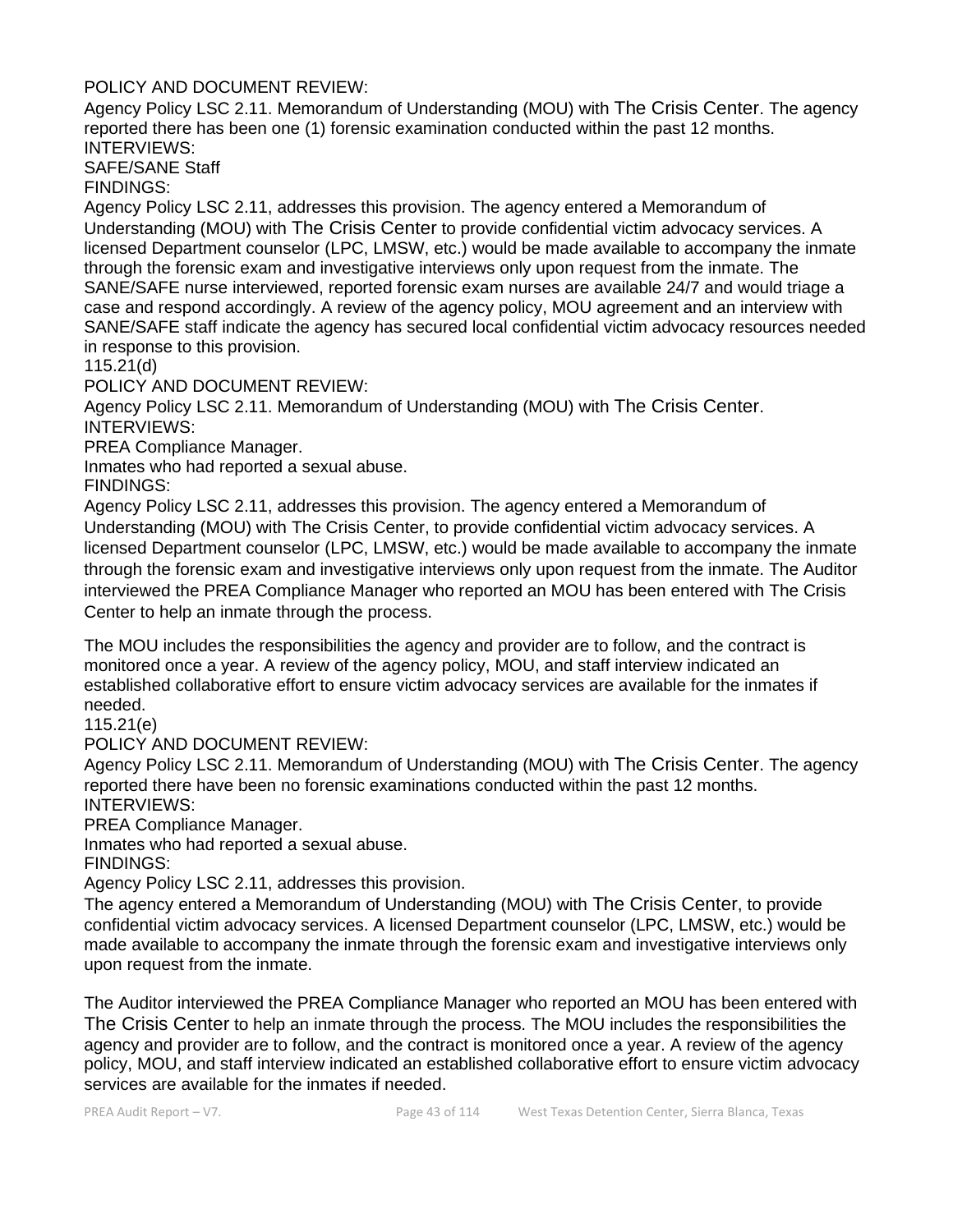## POLICY AND DOCUMENT REVIEW:

Agency Policy LSC 2.11. Memorandum of Understanding (MOU) with The Crisis Center. The agency reported there has been one (1) forensic examination conducted within the past 12 months. INTERVIEWS:

SAFE/SANE Staff

FINDINGS:

Agency Policy LSC 2.11, addresses this provision. The agency entered a Memorandum of Understanding (MOU) with The Crisis Center to provide confidential victim advocacy services. A licensed Department counselor (LPC, LMSW, etc.) would be made available to accompany the inmate through the forensic exam and investigative interviews only upon request from the inmate. The SANE/SAFE nurse interviewed, reported forensic exam nurses are available 24/7 and would triage a case and respond accordingly. A review of the agency policy, MOU agreement and an interview with SANE/SAFE staff indicate the agency has secured local confidential victim advocacy resources needed in response to this provision.

115.21(d)

POLICY AND DOCUMENT REVIEW:

Agency Policy LSC 2.11. Memorandum of Understanding (MOU) with The Crisis Center. INTERVIEWS:

PREA Compliance Manager.

Inmates who had reported a sexual abuse.

FINDINGS:

Agency Policy LSC 2.11, addresses this provision. The agency entered a Memorandum of Understanding (MOU) with The Crisis Center, to provide confidential victim advocacy services. A licensed Department counselor (LPC, LMSW, etc.) would be made available to accompany the inmate through the forensic exam and investigative interviews only upon request from the inmate. The Auditor interviewed the PREA Compliance Manager who reported an MOU has been entered with The Crisis Center to help an inmate through the process.

The MOU includes the responsibilities the agency and provider are to follow, and the contract is monitored once a year. A review of the agency policy, MOU, and staff interview indicated an established collaborative effort to ensure victim advocacy services are available for the inmates if needed.

115.21(e)

POLICY AND DOCUMENT REVIEW:

Agency Policy LSC 2.11. Memorandum of Understanding (MOU) with The Crisis Center. The agency reported there have been no forensic examinations conducted within the past 12 months. INTERVIEWS:

PREA Compliance Manager.

Inmates who had reported a sexual abuse.

FINDINGS:

Agency Policy LSC 2.11, addresses this provision.

The agency entered a Memorandum of Understanding (MOU) with The Crisis Center, to provide confidential victim advocacy services. A licensed Department counselor (LPC, LMSW, etc.) would be made available to accompany the inmate through the forensic exam and investigative interviews only upon request from the inmate.

The Auditor interviewed the PREA Compliance Manager who reported an MOU has been entered with The Crisis Center to help an inmate through the process. The MOU includes the responsibilities the agency and provider are to follow, and the contract is monitored once a year. A review of the agency policy, MOU, and staff interview indicated an established collaborative effort to ensure victim advocacy services are available for the inmates if needed.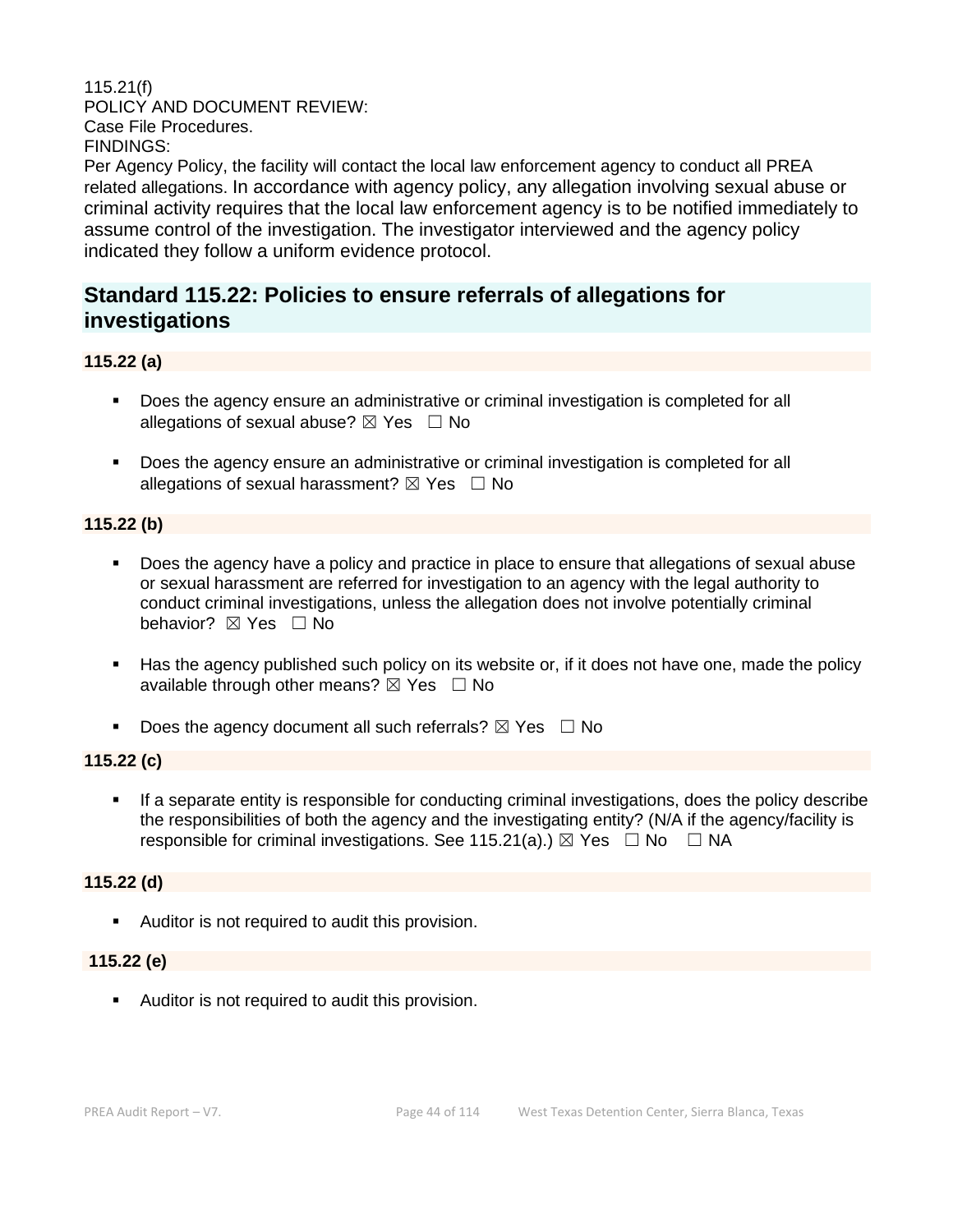## 115.21(f) POLICY AND DOCUMENT REVIEW: Case File Procedures. FINDINGS:

Per Agency Policy, the facility will contact the local law enforcement agency to conduct all PREA related allegations. In accordance with agency policy, any allegation involving sexual abuse or criminal activity requires that the local law enforcement agency is to be notified immediately to assume control of the investigation. The investigator interviewed and the agency policy indicated they follow a uniform evidence protocol.

## **Standard 115.22: Policies to ensure referrals of allegations for investigations**

## **115.22 (a)**

- Does the agency ensure an administrative or criminal investigation is completed for all allegations of sexual abuse?  $\boxtimes$  Yes  $\Box$  No
- Does the agency ensure an administrative or criminal investigation is completed for all allegations of sexual harassment?  $\boxtimes$  Yes  $\Box$  No

#### **115.22 (b)**

- Does the agency have a policy and practice in place to ensure that allegations of sexual abuse or sexual harassment are referred for investigation to an agency with the legal authority to conduct criminal investigations, unless the allegation does not involve potentially criminal behavior? **⊠** Yes □ No
- Has the agency published such policy on its website or, if it does not have one, made the policy available through other means?  $\boxtimes$  Yes  $\Box$  No
- Does the agency document all such referrals?  $\boxtimes$  Yes  $\Box$  No

## **115.22 (c)**

**•** If a separate entity is responsible for conducting criminal investigations, does the policy describe the responsibilities of both the agency and the investigating entity? (N/A if the agency/facility is responsible for criminal investigations. See 115.21(a).)  $\boxtimes$  Yes  $\Box$  No  $\Box$  NA

## **115.22 (d)**

■ Auditor is not required to audit this provision.

#### **115.22 (e)**

**E** Auditor is not required to audit this provision.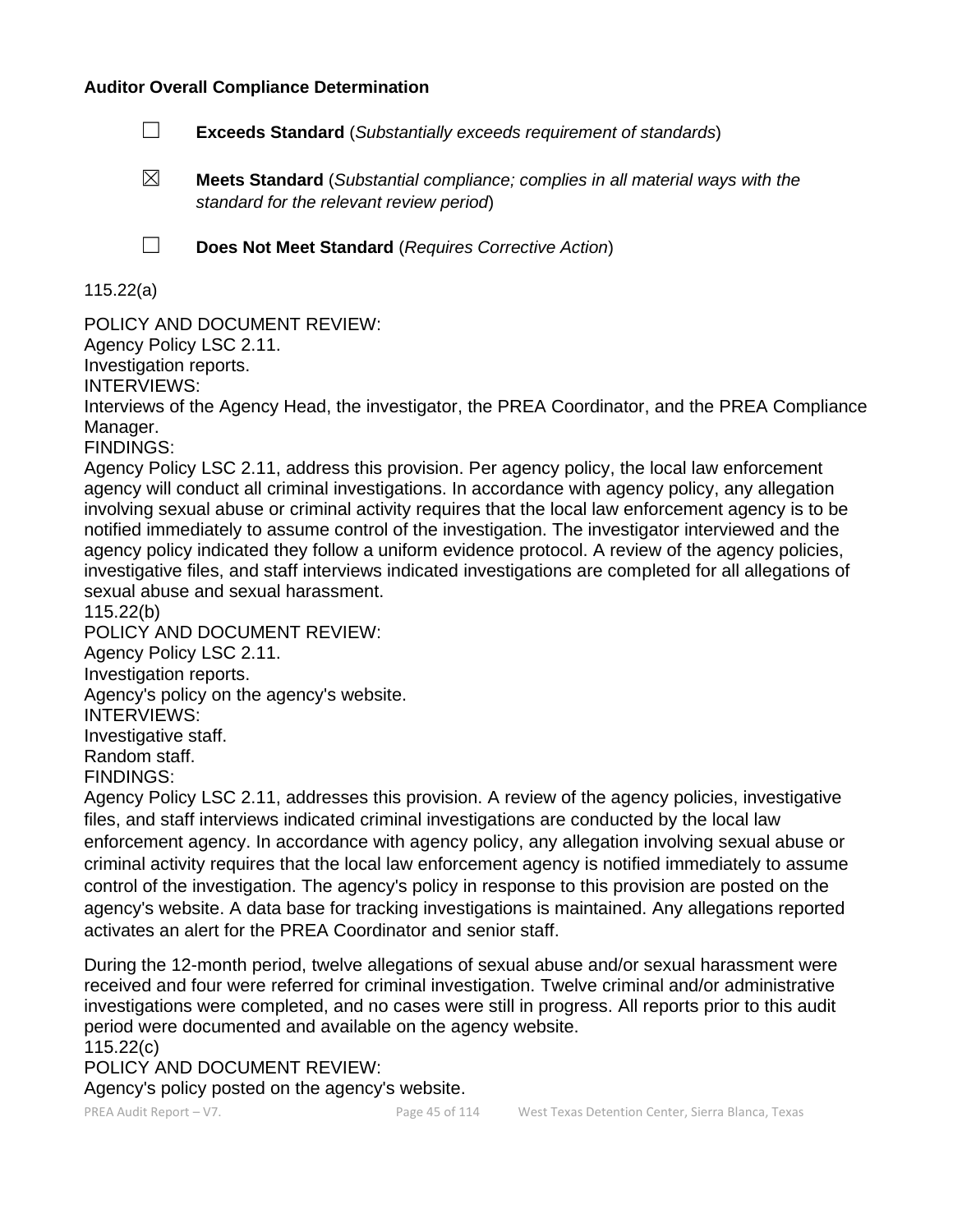#### **Auditor Overall Compliance Determination**

- ☐ **Exceeds Standard** (*Substantially exceeds requirement of standards*)
- ☒ **Meets Standard** (*Substantial compliance; complies in all material ways with the standard for the relevant review period*)

☐ **Does Not Meet Standard** (*Requires Corrective Action*)

115.22(a)

POLICY AND DOCUMENT REVIEW:

Agency Policy LSC 2.11.

Investigation reports.

INTERVIEWS:

Interviews of the Agency Head, the investigator, the PREA Coordinator, and the PREA Compliance Manager.

FINDINGS:

Agency Policy LSC 2.11, address this provision. Per agency policy, the local law enforcement agency will conduct all criminal investigations. In accordance with agency policy, any allegation involving sexual abuse or criminal activity requires that the local law enforcement agency is to be notified immediately to assume control of the investigation. The investigator interviewed and the agency policy indicated they follow a uniform evidence protocol. A review of the agency policies, investigative files, and staff interviews indicated investigations are completed for all allegations of sexual abuse and sexual harassment.

115.22(b)

POLICY AND DOCUMENT REVIEW:

Agency Policy LSC 2.11.

Investigation reports.

Agency's policy on the agency's website.

INTERVIEWS:

Investigative staff.

Random staff.

FINDINGS:

Agency Policy LSC 2.11, addresses this provision. A review of the agency policies, investigative files, and staff interviews indicated criminal investigations are conducted by the local law enforcement agency. In accordance with agency policy, any allegation involving sexual abuse or criminal activity requires that the local law enforcement agency is notified immediately to assume control of the investigation. The agency's policy in response to this provision are posted on the agency's website. A data base for tracking investigations is maintained. Any allegations reported activates an alert for the PREA Coordinator and senior staff.

During the 12-month period, twelve allegations of sexual abuse and/or sexual harassment were received and four were referred for criminal investigation. Twelve criminal and/or administrative investigations were completed, and no cases were still in progress. All reports prior to this audit period were documented and available on the agency website.

115.22(c)

POLICY AND DOCUMENT REVIEW:

Agency's policy posted on the agency's website.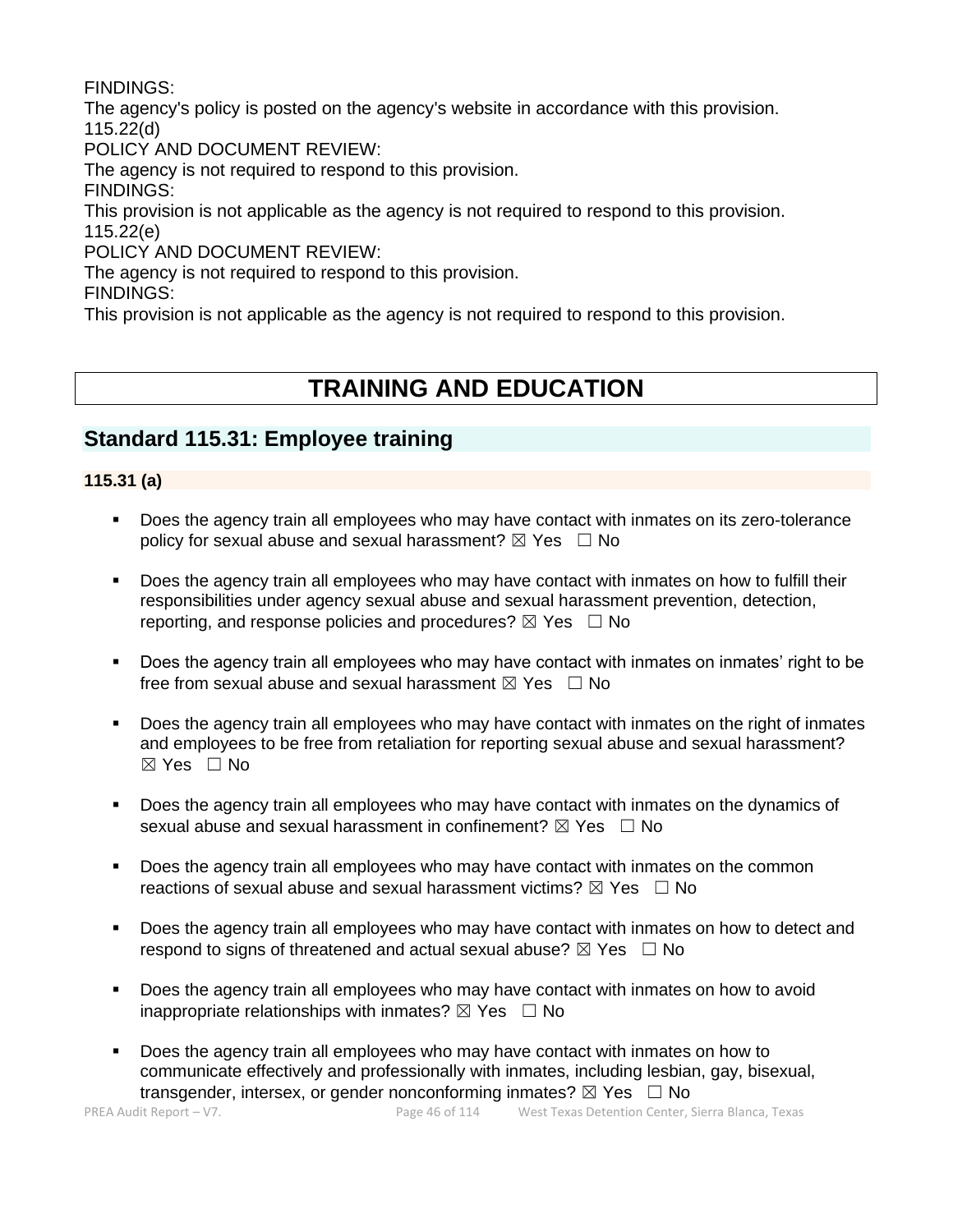FINDINGS:

The agency's policy is posted on the agency's website in accordance with this provision. 115.22(d)

POLICY AND DOCUMENT REVIEW:

The agency is not required to respond to this provision.

FINDINGS:

This provision is not applicable as the agency is not required to respond to this provision. 115.22(e)

POLICY AND DOCUMENT REVIEW:

The agency is not required to respond to this provision.

FINDINGS:

This provision is not applicable as the agency is not required to respond to this provision.

# **TRAINING AND EDUCATION**

# **Standard 115.31: Employee training**

## **115.31 (a)**

- Does the agency train all employees who may have contact with inmates on its zero-tolerance policy for sexual abuse and sexual harassment?  $\boxtimes$  Yes  $\Box$  No
- Does the agency train all employees who may have contact with inmates on how to fulfill their responsibilities under agency sexual abuse and sexual harassment prevention, detection, reporting, and response policies and procedures?  $\boxtimes$  Yes  $\Box$  No
- Does the agency train all employees who may have contact with inmates on inmates' right to be free from sexual abuse and sexual harassment  $\boxtimes$  Yes  $\Box$  No
- Does the agency train all employees who may have contact with inmates on the right of inmates and employees to be free from retaliation for reporting sexual abuse and sexual harassment?  $\boxtimes$  Yes  $\Box$  No
- Does the agency train all employees who may have contact with inmates on the dynamics of sexual abuse and sexual harassment in confinement?  $\boxtimes$  Yes  $\Box$  No
- Does the agency train all employees who may have contact with inmates on the common reactions of sexual abuse and sexual harassment victims?  $\boxtimes$  Yes  $\Box$  No
- Does the agency train all employees who may have contact with inmates on how to detect and respond to signs of threatened and actual sexual abuse?  $\boxtimes$  Yes  $\Box$  No
- Does the agency train all employees who may have contact with inmates on how to avoid inappropriate relationships with inmates?  $\boxtimes$  Yes  $\Box$  No
- Does the agency train all employees who may have contact with inmates on how to communicate effectively and professionally with inmates, including lesbian, gay, bisexual, transgender, intersex, or gender nonconforming inmates?  $\boxtimes$  Yes  $\Box$  No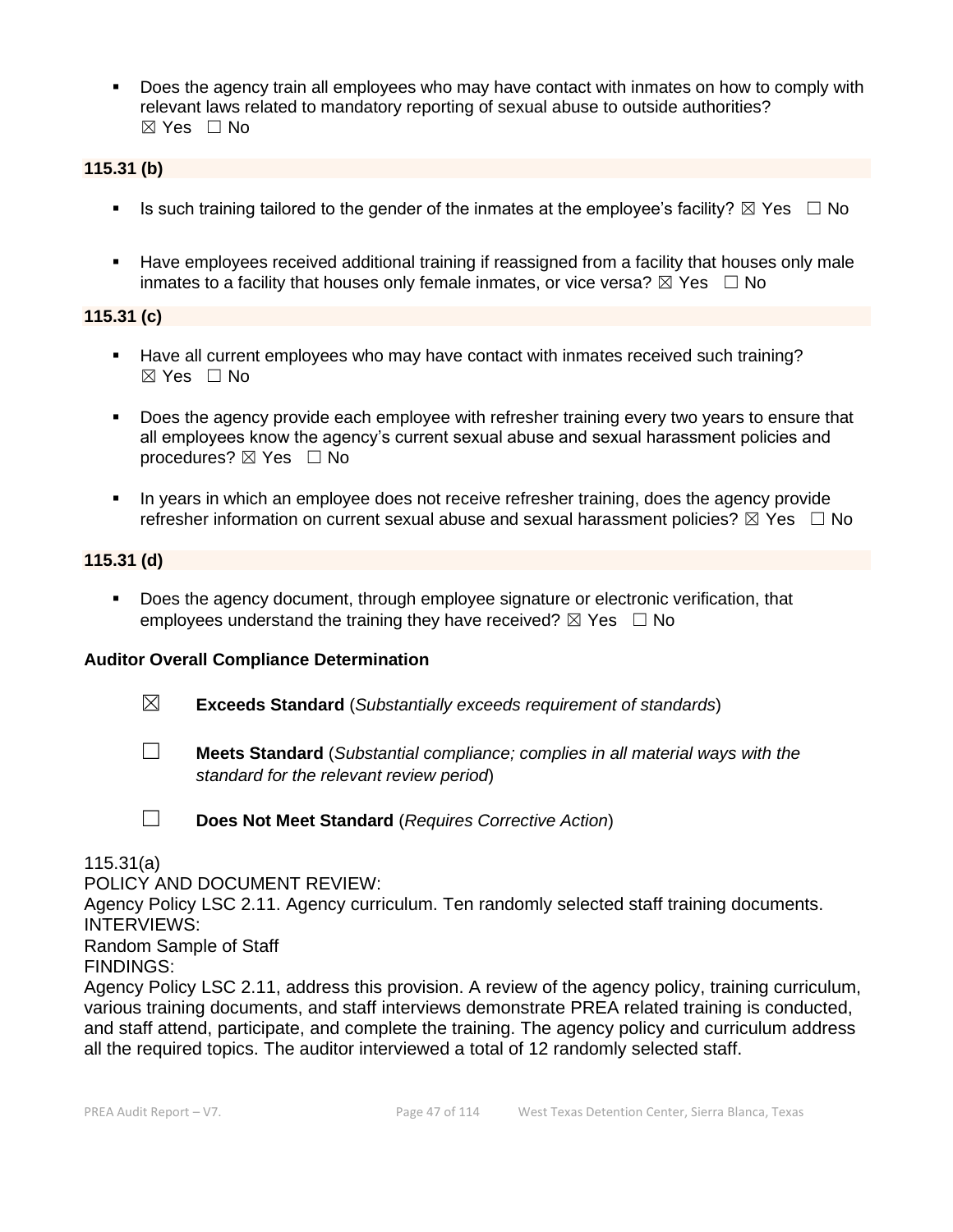**•** Does the agency train all employees who may have contact with inmates on how to comply with relevant laws related to mandatory reporting of sexual abuse to outside authorities?  $\boxtimes$  Yes  $\Box$  No

## **115.31 (b)**

- **■** Is such training tailored to the gender of the inmates at the employee's facility?  $\boxtimes$  Yes  $\Box$  No
- Have employees received additional training if reassigned from a facility that houses only male inmates to a facility that houses only female inmates, or vice versa?  $\boxtimes$  Yes  $\Box$  No

## **115.31 (c)**

- Have all current employees who may have contact with inmates received such training? ☒ Yes ☐ No
- **•** Does the agency provide each employee with refresher training every two years to ensure that all employees know the agency's current sexual abuse and sexual harassment policies and procedures?  $\boxtimes$  Yes  $\Box$  No
- In years in which an employee does not receive refresher training, does the agency provide refresher information on current sexual abuse and sexual harassment policies?  $\boxtimes$  Yes  $\Box$  No

#### **115.31 (d)**

▪ Does the agency document, through employee signature or electronic verification, that employees understand the training they have received?  $\boxtimes$  Yes  $\Box$  No

## **Auditor Overall Compliance Determination**

- ☒ **Exceeds Standard** (*Substantially exceeds requirement of standards*)
- ☐ **Meets Standard** (*Substantial compliance; complies in all material ways with the standard for the relevant review period*)

☐ **Does Not Meet Standard** (*Requires Corrective Action*)

115.31(a)

POLICY AND DOCUMENT REVIEW:

Agency Policy LSC 2.11. Agency curriculum. Ten randomly selected staff training documents. INTERVIEWS:

Random Sample of Staff

FINDINGS:

Agency Policy LSC 2.11, address this provision. A review of the agency policy, training curriculum, various training documents, and staff interviews demonstrate PREA related training is conducted, and staff attend, participate, and complete the training. The agency policy and curriculum address all the required topics. The auditor interviewed a total of 12 randomly selected staff.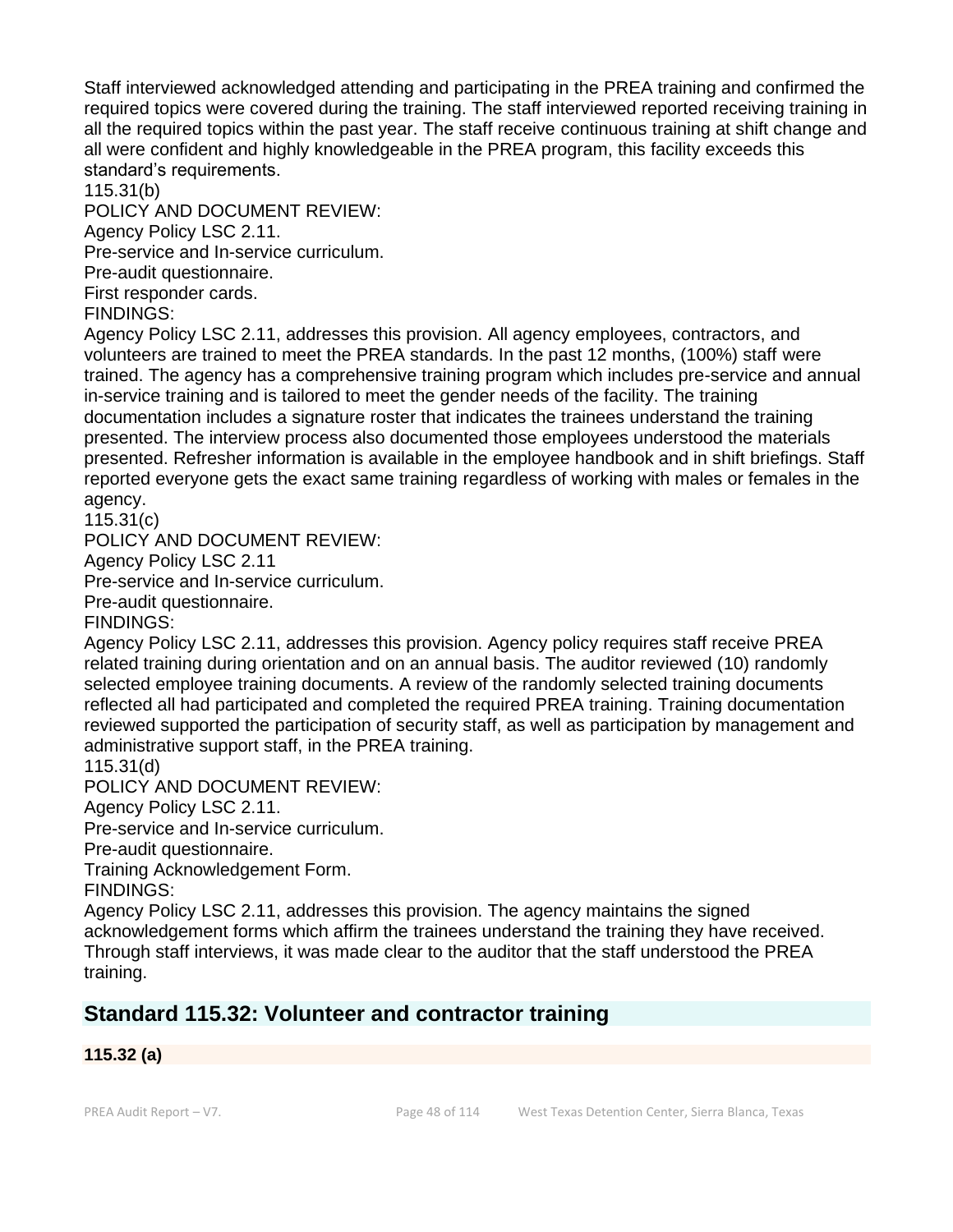Staff interviewed acknowledged attending and participating in the PREA training and confirmed the required topics were covered during the training. The staff interviewed reported receiving training in all the required topics within the past year. The staff receive continuous training at shift change and all were confident and highly knowledgeable in the PREA program, this facility exceeds this standard's requirements.

115.31(b)

POLICY AND DOCUMENT REVIEW:

Agency Policy LSC 2.11.

Pre-service and In-service curriculum.

Pre-audit questionnaire.

First responder cards.

FINDINGS:

Agency Policy LSC 2.11, addresses this provision. All agency employees, contractors, and volunteers are trained to meet the PREA standards. In the past 12 months, (100%) staff were trained. The agency has a comprehensive training program which includes pre-service and annual in-service training and is tailored to meet the gender needs of the facility. The training documentation includes a signature roster that indicates the trainees understand the training presented. The interview process also documented those employees understood the materials presented. Refresher information is available in the employee handbook and in shift briefings. Staff reported everyone gets the exact same training regardless of working with males or females in the agency.

115.31(c)

POLICY AND DOCUMENT REVIEW:

Agency Policy LSC 2.11

Pre-service and In-service curriculum.

Pre-audit questionnaire.

FINDINGS:

Agency Policy LSC 2.11, addresses this provision. Agency policy requires staff receive PREA related training during orientation and on an annual basis. The auditor reviewed (10) randomly selected employee training documents. A review of the randomly selected training documents reflected all had participated and completed the required PREA training. Training documentation reviewed supported the participation of security staff, as well as participation by management and administrative support staff, in the PREA training.

115.31(d)

POLICY AND DOCUMENT REVIEW:

Agency Policy LSC 2.11.

Pre-service and In-service curriculum.

Pre-audit questionnaire.

Training Acknowledgement Form.

FINDINGS:

Agency Policy LSC 2.11, addresses this provision. The agency maintains the signed acknowledgement forms which affirm the trainees understand the training they have received. Through staff interviews, it was made clear to the auditor that the staff understood the PREA training.

## **Standard 115.32: Volunteer and contractor training**

## **115.32 (a)**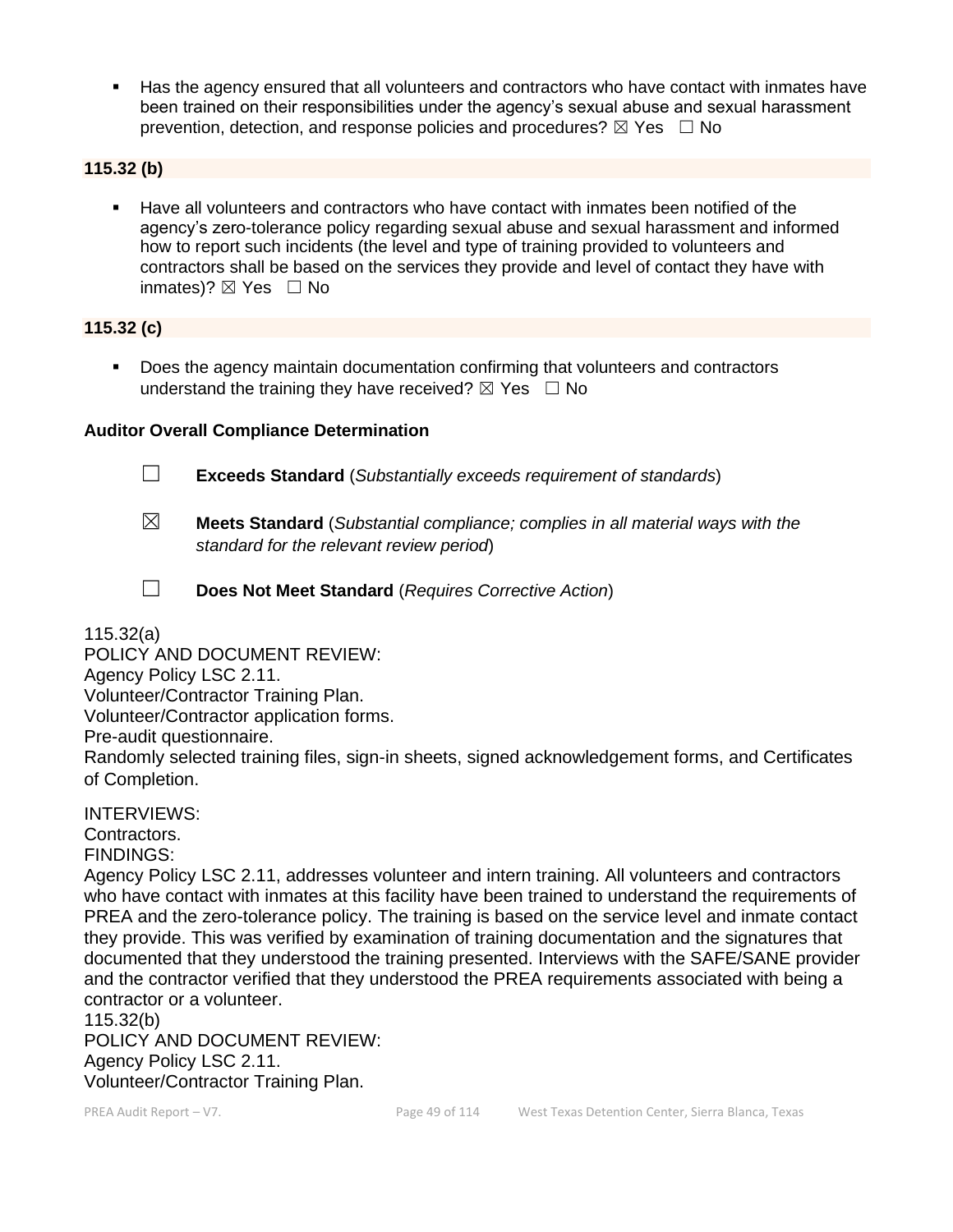Has the agency ensured that all volunteers and contractors who have contact with inmates have been trained on their responsibilities under the agency's sexual abuse and sexual harassment prevention, detection, and response policies and procedures?  $\boxtimes$  Yes  $\Box$  No

#### **115.32 (b)**

▪ Have all volunteers and contractors who have contact with inmates been notified of the agency's zero-tolerance policy regarding sexual abuse and sexual harassment and informed how to report such incidents (the level and type of training provided to volunteers and contractors shall be based on the services they provide and level of contact they have with inmates)?  $\boxtimes$  Yes  $\Box$  No

#### **115.32 (c)**

■ Does the agency maintain documentation confirming that volunteers and contractors understand the training they have received?  $\boxtimes$  Yes  $\Box$  No

#### **Auditor Overall Compliance Determination**



☐ **Exceeds Standard** (*Substantially exceeds requirement of standards*)

- ☒ **Meets Standard** (*Substantial compliance; complies in all material ways with the standard for the relevant review period*)
- 
- ☐ **Does Not Meet Standard** (*Requires Corrective Action*)

115.32(a)

POLICY AND DOCUMENT REVIEW: Agency Policy LSC 2.11. Volunteer/Contractor Training Plan. Volunteer/Contractor application forms. Pre-audit questionnaire. Randomly selected training files, sign-in sheets, signed acknowledgement forms, and Certificates of Completion.

INTERVIEWS: Contractors. FINDINGS:

Agency Policy LSC 2.11, addresses volunteer and intern training. All volunteers and contractors who have contact with inmates at this facility have been trained to understand the requirements of PREA and the zero-tolerance policy. The training is based on the service level and inmate contact they provide. This was verified by examination of training documentation and the signatures that documented that they understood the training presented. Interviews with the SAFE/SANE provider and the contractor verified that they understood the PREA requirements associated with being a contractor or a volunteer.

115.32(b) POLICY AND DOCUMENT REVIEW: Agency Policy LSC 2.11. Volunteer/Contractor Training Plan.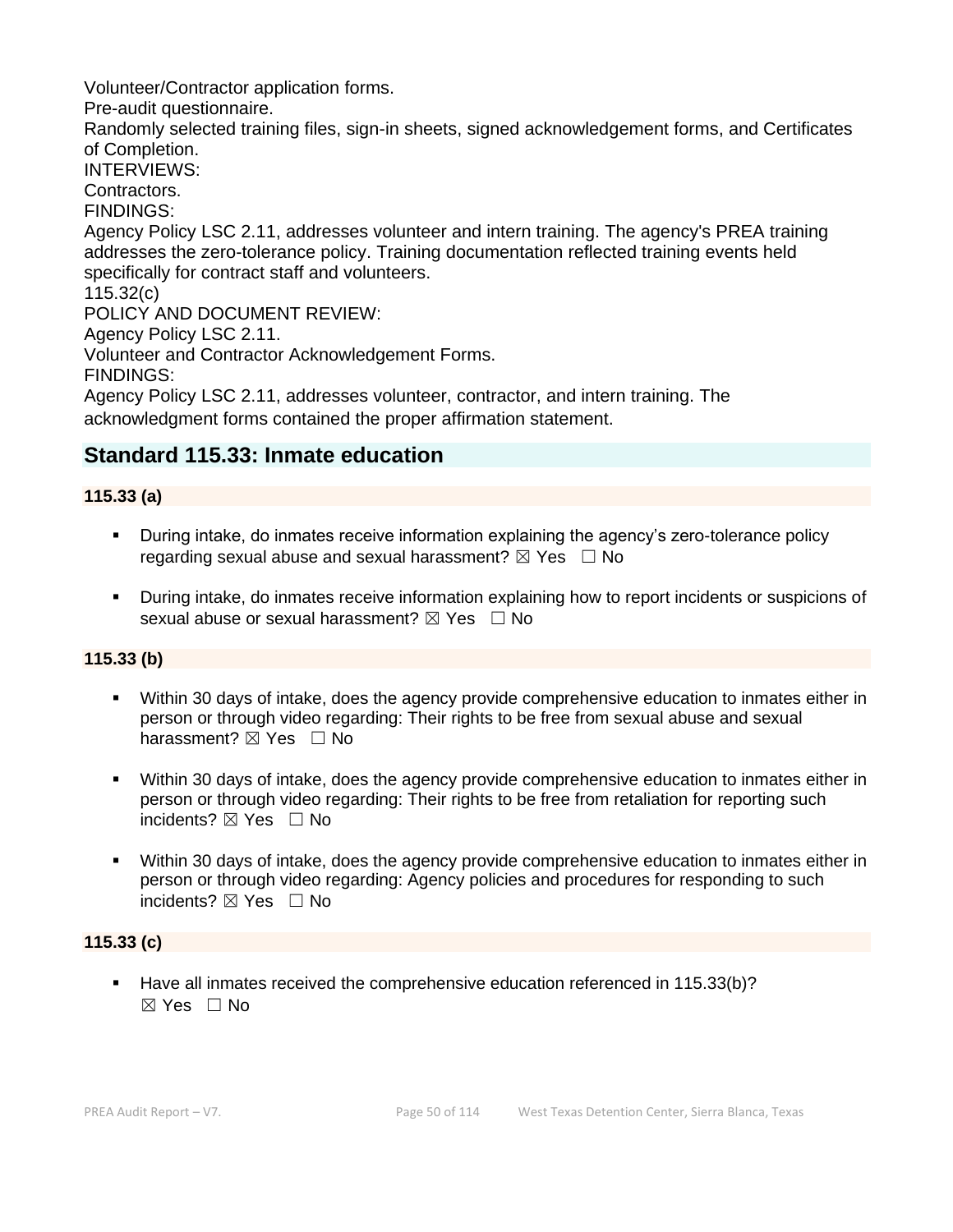Volunteer/Contractor application forms.

Pre-audit questionnaire.

Randomly selected training files, sign-in sheets, signed acknowledgement forms, and Certificates of Completion.

INTERVIEWS:

Contractors.

FINDINGS:

Agency Policy LSC 2.11, addresses volunteer and intern training. The agency's PREA training addresses the zero-tolerance policy. Training documentation reflected training events held specifically for contract staff and volunteers.

115.32(c)

POLICY AND DOCUMENT REVIEW:

Agency Policy LSC 2.11.

Volunteer and Contractor Acknowledgement Forms.

FINDINGS:

Agency Policy LSC 2.11, addresses volunteer, contractor, and intern training. The acknowledgment forms contained the proper affirmation statement.

## **Standard 115.33: Inmate education**

## **115.33 (a)**

- **•** During intake, do inmates receive information explaining the agency's zero-tolerance policy regarding sexual abuse and sexual harassment?  $\boxtimes$  Yes  $\Box$  No
- During intake, do inmates receive information explaining how to report incidents or suspicions of sexual abuse or sexual harassment?  $\boxtimes$  Yes  $\Box$  No

## **115.33 (b)**

- Within 30 days of intake, does the agency provide comprehensive education to inmates either in person or through video regarding: Their rights to be free from sexual abuse and sexual harassment? ⊠ Yes □ No
- Within 30 days of intake, does the agency provide comprehensive education to inmates either in person or through video regarding: Their rights to be free from retaliation for reporting such incidents? ☒ Yes ☐ No
- Within 30 days of intake, does the agency provide comprehensive education to inmates either in person or through video regarding: Agency policies and procedures for responding to such incidents? ⊠ Yes □ No

## **115.33 (c)**

Have all inmates received the comprehensive education referenced in 115.33(b)?  $\boxtimes$  Yes  $\Box$  No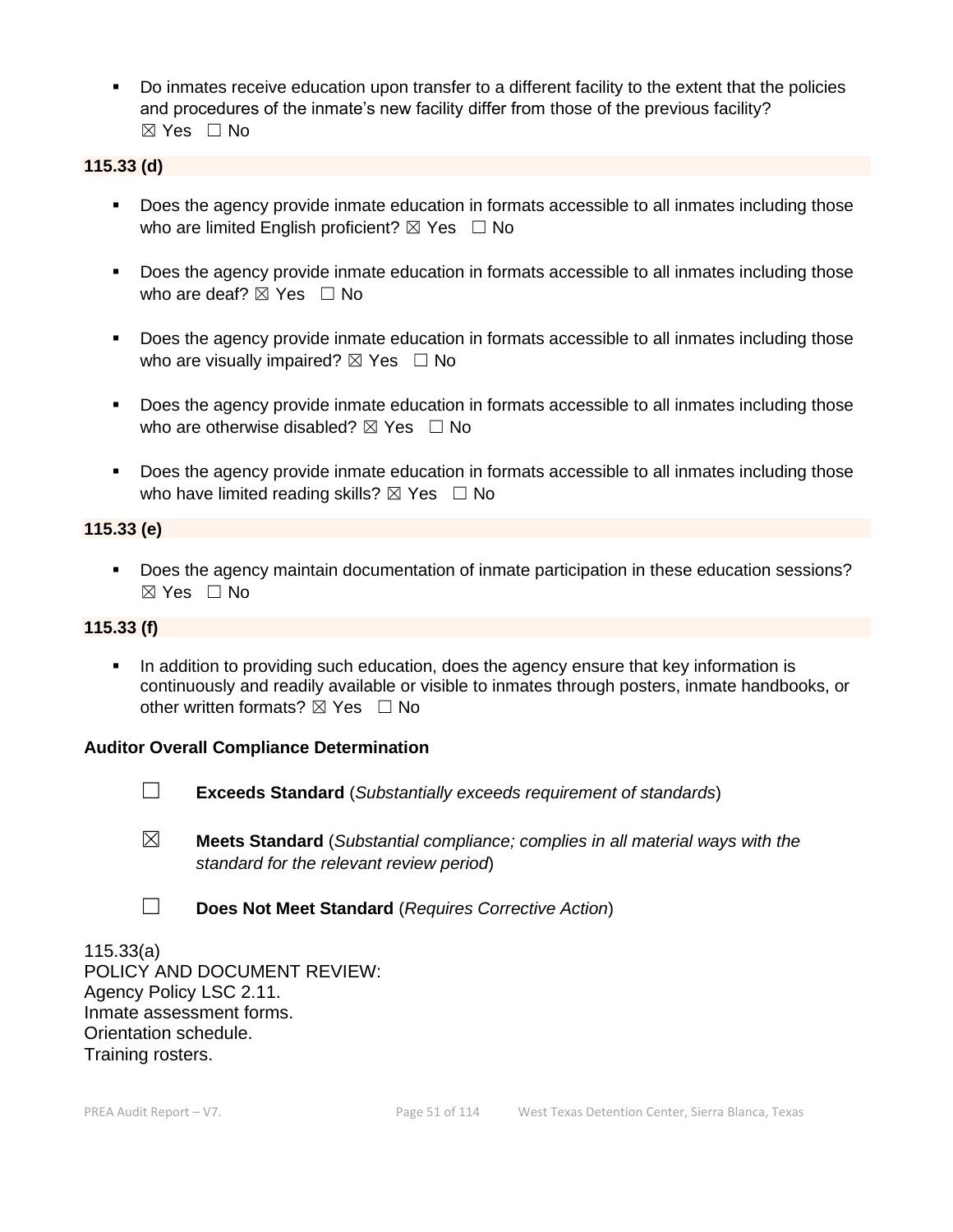▪ Do inmates receive education upon transfer to a different facility to the extent that the policies and procedures of the inmate's new facility differ from those of the previous facility? ☒ Yes ☐ No

## **115.33 (d)**

- Does the agency provide inmate education in formats accessible to all inmates including those who are limited English proficient?  $\boxtimes$  Yes  $\Box$  No
- Does the agency provide inmate education in formats accessible to all inmates including those who are deaf?  $\boxtimes$  Yes  $\Box$  No
- Does the agency provide inmate education in formats accessible to all inmates including those who are visually impaired?  $\boxtimes$  Yes  $\Box$  No
- Does the agency provide inmate education in formats accessible to all inmates including those who are otherwise disabled?  $\boxtimes$  Yes  $\Box$  No
- Does the agency provide inmate education in formats accessible to all inmates including those who have limited reading skills?  $\boxtimes$  Yes  $\Box$  No

## **115.33 (e)**

■ Does the agency maintain documentation of inmate participation in these education sessions? ☒ Yes ☐ No

## **115.33 (f)**

**•** In addition to providing such education, does the agency ensure that key information is continuously and readily available or visible to inmates through posters, inmate handbooks, or other written formats?  $\boxtimes$  Yes  $\Box$  No

## **Auditor Overall Compliance Determination**



- ☐ **Exceeds Standard** (*Substantially exceeds requirement of standards*)
- ☒ **Meets Standard** (*Substantial compliance; complies in all material ways with the standard for the relevant review period*)
- ☐ **Does Not Meet Standard** (*Requires Corrective Action*)

115.33(a) POLICY AND DOCUMENT REVIEW: Agency Policy LSC 2.11. Inmate assessment forms. Orientation schedule. Training rosters.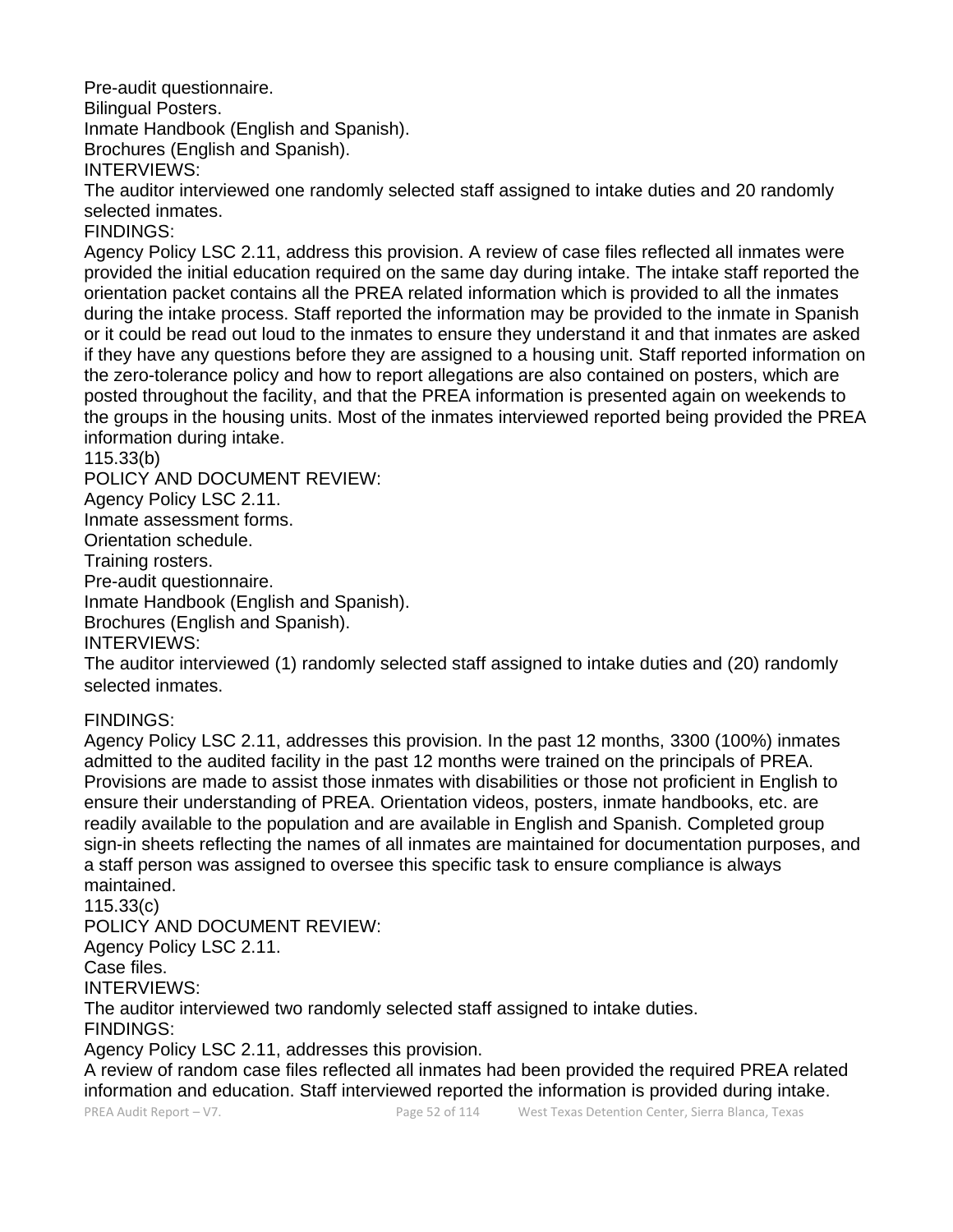Pre-audit questionnaire.

Bilingual Posters.

Inmate Handbook (English and Spanish).

Brochures (English and Spanish).

INTERVIEWS:

The auditor interviewed one randomly selected staff assigned to intake duties and 20 randomly selected inmates.

FINDINGS:

Agency Policy LSC 2.11, address this provision. A review of case files reflected all inmates were provided the initial education required on the same day during intake. The intake staff reported the orientation packet contains all the PREA related information which is provided to all the inmates during the intake process. Staff reported the information may be provided to the inmate in Spanish or it could be read out loud to the inmates to ensure they understand it and that inmates are asked if they have any questions before they are assigned to a housing unit. Staff reported information on the zero-tolerance policy and how to report allegations are also contained on posters, which are posted throughout the facility, and that the PREA information is presented again on weekends to the groups in the housing units. Most of the inmates interviewed reported being provided the PREA information during intake.

## 115.33(b)

POLICY AND DOCUMENT REVIEW:

Agency Policy LSC 2.11.

Inmate assessment forms.

Orientation schedule.

Training rosters.

Pre-audit questionnaire.

Inmate Handbook (English and Spanish).

Brochures (English and Spanish).

INTERVIEWS:

The auditor interviewed (1) randomly selected staff assigned to intake duties and (20) randomly selected inmates.

## FINDINGS:

Agency Policy LSC 2.11, addresses this provision. In the past 12 months, 3300 (100%) inmates admitted to the audited facility in the past 12 months were trained on the principals of PREA. Provisions are made to assist those inmates with disabilities or those not proficient in English to ensure their understanding of PREA. Orientation videos, posters, inmate handbooks, etc. are readily available to the population and are available in English and Spanish. Completed group sign-in sheets reflecting the names of all inmates are maintained for documentation purposes, and a staff person was assigned to oversee this specific task to ensure compliance is always maintained.

115.33(c)

POLICY AND DOCUMENT REVIEW:

Agency Policy LSC 2.11.

Case files.

INTERVIEWS:

The auditor interviewed two randomly selected staff assigned to intake duties.

FINDINGS:

Agency Policy LSC 2.11, addresses this provision.

A review of random case files reflected all inmates had been provided the required PREA related information and education. Staff interviewed reported the information is provided during intake.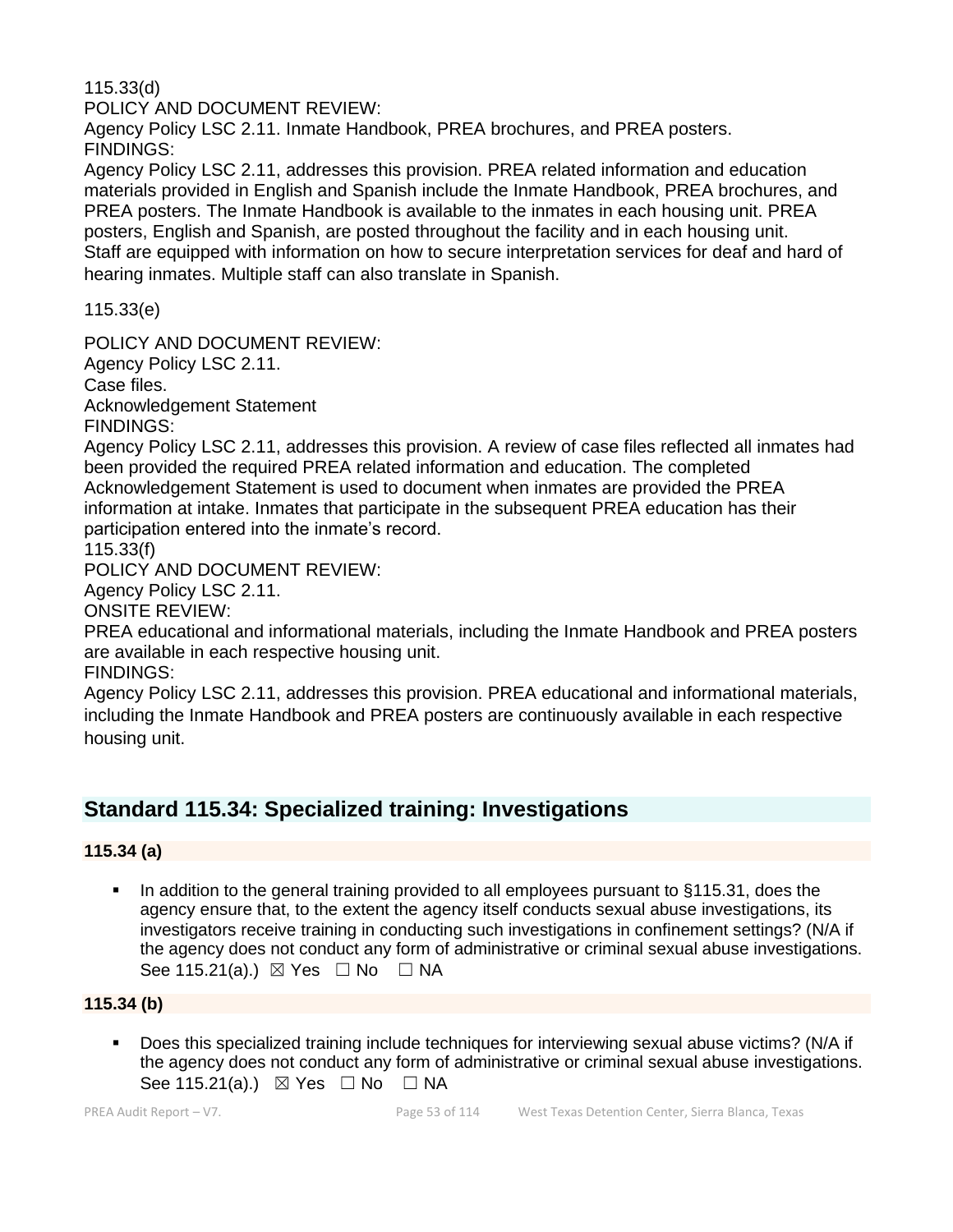115.33(d)

POLICY AND DOCUMENT REVIEW:

Agency Policy LSC 2.11. Inmate Handbook, PREA brochures, and PREA posters. FINDINGS:

Agency Policy LSC 2.11, addresses this provision. PREA related information and education materials provided in English and Spanish include the Inmate Handbook, PREA brochures, and PREA posters. The Inmate Handbook is available to the inmates in each housing unit. PREA posters, English and Spanish, are posted throughout the facility and in each housing unit. Staff are equipped with information on how to secure interpretation services for deaf and hard of hearing inmates. Multiple staff can also translate in Spanish.

115.33(e)

POLICY AND DOCUMENT REVIEW:

Agency Policy LSC 2.11.

Case files.

Acknowledgement Statement FINDINGS:

Agency Policy LSC 2.11, addresses this provision. A review of case files reflected all inmates had been provided the required PREA related information and education. The completed Acknowledgement Statement is used to document when inmates are provided the PREA information at intake. Inmates that participate in the subsequent PREA education has their participation entered into the inmate's record.

115.33(f)

POLICY AND DOCUMENT REVIEW:

Agency Policy LSC 2.11.

ONSITE REVIEW:

PREA educational and informational materials, including the Inmate Handbook and PREA posters are available in each respective housing unit.

FINDINGS:

Agency Policy LSC 2.11, addresses this provision. PREA educational and informational materials, including the Inmate Handbook and PREA posters are continuously available in each respective housing unit.

# **Standard 115.34: Specialized training: Investigations**

## **115.34 (a)**

■ In addition to the general training provided to all employees pursuant to §115.31, does the agency ensure that, to the extent the agency itself conducts sexual abuse investigations, its investigators receive training in conducting such investigations in confinement settings? (N/A if the agency does not conduct any form of administrative or criminal sexual abuse investigations. See 115.21(a).)  $\boxtimes$  Yes  $\Box$  No  $\Box$  NA

## **115.34 (b)**

▪ Does this specialized training include techniques for interviewing sexual abuse victims? (N/A if the agency does not conduct any form of administrative or criminal sexual abuse investigations. See 115.21(a).)  $\boxtimes$  Yes  $\Box$  No  $\Box$  NA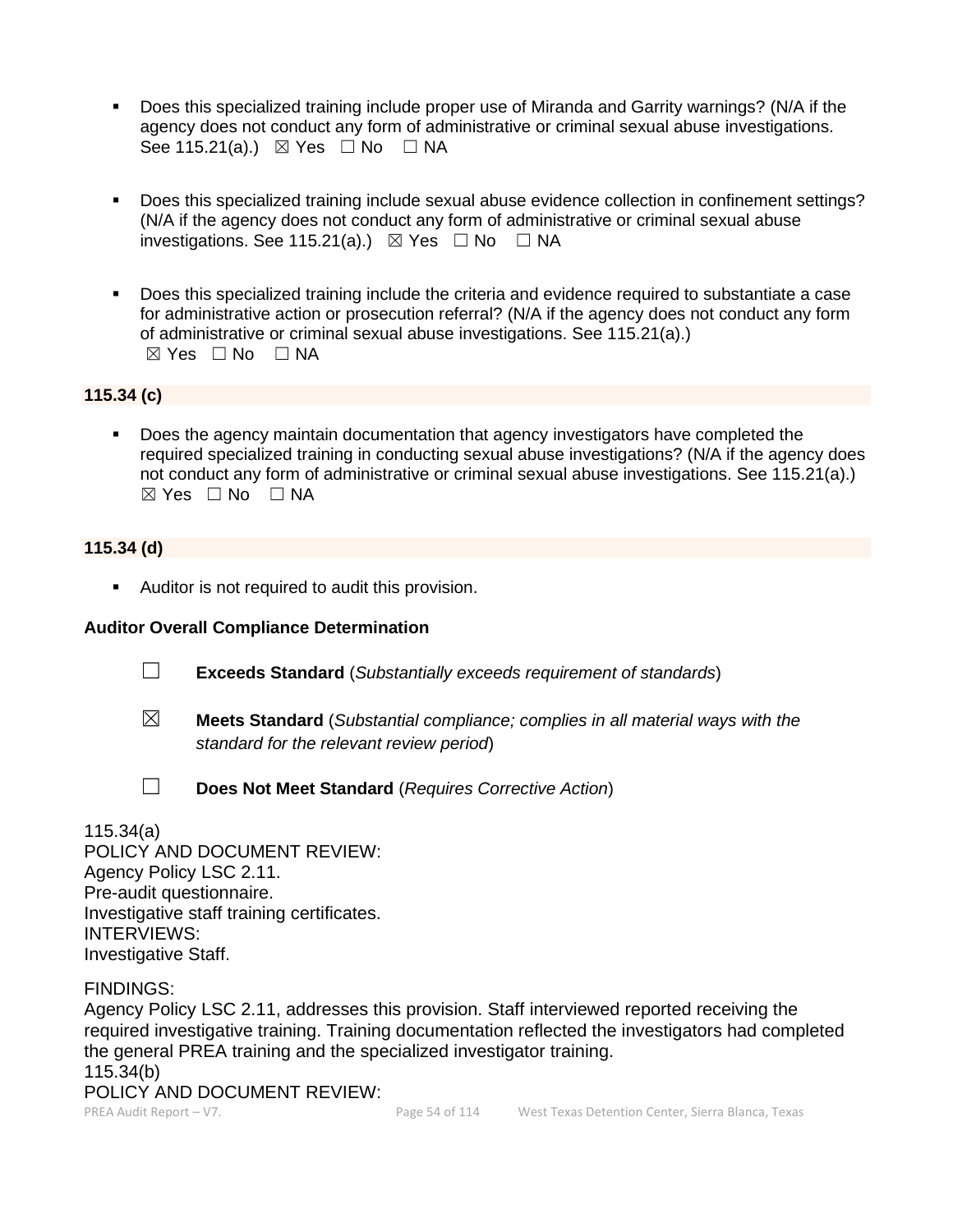- Does this specialized training include proper use of Miranda and Garrity warnings? (N/A if the agency does not conduct any form of administrative or criminal sexual abuse investigations. See 115.21(a).)  $\boxtimes$  Yes  $\Box$  No  $\Box$  NA
- Does this specialized training include sexual abuse evidence collection in confinement settings? (N/A if the agency does not conduct any form of administrative or criminal sexual abuse investigations. See 115.21(a).)  $\boxtimes$  Yes  $\Box$  No  $\Box$  NA
- Does this specialized training include the criteria and evidence required to substantiate a case for administrative action or prosecution referral? (N/A if the agency does not conduct any form of administrative or criminal sexual abuse investigations. See 115.21(a).)  $\boxtimes$  Yes  $\Box$  No  $\Box$  NA

## **115.34 (c)**

Does the agency maintain documentation that agency investigators have completed the required specialized training in conducting sexual abuse investigations? (N/A if the agency does not conduct any form of administrative or criminal sexual abuse investigations. See 115.21(a).) ☒ Yes ☐ No ☐ NA

## **115.34 (d)**

■ Auditor is not required to audit this provision.

## **Auditor Overall Compliance Determination**

- ☐ **Exceeds Standard** (*Substantially exceeds requirement of standards*)
- ☒ **Meets Standard** (*Substantial compliance; complies in all material ways with the standard for the relevant review period*)
- 
- ☐ **Does Not Meet Standard** (*Requires Corrective Action*)

## 115.34(a)

POLICY AND DOCUMENT REVIEW: Agency Policy LSC 2.11. Pre-audit questionnaire. Investigative staff training certificates. INTERVIEWS: Investigative Staff.

FINDINGS:

PREA Audit Report – V7. Page 54 of 114 West Texas Detention Center, Sierra Blanca, Texas Agency Policy LSC 2.11, addresses this provision. Staff interviewed reported receiving the required investigative training. Training documentation reflected the investigators had completed the general PREA training and the specialized investigator training. 115.34(b) POLICY AND DOCUMENT REVIEW: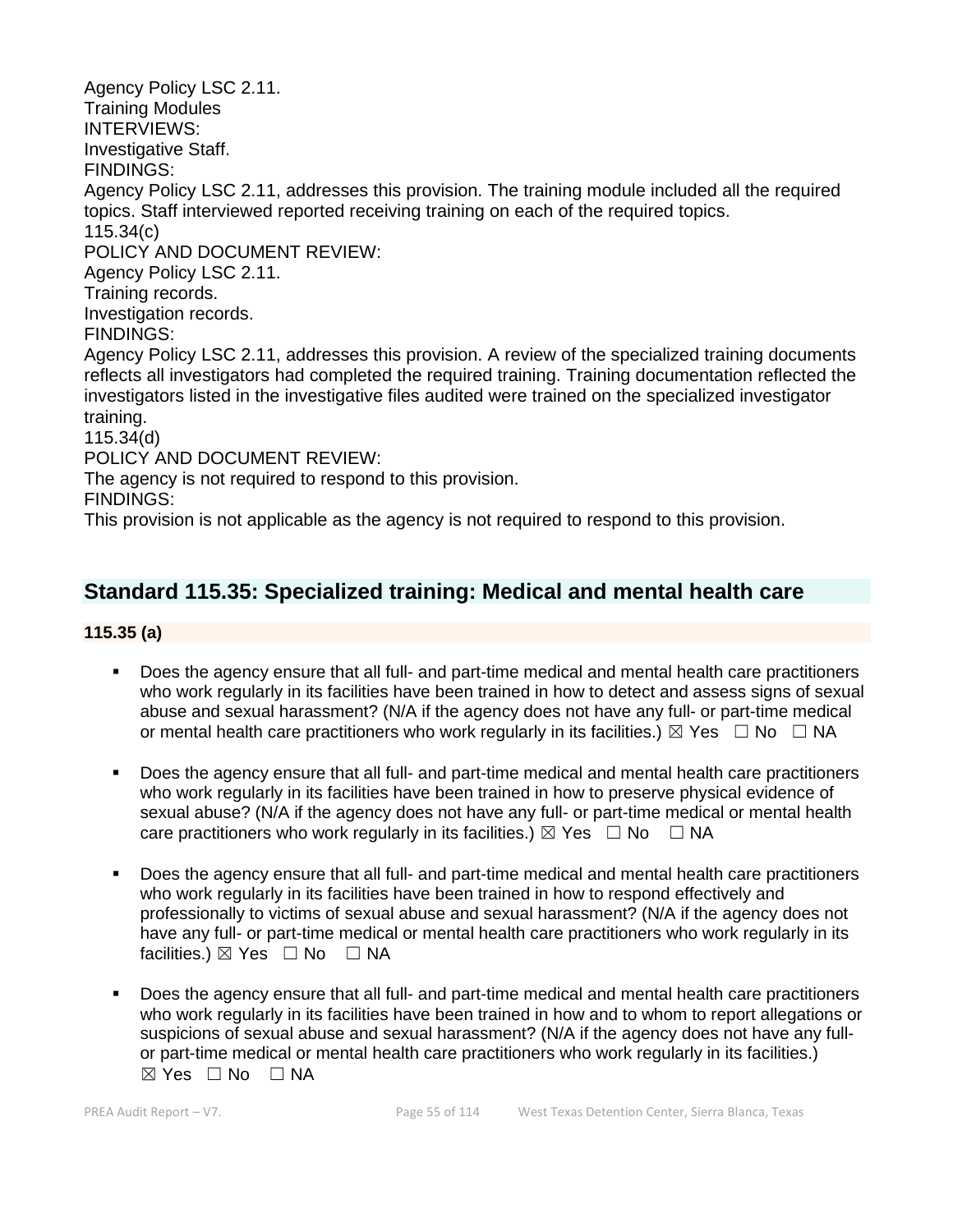Agency Policy LSC 2.11. Training Modules INTERVIEWS: Investigative Staff. FINDINGS: Agency Policy LSC 2.11, addresses this provision. The training module included all the required topics. Staff interviewed reported receiving training on each of the required topics. 115.34(c) POLICY AND DOCUMENT REVIEW: Agency Policy LSC 2.11. Training records. Investigation records. FINDINGS: Agency Policy LSC 2.11, addresses this provision. A review of the specialized training documents reflects all investigators had completed the required training. Training documentation reflected the investigators listed in the investigative files audited were trained on the specialized investigator training. 115.34(d) POLICY AND DOCUMENT REVIEW: The agency is not required to respond to this provision. FINDINGS: This provision is not applicable as the agency is not required to respond to this provision.

# **Standard 115.35: Specialized training: Medical and mental health care**

## **115.35 (a)**

- Does the agency ensure that all full- and part-time medical and mental health care practitioners who work regularly in its facilities have been trained in how to detect and assess signs of sexual abuse and sexual harassment? (N/A if the agency does not have any full- or part-time medical or mental health care practitioners who work regularly in its facilities.)  $\boxtimes$  Yes  $\Box$  No  $\Box$  NA
- Does the agency ensure that all full- and part-time medical and mental health care practitioners who work regularly in its facilities have been trained in how to preserve physical evidence of sexual abuse? (N/A if the agency does not have any full- or part-time medical or mental health care practitioners who work regularly in its facilities.)  $\boxtimes$  Yes  $\Box$  No  $\Box$  NA
- Does the agency ensure that all full- and part-time medical and mental health care practitioners who work regularly in its facilities have been trained in how to respond effectively and professionally to victims of sexual abuse and sexual harassment? (N/A if the agency does not have any full- or part-time medical or mental health care practitioners who work regularly in its facilities.)  $\boxtimes$  Yes  $\Box$  No  $\Box$  NA
- Does the agency ensure that all full- and part-time medical and mental health care practitioners who work regularly in its facilities have been trained in how and to whom to report allegations or suspicions of sexual abuse and sexual harassment? (N/A if the agency does not have any fullor part-time medical or mental health care practitioners who work regularly in its facilities.)  $\boxtimes$  Yes  $\Box$  No  $\Box$  NA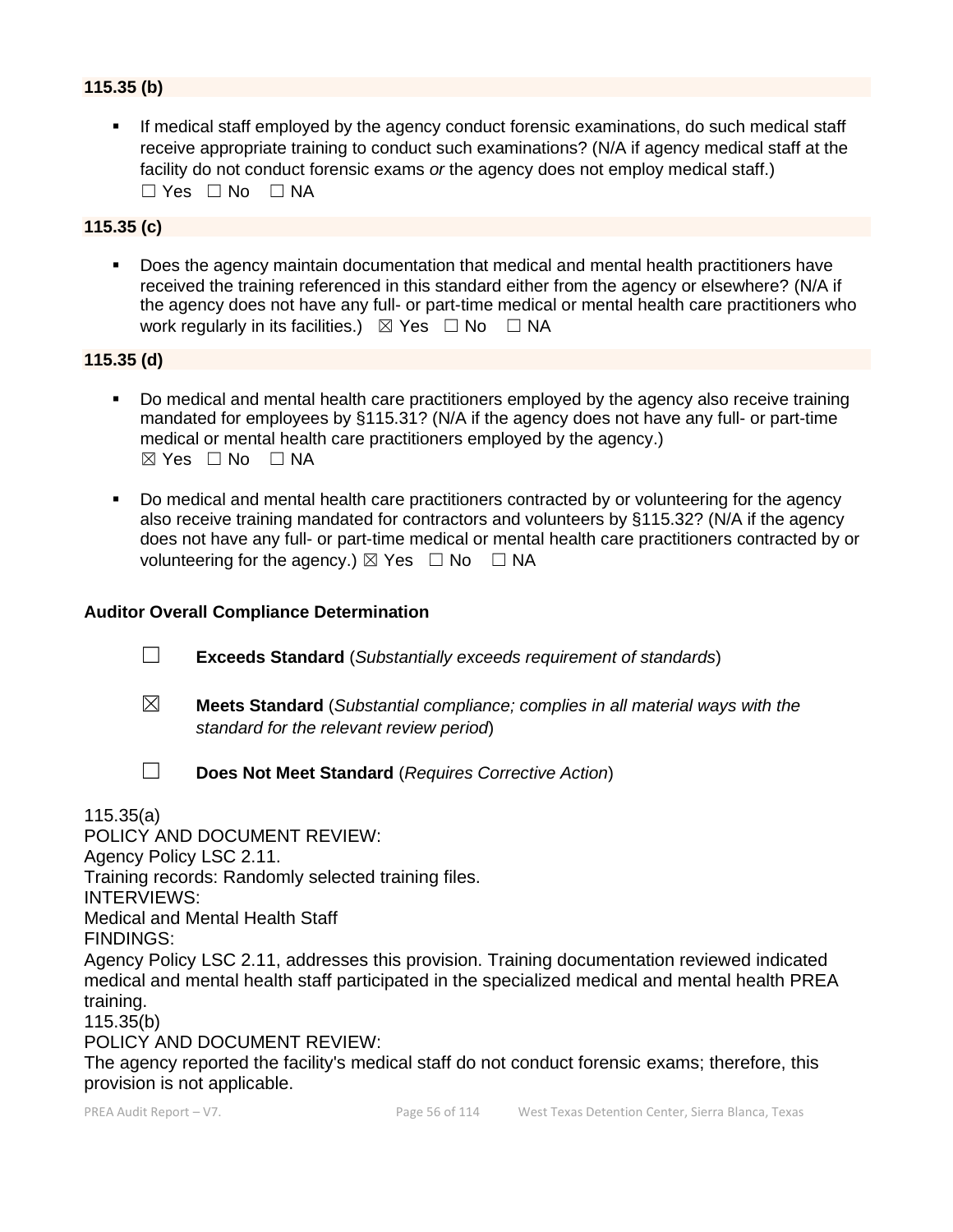## **115.35 (b)**

If medical staff employed by the agency conduct forensic examinations, do such medical staff receive appropriate training to conduct such examinations? (N/A if agency medical staff at the facility do not conduct forensic exams *or* the agency does not employ medical staff.)  $\Box$  Yes  $\Box$  No  $\Box$  NA

## **115.35 (c)**

▪ Does the agency maintain documentation that medical and mental health practitioners have received the training referenced in this standard either from the agency or elsewhere? (N/A if the agency does not have any full- or part-time medical or mental health care practitioners who work regularly in its facilities.)  $\boxtimes$  Yes  $\Box$  No  $\Box$  NA

## **115.35 (d)**

- Do medical and mental health care practitioners employed by the agency also receive training mandated for employees by §115.31? (N/A if the agency does not have any full- or part-time medical or mental health care practitioners employed by the agency.)  $⊠ Yes ⊡ No ⊡ NA$
- Do medical and mental health care practitioners contracted by or volunteering for the agency also receive training mandated for contractors and volunteers by §115.32? (N/A if the agency does not have any full- or part-time medical or mental health care practitioners contracted by or volunteering for the agency.)  $\boxtimes$  Yes  $\Box$  No  $\Box$  NA

#### **Auditor Overall Compliance Determination**

- ☐ **Exceeds Standard** (*Substantially exceeds requirement of standards*)
- ☒ **Meets Standard** (*Substantial compliance; complies in all material ways with the standard for the relevant review period*)

☐ **Does Not Meet Standard** (*Requires Corrective Action*)

115.35(a)

POLICY AND DOCUMENT REVIEW:

Agency Policy LSC 2.11.

Training records: Randomly selected training files.

INTERVIEWS:

Medical and Mental Health Staff

FINDINGS:

Agency Policy LSC 2.11, addresses this provision. Training documentation reviewed indicated medical and mental health staff participated in the specialized medical and mental health PREA training.

115.35(b)

POLICY AND DOCUMENT REVIEW:

The agency reported the facility's medical staff do not conduct forensic exams; therefore, this provision is not applicable.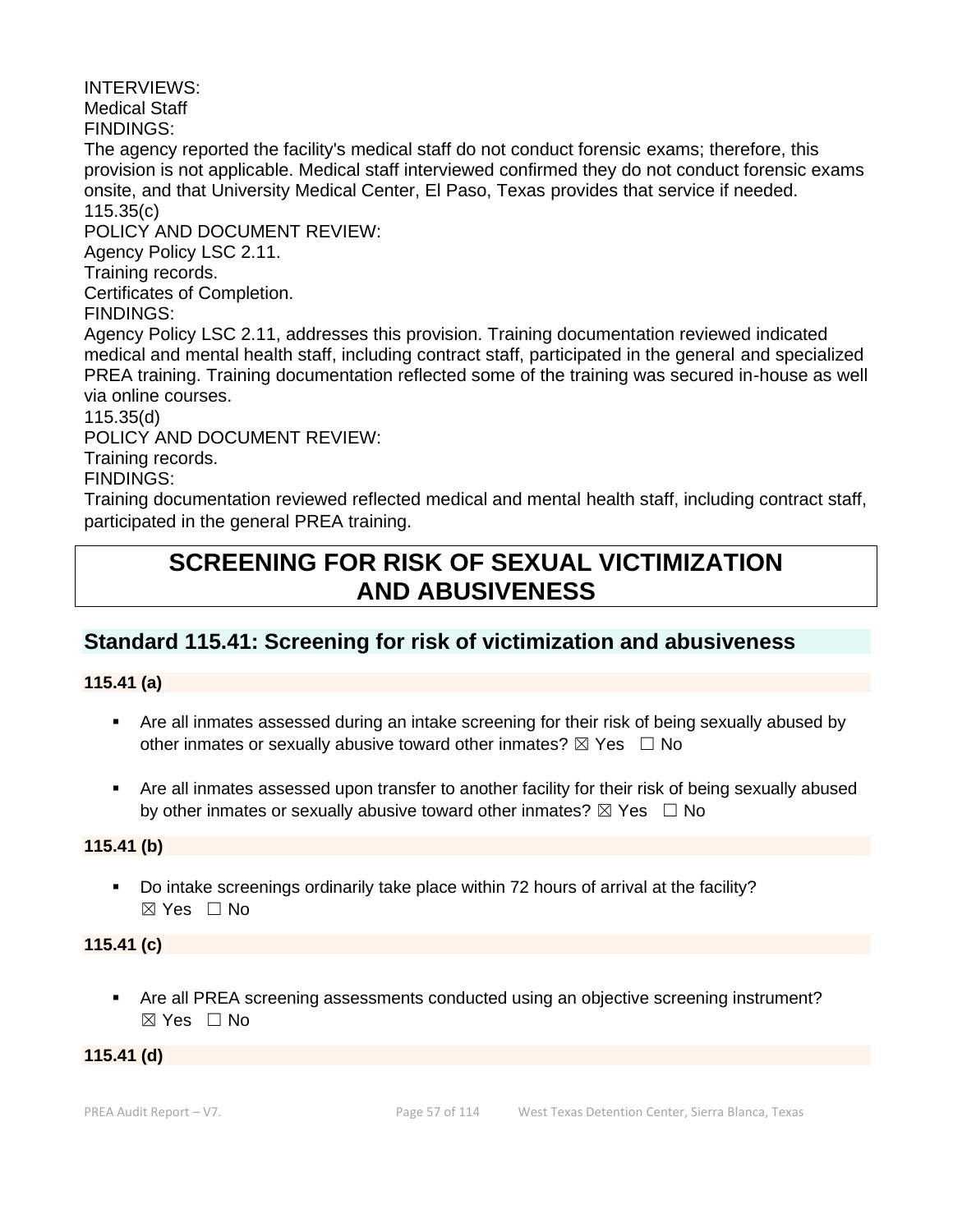INTERVIEWS: Medical Staff FINDINGS: The agency reported the facility's medical staff do not conduct forensic exams; therefore, this provision is not applicable. Medical staff interviewed confirmed they do not conduct forensic exams onsite, and that University Medical Center, El Paso, Texas provides that service if needed. 115.35(c) POLICY AND DOCUMENT REVIEW: Agency Policy LSC 2.11. Training records. Certificates of Completion. FINDINGS: Agency Policy LSC 2.11, addresses this provision. Training documentation reviewed indicated medical and mental health staff, including contract staff, participated in the general and specialized PREA training. Training documentation reflected some of the training was secured in-house as well via online courses. 115.35(d) POLICY AND DOCUMENT REVIEW: Training records. FINDINGS: Training documentation reviewed reflected medical and mental health staff, including contract staff, participated in the general PREA training.

# **SCREENING FOR RISK OF SEXUAL VICTIMIZATION AND ABUSIVENESS**

# **Standard 115.41: Screening for risk of victimization and abusiveness**

## **115.41 (a)**

- Are all inmates assessed during an intake screening for their risk of being sexually abused by other inmates or sexually abusive toward other inmates?  $\boxtimes$  Yes  $\Box$  No
- Are all inmates assessed upon transfer to another facility for their risk of being sexually abused by other inmates or sexually abusive toward other inmates?  $\boxtimes$  Yes  $\Box$  No

## **115.41 (b)**

■ Do intake screenings ordinarily take place within 72 hours of arrival at the facility?  $\boxtimes$  Yes  $\Box$  No

## **115.41 (c)**

■ Are all PREA screening assessments conducted using an objective screening instrument? ☒ Yes ☐ No

## **115.41 (d)**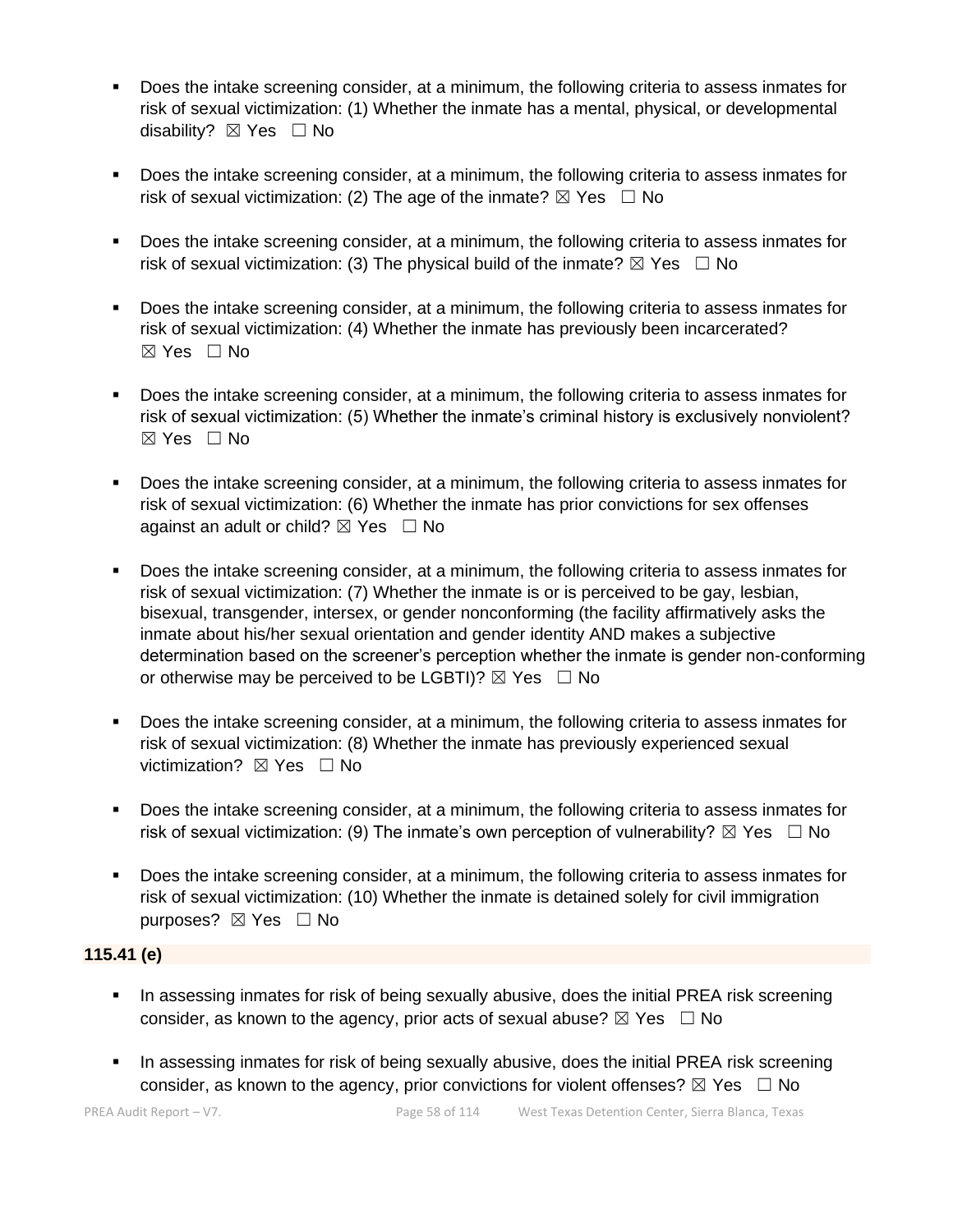- Does the intake screening consider, at a minimum, the following criteria to assess inmates for risk of sexual victimization: (1) Whether the inmate has a mental, physical, or developmental disability? ⊠ Yes □ No
- Does the intake screening consider, at a minimum, the following criteria to assess inmates for risk of sexual victimization: (2) The age of the inmate?  $\boxtimes$  Yes  $\Box$  No
- Does the intake screening consider, at a minimum, the following criteria to assess inmates for risk of sexual victimization: (3) The physical build of the inmate?  $\boxtimes$  Yes  $\Box$  No
- Does the intake screening consider, at a minimum, the following criteria to assess inmates for risk of sexual victimization: (4) Whether the inmate has previously been incarcerated? ☒ Yes ☐ No
- Does the intake screening consider, at a minimum, the following criteria to assess inmates for risk of sexual victimization: (5) Whether the inmate's criminal history is exclusively nonviolent?  $\boxtimes$  Yes  $\Box$  No
- Does the intake screening consider, at a minimum, the following criteria to assess inmates for risk of sexual victimization: (6) Whether the inmate has prior convictions for sex offenses against an adult or child?  $\boxtimes$  Yes  $\Box$  No
- Does the intake screening consider, at a minimum, the following criteria to assess inmates for risk of sexual victimization: (7) Whether the inmate is or is perceived to be gay, lesbian, bisexual, transgender, intersex, or gender nonconforming (the facility affirmatively asks the inmate about his/her sexual orientation and gender identity AND makes a subjective determination based on the screener's perception whether the inmate is gender non-conforming or otherwise may be perceived to be LGBTI)?  $\boxtimes$  Yes  $\Box$  No
- Does the intake screening consider, at a minimum, the following criteria to assess inmates for risk of sexual victimization: (8) Whether the inmate has previously experienced sexual victimization? **⊠** Yes □ No
- Does the intake screening consider, at a minimum, the following criteria to assess inmates for risk of sexual victimization: (9) The inmate's own perception of vulnerability?  $\boxtimes$  Yes  $\Box$  No
- Does the intake screening consider, at a minimum, the following criteria to assess inmates for risk of sexual victimization: (10) Whether the inmate is detained solely for civil immigration purposes? ⊠ Yes □ No

## **115.41 (e)**

- **•** In assessing inmates for risk of being sexually abusive, does the initial PREA risk screening consider, as known to the agency, prior acts of sexual abuse?  $\boxtimes$  Yes  $\Box$  No
- **•** In assessing inmates for risk of being sexually abusive, does the initial PREA risk screening consider, as known to the agency, prior convictions for violent offenses?  $\boxtimes$  Yes  $\Box$  No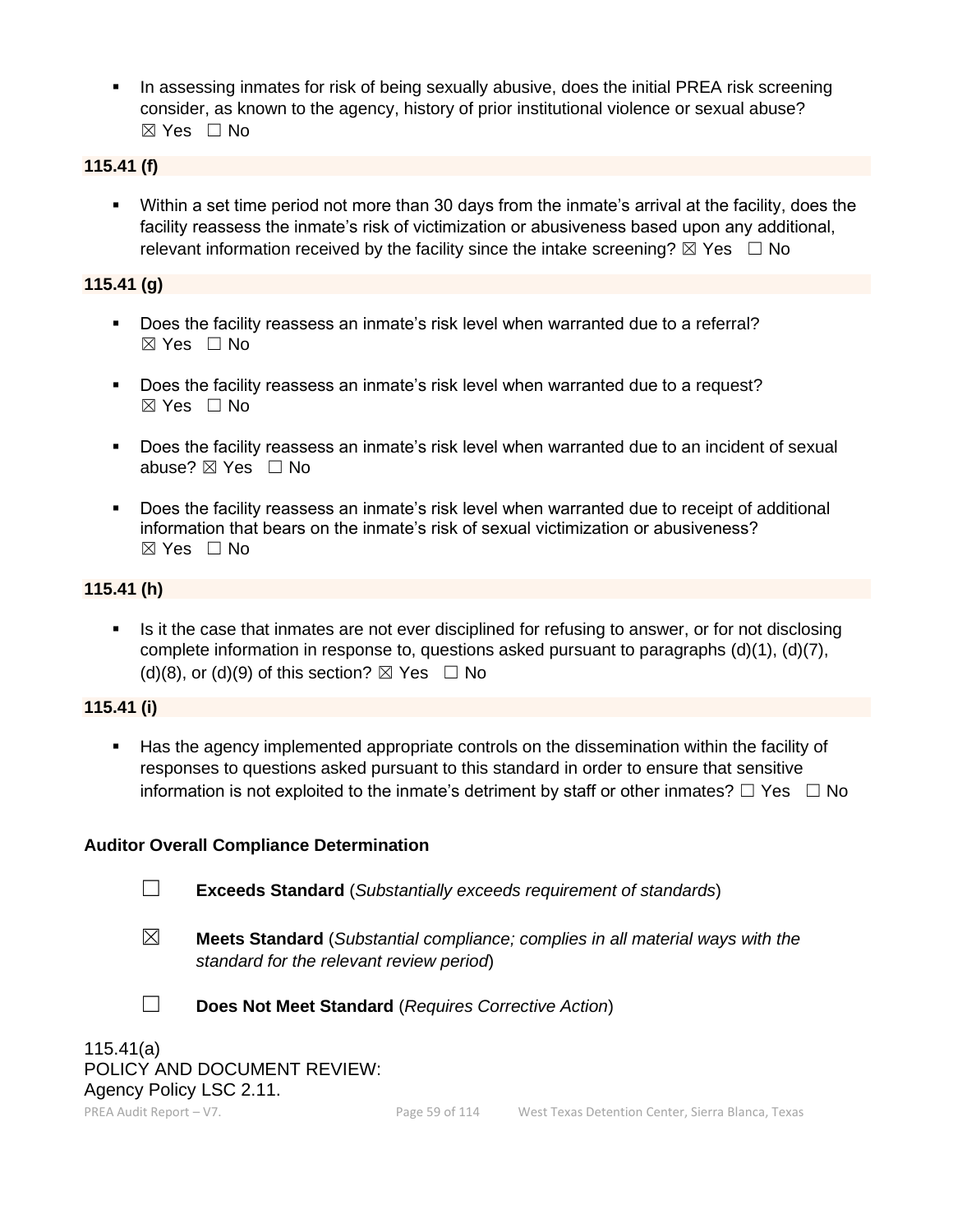**•** In assessing inmates for risk of being sexually abusive, does the initial PREA risk screening consider, as known to the agency, history of prior institutional violence or sexual abuse? ☒ Yes ☐ No

## **115.41 (f)**

▪ Within a set time period not more than 30 days from the inmate's arrival at the facility, does the facility reassess the inmate's risk of victimization or abusiveness based upon any additional, relevant information received by the facility since the intake screening?  $\boxtimes$  Yes  $\Box$  No

## **115.41 (g)**

- Does the facility reassess an inmate's risk level when warranted due to a referral? ☒ Yes ☐ No
- Does the facility reassess an inmate's risk level when warranted due to a request? ☒ Yes ☐ No
- Does the facility reassess an inmate's risk level when warranted due to an incident of sexual abuse? ⊠ Yes □ No
- Does the facility reassess an inmate's risk level when warranted due to receipt of additional information that bears on the inmate's risk of sexual victimization or abusiveness? ☒ Yes ☐ No

## **115.41 (h)**

**.** Is it the case that inmates are not ever disciplined for refusing to answer, or for not disclosing complete information in response to, questions asked pursuant to paragraphs (d)(1), (d)(7), (d)(8), or (d)(9) of this section?  $\boxtimes$  Yes  $\Box$  No

## **115.41 (i)**

Has the agency implemented appropriate controls on the dissemination within the facility of responses to questions asked pursuant to this standard in order to ensure that sensitive information is not exploited to the inmate's detriment by staff or other inmates?  $\Box$  Yes  $\Box$  No

## **Auditor Overall Compliance Determination**

- ☐ **Exceeds Standard** (*Substantially exceeds requirement of standards*)
- ☒ **Meets Standard** (*Substantial compliance; complies in all material ways with the standard for the relevant review period*)



☐ **Does Not Meet Standard** (*Requires Corrective Action*)

115.41(a) POLICY AND DOCUMENT REVIEW: Agency Policy LSC 2.11.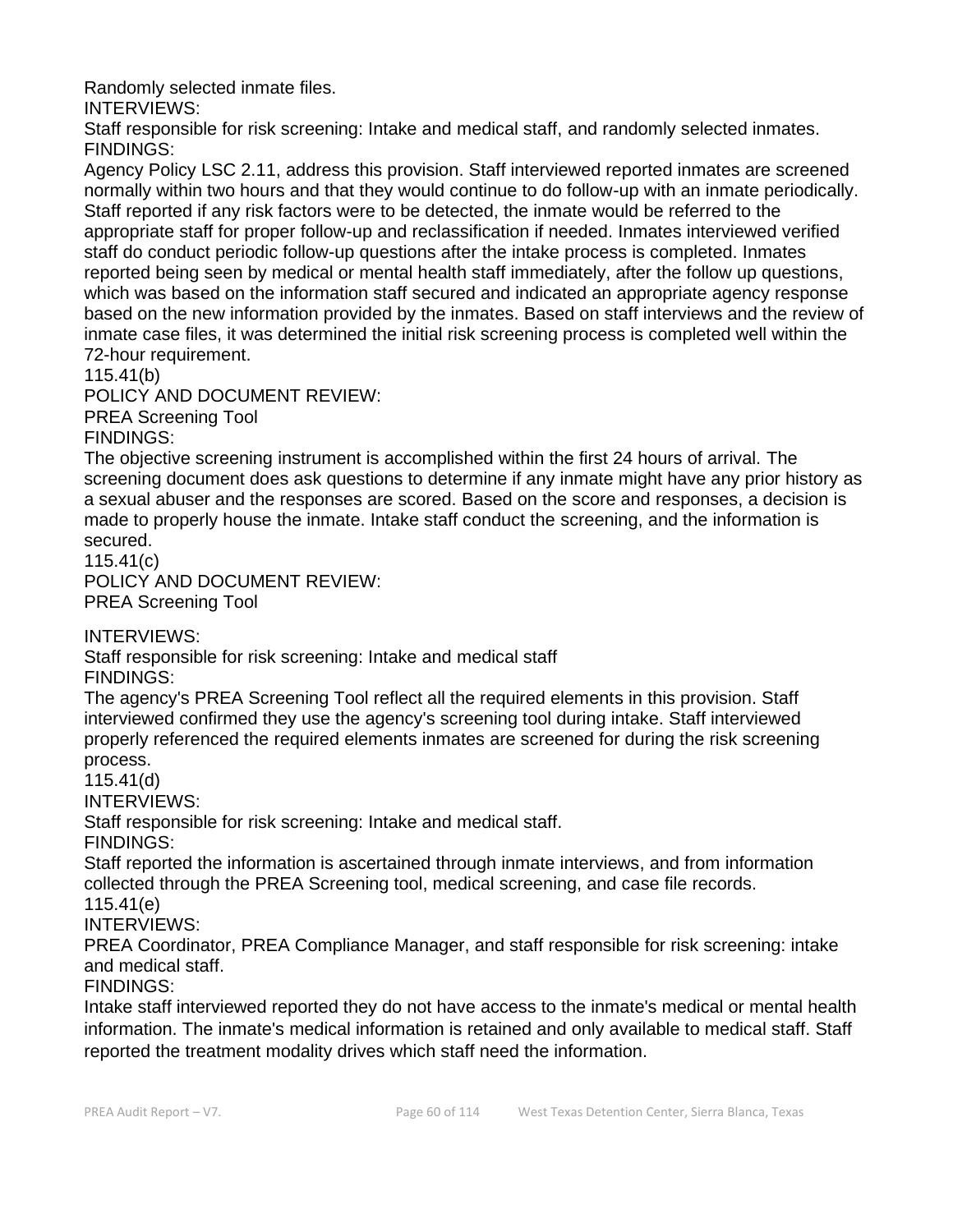Randomly selected inmate files.

INTERVIEWS:

Staff responsible for risk screening: Intake and medical staff, and randomly selected inmates. FINDINGS:

Agency Policy LSC 2.11, address this provision. Staff interviewed reported inmates are screened normally within two hours and that they would continue to do follow-up with an inmate periodically. Staff reported if any risk factors were to be detected, the inmate would be referred to the appropriate staff for proper follow-up and reclassification if needed. Inmates interviewed verified staff do conduct periodic follow-up questions after the intake process is completed. Inmates reported being seen by medical or mental health staff immediately, after the follow up questions, which was based on the information staff secured and indicated an appropriate agency response based on the new information provided by the inmates. Based on staff interviews and the review of inmate case files, it was determined the initial risk screening process is completed well within the 72-hour requirement.

115.41(b)

POLICY AND DOCUMENT REVIEW:

PREA Screening Tool

FINDINGS:

The objective screening instrument is accomplished within the first 24 hours of arrival. The screening document does ask questions to determine if any inmate might have any prior history as a sexual abuser and the responses are scored. Based on the score and responses, a decision is made to properly house the inmate. Intake staff conduct the screening, and the information is secured.

115.41(c)

POLICY AND DOCUMENT REVIEW: PREA Screening Tool

INTERVIEWS:

Staff responsible for risk screening: Intake and medical staff FINDINGS:

The agency's PREA Screening Tool reflect all the required elements in this provision. Staff interviewed confirmed they use the agency's screening tool during intake. Staff interviewed properly referenced the required elements inmates are screened for during the risk screening process.

115.41(d)

INTERVIEWS:

Staff responsible for risk screening: Intake and medical staff.

FINDINGS:

Staff reported the information is ascertained through inmate interviews, and from information collected through the PREA Screening tool, medical screening, and case file records. 115.41(e)

INTERVIEWS:

PREA Coordinator, PREA Compliance Manager, and staff responsible for risk screening: intake and medical staff.

FINDINGS:

Intake staff interviewed reported they do not have access to the inmate's medical or mental health information. The inmate's medical information is retained and only available to medical staff. Staff reported the treatment modality drives which staff need the information.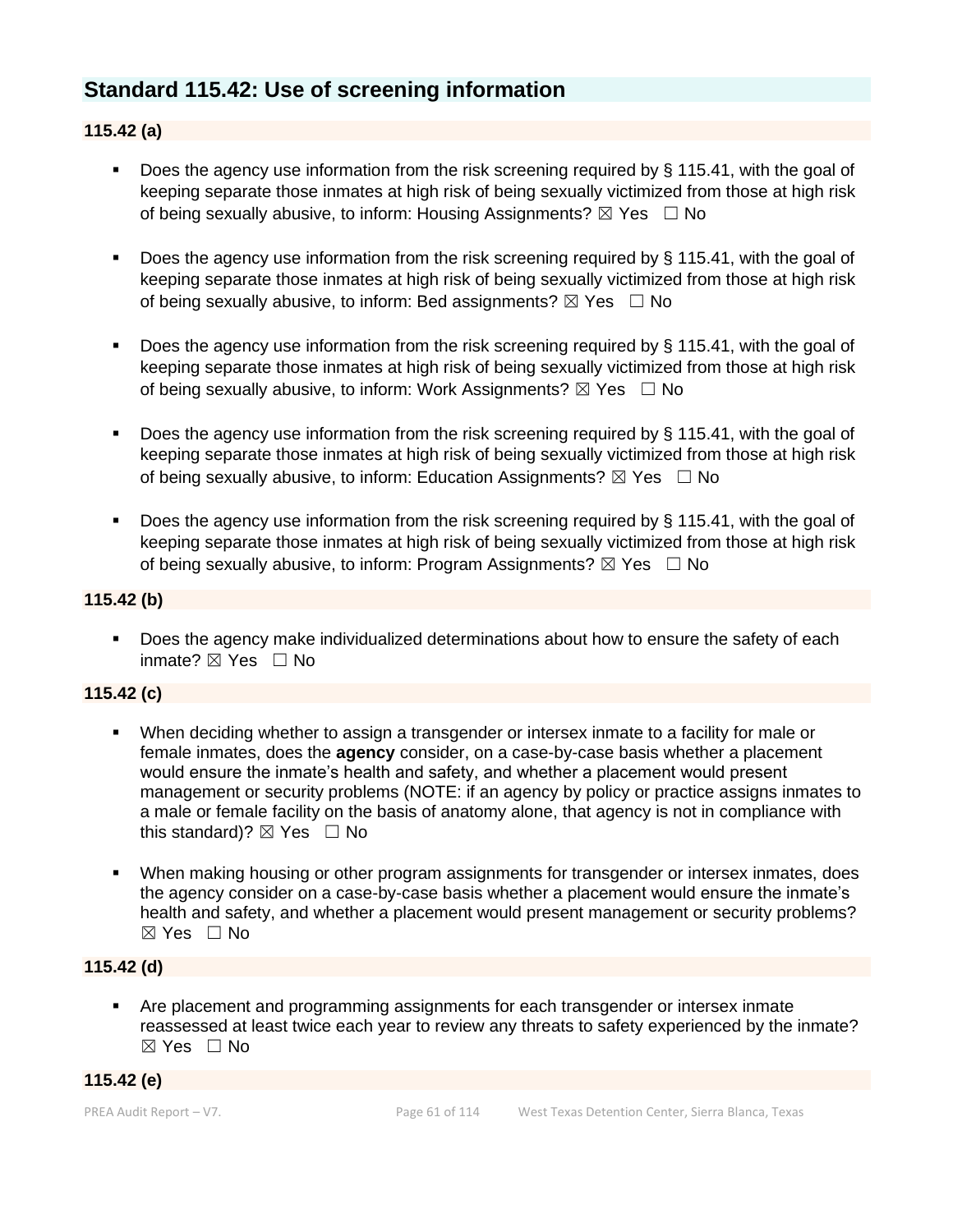## **Standard 115.42: Use of screening information**

## **115.42 (a)**

- **•** Does the agency use information from the risk screening required by  $\S$  115.41, with the goal of keeping separate those inmates at high risk of being sexually victimized from those at high risk of being sexually abusive, to inform: Housing Assignments?  $\boxtimes$  Yes  $\Box$  No
- Does the agency use information from the risk screening required by § 115.41, with the goal of keeping separate those inmates at high risk of being sexually victimized from those at high risk of being sexually abusive, to inform: Bed assignments?  $\boxtimes$  Yes  $\Box$  No
- Does the agency use information from the risk screening required by § 115.41, with the goal of keeping separate those inmates at high risk of being sexually victimized from those at high risk of being sexually abusive, to inform: Work Assignments?  $\boxtimes$  Yes  $\Box$  No
- Does the agency use information from the risk screening required by § 115.41, with the goal of keeping separate those inmates at high risk of being sexually victimized from those at high risk of being sexually abusive, to inform: Education Assignments?  $\boxtimes$  Yes  $\Box$  No
- Does the agency use information from the risk screening required by § 115.41, with the goal of keeping separate those inmates at high risk of being sexually victimized from those at high risk of being sexually abusive, to inform: Program Assignments?  $\boxtimes$  Yes  $\Box$  No

#### **115.42 (b)**

■ Does the agency make individualized determinations about how to ensure the safety of each inmate? ☒ Yes ☐ No

## **115.42 (c)**

- When deciding whether to assign a transgender or intersex inmate to a facility for male or female inmates, does the **agency** consider, on a case-by-case basis whether a placement would ensure the inmate's health and safety, and whether a placement would present management or security problems (NOTE: if an agency by policy or practice assigns inmates to a male or female facility on the basis of anatomy alone, that agency is not in compliance with this standard)?  $\boxtimes$  Yes  $\Box$  No
- When making housing or other program assignments for transgender or intersex inmates, does the agency consider on a case-by-case basis whether a placement would ensure the inmate's health and safety, and whether a placement would present management or security problems? ☒ Yes ☐ No

#### **115.42 (d)**

▪ Are placement and programming assignments for each transgender or intersex inmate reassessed at least twice each year to review any threats to safety experienced by the inmate? ☒ Yes ☐ No

## **115.42 (e)**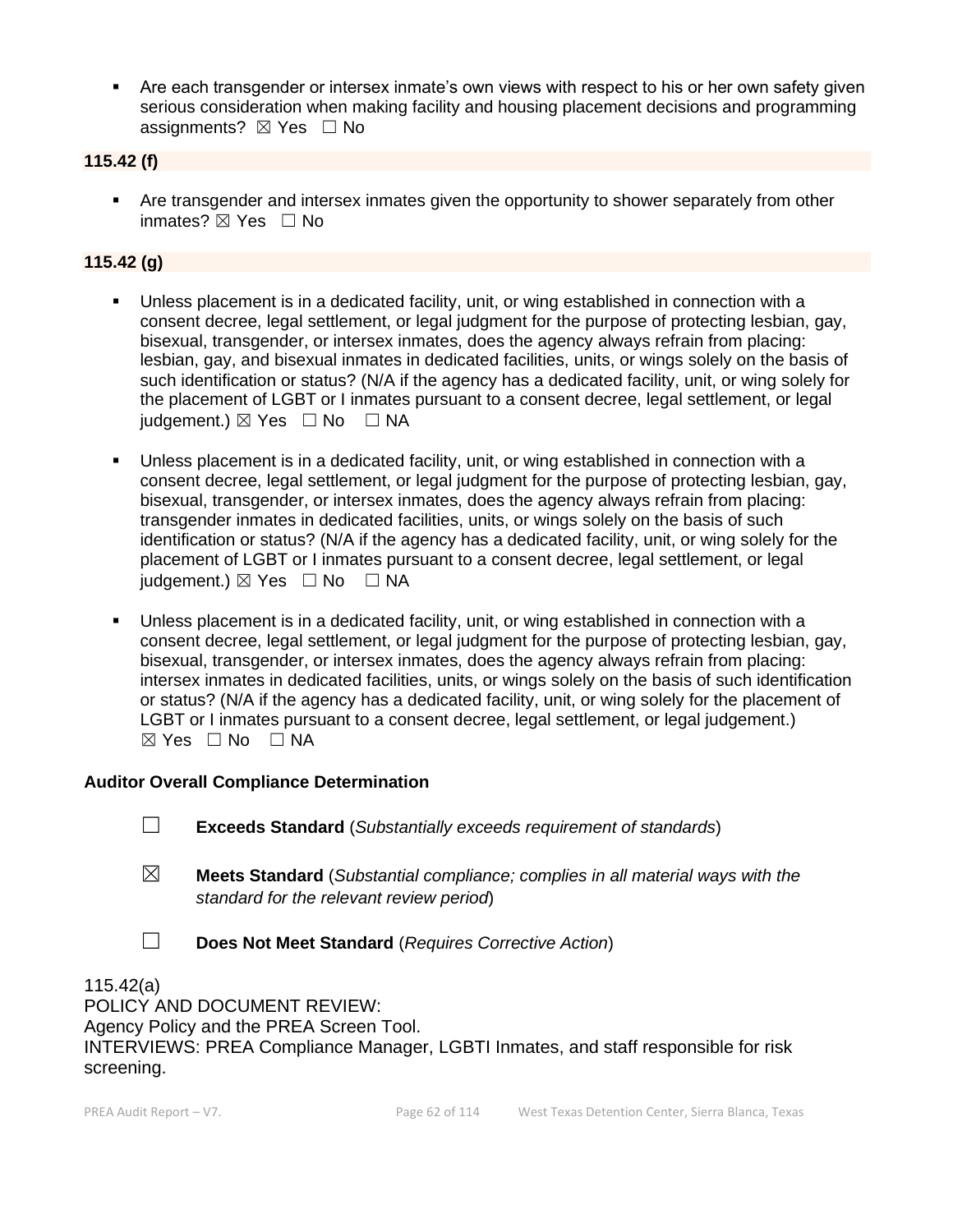**EXECT Are each transgender or intersex inmate's own views with respect to his or her own safety given** serious consideration when making facility and housing placement decisions and programming assignments?  $\boxtimes$  Yes  $\Box$  No

#### **115.42 (f)**

**EXECT** Are transgender and intersex inmates given the opportunity to shower separately from other inmates? ☒ Yes ☐ No

## **115.42 (g)**

- Unless placement is in a dedicated facility, unit, or wing established in connection with a consent decree, legal settlement, or legal judgment for the purpose of protecting lesbian, gay, bisexual, transgender, or intersex inmates, does the agency always refrain from placing: lesbian, gay, and bisexual inmates in dedicated facilities, units, or wings solely on the basis of such identification or status? (N/A if the agency has a dedicated facility, unit, or wing solely for the placement of LGBT or I inmates pursuant to a consent decree, legal settlement, or legal  $judgement.$ )  $\boxtimes$  Yes  $\Box$  No  $\Box$  NA
- Unless placement is in a dedicated facility, unit, or wing established in connection with a consent decree, legal settlement, or legal judgment for the purpose of protecting lesbian, gay, bisexual, transgender, or intersex inmates, does the agency always refrain from placing: transgender inmates in dedicated facilities, units, or wings solely on the basis of such identification or status? (N/A if the agency has a dedicated facility, unit, or wing solely for the placement of LGBT or I inmates pursuant to a consent decree, legal settlement, or legal judgement.)  $\boxtimes$  Yes  $\Box$  No  $\Box$  NA
- Unless placement is in a dedicated facility, unit, or wing established in connection with a consent decree, legal settlement, or legal judgment for the purpose of protecting lesbian, gay, bisexual, transgender, or intersex inmates, does the agency always refrain from placing: intersex inmates in dedicated facilities, units, or wings solely on the basis of such identification or status? (N/A if the agency has a dedicated facility, unit, or wing solely for the placement of LGBT or I inmates pursuant to a consent decree, legal settlement, or legal judgement.)  $⊠ Yes ⊡ No ⊡ NA$

#### **Auditor Overall Compliance Determination**

- ☐ **Exceeds Standard** (*Substantially exceeds requirement of standards*)
- ☒ **Meets Standard** (*Substantial compliance; complies in all material ways with the standard for the relevant review period*)
- ☐ **Does Not Meet Standard** (*Requires Corrective Action*)

115.42(a) POLICY AND DOCUMENT REVIEW: Agency Policy and the PREA Screen Tool. INTERVIEWS: PREA Compliance Manager, LGBTI Inmates, and staff responsible for risk screening.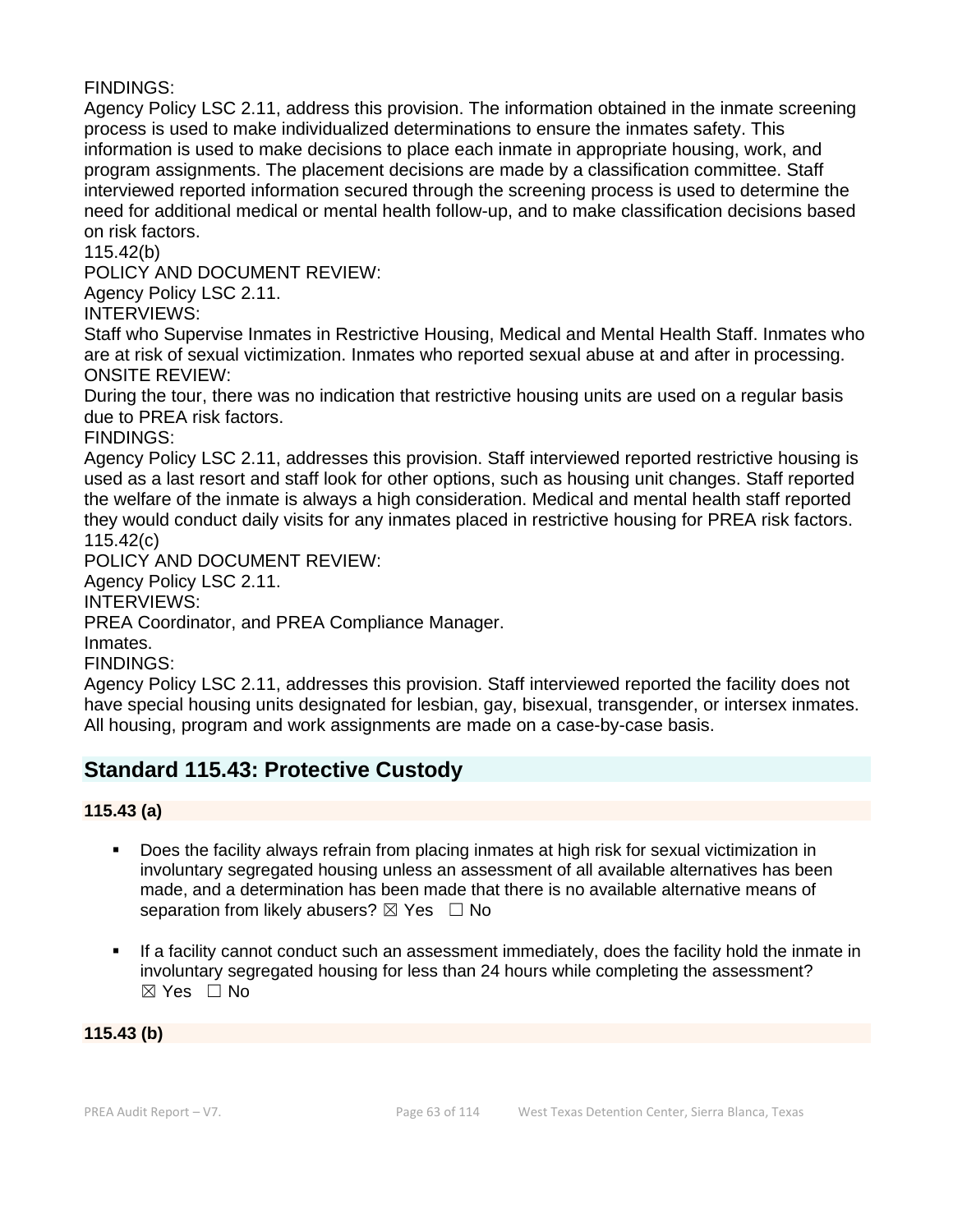FINDINGS:

Agency Policy LSC 2.11, address this provision. The information obtained in the inmate screening process is used to make individualized determinations to ensure the inmates safety. This information is used to make decisions to place each inmate in appropriate housing, work, and program assignments. The placement decisions are made by a classification committee. Staff interviewed reported information secured through the screening process is used to determine the need for additional medical or mental health follow-up, and to make classification decisions based on risk factors.

115.42(b)

POLICY AND DOCUMENT REVIEW:

Agency Policy LSC 2.11.

INTERVIEWS:

Staff who Supervise Inmates in Restrictive Housing, Medical and Mental Health Staff. Inmates who are at risk of sexual victimization. Inmates who reported sexual abuse at and after in processing. ONSITE REVIEW:

During the tour, there was no indication that restrictive housing units are used on a regular basis due to PREA risk factors.

FINDINGS:

Agency Policy LSC 2.11, addresses this provision. Staff interviewed reported restrictive housing is used as a last resort and staff look for other options, such as housing unit changes. Staff reported the welfare of the inmate is always a high consideration. Medical and mental health staff reported they would conduct daily visits for any inmates placed in restrictive housing for PREA risk factors. 115.42(c)

POLICY AND DOCUMENT REVIEW:

Agency Policy LSC 2.11.

INTERVIEWS:

PREA Coordinator, and PREA Compliance Manager.

Inmates.

FINDINGS:

Agency Policy LSC 2.11, addresses this provision. Staff interviewed reported the facility does not have special housing units designated for lesbian, gay, bisexual, transgender, or intersex inmates. All housing, program and work assignments are made on a case-by-case basis.

# **Standard 115.43: Protective Custody**

**115.43 (a)**

- Does the facility always refrain from placing inmates at high risk for sexual victimization in involuntary segregated housing unless an assessment of all available alternatives has been made, and a determination has been made that there is no available alternative means of separation from likely abusers?  $\boxtimes$  Yes  $\Box$  No
- If a facility cannot conduct such an assessment immediately, does the facility hold the inmate in involuntary segregated housing for less than 24 hours while completing the assessment?  $\boxtimes$  Yes  $\Box$  No

**115.43 (b)**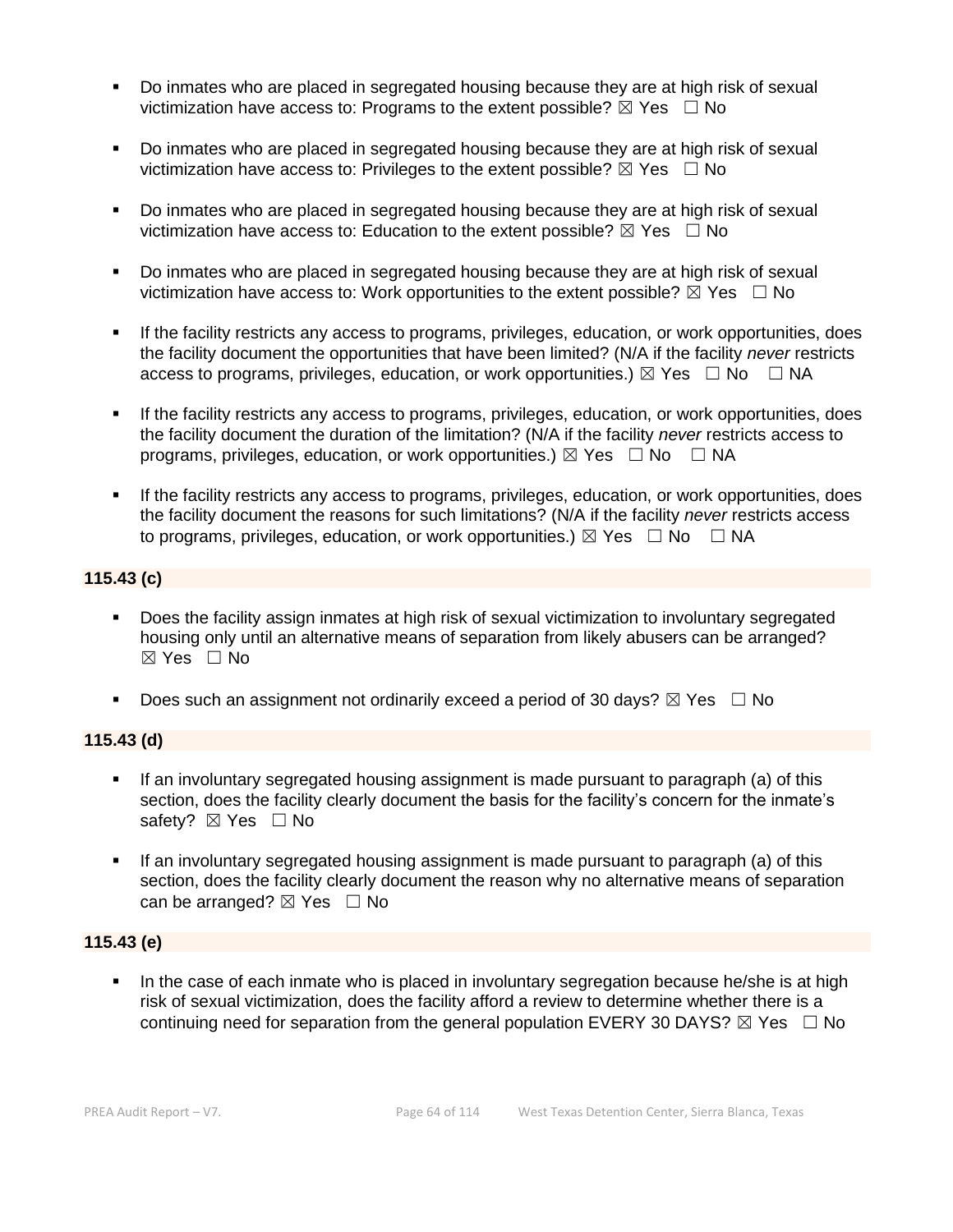- Do inmates who are placed in segregated housing because they are at high risk of sexual victimization have access to: Programs to the extent possible?  $\boxtimes$  Yes  $\Box$  No
- Do inmates who are placed in segregated housing because they are at high risk of sexual victimization have access to: Privileges to the extent possible?  $\boxtimes$  Yes  $\Box$  No
- Do inmates who are placed in segregated housing because they are at high risk of sexual victimization have access to: Education to the extent possible?  $\boxtimes$  Yes  $\Box$  No
- Do inmates who are placed in segregated housing because they are at high risk of sexual victimization have access to: Work opportunities to the extent possible?  $\boxtimes$  Yes  $\Box$  No
- If the facility restricts any access to programs, privileges, education, or work opportunities, does the facility document the opportunities that have been limited? (N/A if the facility *never* restricts access to programs, privileges, education, or work opportunities.)  $\boxtimes$  Yes  $\Box$  No  $\Box$  NA
- If the facility restricts any access to programs, privileges, education, or work opportunities, does the facility document the duration of the limitation? (N/A if the facility *never* restricts access to programs, privileges, education, or work opportunities.)  $\boxtimes$  Yes  $\Box$  No  $\Box$  NA
- **.** If the facility restricts any access to programs, privileges, education, or work opportunities, does the facility document the reasons for such limitations? (N/A if the facility *never* restricts access to programs, privileges, education, or work opportunities.)  $\boxtimes$  Yes  $\Box$  No  $\Box$  NA

## **115.43 (c)**

- Does the facility assign inmates at high risk of sexual victimization to involuntary segregated housing only until an alternative means of separation from likely abusers can be arranged? ☒ Yes ☐ No
- **•** Does such an assignment not ordinarily exceed a period of 30 days?  $\boxtimes$  Yes  $\Box$  No

## **115.43 (d)**

- **.** If an involuntary segregated housing assignment is made pursuant to paragraph (a) of this section, does the facility clearly document the basis for the facility's concern for the inmate's safety? ⊠ Yes □ No
- If an involuntary segregated housing assignment is made pursuant to paragraph (a) of this section, does the facility clearly document the reason why no alternative means of separation can be arranged?  $\boxtimes$  Yes  $\Box$  No

## **115.43 (e)**

In the case of each inmate who is placed in involuntary segregation because he/she is at high risk of sexual victimization, does the facility afford a review to determine whether there is a continuing need for separation from the general population EVERY 30 DAYS?  $\boxtimes$  Yes  $\Box$  No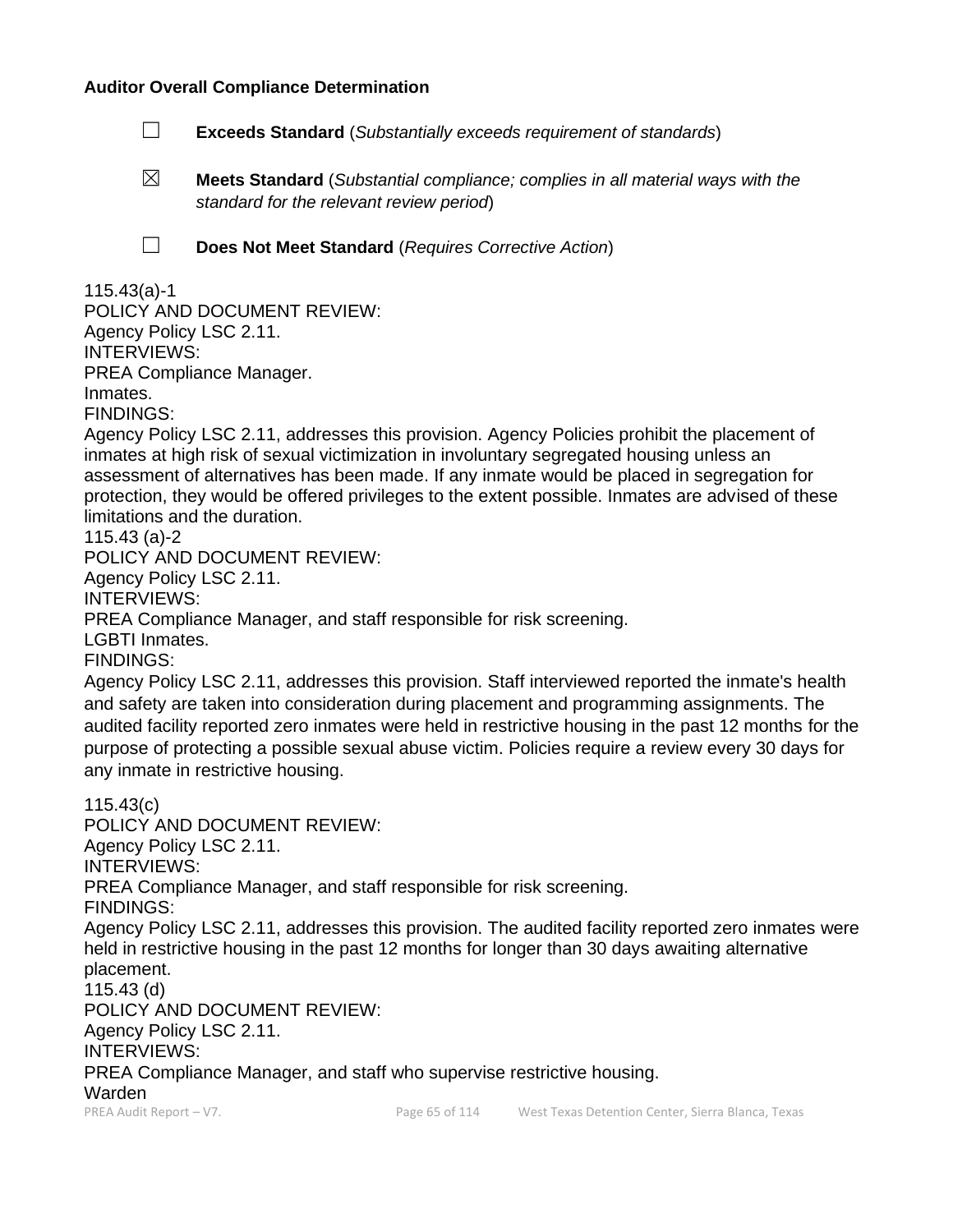#### **Auditor Overall Compliance Determination**

- ☐ **Exceeds Standard** (*Substantially exceeds requirement of standards*)
- ☒ **Meets Standard** (*Substantial compliance; complies in all material ways with the standard for the relevant review period*)
- 
- ☐ **Does Not Meet Standard** (*Requires Corrective Action*)

## 115.43(a)-1

POLICY AND DOCUMENT REVIEW: Agency Policy LSC 2.11. INTERVIEWS: PREA Compliance Manager. Inmates. FINDINGS:

Agency Policy LSC 2.11, addresses this provision. Agency Policies prohibit the placement of inmates at high risk of sexual victimization in involuntary segregated housing unless an assessment of alternatives has been made. If any inmate would be placed in segregation for protection, they would be offered privileges to the extent possible. Inmates are advised of these limitations and the duration.

115.43 (a)-2

POLICY AND DOCUMENT REVIEW: Agency Policy LSC 2.11. INTERVIEWS: PREA Compliance Manager, and staff responsible for risk screening. LGBTI Inmates. FINDINGS:

Agency Policy LSC 2.11, addresses this provision. Staff interviewed reported the inmate's health and safety are taken into consideration during placement and programming assignments. The audited facility reported zero inmates were held in restrictive housing in the past 12 months for the purpose of protecting a possible sexual abuse victim. Policies require a review every 30 days for any inmate in restrictive housing.

PREA Audit Report – V7. Page 65 of 114 West Texas Detention Center, Sierra Blanca, Texas 115.43(c) POLICY AND DOCUMENT REVIEW: Agency Policy LSC 2.11. INTERVIEWS: PREA Compliance Manager, and staff responsible for risk screening. FINDINGS: Agency Policy LSC 2.11, addresses this provision. The audited facility reported zero inmates were held in restrictive housing in the past 12 months for longer than 30 days awaiting alternative placement. 115.43 (d) POLICY AND DOCUMENT REVIEW: Agency Policy LSC 2.11. INTERVIEWS: PREA Compliance Manager, and staff who supervise restrictive housing. Warden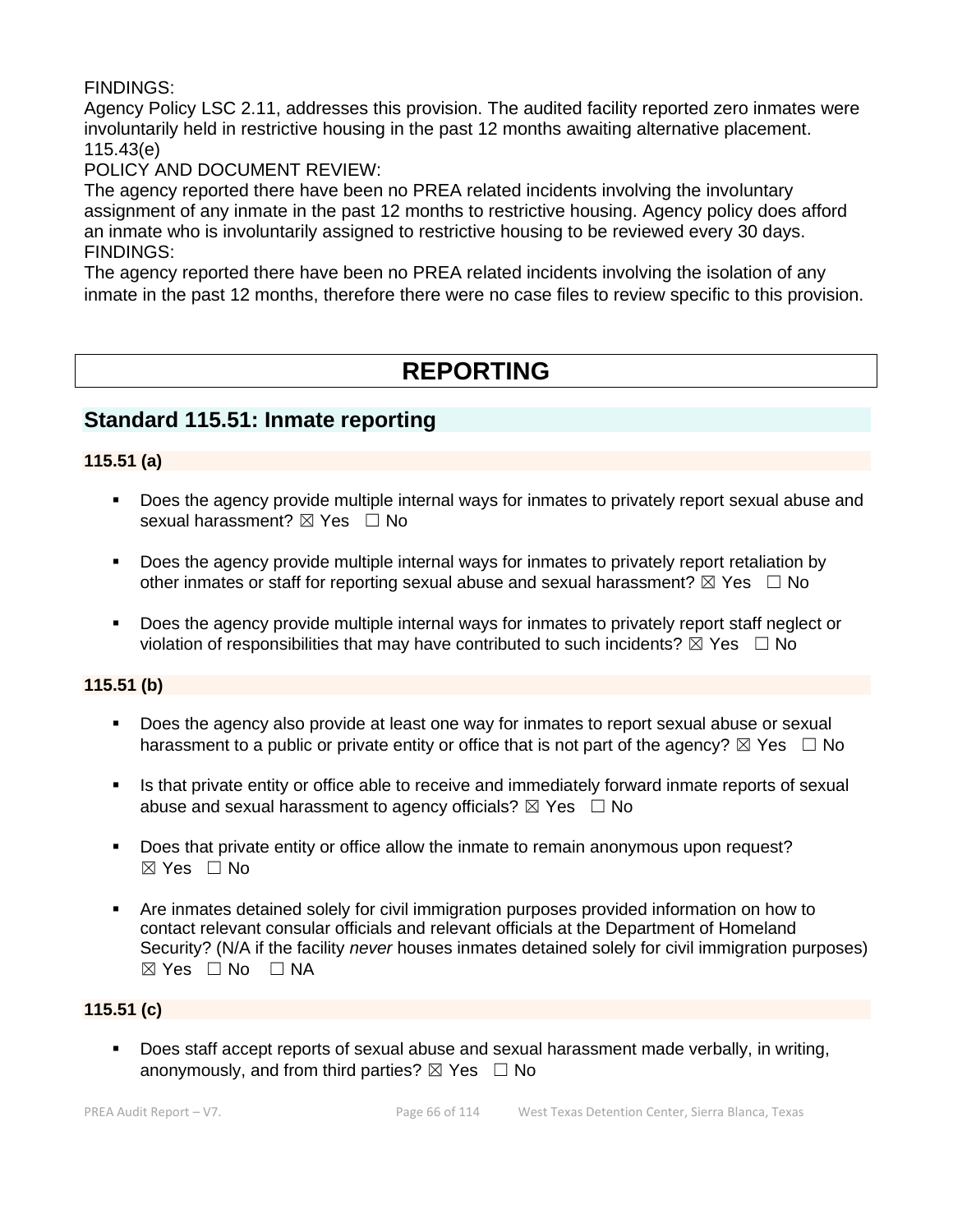## FINDINGS:

Agency Policy LSC 2.11, addresses this provision. The audited facility reported zero inmates were involuntarily held in restrictive housing in the past 12 months awaiting alternative placement. 115.43(e)

## POLICY AND DOCUMENT REVIEW:

The agency reported there have been no PREA related incidents involving the involuntary assignment of any inmate in the past 12 months to restrictive housing. Agency policy does afford an inmate who is involuntarily assigned to restrictive housing to be reviewed every 30 days. FINDINGS:

The agency reported there have been no PREA related incidents involving the isolation of any inmate in the past 12 months, therefore there were no case files to review specific to this provision.

# **REPORTING**

## **Standard 115.51: Inmate reporting**

## **115.51 (a)**

- Does the agency provide multiple internal ways for inmates to privately report sexual abuse and sexual harassment?  $\boxtimes$  Yes  $\Box$  No
- Does the agency provide multiple internal ways for inmates to privately report retaliation by other inmates or staff for reporting sexual abuse and sexual harassment?  $\boxtimes$  Yes  $\Box$  No
- Does the agency provide multiple internal ways for inmates to privately report staff neglect or violation of responsibilities that may have contributed to such incidents?  $\boxtimes$  Yes  $\Box$  No

## **115.51 (b)**

- Does the agency also provide at least one way for inmates to report sexual abuse or sexual harassment to a public or private entity or office that is not part of the agency?  $\boxtimes$  Yes  $\Box$  No
- Is that private entity or office able to receive and immediately forward inmate reports of sexual abuse and sexual harassment to agency officials?  $\boxtimes$  Yes  $\Box$  No
- Does that private entity or office allow the inmate to remain anonymous upon request?  $\boxtimes$  Yes  $\Box$  No
- Are inmates detained solely for civil immigration purposes provided information on how to contact relevant consular officials and relevant officials at the Department of Homeland Security? (N/A if the facility *never* houses inmates detained solely for civil immigration purposes)  $⊠ Yes ⊡ No ⊡ NA$

## **115.51 (c)**

■ Does staff accept reports of sexual abuse and sexual harassment made verbally, in writing, anonymously, and from third parties?  $\boxtimes$  Yes  $\Box$  No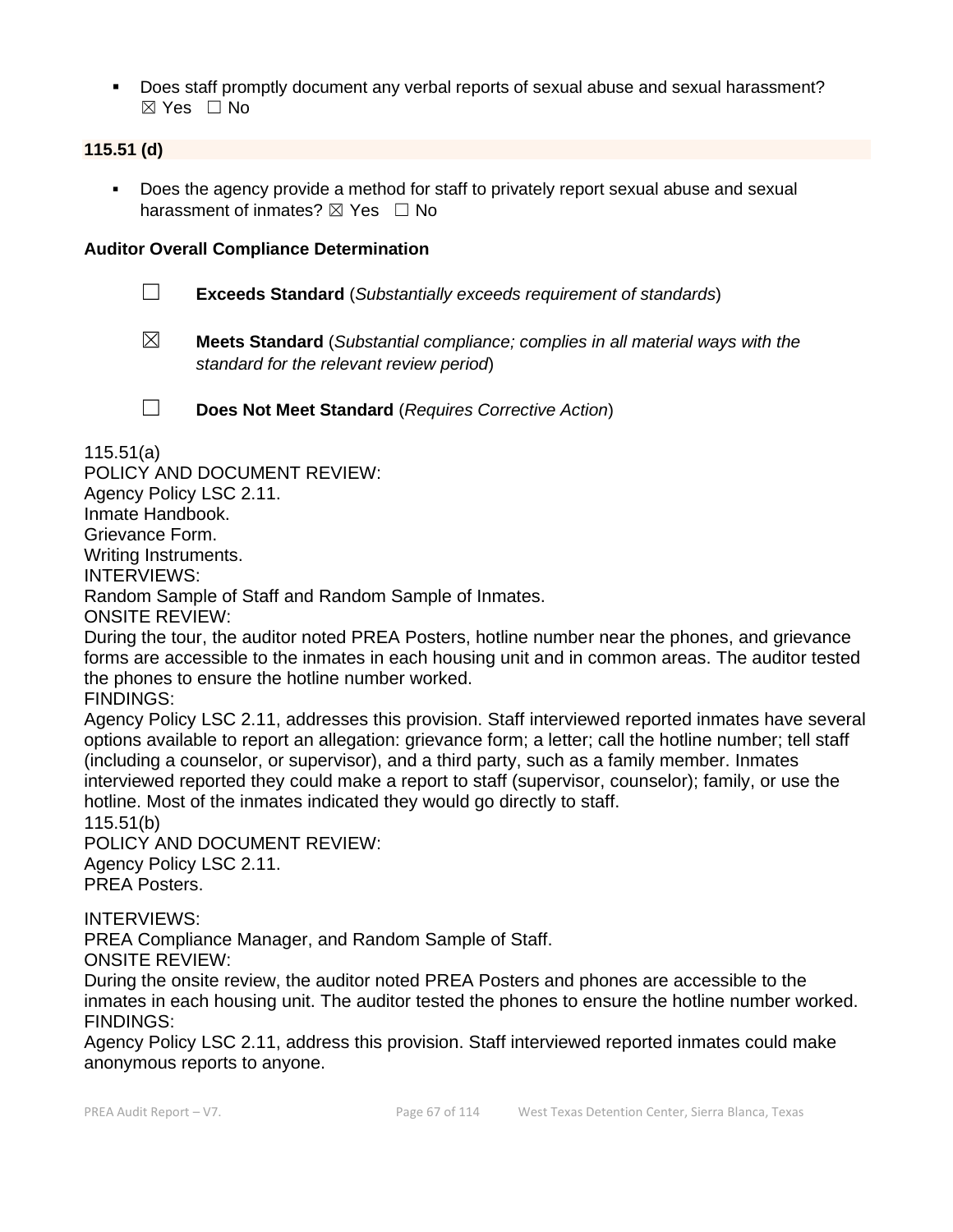▪ Does staff promptly document any verbal reports of sexual abuse and sexual harassment? ☒ Yes ☐ No

## **115.51 (d)**

Does the agency provide a method for staff to privately report sexual abuse and sexual harassment of inmates?  $\boxtimes$  Yes  $\Box$  No

#### **Auditor Overall Compliance Determination**

- ☐ **Exceeds Standard** (*Substantially exceeds requirement of standards*)
- ☒ **Meets Standard** (*Substantial compliance; complies in all material ways with the standard for the relevant review period*)

☐ **Does Not Meet Standard** (*Requires Corrective Action*)

115.51(a)

POLICY AND DOCUMENT REVIEW: Agency Policy LSC 2.11. Inmate Handbook. Grievance Form. Writing Instruments. INTERVIEWS: Random Sample of Staff and Random Sample of Inmates. ONSITE REVIEW: During the tour, the auditor noted PREA Posters, hotline number near the phones, and grievance

forms are accessible to the inmates in each housing unit and in common areas. The auditor tested the phones to ensure the hotline number worked.

FINDINGS:

Agency Policy LSC 2.11, addresses this provision. Staff interviewed reported inmates have several options available to report an allegation: grievance form; a letter; call the hotline number; tell staff (including a counselor, or supervisor), and a third party, such as a family member. Inmates interviewed reported they could make a report to staff (supervisor, counselor); family, or use the hotline. Most of the inmates indicated they would go directly to staff. 115.51(b)

POLICY AND DOCUMENT REVIEW: Agency Policy LSC 2.11. PREA Posters.

INTERVIEWS:

PREA Compliance Manager, and Random Sample of Staff. ONSITE REVIEW:

During the onsite review, the auditor noted PREA Posters and phones are accessible to the inmates in each housing unit. The auditor tested the phones to ensure the hotline number worked. FINDINGS:

Agency Policy LSC 2.11, address this provision. Staff interviewed reported inmates could make anonymous reports to anyone.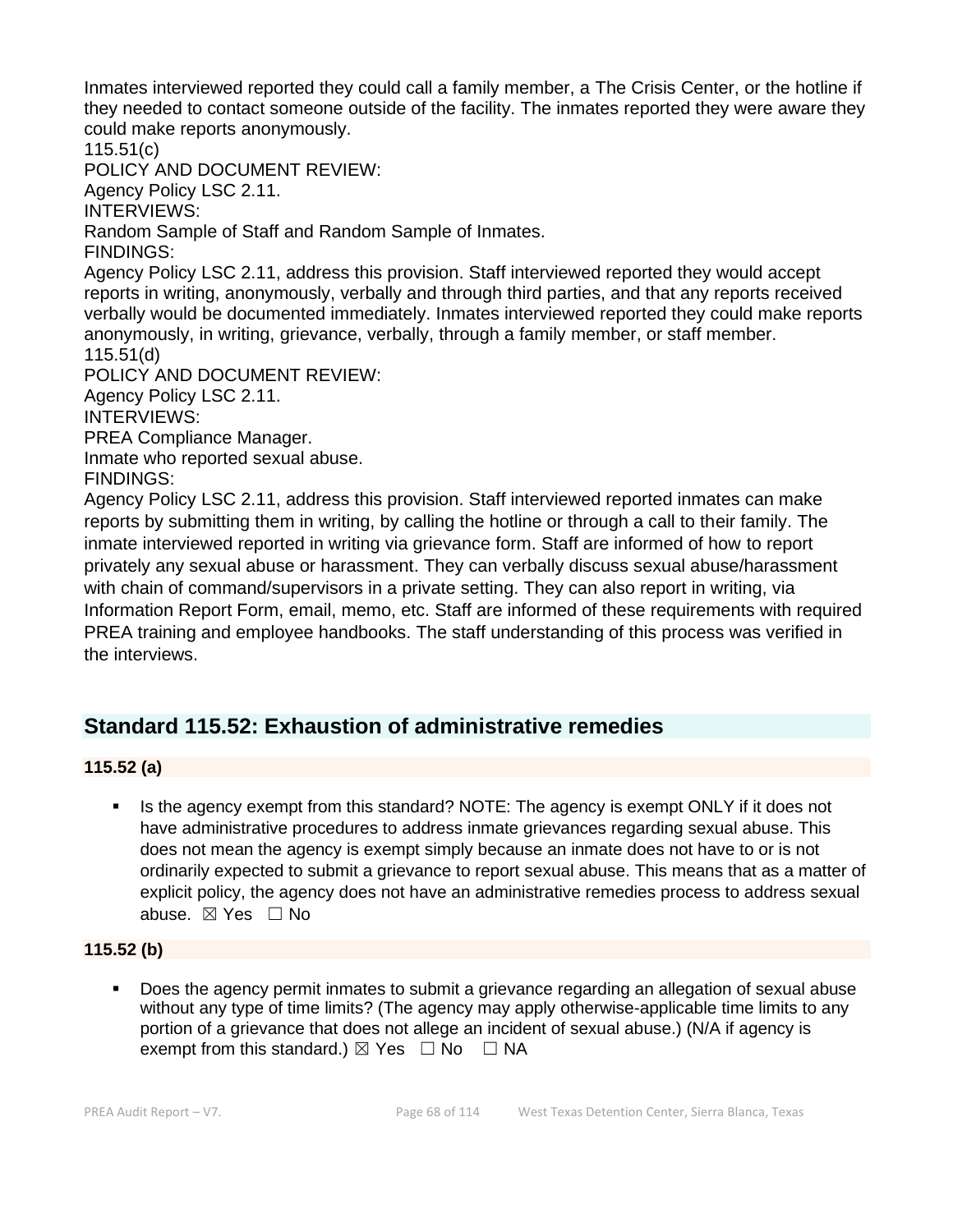Inmates interviewed reported they could call a family member, a The Crisis Center, or the hotline if they needed to contact someone outside of the facility. The inmates reported they were aware they could make reports anonymously.

115.51(c) POLICY AND DOCUMENT REVIEW:

Agency Policy LSC 2.11.

INTERVIEWS:

Random Sample of Staff and Random Sample of Inmates.

FINDINGS:

Agency Policy LSC 2.11, address this provision. Staff interviewed reported they would accept reports in writing, anonymously, verbally and through third parties, and that any reports received verbally would be documented immediately. Inmates interviewed reported they could make reports anonymously, in writing, grievance, verbally, through a family member, or staff member. 115.51(d)

POLICY AND DOCUMENT REVIEW: Agency Policy LSC 2.11. INTERVIEWS: PREA Compliance Manager.

Inmate who reported sexual abuse.

FINDINGS:

Agency Policy LSC 2.11, address this provision. Staff interviewed reported inmates can make reports by submitting them in writing, by calling the hotline or through a call to their family. The inmate interviewed reported in writing via grievance form. Staff are informed of how to report privately any sexual abuse or harassment. They can verbally discuss sexual abuse/harassment with chain of command/supervisors in a private setting. They can also report in writing, via Information Report Form, email, memo, etc. Staff are informed of these requirements with required PREA training and employee handbooks. The staff understanding of this process was verified in the interviews.

# **Standard 115.52: Exhaustion of administrative remedies**

## **115.52 (a)**

Is the agency exempt from this standard? NOTE: The agency is exempt ONLY if it does not have administrative procedures to address inmate grievances regarding sexual abuse. This does not mean the agency is exempt simply because an inmate does not have to or is not ordinarily expected to submit a grievance to report sexual abuse. This means that as a matter of explicit policy, the agency does not have an administrative remedies process to address sexual abuse. ☒ Yes ☐ No

## **115.52 (b)**

▪ Does the agency permit inmates to submit a grievance regarding an allegation of sexual abuse without any type of time limits? (The agency may apply otherwise-applicable time limits to any portion of a grievance that does not allege an incident of sexual abuse.) (N/A if agency is exempt from this standard.)  $\boxtimes$  Yes  $\Box$  No  $\Box$  NA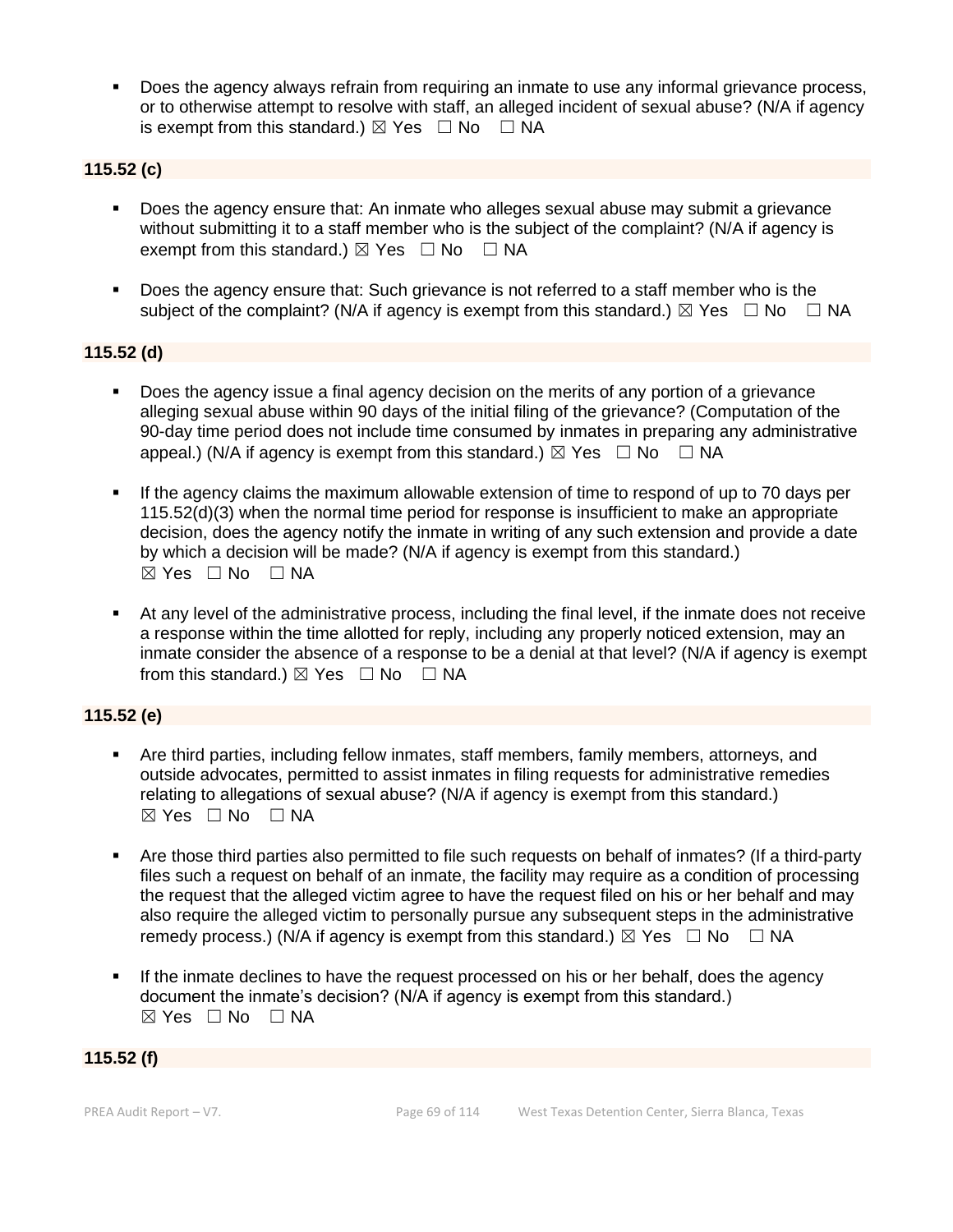Does the agency always refrain from requiring an inmate to use any informal grievance process, or to otherwise attempt to resolve with staff, an alleged incident of sexual abuse? (N/A if agency is exempt from this standard.)  $\boxtimes$  Yes  $\Box$  No  $\Box$  NA

## **115.52 (c)**

- Does the agency ensure that: An inmate who alleges sexual abuse may submit a grievance without submitting it to a staff member who is the subject of the complaint? (N/A if agency is exempt from this standard.)  $\boxtimes$  Yes  $\Box$  No  $\Box$  NA
- Does the agency ensure that: Such grievance is not referred to a staff member who is the subject of the complaint? (N/A if agency is exempt from this standard.)  $\boxtimes$  Yes  $\Box$  No  $\Box$  NA

#### **115.52 (d)**

- Does the agency issue a final agency decision on the merits of any portion of a grievance alleging sexual abuse within 90 days of the initial filing of the grievance? (Computation of the 90-day time period does not include time consumed by inmates in preparing any administrative appeal.) (N/A if agency is exempt from this standard.)  $\boxtimes$  Yes  $\Box$  No  $\Box$  NA
- If the agency claims the maximum allowable extension of time to respond of up to 70 days per 115.52(d)(3) when the normal time period for response is insufficient to make an appropriate decision, does the agency notify the inmate in writing of any such extension and provide a date by which a decision will be made? (N/A if agency is exempt from this standard.) ☒ Yes ☐ No ☐ NA
- At any level of the administrative process, including the final level, if the inmate does not receive a response within the time allotted for reply, including any properly noticed extension, may an inmate consider the absence of a response to be a denial at that level? (N/A if agency is exempt from this standard.)  $\boxtimes$  Yes  $\Box$  No  $\Box$  NA

## **115.52 (e)**

- Are third parties, including fellow inmates, staff members, family members, attorneys, and outside advocates, permitted to assist inmates in filing requests for administrative remedies relating to allegations of sexual abuse? (N/A if agency is exempt from this standard.)  $⊠ Yes ⊡ No ⊡ NA$
- Are those third parties also permitted to file such requests on behalf of inmates? (If a third-party files such a request on behalf of an inmate, the facility may require as a condition of processing the request that the alleged victim agree to have the request filed on his or her behalf and may also require the alleged victim to personally pursue any subsequent steps in the administrative remedy process.) (N/A if agency is exempt from this standard.)  $\boxtimes$  Yes  $\Box$  No  $\Box$  NA
- If the inmate declines to have the request processed on his or her behalf, does the agency document the inmate's decision? (N/A if agency is exempt from this standard.) ☒ Yes ☐ No ☐ NA

#### **115.52 (f)**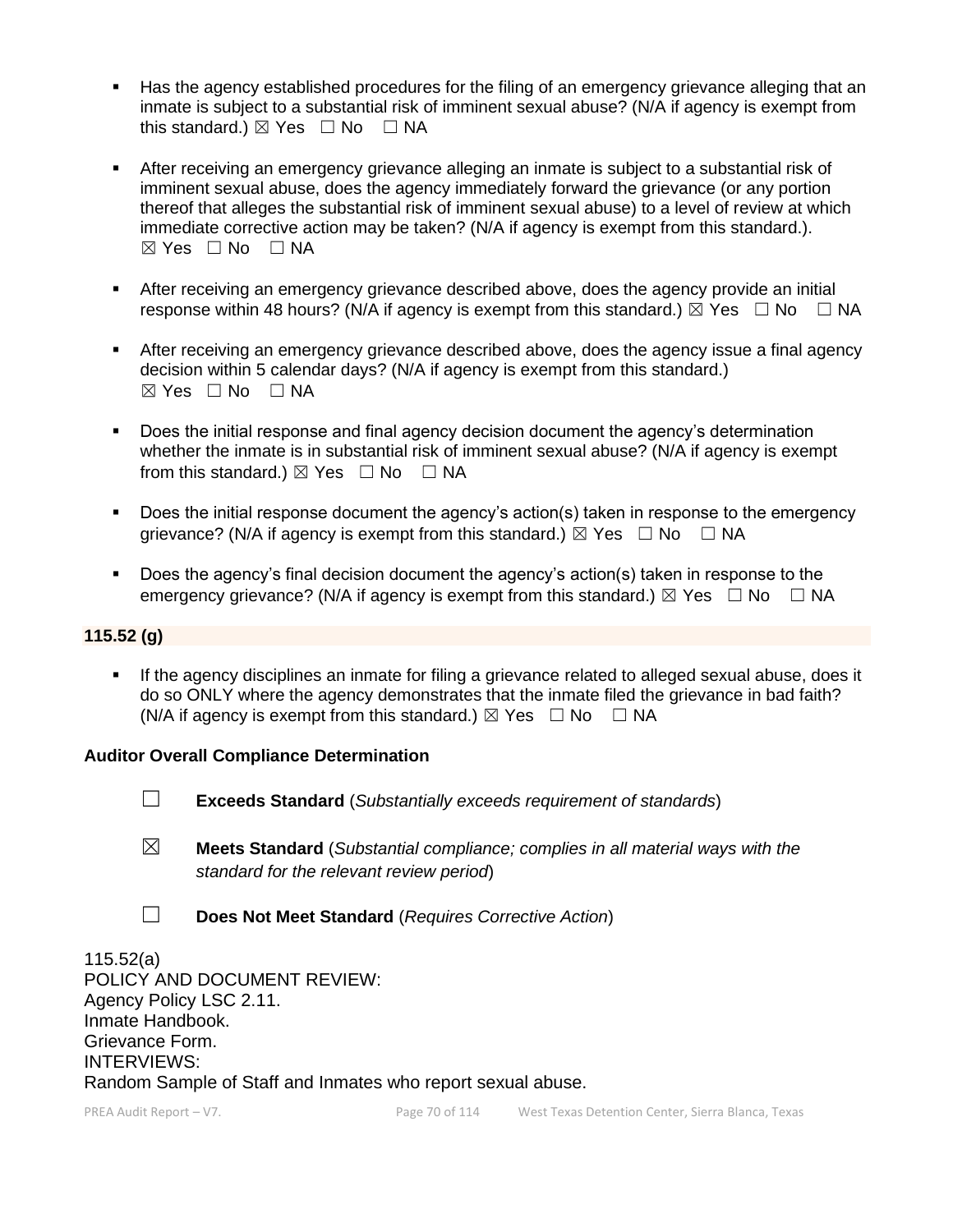- Has the agency established procedures for the filing of an emergency grievance alleging that an inmate is subject to a substantial risk of imminent sexual abuse? (N/A if agency is exempt from this standard.)  $\boxtimes$  Yes  $\Box$  No  $\Box$  NA
- After receiving an emergency grievance alleging an inmate is subject to a substantial risk of imminent sexual abuse, does the agency immediately forward the grievance (or any portion thereof that alleges the substantial risk of imminent sexual abuse) to a level of review at which immediate corrective action may be taken? (N/A if agency is exempt from this standard.).  $\boxtimes$  Yes  $\Box$  No  $\Box$  NA
- **EXECT** After receiving an emergency grievance described above, does the agency provide an initial response within 48 hours? (N/A if agency is exempt from this standard.)  $\boxtimes$  Yes  $\Box$  No  $\Box$  NA
- **EXECT** After receiving an emergency grievance described above, does the agency issue a final agency decision within 5 calendar days? (N/A if agency is exempt from this standard.)  $\boxtimes$  Yes  $\Box$  No  $\Box$  NA
- Does the initial response and final agency decision document the agency's determination whether the inmate is in substantial risk of imminent sexual abuse? (N/A if agency is exempt from this standard.)  $\boxtimes$  Yes  $\Box$  No  $\Box$  NA
- Does the initial response document the agency's action(s) taken in response to the emergency grievance? (N/A if agency is exempt from this standard.)  $\boxtimes$  Yes  $\Box$  No  $\Box$  NA
- Does the agency's final decision document the agency's action(s) taken in response to the emergency grievance? (N/A if agency is exempt from this standard.)  $\boxtimes$  Yes  $\Box$  No  $\Box$  NA

#### **115.52 (g)**

**.** If the agency disciplines an inmate for filing a grievance related to alleged sexual abuse, does it do so ONLY where the agency demonstrates that the inmate filed the grievance in bad faith? (N/A if agency is exempt from this standard.)  $\boxtimes$  Yes  $\Box$  No  $\Box$  NA

#### **Auditor Overall Compliance Determination**

- ☐ **Exceeds Standard** (*Substantially exceeds requirement of standards*)
- ☒ **Meets Standard** (*Substantial compliance; complies in all material ways with the standard for the relevant review period*)
- ☐ **Does Not Meet Standard** (*Requires Corrective Action*)

115.52(a) POLICY AND DOCUMENT REVIEW: Agency Policy LSC 2.11. Inmate Handbook. Grievance Form. INTERVIEWS: Random Sample of Staff and Inmates who report sexual abuse.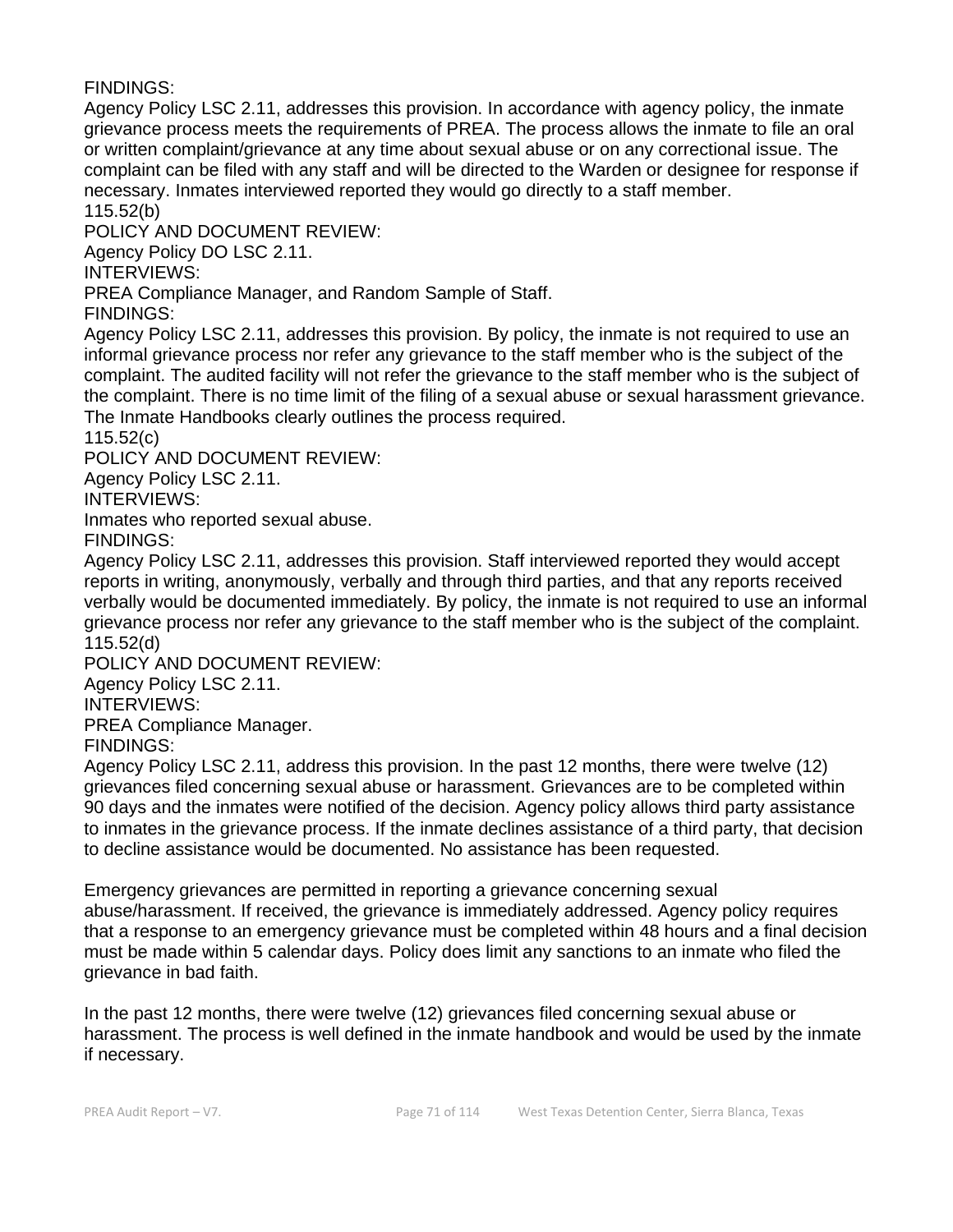FINDINGS:

Agency Policy LSC 2.11, addresses this provision. In accordance with agency policy, the inmate grievance process meets the requirements of PREA. The process allows the inmate to file an oral or written complaint/grievance at any time about sexual abuse or on any correctional issue. The complaint can be filed with any staff and will be directed to the Warden or designee for response if necessary. Inmates interviewed reported they would go directly to a staff member. 115.52(b)

POLICY AND DOCUMENT REVIEW:

Agency Policy DO LSC 2.11.

INTERVIEWS:

PREA Compliance Manager, and Random Sample of Staff.

FINDINGS:

Agency Policy LSC 2.11, addresses this provision. By policy, the inmate is not required to use an informal grievance process nor refer any grievance to the staff member who is the subject of the complaint. The audited facility will not refer the grievance to the staff member who is the subject of the complaint. There is no time limit of the filing of a sexual abuse or sexual harassment grievance. The Inmate Handbooks clearly outlines the process required.

115.52(c)

POLICY AND DOCUMENT REVIEW:

Agency Policy LSC 2.11.

INTERVIEWS:

Inmates who reported sexual abuse.

FINDINGS:

Agency Policy LSC 2.11, addresses this provision. Staff interviewed reported they would accept reports in writing, anonymously, verbally and through third parties, and that any reports received verbally would be documented immediately. By policy, the inmate is not required to use an informal grievance process nor refer any grievance to the staff member who is the subject of the complaint. 115.52(d)

POLICY AND DOCUMENT REVIEW:

Agency Policy LSC 2.11.

INTERVIEWS:

PREA Compliance Manager.

FINDINGS:

Agency Policy LSC 2.11, address this provision. In the past 12 months, there were twelve (12) grievances filed concerning sexual abuse or harassment. Grievances are to be completed within 90 days and the inmates were notified of the decision. Agency policy allows third party assistance to inmates in the grievance process. If the inmate declines assistance of a third party, that decision to decline assistance would be documented. No assistance has been requested.

Emergency grievances are permitted in reporting a grievance concerning sexual abuse/harassment. If received, the grievance is immediately addressed. Agency policy requires that a response to an emergency grievance must be completed within 48 hours and a final decision must be made within 5 calendar days. Policy does limit any sanctions to an inmate who filed the grievance in bad faith.

In the past 12 months, there were twelve (12) grievances filed concerning sexual abuse or harassment. The process is well defined in the inmate handbook and would be used by the inmate if necessary.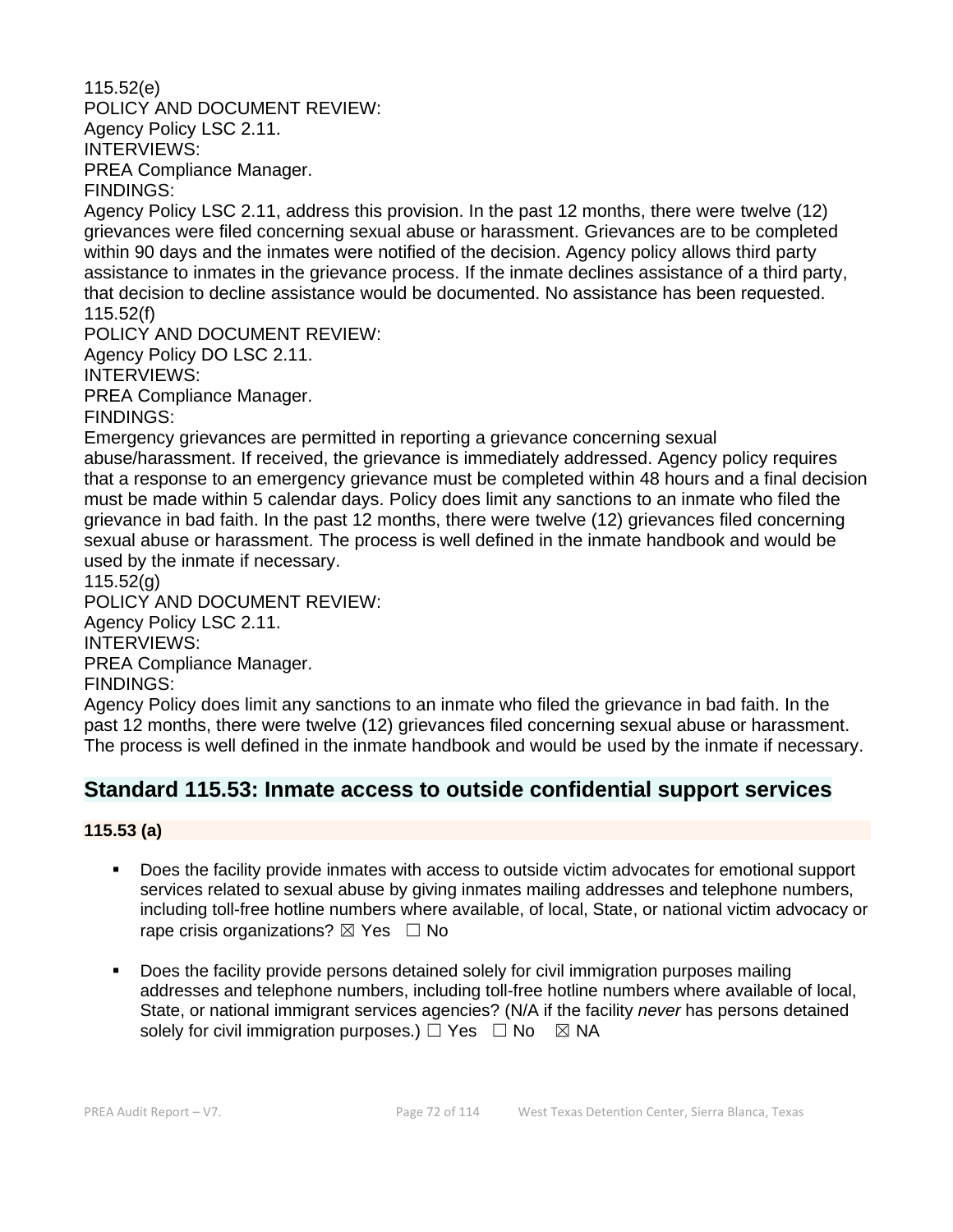115.52(e) POLICY AND DOCUMENT REVIEW: Agency Policy LSC 2.11. INTERVIEWS: PREA Compliance Manager. FINDINGS:

Agency Policy LSC 2.11, address this provision. In the past 12 months, there were twelve (12) grievances were filed concerning sexual abuse or harassment. Grievances are to be completed within 90 days and the inmates were notified of the decision. Agency policy allows third party assistance to inmates in the grievance process. If the inmate declines assistance of a third party, that decision to decline assistance would be documented. No assistance has been requested. 115.52(f)

POLICY AND DOCUMENT REVIEW: Agency Policy DO LSC 2.11.

INTERVIEWS:

PREA Compliance Manager.

FINDINGS:

Emergency grievances are permitted in reporting a grievance concerning sexual abuse/harassment. If received, the grievance is immediately addressed. Agency policy requires that a response to an emergency grievance must be completed within 48 hours and a final decision must be made within 5 calendar days. Policy does limit any sanctions to an inmate who filed the grievance in bad faith. In the past 12 months, there were twelve (12) grievances filed concerning sexual abuse or harassment. The process is well defined in the inmate handbook and would be used by the inmate if necessary.

115.52(g)

POLICY AND DOCUMENT REVIEW: Agency Policy LSC 2.11.

INTERVIEWS:

PREA Compliance Manager.

FINDINGS:

Agency Policy does limit any sanctions to an inmate who filed the grievance in bad faith. In the past 12 months, there were twelve (12) grievances filed concerning sexual abuse or harassment. The process is well defined in the inmate handbook and would be used by the inmate if necessary.

# **Standard 115.53: Inmate access to outside confidential support services**

**115.53 (a)**

- Does the facility provide inmates with access to outside victim advocates for emotional support services related to sexual abuse by giving inmates mailing addresses and telephone numbers, including toll-free hotline numbers where available, of local, State, or national victim advocacy or rape crisis organizations?  $\boxtimes$  Yes  $\Box$  No
- Does the facility provide persons detained solely for civil immigration purposes mailing addresses and telephone numbers, including toll-free hotline numbers where available of local, State, or national immigrant services agencies? (N/A if the facility *never* has persons detained solely for civil immigration purposes.)  $\Box$  Yes  $\Box$  No  $\boxtimes$  NA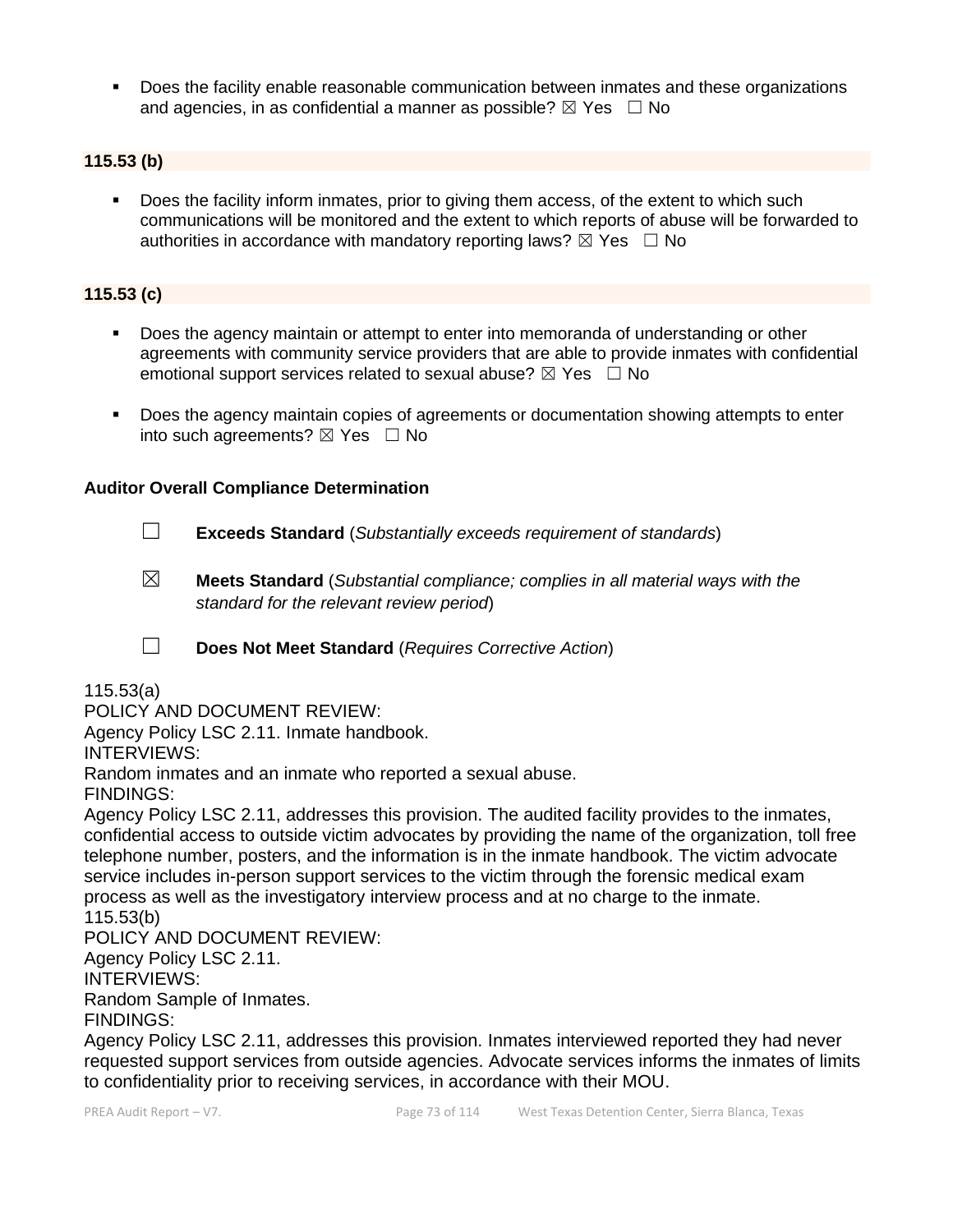▪ Does the facility enable reasonable communication between inmates and these organizations and agencies, in as confidential a manner as possible?  $\boxtimes$  Yes  $\Box$  No

### **115.53 (b)**

▪ Does the facility inform inmates, prior to giving them access, of the extent to which such communications will be monitored and the extent to which reports of abuse will be forwarded to authorities in accordance with mandatory reporting laws?  $\boxtimes$  Yes  $\Box$  No

### **115.53 (c)**

- **•** Does the agency maintain or attempt to enter into memoranda of understanding or other agreements with community service providers that are able to provide inmates with confidential emotional support services related to sexual abuse?  $\boxtimes$  Yes  $\Box$  No
- Does the agency maintain copies of agreements or documentation showing attempts to enter into such agreements?  $\boxtimes$  Yes  $\Box$  No

#### **Auditor Overall Compliance Determination**

- ☐ **Exceeds Standard** (*Substantially exceeds requirement of standards*)
- ☒ **Meets Standard** (*Substantial compliance; complies in all material ways with the standard for the relevant review period*)
- ☐ **Does Not Meet Standard** (*Requires Corrective Action*)

#### 115.53(a)

POLICY AND DOCUMENT REVIEW:

Agency Policy LSC 2.11. Inmate handbook.

INTERVIEWS:

Random inmates and an inmate who reported a sexual abuse.

FINDINGS:

Agency Policy LSC 2.11, addresses this provision. The audited facility provides to the inmates, confidential access to outside victim advocates by providing the name of the organization, toll free telephone number, posters, and the information is in the inmate handbook. The victim advocate service includes in-person support services to the victim through the forensic medical exam process as well as the investigatory interview process and at no charge to the inmate.

115.53(b)

POLICY AND DOCUMENT REVIEW:

Agency Policy LSC 2.11.

INTERVIEWS:

Random Sample of Inmates.

FINDINGS:

Agency Policy LSC 2.11, addresses this provision. Inmates interviewed reported they had never requested support services from outside agencies. Advocate services informs the inmates of limits to confidentiality prior to receiving services, in accordance with their MOU.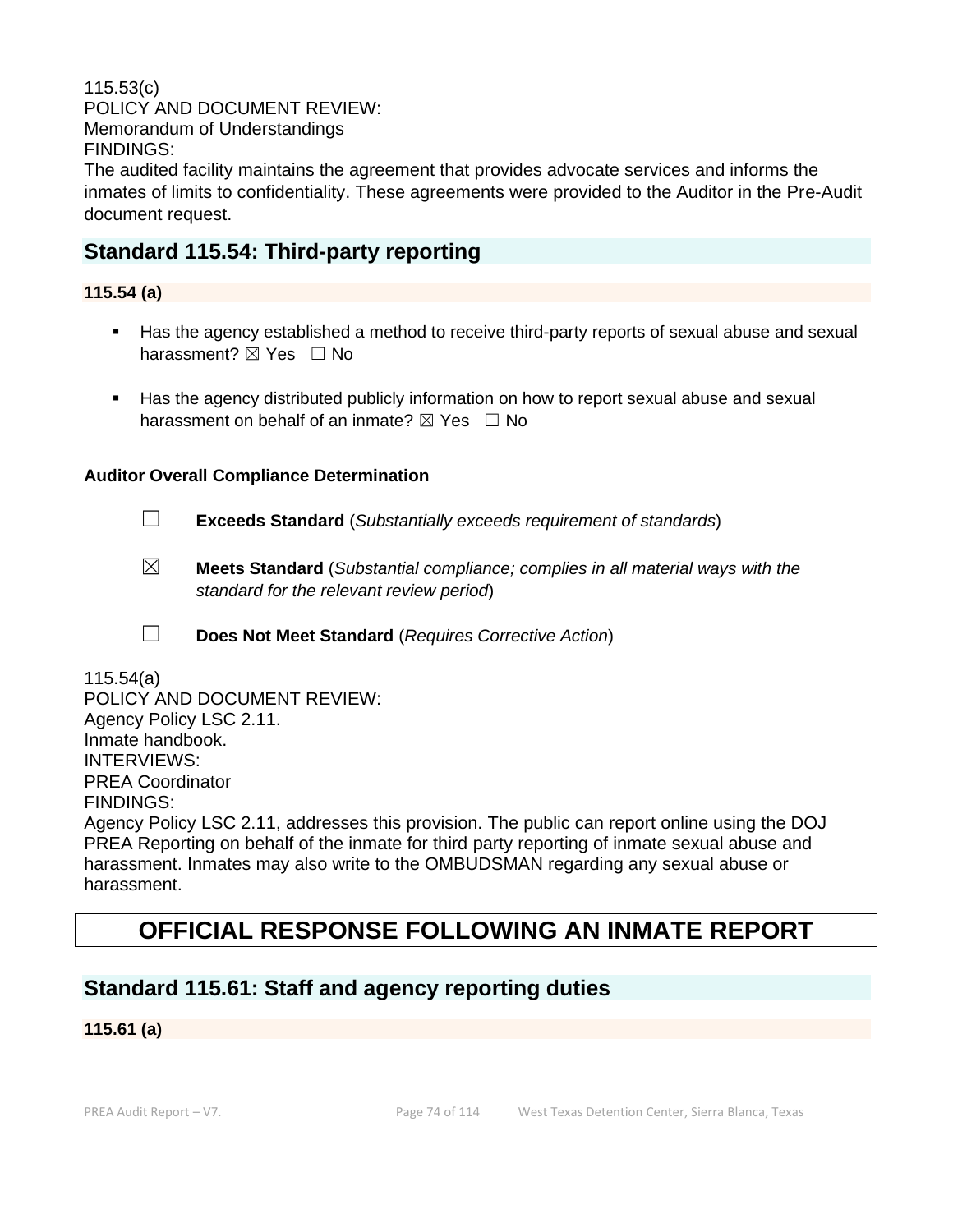115.53(c) POLICY AND DOCUMENT REVIEW: Memorandum of Understandings FINDINGS: The audited facility maintains the agreement that provides advocate services and informs the inmates of limits to confidentiality. These agreements were provided to the Auditor in the Pre-Audit document request.

# **Standard 115.54: Third-party reporting**

## **115.54 (a)**

- Has the agency established a method to receive third-party reports of sexual abuse and sexual harassment?  $\boxtimes$  Yes  $\Box$  No
- Has the agency distributed publicly information on how to report sexual abuse and sexual harassment on behalf of an inmate?  $\boxtimes$  Yes  $\Box$  No

#### **Auditor Overall Compliance Determination**

- ☐ **Exceeds Standard** (*Substantially exceeds requirement of standards*)
- ☒ **Meets Standard** (*Substantial compliance; complies in all material ways with the standard for the relevant review period*)
- ☐ **Does Not Meet Standard** (*Requires Corrective Action*)

115.54(a) POLICY AND DOCUMENT REVIEW: Agency Policy LSC 2.11. Inmate handbook. INTERVIEWS: PREA Coordinator FINDINGS: Agency Policy LSC 2.11, addresses this provision. The public can report online using the DOJ PREA Reporting on behalf of the inmate for third party reporting of inmate sexual abuse and harassment. Inmates may also write to the OMBUDSMAN regarding any sexual abuse or harassment.

# **OFFICIAL RESPONSE FOLLOWING AN INMATE REPORT**

# **Standard 115.61: Staff and agency reporting duties**

**115.61 (a)**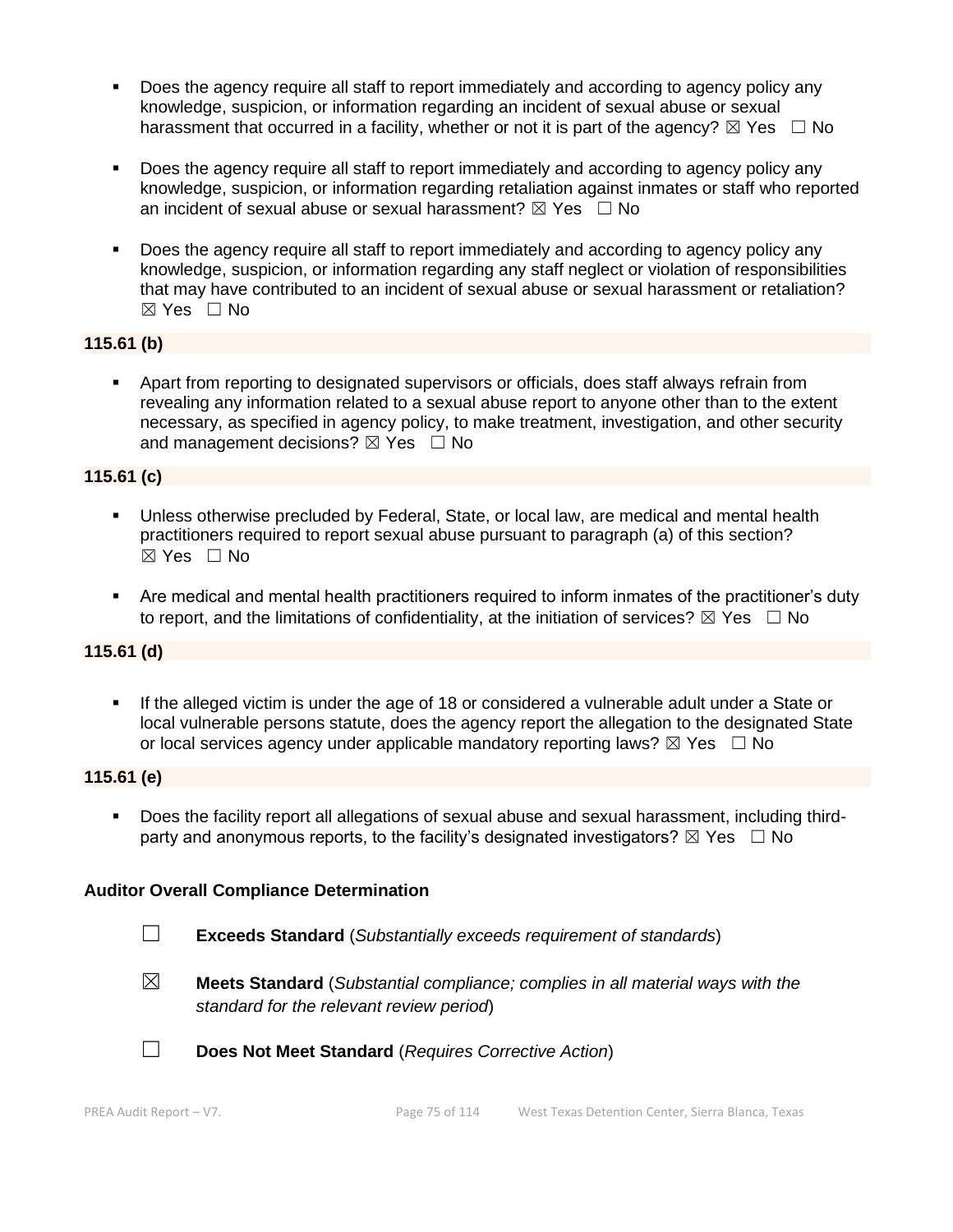- Does the agency require all staff to report immediately and according to agency policy any knowledge, suspicion, or information regarding an incident of sexual abuse or sexual harassment that occurred in a facility, whether or not it is part of the agency?  $\boxtimes$  Yes  $\Box$  No
- Does the agency require all staff to report immediately and according to agency policy any knowledge, suspicion, or information regarding retaliation against inmates or staff who reported an incident of sexual abuse or sexual harassment?  $\boxtimes$  Yes  $\Box$  No
- Does the agency require all staff to report immediately and according to agency policy any knowledge, suspicion, or information regarding any staff neglect or violation of responsibilities that may have contributed to an incident of sexual abuse or sexual harassment or retaliation? ☒ Yes ☐ No

### **115.61 (b)**

▪ Apart from reporting to designated supervisors or officials, does staff always refrain from revealing any information related to a sexual abuse report to anyone other than to the extent necessary, as specified in agency policy, to make treatment, investigation, and other security and management decisions?  $\boxtimes$  Yes  $\Box$  No

### **115.61 (c)**

- **E** Unless otherwise precluded by Federal, State, or local law, are medical and mental health practitioners required to report sexual abuse pursuant to paragraph (a) of this section? ☒ Yes ☐ No
- Are medical and mental health practitioners required to inform inmates of the practitioner's duty to report, and the limitations of confidentiality, at the initiation of services?  $\boxtimes$  Yes  $\Box$  No

#### **115.61 (d)**

If the alleged victim is under the age of 18 or considered a vulnerable adult under a State or local vulnerable persons statute, does the agency report the allegation to the designated State or local services agency under applicable mandatory reporting laws?  $\boxtimes$  Yes  $\Box$  No

#### **115.61 (e)**

▪ Does the facility report all allegations of sexual abuse and sexual harassment, including thirdparty and anonymous reports, to the facility's designated investigators?  $\boxtimes$  Yes  $\Box$  No

#### **Auditor Overall Compliance Determination**

- ☐ **Exceeds Standard** (*Substantially exceeds requirement of standards*)
- 
- ☒ **Meets Standard** (*Substantial compliance; complies in all material ways with the standard for the relevant review period*)



☐ **Does Not Meet Standard** (*Requires Corrective Action*)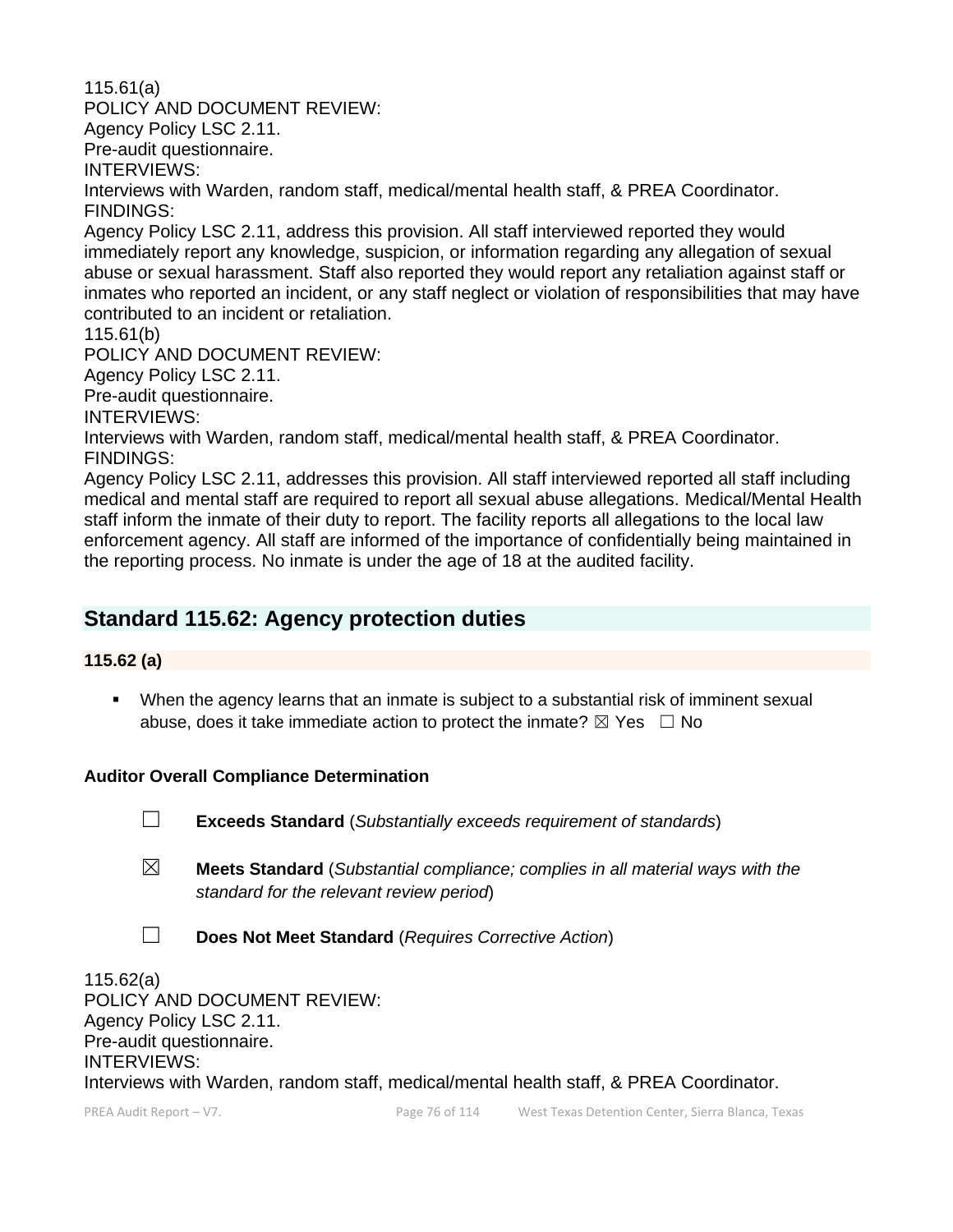115.61(a) POLICY AND DOCUMENT REVIEW: Agency Policy LSC 2.11. Pre-audit questionnaire. INTERVIEWS: Interviews with Warden, random staff, medical/mental health staff, & PREA Coordinator. FINDINGS: Agency Policy LSC 2.11, address this provision. All staff interviewed reported they would

immediately report any knowledge, suspicion, or information regarding any allegation of sexual abuse or sexual harassment. Staff also reported they would report any retaliation against staff or inmates who reported an incident, or any staff neglect or violation of responsibilities that may have contributed to an incident or retaliation.

115.61(b)

POLICY AND DOCUMENT REVIEW:

Agency Policy LSC 2.11.

Pre-audit questionnaire.

INTERVIEWS:

Interviews with Warden, random staff, medical/mental health staff, & PREA Coordinator. FINDINGS:

Agency Policy LSC 2.11, addresses this provision. All staff interviewed reported all staff including medical and mental staff are required to report all sexual abuse allegations. Medical/Mental Health staff inform the inmate of their duty to report. The facility reports all allegations to the local law enforcement agency. All staff are informed of the importance of confidentially being maintained in the reporting process. No inmate is under the age of 18 at the audited facility.

# **Standard 115.62: Agency protection duties**

# **115.62 (a)**

■ When the agency learns that an inmate is subject to a substantial risk of imminent sexual abuse, does it take immediate action to protect the inmate?  $\boxtimes$  Yes  $\Box$  No

# **Auditor Overall Compliance Determination**

☐ **Exceeds Standard** (*Substantially exceeds requirement of standards*)

- ☒ **Meets Standard** (*Substantial compliance; complies in all material ways with the standard for the relevant review period*)
- ☐ **Does Not Meet Standard** (*Requires Corrective Action*)

115.62(a) POLICY AND DOCUMENT REVIEW: Agency Policy LSC 2.11. Pre-audit questionnaire. INTERVIEWS: Interviews with Warden, random staff, medical/mental health staff, & PREA Coordinator.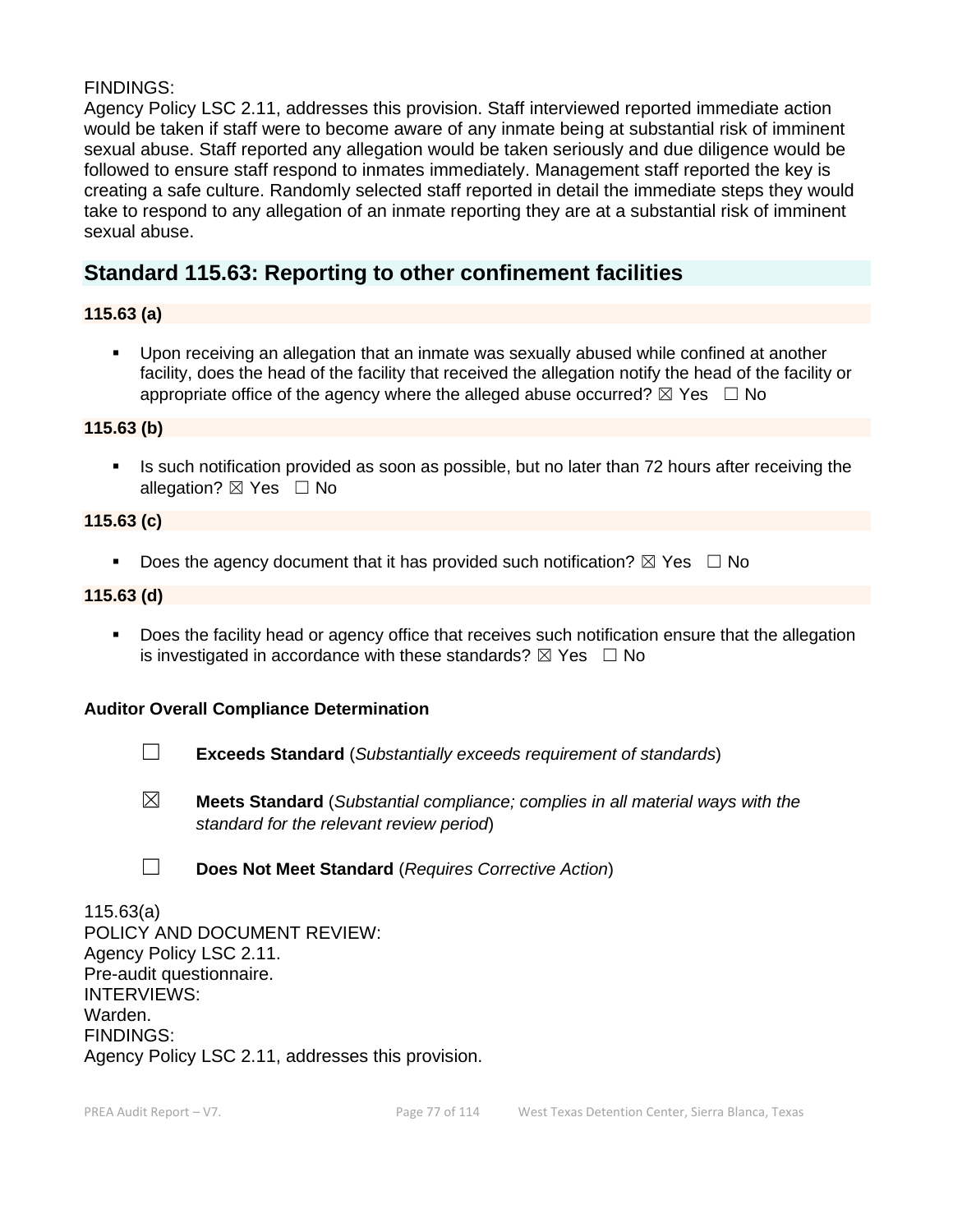### FINDINGS:

Agency Policy LSC 2.11, addresses this provision. Staff interviewed reported immediate action would be taken if staff were to become aware of any inmate being at substantial risk of imminent sexual abuse. Staff reported any allegation would be taken seriously and due diligence would be followed to ensure staff respond to inmates immediately. Management staff reported the key is creating a safe culture. Randomly selected staff reported in detail the immediate steps they would take to respond to any allegation of an inmate reporting they are at a substantial risk of imminent sexual abuse.

# **Standard 115.63: Reporting to other confinement facilities**

### **115.63 (a)**

▪ Upon receiving an allegation that an inmate was sexually abused while confined at another facility, does the head of the facility that received the allegation notify the head of the facility or appropriate office of the agency where the alleged abuse occurred?  $\boxtimes$  Yes  $\Box$  No

#### **115.63 (b)**

**•** Is such notification provided as soon as possible, but no later than 72 hours after receiving the allegation? ⊠ Yes □ No

### **115.63 (c)**

**•** Does the agency document that it has provided such notification?  $\boxtimes$  Yes  $\Box$  No

#### **115.63 (d)**

**•** Does the facility head or agency office that receives such notification ensure that the allegation is investigated in accordance with these standards?  $\boxtimes$  Yes  $\Box$  No

#### **Auditor Overall Compliance Determination**

- ☐ **Exceeds Standard** (*Substantially exceeds requirement of standards*)
- ☒ **Meets Standard** (*Substantial compliance; complies in all material ways with the standard for the relevant review period*)
- ☐ **Does Not Meet Standard** (*Requires Corrective Action*)

115.63(a) POLICY AND DOCUMENT REVIEW: Agency Policy LSC 2.11. Pre-audit questionnaire. INTERVIEWS: Warden. FINDINGS: Agency Policy LSC 2.11, addresses this provision.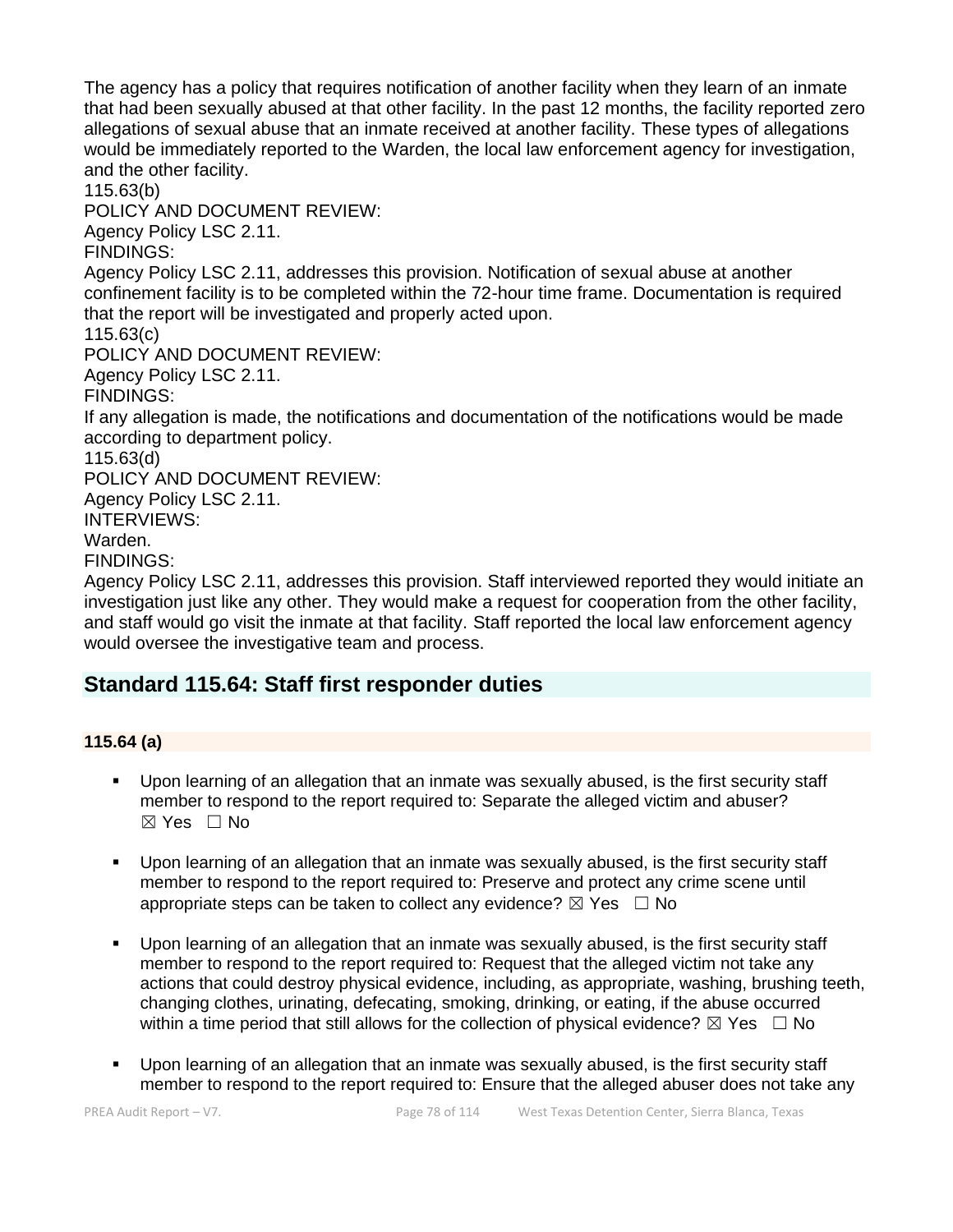The agency has a policy that requires notification of another facility when they learn of an inmate that had been sexually abused at that other facility. In the past 12 months, the facility reported zero allegations of sexual abuse that an inmate received at another facility. These types of allegations would be immediately reported to the Warden, the local law enforcement agency for investigation, and the other facility.

115.63(b)

POLICY AND DOCUMENT REVIEW:

Agency Policy LSC 2.11.

FINDINGS:

Agency Policy LSC 2.11, addresses this provision. Notification of sexual abuse at another confinement facility is to be completed within the 72-hour time frame. Documentation is required that the report will be investigated and properly acted upon.

115.63(c)

POLICY AND DOCUMENT REVIEW:

Agency Policy LSC 2.11.

FINDINGS:

If any allegation is made, the notifications and documentation of the notifications would be made according to department policy.

115.63(d)

POLICY AND DOCUMENT REVIEW:

Agency Policy LSC 2.11.

INTERVIEWS:

Warden.

FINDINGS:

Agency Policy LSC 2.11, addresses this provision. Staff interviewed reported they would initiate an investigation just like any other. They would make a request for cooperation from the other facility, and staff would go visit the inmate at that facility. Staff reported the local law enforcement agency would oversee the investigative team and process.

# **Standard 115.64: Staff first responder duties**

# **115.64 (a)**

- Upon learning of an allegation that an inmate was sexually abused, is the first security staff member to respond to the report required to: Separate the alleged victim and abuser?  $\boxtimes$  Yes  $\Box$  No
- Upon learning of an allegation that an inmate was sexually abused, is the first security staff member to respond to the report required to: Preserve and protect any crime scene until appropriate steps can be taken to collect any evidence?  $\boxtimes$  Yes  $\Box$  No
- Upon learning of an allegation that an inmate was sexually abused, is the first security staff member to respond to the report required to: Request that the alleged victim not take any actions that could destroy physical evidence, including, as appropriate, washing, brushing teeth, changing clothes, urinating, defecating, smoking, drinking, or eating, if the abuse occurred within a time period that still allows for the collection of physical evidence?  $\boxtimes$  Yes  $\Box$  No
- Upon learning of an allegation that an inmate was sexually abused, is the first security staff member to respond to the report required to: Ensure that the alleged abuser does not take any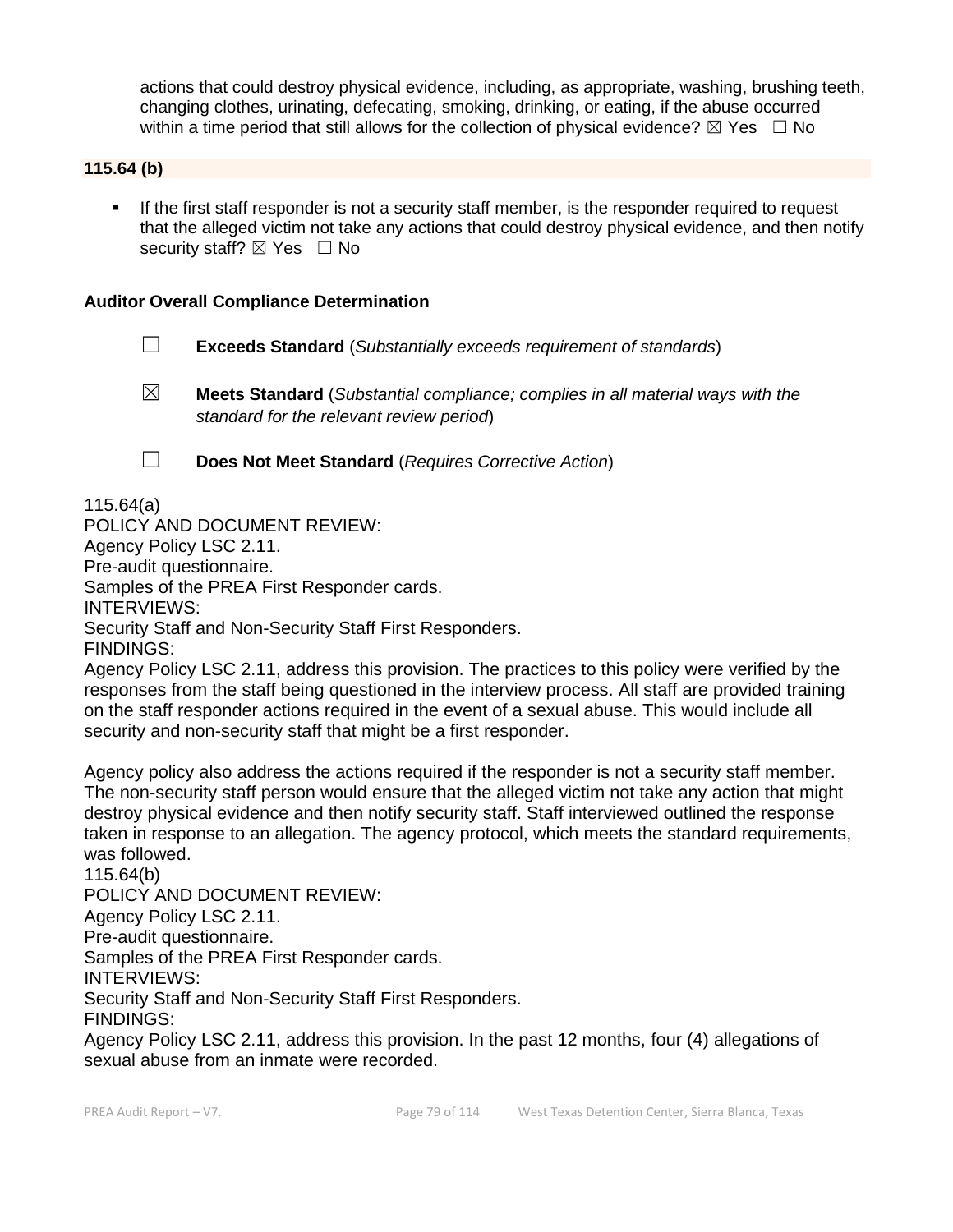actions that could destroy physical evidence, including, as appropriate, washing, brushing teeth, changing clothes, urinating, defecating, smoking, drinking, or eating, if the abuse occurred within a time period that still allows for the collection of physical evidence?  $\boxtimes$  Yes  $\Box$  No

### **115.64 (b)**

**•** If the first staff responder is not a security staff member, is the responder required to request that the alleged victim not take any actions that could destroy physical evidence, and then notify security staff?  $\boxtimes$  Yes  $\Box$  No

#### **Auditor Overall Compliance Determination**

- ☐ **Exceeds Standard** (*Substantially exceeds requirement of standards*)
- ☒ **Meets Standard** (*Substantial compliance; complies in all material ways with the standard for the relevant review period*)
- 
- ☐ **Does Not Meet Standard** (*Requires Corrective Action*)

115.64(a)

POLICY AND DOCUMENT REVIEW: Agency Policy LSC 2.11. Pre-audit questionnaire. Samples of the PREA First Responder cards. INTERVIEWS: Security Staff and Non-Security Staff First Responders. FINDINGS:

Agency Policy LSC 2.11, address this provision. The practices to this policy were verified by the responses from the staff being questioned in the interview process. All staff are provided training on the staff responder actions required in the event of a sexual abuse. This would include all security and non-security staff that might be a first responder.

Agency policy also address the actions required if the responder is not a security staff member. The non-security staff person would ensure that the alleged victim not take any action that might destroy physical evidence and then notify security staff. Staff interviewed outlined the response taken in response to an allegation. The agency protocol, which meets the standard requirements, was followed.

115.64(b) POLICY AND DOCUMENT REVIEW: Agency Policy LSC 2.11. Pre-audit questionnaire. Samples of the PREA First Responder cards. INTERVIEWS: Security Staff and Non-Security Staff First Responders. FINDINGS: Agency Policy LSC 2.11, address this provision. In the past 12 months, four (4) allegations of sexual abuse from an inmate were recorded.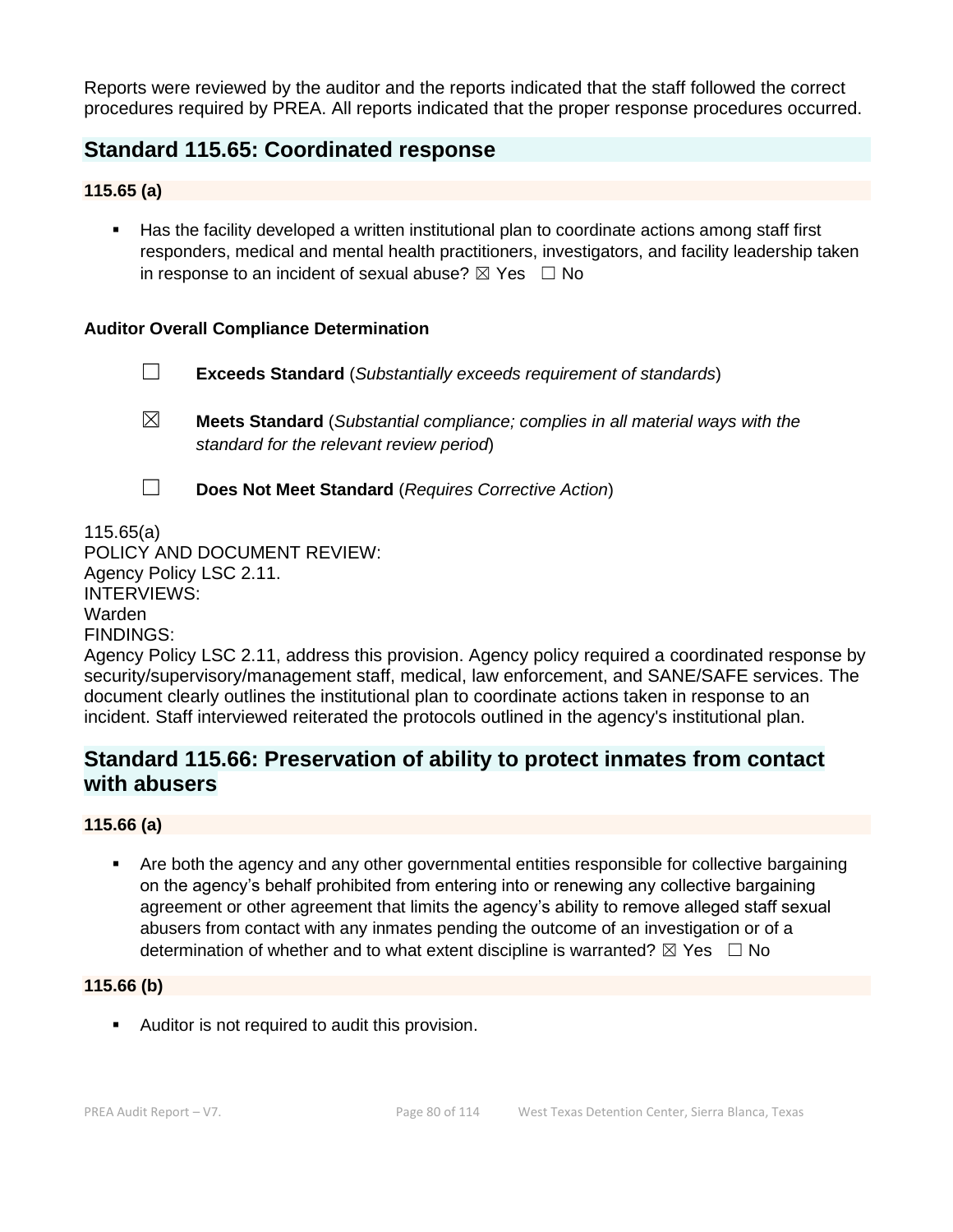Reports were reviewed by the auditor and the reports indicated that the staff followed the correct procedures required by PREA. All reports indicated that the proper response procedures occurred.

# **Standard 115.65: Coordinated response**

### **115.65 (a)**

■ Has the facility developed a written institutional plan to coordinate actions among staff first responders, medical and mental health practitioners, investigators, and facility leadership taken in response to an incident of sexual abuse?  $\boxtimes$  Yes  $\Box$  No

### **Auditor Overall Compliance Determination**

- ☐ **Exceeds Standard** (*Substantially exceeds requirement of standards*)
- ☒ **Meets Standard** (*Substantial compliance; complies in all material ways with the standard for the relevant review period*)
- 
- ☐ **Does Not Meet Standard** (*Requires Corrective Action*)

115.65(a) POLICY AND DOCUMENT REVIEW: Agency Policy LSC 2.11. INTERVIEWS: Warden FINDINGS:

Agency Policy LSC 2.11, address this provision. Agency policy required a coordinated response by security/supervisory/management staff, medical, law enforcement, and SANE/SAFE services. The document clearly outlines the institutional plan to coordinate actions taken in response to an incident. Staff interviewed reiterated the protocols outlined in the agency's institutional plan.

# **Standard 115.66: Preservation of ability to protect inmates from contact with abusers**

# **115.66 (a)**

Are both the agency and any other governmental entities responsible for collective bargaining on the agency's behalf prohibited from entering into or renewing any collective bargaining agreement or other agreement that limits the agency's ability to remove alleged staff sexual abusers from contact with any inmates pending the outcome of an investigation or of a determination of whether and to what extent discipline is warranted?  $\boxtimes$  Yes  $\Box$  No

#### **115.66 (b)**

**E** Auditor is not required to audit this provision.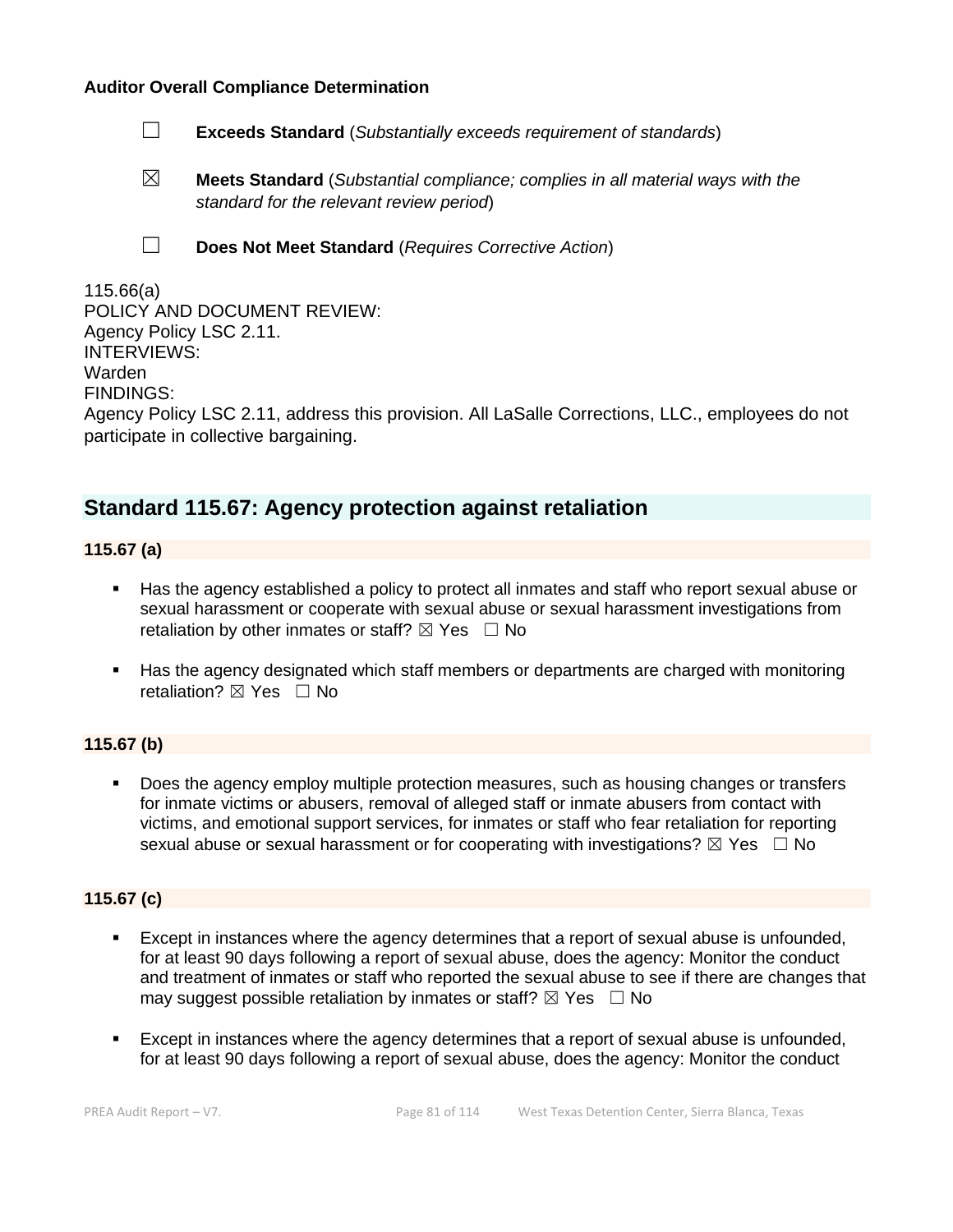#### **Auditor Overall Compliance Determination**

- ☐ **Exceeds Standard** (*Substantially exceeds requirement of standards*)
- ☒ **Meets Standard** (*Substantial compliance; complies in all material ways with the standard for the relevant review period*)
- 
- ☐ **Does Not Meet Standard** (*Requires Corrective Action*)

| 115.66(a)                                                                                       |
|-------------------------------------------------------------------------------------------------|
| POLICY AND DOCUMENT REVIEW:                                                                     |
| Agency Policy LSC 2.11.                                                                         |
| <b>INTERVIEWS:</b>                                                                              |
| Warden                                                                                          |
| <b>FINDINGS:</b>                                                                                |
| Agency Policy LSC 2.11, address this provision. All LaSalle Corrections, LLC., employees do not |
| participate in collective bargaining.                                                           |

# **Standard 115.67: Agency protection against retaliation**

**115.67 (a)**

- Has the agency established a policy to protect all inmates and staff who report sexual abuse or sexual harassment or cooperate with sexual abuse or sexual harassment investigations from retaliation by other inmates or staff?  $\boxtimes$  Yes  $\Box$  No
- Has the agency designated which staff members or departments are charged with monitoring retaliation?  $\boxtimes$  Yes  $\Box$  No

# **115.67 (b)**

Does the agency employ multiple protection measures, such as housing changes or transfers for inmate victims or abusers, removal of alleged staff or inmate abusers from contact with victims, and emotional support services, for inmates or staff who fear retaliation for reporting sexual abuse or sexual harassment or for cooperating with investigations?  $\boxtimes$  Yes  $\Box$  No

### **115.67 (c)**

- Except in instances where the agency determines that a report of sexual abuse is unfounded, for at least 90 days following a report of sexual abuse, does the agency: Monitor the conduct and treatment of inmates or staff who reported the sexual abuse to see if there are changes that may suggest possible retaliation by inmates or staff?  $\boxtimes$  Yes  $\Box$  No
- Except in instances where the agency determines that a report of sexual abuse is unfounded. for at least 90 days following a report of sexual abuse, does the agency: Monitor the conduct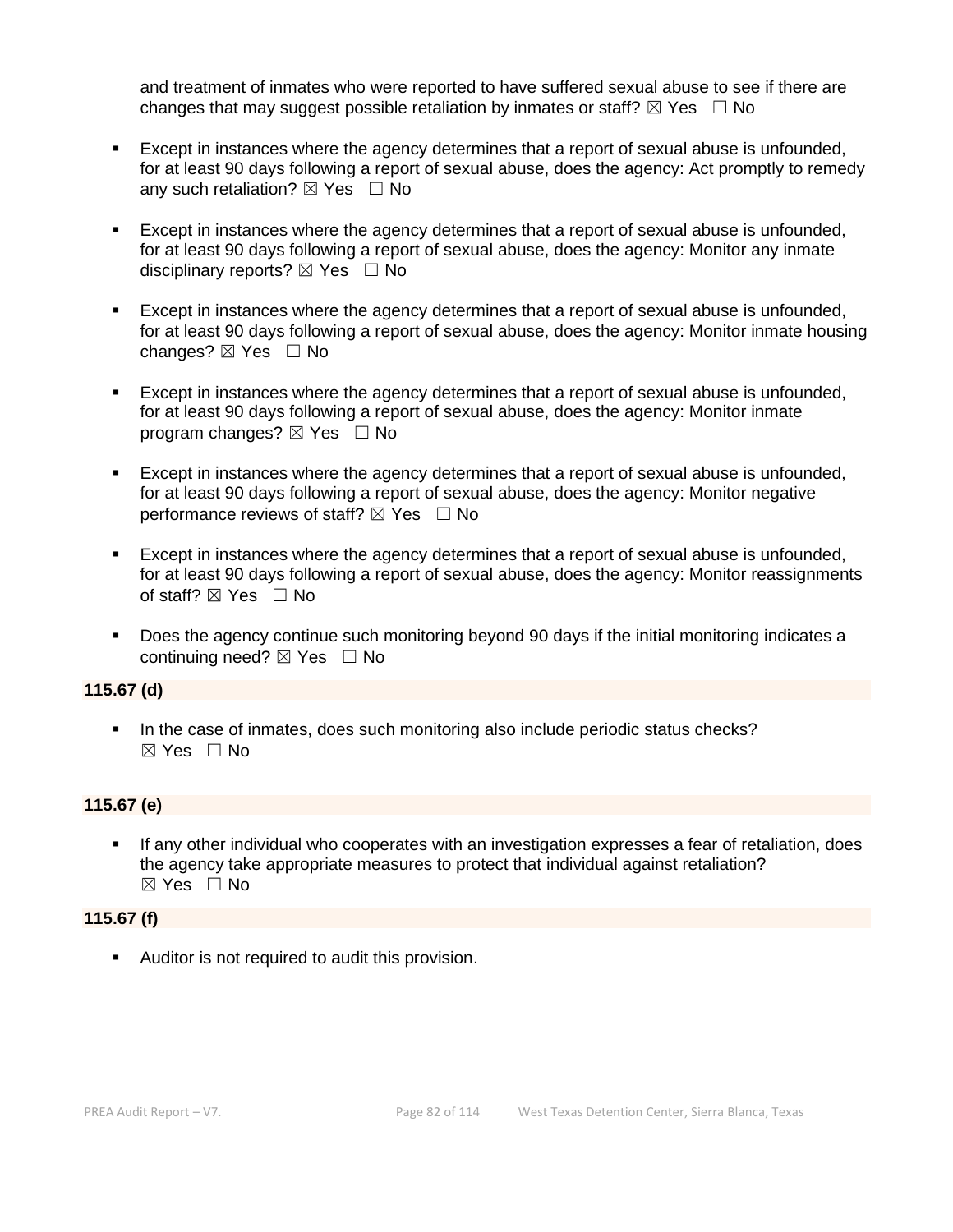and treatment of inmates who were reported to have suffered sexual abuse to see if there are changes that may suggest possible retaliation by inmates or staff?  $\boxtimes$  Yes  $\Box$  No

- Except in instances where the agency determines that a report of sexual abuse is unfounded, for at least 90 days following a report of sexual abuse, does the agency: Act promptly to remedy any such retaliation?  $\boxtimes$  Yes  $\Box$  No
- Except in instances where the agency determines that a report of sexual abuse is unfounded, for at least 90 days following a report of sexual abuse, does the agency: Monitor any inmate disciplinary reports?  $\boxtimes$  Yes  $\Box$  No
- **Except in instances where the agency determines that a report of sexual abuse is unfounded,** for at least 90 days following a report of sexual abuse, does the agency: Monitor inmate housing changes?  $\boxtimes$  Yes  $\Box$  No
- Except in instances where the agency determines that a report of sexual abuse is unfounded, for at least 90 days following a report of sexual abuse, does the agency: Monitor inmate program changes?  $\boxtimes$  Yes  $\Box$  No
- Except in instances where the agency determines that a report of sexual abuse is unfounded, for at least 90 days following a report of sexual abuse, does the agency: Monitor negative performance reviews of staff?  $\boxtimes$  Yes  $\Box$  No
- Except in instances where the agency determines that a report of sexual abuse is unfounded, for at least 90 days following a report of sexual abuse, does the agency: Monitor reassignments of staff? ⊠ Yes □ No
- Does the agency continue such monitoring beyond 90 days if the initial monitoring indicates a continuing need? ⊠ Yes □ No

#### **115.67 (d)**

■ In the case of inmates, does such monitoring also include periodic status checks? ☒ Yes ☐ No

#### **115.67 (e)**

If any other individual who cooperates with an investigation expresses a fear of retaliation, does the agency take appropriate measures to protect that individual against retaliation? ☒ Yes ☐ No

#### **115.67 (f)**

**EXEC** Auditor is not required to audit this provision.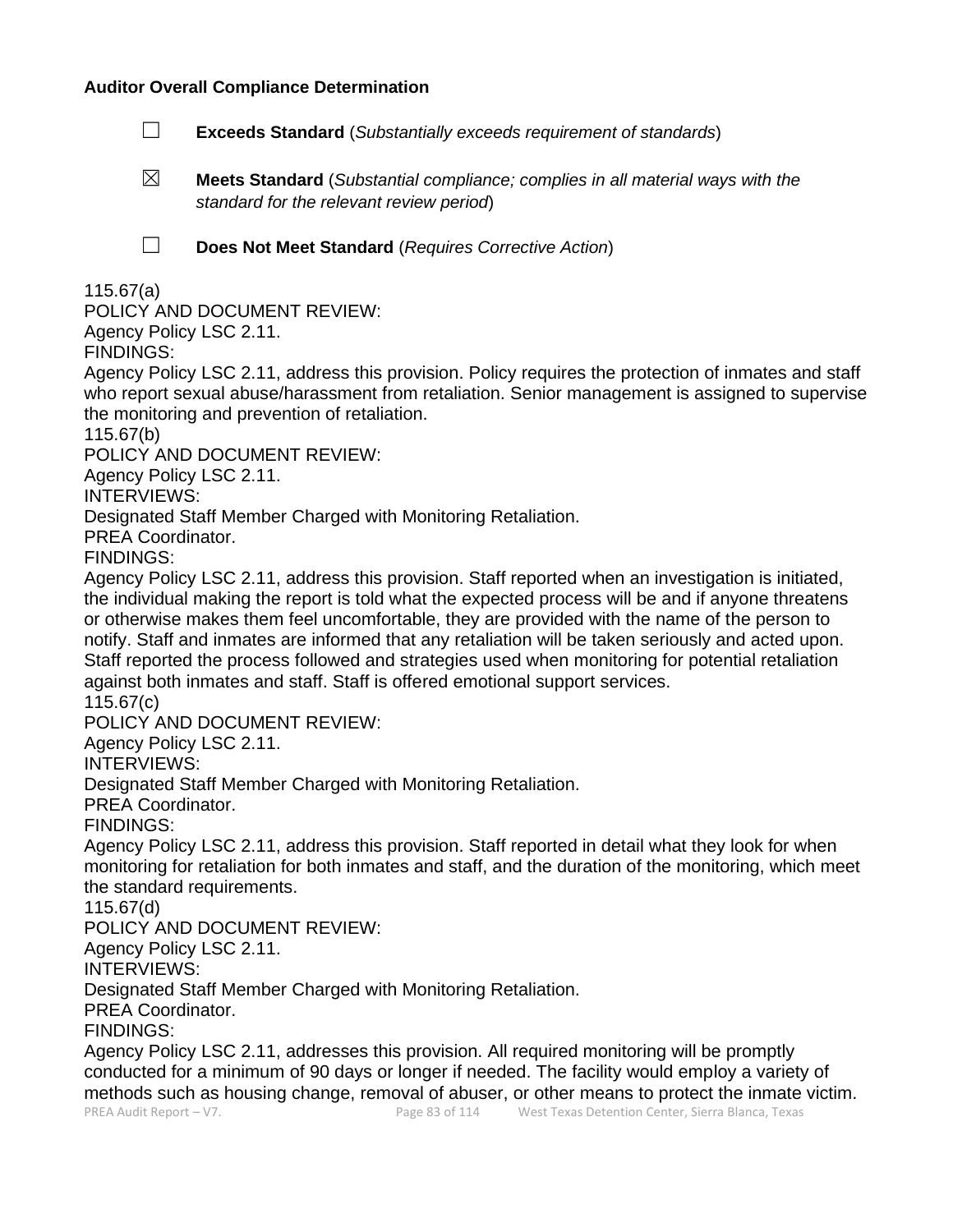#### **Auditor Overall Compliance Determination**

- ☐ **Exceeds Standard** (*Substantially exceeds requirement of standards*)
- ☒ **Meets Standard** (*Substantial compliance; complies in all material ways with the standard for the relevant review period*)

☐ **Does Not Meet Standard** (*Requires Corrective Action*)

115.67(a)

POLICY AND DOCUMENT REVIEW:

Agency Policy LSC 2.11.

FINDINGS:

Agency Policy LSC 2.11, address this provision. Policy requires the protection of inmates and staff who report sexual abuse/harassment from retaliation. Senior management is assigned to supervise the monitoring and prevention of retaliation.

115.67(b)

POLICY AND DOCUMENT REVIEW:

Agency Policy LSC 2.11.

INTERVIEWS:

Designated Staff Member Charged with Monitoring Retaliation.

PREA Coordinator.

FINDINGS:

Agency Policy LSC 2.11, address this provision. Staff reported when an investigation is initiated, the individual making the report is told what the expected process will be and if anyone threatens or otherwise makes them feel uncomfortable, they are provided with the name of the person to notify. Staff and inmates are informed that any retaliation will be taken seriously and acted upon. Staff reported the process followed and strategies used when monitoring for potential retaliation against both inmates and staff. Staff is offered emotional support services.

115.67(c)

POLICY AND DOCUMENT REVIEW:

Agency Policy LSC 2.11.

INTERVIEWS:

Designated Staff Member Charged with Monitoring Retaliation.

PREA Coordinator.

FINDINGS:

Agency Policy LSC 2.11, address this provision. Staff reported in detail what they look for when monitoring for retaliation for both inmates and staff, and the duration of the monitoring, which meet the standard requirements.

115.67(d)

POLICY AND DOCUMENT REVIEW:

Agency Policy LSC 2.11.

INTERVIEWS:

Designated Staff Member Charged with Monitoring Retaliation.

PREA Coordinator.

FINDINGS:

Agency Policy LSC 2.11, addresses this provision. All required monitoring will be promptly conducted for a minimum of 90 days or longer if needed. The facility would employ a variety of methods such as housing change, removal of abuser, or other means to protect the inmate victim.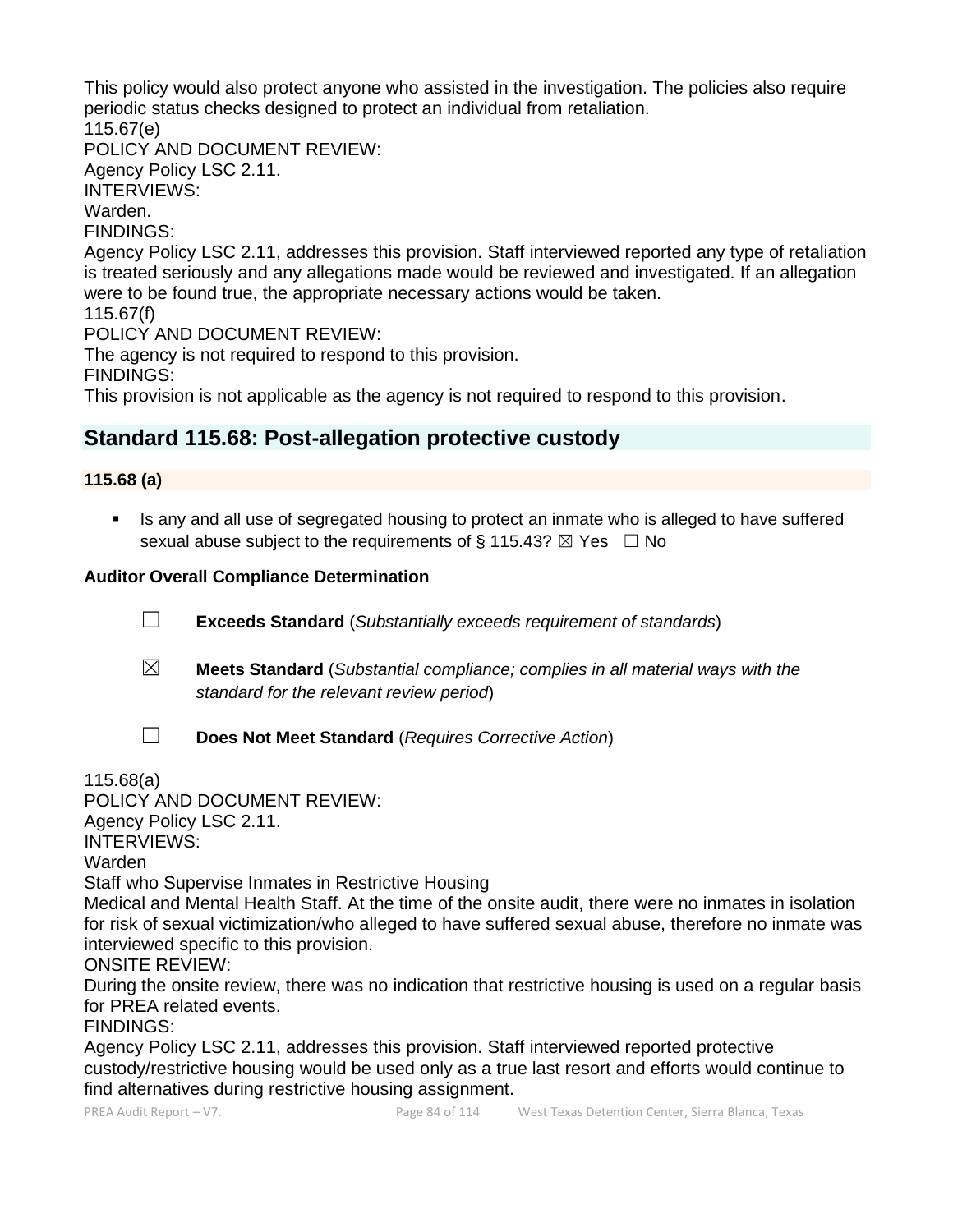This policy would also protect anyone who assisted in the investigation. The policies also require periodic status checks designed to protect an individual from retaliation. 115.67(e)

POLICY AND DOCUMENT REVIEW:

Agency Policy LSC 2.11.

INTERVIEWS:

Warden.

FINDINGS:

Agency Policy LSC 2.11, addresses this provision. Staff interviewed reported any type of retaliation is treated seriously and any allegations made would be reviewed and investigated. If an allegation were to be found true, the appropriate necessary actions would be taken.

115.67(f)

POLICY AND DOCUMENT REVIEW:

The agency is not required to respond to this provision.

FINDINGS:

This provision is not applicable as the agency is not required to respond to this provision.

# **Standard 115.68: Post-allegation protective custody**

# **115.68 (a)**

**EXT** Is any and all use of segregated housing to protect an inmate who is alleged to have suffered sexual abuse subject to the requirements of § 115.43?  $\boxtimes$  Yes  $\Box$  No

# **Auditor Overall Compliance Determination**

☐ **Exceeds Standard** (*Substantially exceeds requirement of standards*)

☒ **Meets Standard** (*Substantial compliance; complies in all material ways with the standard for the relevant review period*)

☐ **Does Not Meet Standard** (*Requires Corrective Action*)

115.68(a)

POLICY AND DOCUMENT REVIEW:

Agency Policy LSC 2.11.

INTERVIEWS:

Warden

Staff who Supervise Inmates in Restrictive Housing

Medical and Mental Health Staff. At the time of the onsite audit, there were no inmates in isolation for risk of sexual victimization/who alleged to have suffered sexual abuse, therefore no inmate was interviewed specific to this provision.

ONSITE REVIEW:

During the onsite review, there was no indication that restrictive housing is used on a regular basis for PREA related events.

FINDINGS:

Agency Policy LSC 2.11, addresses this provision. Staff interviewed reported protective custody/restrictive housing would be used only as a true last resort and efforts would continue to find alternatives during restrictive housing assignment.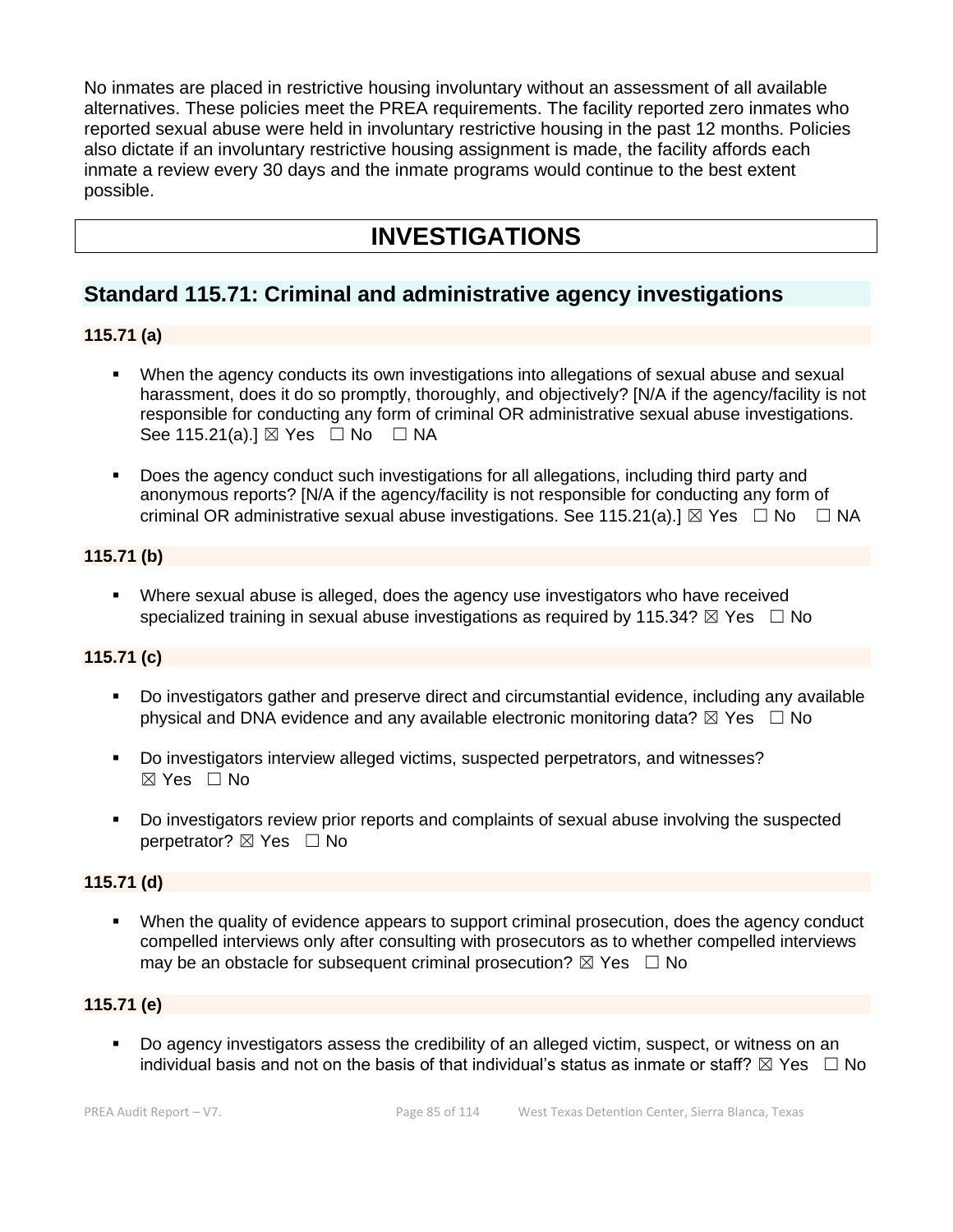No inmates are placed in restrictive housing involuntary without an assessment of all available alternatives. These policies meet the PREA requirements. The facility reported zero inmates who reported sexual abuse were held in involuntary restrictive housing in the past 12 months. Policies also dictate if an involuntary restrictive housing assignment is made, the facility affords each inmate a review every 30 days and the inmate programs would continue to the best extent possible.

# **INVESTIGATIONS**

# **Standard 115.71: Criminal and administrative agency investigations**

# **115.71 (a)**

- When the agency conducts its own investigations into allegations of sexual abuse and sexual harassment, does it do so promptly, thoroughly, and objectively? [N/A if the agency/facility is not responsible for conducting any form of criminal OR administrative sexual abuse investigations. See 115.21(a).]  $\boxtimes$  Yes  $\Box$  No  $\Box$  NA
- Does the agency conduct such investigations for all allegations, including third party and anonymous reports? [N/A if the agency/facility is not responsible for conducting any form of criminal OR administrative sexual abuse investigations. See 115.21(a).]  $\boxtimes$  Yes  $\Box$  No  $\Box$  NA

# **115.71 (b)**

**•** Where sexual abuse is alleged, does the agency use investigators who have received specialized training in sexual abuse investigations as required by 115.34?  $\boxtimes$  Yes  $\Box$  No

# **115.71 (c)**

- Do investigators gather and preserve direct and circumstantial evidence, including any available physical and DNA evidence and any available electronic monitoring data?  $\boxtimes$  Yes  $\Box$  No
- Do investigators interview alleged victims, suspected perpetrators, and witnesses? ☒ Yes ☐ No
- Do investigators review prior reports and complaints of sexual abuse involving the suspected perpetrator? ⊠ Yes □ No

# **115.71 (d)**

▪ When the quality of evidence appears to support criminal prosecution, does the agency conduct compelled interviews only after consulting with prosecutors as to whether compelled interviews may be an obstacle for subsequent criminal prosecution?  $\boxtimes$  Yes  $\Box$  No

# **115.71 (e)**

Do agency investigators assess the credibility of an alleged victim, suspect, or witness on an individual basis and not on the basis of that individual's status as inmate or staff?  $\boxtimes$  Yes  $\;\;\Box$  No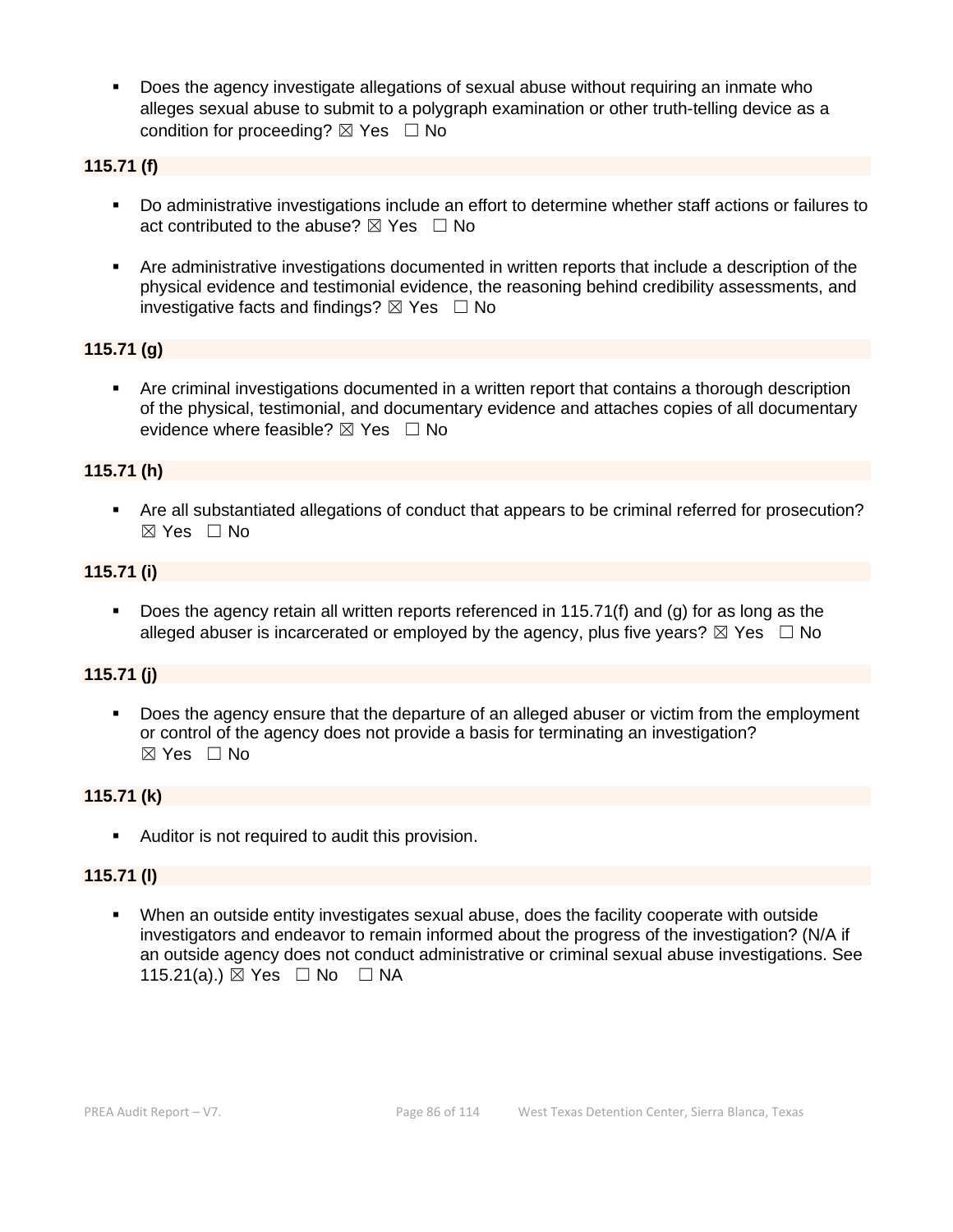▪ Does the agency investigate allegations of sexual abuse without requiring an inmate who alleges sexual abuse to submit to a polygraph examination or other truth-telling device as a condition for proceeding?  $\boxtimes$  Yes  $\Box$  No

#### **115.71 (f)**

- Do administrative investigations include an effort to determine whether staff actions or failures to act contributed to the abuse?  $\boxtimes$  Yes  $\Box$  No
- Are administrative investigations documented in written reports that include a description of the physical evidence and testimonial evidence, the reasoning behind credibility assessments, and investigative facts and findings?  $\boxtimes$  Yes  $\Box$  No

#### **115.71 (g)**

▪ Are criminal investigations documented in a written report that contains a thorough description of the physical, testimonial, and documentary evidence and attaches copies of all documentary evidence where feasible?  $\boxtimes$  Yes  $\Box$  No

#### **115.71 (h)**

■ Are all substantiated allegations of conduct that appears to be criminal referred for prosecution? ☒ Yes ☐ No

#### **115.71 (i)**

**•** Does the agency retain all written reports referenced in 115.71(f) and (g) for as long as the alleged abuser is incarcerated or employed by the agency, plus five years?  $\boxtimes$  Yes  $\Box$  No

#### **115.71 (j)**

Does the agency ensure that the departure of an alleged abuser or victim from the employment or control of the agency does not provide a basis for terminating an investigation? ☒ Yes ☐ No

#### **115.71 (k)**

■ Auditor is not required to audit this provision.

#### **115.71 (l)**

When an outside entity investigates sexual abuse, does the facility cooperate with outside investigators and endeavor to remain informed about the progress of the investigation? (N/A if an outside agency does not conduct administrative or criminal sexual abuse investigations. See 115.21(a).) ⊠ Yes □ No □ NA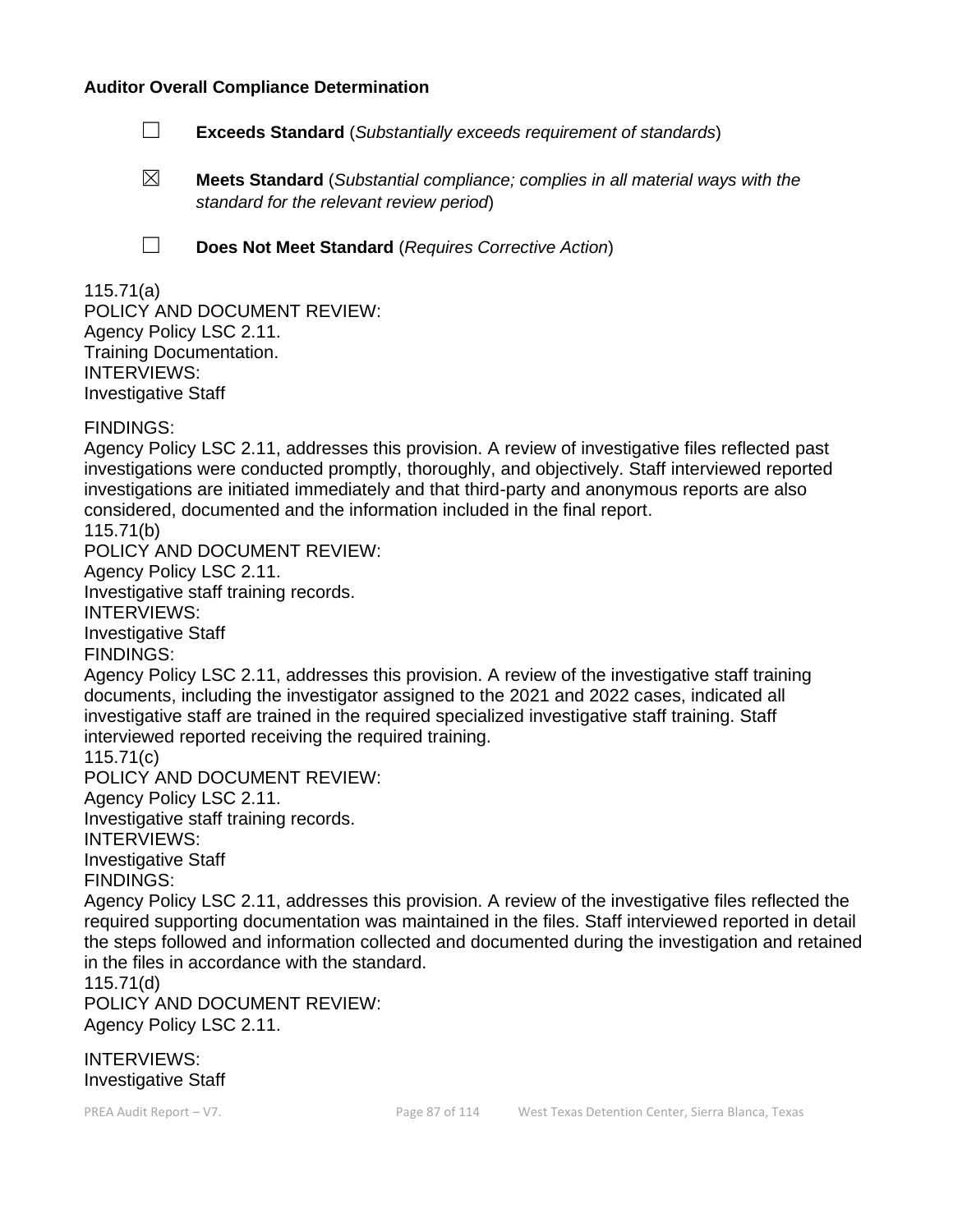#### **Auditor Overall Compliance Determination**

- ☐ **Exceeds Standard** (*Substantially exceeds requirement of standards*)
- ☒ **Meets Standard** (*Substantial compliance; complies in all material ways with the standard for the relevant review period*)
- 
- ☐ **Does Not Meet Standard** (*Requires Corrective Action*)

#### 115.71(a)

POLICY AND DOCUMENT REVIEW: Agency Policy LSC 2.11. Training Documentation. INTERVIEWS: Investigative Staff

FINDINGS:

Agency Policy LSC 2.11, addresses this provision. A review of investigative files reflected past investigations were conducted promptly, thoroughly, and objectively. Staff interviewed reported investigations are initiated immediately and that third-party and anonymous reports are also considered, documented and the information included in the final report.

115.71(b)

POLICY AND DOCUMENT REVIEW:

Agency Policy LSC 2.11.

Investigative staff training records.

INTERVIEWS:

Investigative Staff

FINDINGS:

Agency Policy LSC 2.11, addresses this provision. A review of the investigative staff training documents, including the investigator assigned to the 2021 and 2022 cases, indicated all investigative staff are trained in the required specialized investigative staff training. Staff interviewed reported receiving the required training.

115.71(c)

POLICY AND DOCUMENT REVIEW:

Agency Policy LSC 2.11.

Investigative staff training records. INTERVIEWS: Investigative Staff

FINDINGS:

Agency Policy LSC 2.11, addresses this provision. A review of the investigative files reflected the required supporting documentation was maintained in the files. Staff interviewed reported in detail the steps followed and information collected and documented during the investigation and retained in the files in accordance with the standard.

115.71(d)

POLICY AND DOCUMENT REVIEW: Agency Policy LSC 2.11.

INTERVIEWS: Investigative Staff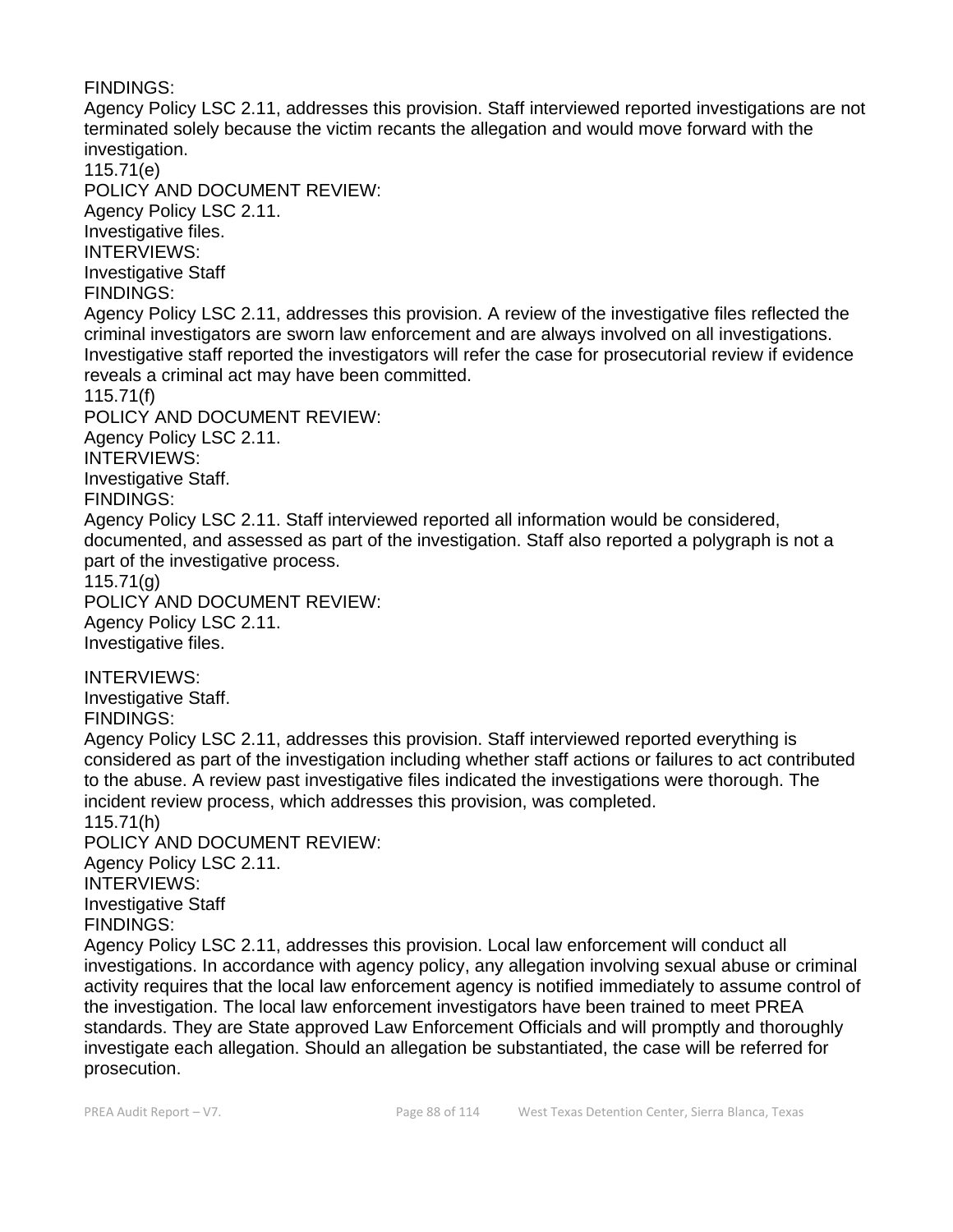FINDINGS: Agency Policy LSC 2.11, addresses this provision. Staff interviewed reported investigations are not terminated solely because the victim recants the allegation and would move forward with the investigation. 115.71(e) POLICY AND DOCUMENT REVIEW: Agency Policy LSC 2.11. Investigative files. INTERVIEWS: Investigative Staff FINDINGS: Agency Policy LSC 2.11, addresses this provision. A review of the investigative files reflected the criminal investigators are sworn law enforcement and are always involved on all investigations. Investigative staff reported the investigators will refer the case for prosecutorial review if evidence reveals a criminal act may have been committed. 115.71(f) POLICY AND DOCUMENT REVIEW: Agency Policy LSC 2.11. INTERVIEWS: Investigative Staff. FINDINGS: Agency Policy LSC 2.11. Staff interviewed reported all information would be considered, documented, and assessed as part of the investigation. Staff also reported a polygraph is not a part of the investigative process. 115.71(g) POLICY AND DOCUMENT REVIEW: Agency Policy LSC 2.11. Investigative files. INTERVIEWS: Investigative Staff. FINDINGS: Agency Policy LSC 2.11, addresses this provision. Staff interviewed reported everything is considered as part of the investigation including whether staff actions or failures to act contributed to the abuse. A review past investigative files indicated the investigations were thorough. The incident review process, which addresses this provision, was completed. 115.71(h) POLICY AND DOCUMENT REVIEW: Agency Policy LSC 2.11. INTERVIEWS: Investigative Staff FINDINGS: Agency Policy LSC 2.11, addresses this provision. Local law enforcement will conduct all investigations. In accordance with agency policy, any allegation involving sexual abuse or criminal activity requires that the local law enforcement agency is notified immediately to assume control of the investigation. The local law enforcement investigators have been trained to meet PREA standards. They are State approved Law Enforcement Officials and will promptly and thoroughly investigate each allegation. Should an allegation be substantiated, the case will be referred for

prosecution.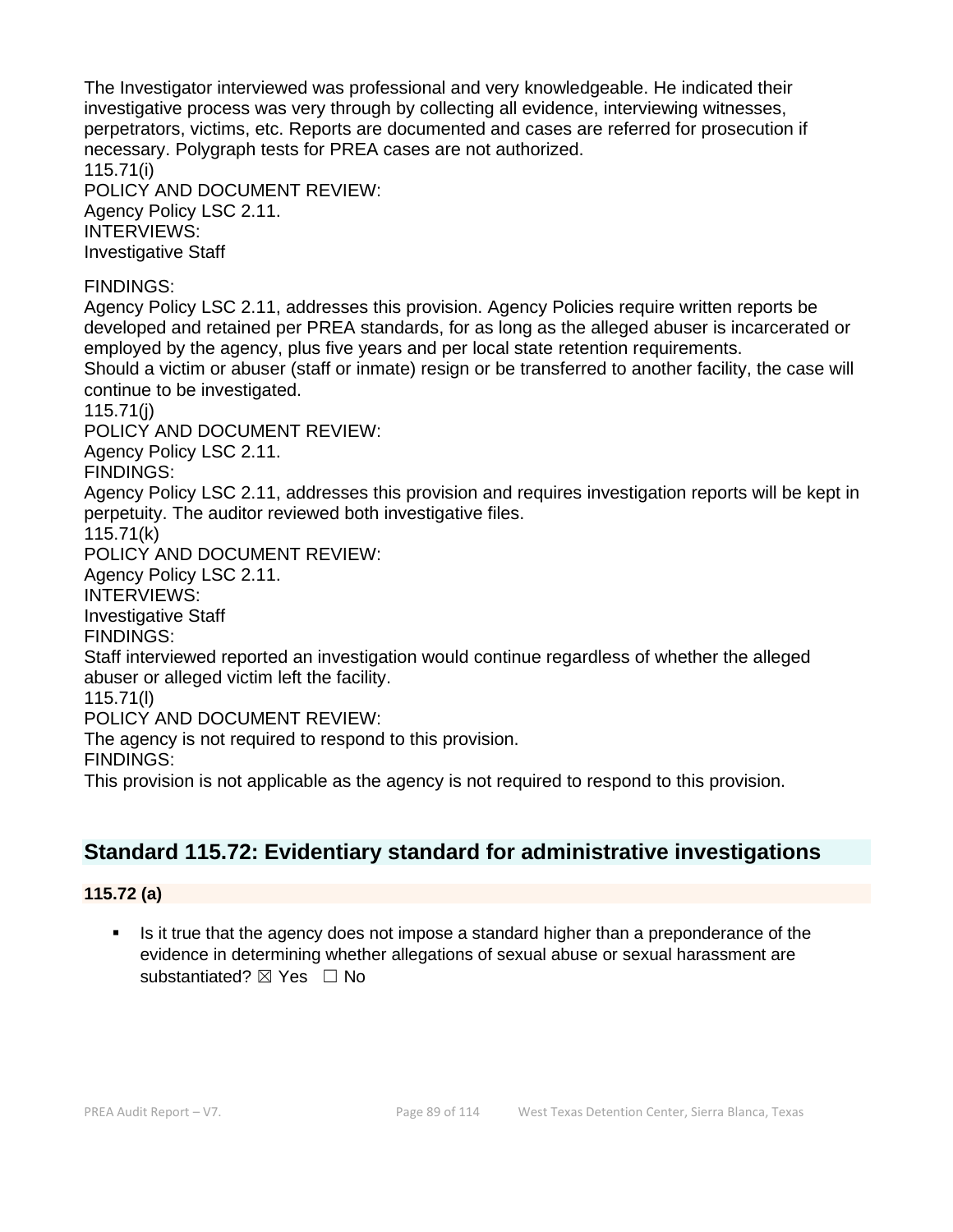The Investigator interviewed was professional and very knowledgeable. He indicated their investigative process was very through by collecting all evidence, interviewing witnesses, perpetrators, victims, etc. Reports are documented and cases are referred for prosecution if necessary. Polygraph tests for PREA cases are not authorized. 115.71(i) POLICY AND DOCUMENT REVIEW: Agency Policy LSC 2.11. INTERVIEWS: Investigative Staff FINDINGS: Agency Policy LSC 2.11, addresses this provision. Agency Policies require written reports be developed and retained per PREA standards, for as long as the alleged abuser is incarcerated or employed by the agency, plus five years and per local state retention requirements. Should a victim or abuser (staff or inmate) resign or be transferred to another facility, the case will continue to be investigated. 115.71(j) POLICY AND DOCUMENT REVIEW: Agency Policy LSC 2.11. FINDINGS: Agency Policy LSC 2.11, addresses this provision and requires investigation reports will be kept in perpetuity. The auditor reviewed both investigative files. 115.71(k) POLICY AND DOCUMENT REVIEW: Agency Policy LSC 2.11. INTERVIEWS: Investigative Staff FINDINGS: Staff interviewed reported an investigation would continue regardless of whether the alleged abuser or alleged victim left the facility. 115.71(l) POLICY AND DOCUMENT REVIEW: The agency is not required to respond to this provision. FINDINGS: This provision is not applicable as the agency is not required to respond to this provision.

# **Standard 115.72: Evidentiary standard for administrative investigations**

# **115.72 (a)**

Is it true that the agency does not impose a standard higher than a preponderance of the evidence in determining whether allegations of sexual abuse or sexual harassment are substantiated? **⊠** Yes □ No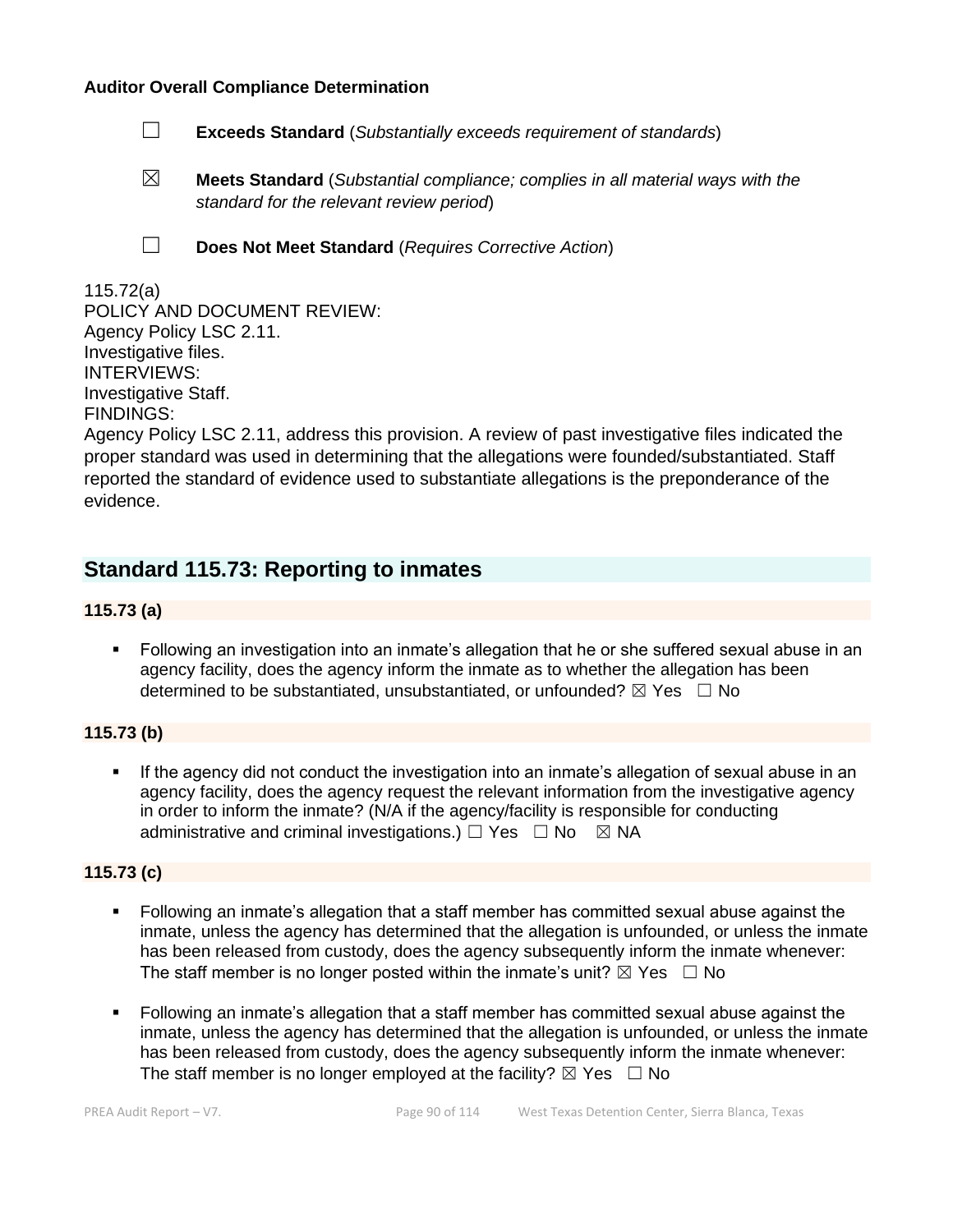#### **Auditor Overall Compliance Determination**

- ☐ **Exceeds Standard** (*Substantially exceeds requirement of standards*)
- ☒ **Meets Standard** (*Substantial compliance; complies in all material ways with the standard for the relevant review period*)
- 
- ☐ **Does Not Meet Standard** (*Requires Corrective Action*)

### 115.72(a)

POLICY AND DOCUMENT REVIEW: Agency Policy LSC 2.11. Investigative files. INTERVIEWS: Investigative Staff. FINDINGS:

Agency Policy LSC 2.11, address this provision. A review of past investigative files indicated the proper standard was used in determining that the allegations were founded/substantiated. Staff reported the standard of evidence used to substantiate allegations is the preponderance of the evidence.

# **Standard 115.73: Reporting to inmates**

#### **115.73 (a)**

Following an investigation into an inmate's allegation that he or she suffered sexual abuse in an agency facility, does the agency inform the inmate as to whether the allegation has been determined to be substantiated, unsubstantiated, or unfounded?  $\boxtimes$  Yes  $\Box$  No

#### **115.73 (b)**

If the agency did not conduct the investigation into an inmate's allegation of sexual abuse in an agency facility, does the agency request the relevant information from the investigative agency in order to inform the inmate? (N/A if the agency/facility is responsible for conducting administrative and criminal investigations.)  $\Box$  Yes  $\Box$  No  $\boxtimes$  NA

#### **115.73 (c)**

- Following an inmate's allegation that a staff member has committed sexual abuse against the inmate, unless the agency has determined that the allegation is unfounded, or unless the inmate has been released from custody, does the agency subsequently inform the inmate whenever: The staff member is no longer posted within the inmate's unit?  $\boxtimes$  Yes  $\Box$  No
- Following an inmate's allegation that a staff member has committed sexual abuse against the inmate, unless the agency has determined that the allegation is unfounded, or unless the inmate has been released from custody, does the agency subsequently inform the inmate whenever: The staff member is no longer employed at the facility?  $\boxtimes$  Yes  $\Box$  No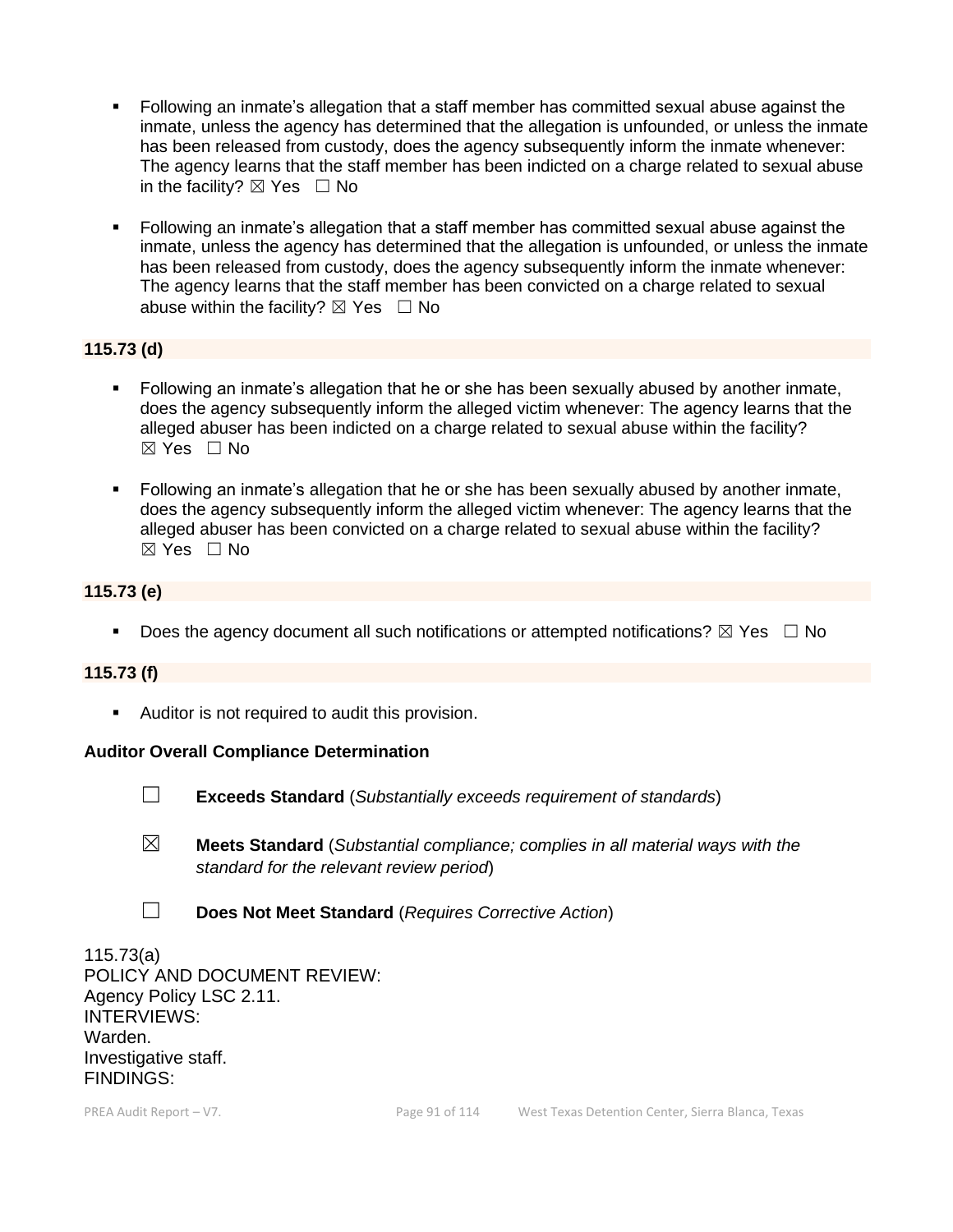- Following an inmate's allegation that a staff member has committed sexual abuse against the inmate, unless the agency has determined that the allegation is unfounded, or unless the inmate has been released from custody, does the agency subsequently inform the inmate whenever: The agency learns that the staff member has been indicted on a charge related to sexual abuse in the facility?  $\boxtimes$  Yes  $\Box$  No
- Following an inmate's allegation that a staff member has committed sexual abuse against the inmate, unless the agency has determined that the allegation is unfounded, or unless the inmate has been released from custody, does the agency subsequently inform the inmate whenever: The agency learns that the staff member has been convicted on a charge related to sexual abuse within the facility?  $\boxtimes$  Yes  $\Box$  No

### **115.73 (d)**

- Following an inmate's allegation that he or she has been sexually abused by another inmate, does the agency subsequently inform the alleged victim whenever: The agency learns that the alleged abuser has been indicted on a charge related to sexual abuse within the facility?  $\boxtimes$  Yes  $\Box$  No
- **•** Following an inmate's allegation that he or she has been sexually abused by another inmate, does the agency subsequently inform the alleged victim whenever: The agency learns that the alleged abuser has been convicted on a charge related to sexual abuse within the facility? ☒ Yes ☐ No

### **115.73 (e)**

**•** Does the agency document all such notifications or attempted notifications?  $\boxtimes$  Yes  $\Box$  No

#### **115.73 (f)**

■ Auditor is not required to audit this provision.

#### **Auditor Overall Compliance Determination**



☐ **Exceeds Standard** (*Substantially exceeds requirement of standards*)

- ☒ **Meets Standard** (*Substantial compliance; complies in all material ways with the standard for the relevant review period*)
- ☐ **Does Not Meet Standard** (*Requires Corrective Action*)

115.73(a) POLICY AND DOCUMENT REVIEW: Agency Policy LSC 2.11. INTERVIEWS: Warden. Investigative staff. FINDINGS: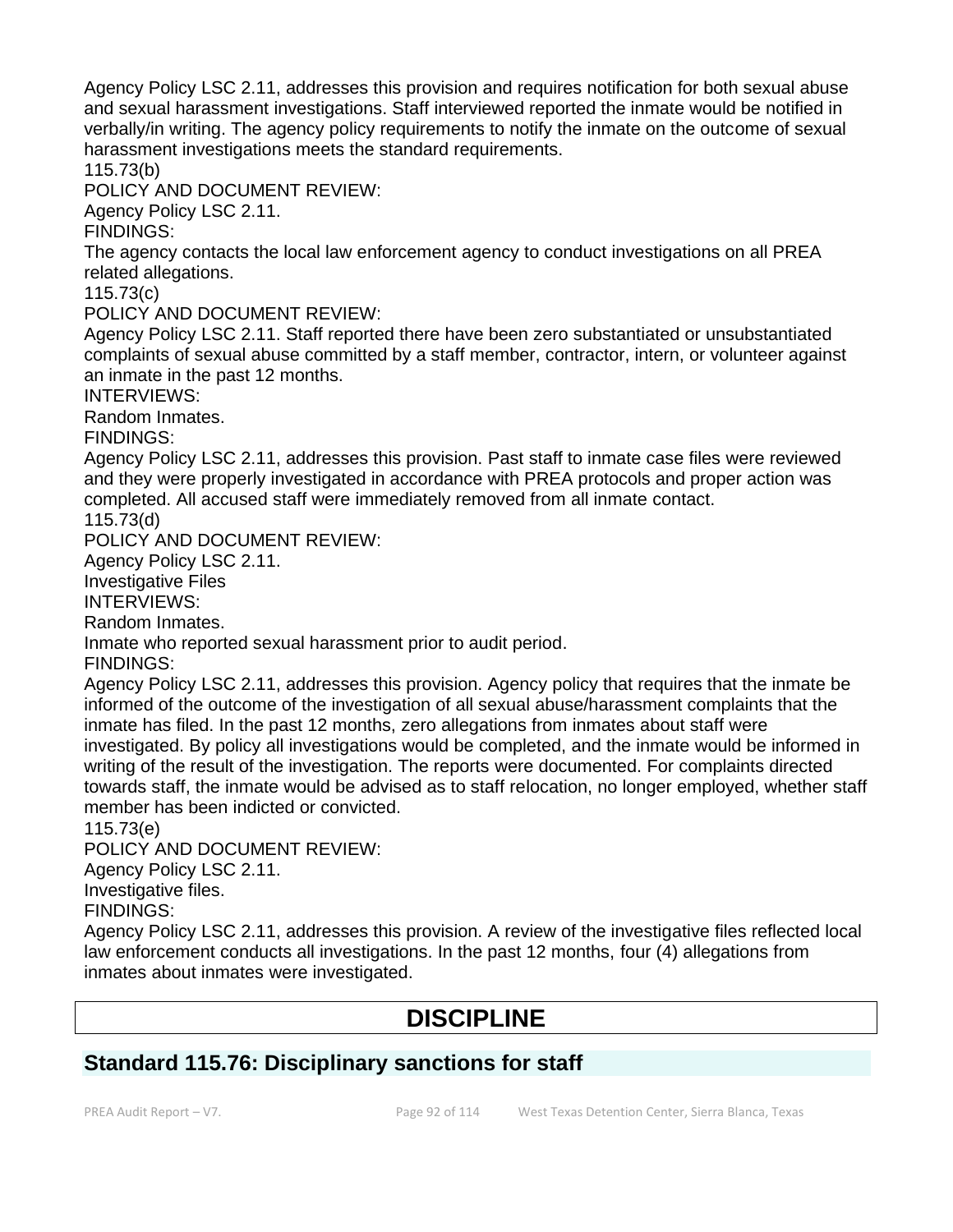Agency Policy LSC 2.11, addresses this provision and requires notification for both sexual abuse and sexual harassment investigations. Staff interviewed reported the inmate would be notified in verbally/in writing. The agency policy requirements to notify the inmate on the outcome of sexual harassment investigations meets the standard requirements.

115.73(b)

POLICY AND DOCUMENT REVIEW:

Agency Policy LSC 2.11.

FINDINGS:

The agency contacts the local law enforcement agency to conduct investigations on all PREA related allegations.

115.73(c)

POLICY AND DOCUMENT REVIEW:

Agency Policy LSC 2.11. Staff reported there have been zero substantiated or unsubstantiated complaints of sexual abuse committed by a staff member, contractor, intern, or volunteer against an inmate in the past 12 months.

INTERVIEWS:

Random Inmates.

FINDINGS:

Agency Policy LSC 2.11, addresses this provision. Past staff to inmate case files were reviewed and they were properly investigated in accordance with PREA protocols and proper action was completed. All accused staff were immediately removed from all inmate contact.

115.73(d)

POLICY AND DOCUMENT REVIEW:

Agency Policy LSC 2.11.

Investigative Files

INTERVIEWS:

Random Inmates.

Inmate who reported sexual harassment prior to audit period.

FINDINGS:

Agency Policy LSC 2.11, addresses this provision. Agency policy that requires that the inmate be informed of the outcome of the investigation of all sexual abuse/harassment complaints that the inmate has filed. In the past 12 months, zero allegations from inmates about staff were investigated. By policy all investigations would be completed, and the inmate would be informed in writing of the result of the investigation. The reports were documented. For complaints directed towards staff, the inmate would be advised as to staff relocation, no longer employed, whether staff member has been indicted or convicted.

115.73(e)

POLICY AND DOCUMENT REVIEW:

Agency Policy LSC 2.11.

Investigative files.

FINDINGS:

Agency Policy LSC 2.11, addresses this provision. A review of the investigative files reflected local law enforcement conducts all investigations. In the past 12 months, four (4) allegations from inmates about inmates were investigated.

# **DISCIPLINE**

# **Standard 115.76: Disciplinary sanctions for staff**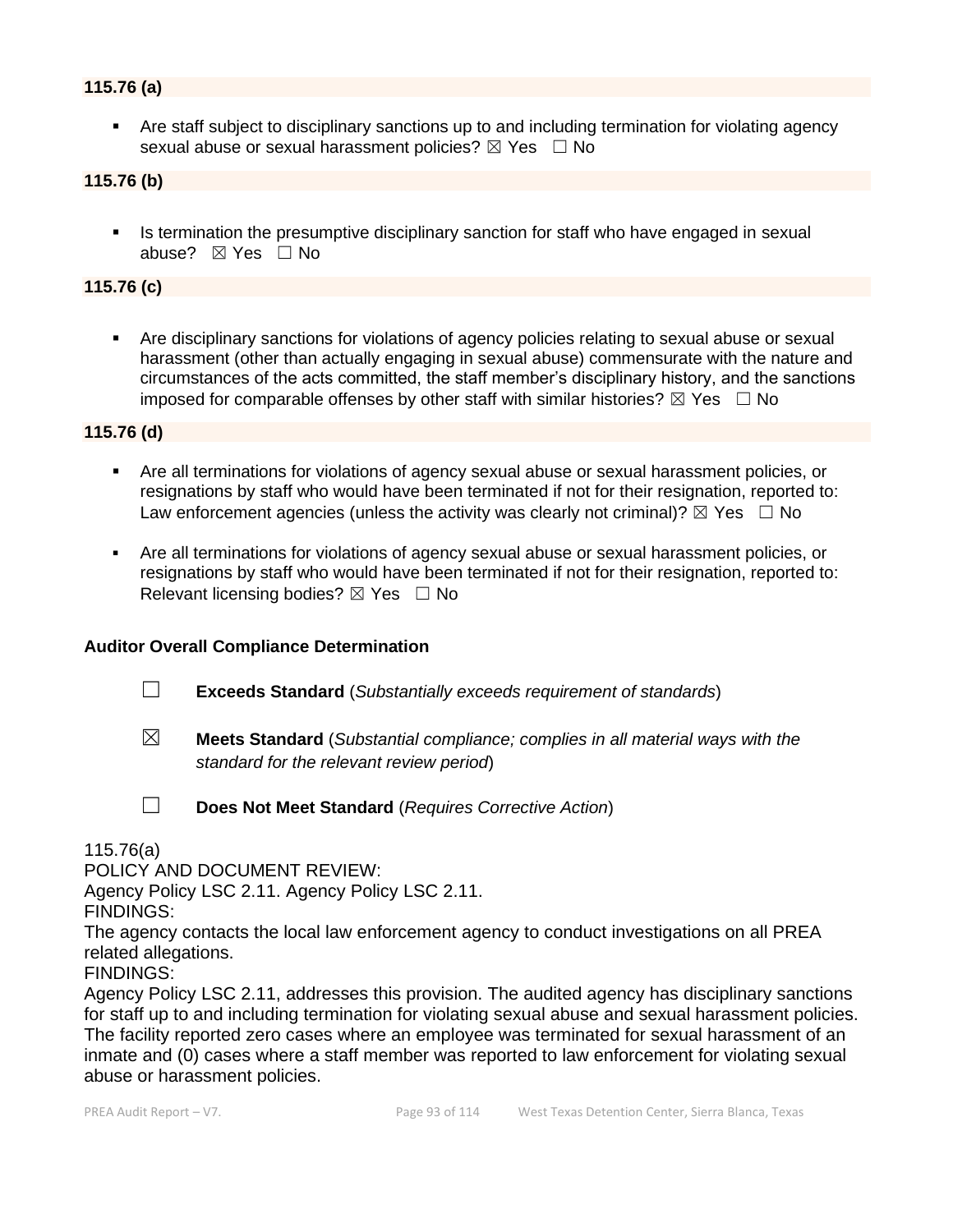### **115.76 (a)**

Are staff subject to disciplinary sanctions up to and including termination for violating agency sexual abuse or sexual harassment policies?  $\boxtimes$  Yes  $\Box$  No

#### **115.76 (b)**

Is termination the presumptive disciplinary sanction for staff who have engaged in sexual abuse? ☒ Yes ☐ No

## **115.76 (c)**

▪ Are disciplinary sanctions for violations of agency policies relating to sexual abuse or sexual harassment (other than actually engaging in sexual abuse) commensurate with the nature and circumstances of the acts committed, the staff member's disciplinary history, and the sanctions imposed for comparable offenses by other staff with similar histories?  $\boxtimes$  Yes  $\Box$  No

#### **115.76 (d)**

- Are all terminations for violations of agency sexual abuse or sexual harassment policies, or resignations by staff who would have been terminated if not for their resignation, reported to: Law enforcement agencies (unless the activity was clearly not criminal)?  $\boxtimes$  Yes  $\Box$  No
- Are all terminations for violations of agency sexual abuse or sexual harassment policies, or resignations by staff who would have been terminated if not for their resignation, reported to: Relevant licensing bodies?  $\boxtimes$  Yes  $\Box$  No

#### **Auditor Overall Compliance Determination**

- ☐ **Exceeds Standard** (*Substantially exceeds requirement of standards*)
- 
- ☒ **Meets Standard** (*Substantial compliance; complies in all material ways with the standard for the relevant review period*)
- 
- ☐ **Does Not Meet Standard** (*Requires Corrective Action*)

115.76(a)

POLICY AND DOCUMENT REVIEW:

Agency Policy LSC 2.11. Agency Policy LSC 2.11.

FINDINGS:

The agency contacts the local law enforcement agency to conduct investigations on all PREA related allegations.

FINDINGS:

Agency Policy LSC 2.11, addresses this provision. The audited agency has disciplinary sanctions for staff up to and including termination for violating sexual abuse and sexual harassment policies. The facility reported zero cases where an employee was terminated for sexual harassment of an inmate and (0) cases where a staff member was reported to law enforcement for violating sexual abuse or harassment policies.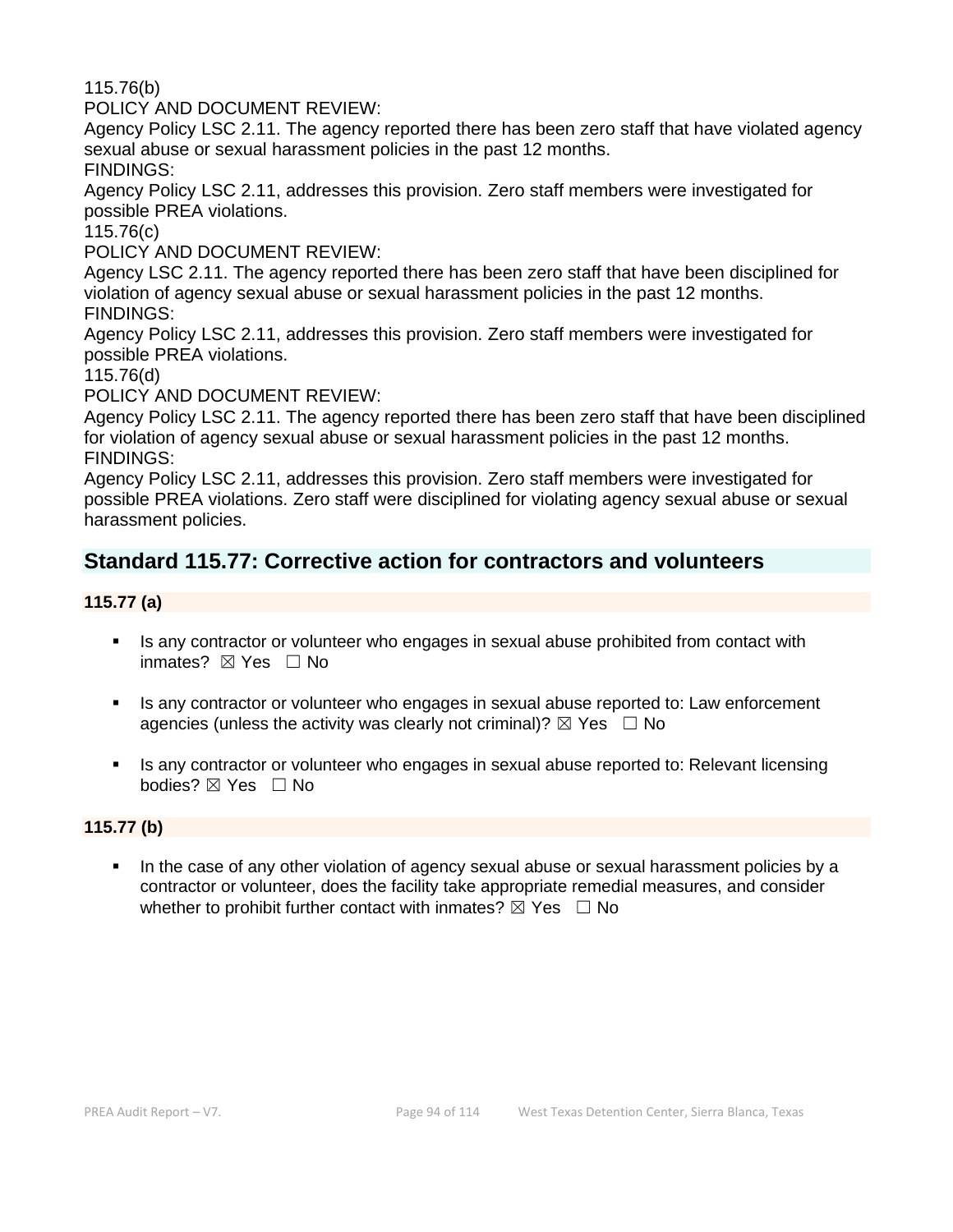115.76(b)

POLICY AND DOCUMENT REVIEW:

Agency Policy LSC 2.11. The agency reported there has been zero staff that have violated agency sexual abuse or sexual harassment policies in the past 12 months.

FINDINGS:

Agency Policy LSC 2.11, addresses this provision. Zero staff members were investigated for possible PREA violations.

115.76(c)

POLICY AND DOCUMENT REVIEW:

Agency LSC 2.11. The agency reported there has been zero staff that have been disciplined for violation of agency sexual abuse or sexual harassment policies in the past 12 months. FINDINGS:

Agency Policy LSC 2.11, addresses this provision. Zero staff members were investigated for possible PREA violations.

115.76(d)

POLICY AND DOCUMENT REVIEW:

Agency Policy LSC 2.11. The agency reported there has been zero staff that have been disciplined for violation of agency sexual abuse or sexual harassment policies in the past 12 months. FINDINGS:

Agency Policy LSC 2.11, addresses this provision. Zero staff members were investigated for possible PREA violations. Zero staff were disciplined for violating agency sexual abuse or sexual harassment policies.

# **Standard 115.77: Corrective action for contractors and volunteers**

### **115.77 (a)**

- **EXT** Is any contractor or volunteer who engages in sexual abuse prohibited from contact with inmates? ⊠ Yes □ No
- Is any contractor or volunteer who engages in sexual abuse reported to: Law enforcement agencies (unless the activity was clearly not criminal)?  $\boxtimes$  Yes  $\Box$  No
- **EXECT** Is any contractor or volunteer who engages in sexual abuse reported to: Relevant licensing bodies? ⊠ Yes □ No

#### **115.77 (b)**

In the case of any other violation of agency sexual abuse or sexual harassment policies by a contractor or volunteer, does the facility take appropriate remedial measures, and consider whether to prohibit further contact with inmates?  $\boxtimes$  Yes  $\Box$  No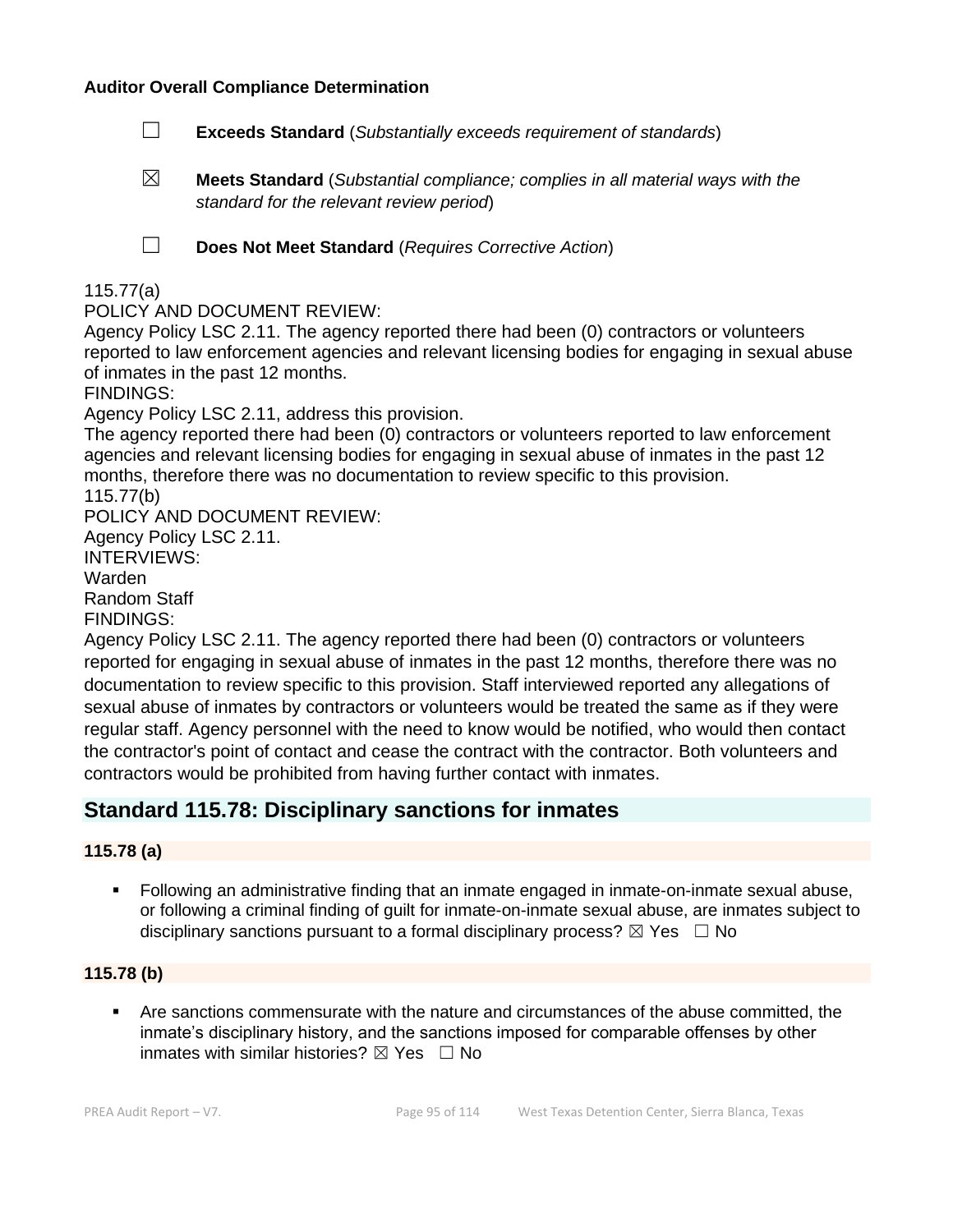#### **Auditor Overall Compliance Determination**

- ☐ **Exceeds Standard** (*Substantially exceeds requirement of standards*)
- ☒ **Meets Standard** (*Substantial compliance; complies in all material ways with the standard for the relevant review period*)

☐ **Does Not Meet Standard** (*Requires Corrective Action*)

### 115.77(a)

POLICY AND DOCUMENT REVIEW:

Agency Policy LSC 2.11. The agency reported there had been (0) contractors or volunteers reported to law enforcement agencies and relevant licensing bodies for engaging in sexual abuse of inmates in the past 12 months.

FINDINGS:

Agency Policy LSC 2.11, address this provision.

The agency reported there had been (0) contractors or volunteers reported to law enforcement agencies and relevant licensing bodies for engaging in sexual abuse of inmates in the past 12 months, therefore there was no documentation to review specific to this provision. 115.77(b)

POLICY AND DOCUMENT REVIEW:

Agency Policy LSC 2.11.

INTERVIEWS:

Warden

Random Staff

FINDINGS:

Agency Policy LSC 2.11. The agency reported there had been (0) contractors or volunteers reported for engaging in sexual abuse of inmates in the past 12 months, therefore there was no documentation to review specific to this provision. Staff interviewed reported any allegations of sexual abuse of inmates by contractors or volunteers would be treated the same as if they were regular staff. Agency personnel with the need to know would be notified, who would then contact the contractor's point of contact and cease the contract with the contractor. Both volunteers and contractors would be prohibited from having further contact with inmates.

# **Standard 115.78: Disciplinary sanctions for inmates**

#### **115.78 (a)**

■ Following an administrative finding that an inmate engaged in inmate-on-inmate sexual abuse, or following a criminal finding of guilt for inmate-on-inmate sexual abuse, are inmates subject to disciplinary sanctions pursuant to a formal disciplinary process?  $\boxtimes$  Yes  $\Box$  No

#### **115.78 (b)**

Are sanctions commensurate with the nature and circumstances of the abuse committed, the inmate's disciplinary history, and the sanctions imposed for comparable offenses by other inmates with similar histories?  $\boxtimes$  Yes  $\Box$  No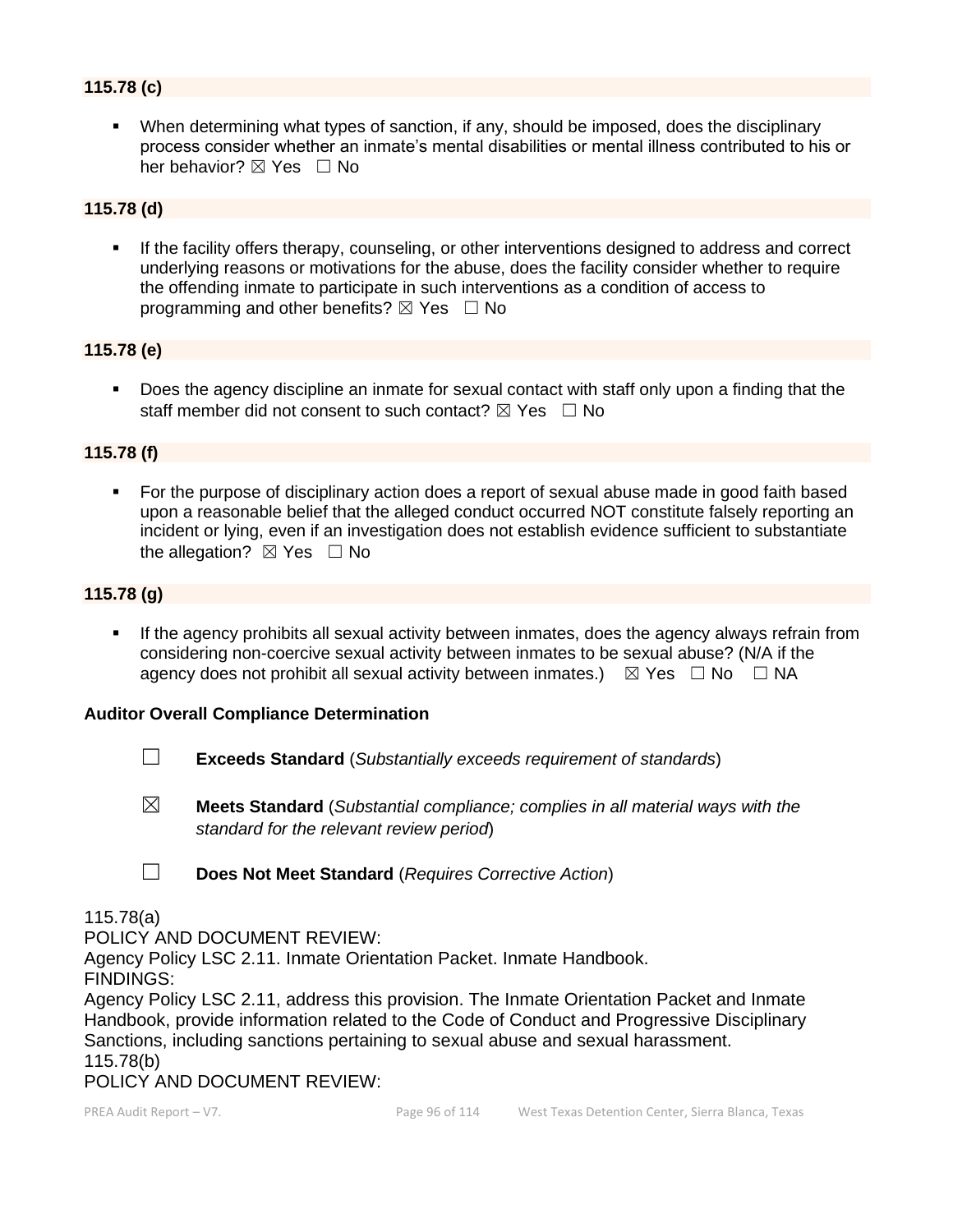# **115.78 (c)**

▪ When determining what types of sanction, if any, should be imposed, does the disciplinary process consider whether an inmate's mental disabilities or mental illness contributed to his or her behavior? ⊠ Yes □ No

#### **115.78 (d)**

If the facility offers therapy, counseling, or other interventions designed to address and correct underlying reasons or motivations for the abuse, does the facility consider whether to require the offending inmate to participate in such interventions as a condition of access to programming and other benefits?  $\boxtimes$  Yes  $\Box$  No

#### **115.78 (e)**

■ Does the agency discipline an inmate for sexual contact with staff only upon a finding that the staff member did not consent to such contact?  $\boxtimes$  Yes  $\Box$  No

#### **115.78 (f)**

For the purpose of disciplinary action does a report of sexual abuse made in good faith based upon a reasonable belief that the alleged conduct occurred NOT constitute falsely reporting an incident or lying, even if an investigation does not establish evidence sufficient to substantiate the allegation?  $\boxtimes$  Yes  $\Box$  No

### **115.78 (g)**

**.** If the agency prohibits all sexual activity between inmates, does the agency always refrain from considering non-coercive sexual activity between inmates to be sexual abuse? (N/A if the agency does not prohibit all sexual activity between inmates.)  $\boxtimes$  Yes  $\Box$  No  $\Box$  NA

#### **Auditor Overall Compliance Determination**

- ☐ **Exceeds Standard** (*Substantially exceeds requirement of standards*)
- ☒ **Meets Standard** (*Substantial compliance; complies in all material ways with the standard for the relevant review period*)
- ☐ **Does Not Meet Standard** (*Requires Corrective Action*)

#### 115.78(a)

POLICY AND DOCUMENT REVIEW:

Agency Policy LSC 2.11. Inmate Orientation Packet. Inmate Handbook.

FINDINGS:

Agency Policy LSC 2.11, address this provision. The Inmate Orientation Packet and Inmate Handbook, provide information related to the Code of Conduct and Progressive Disciplinary Sanctions, including sanctions pertaining to sexual abuse and sexual harassment. 115.78(b)

POLICY AND DOCUMENT REVIEW: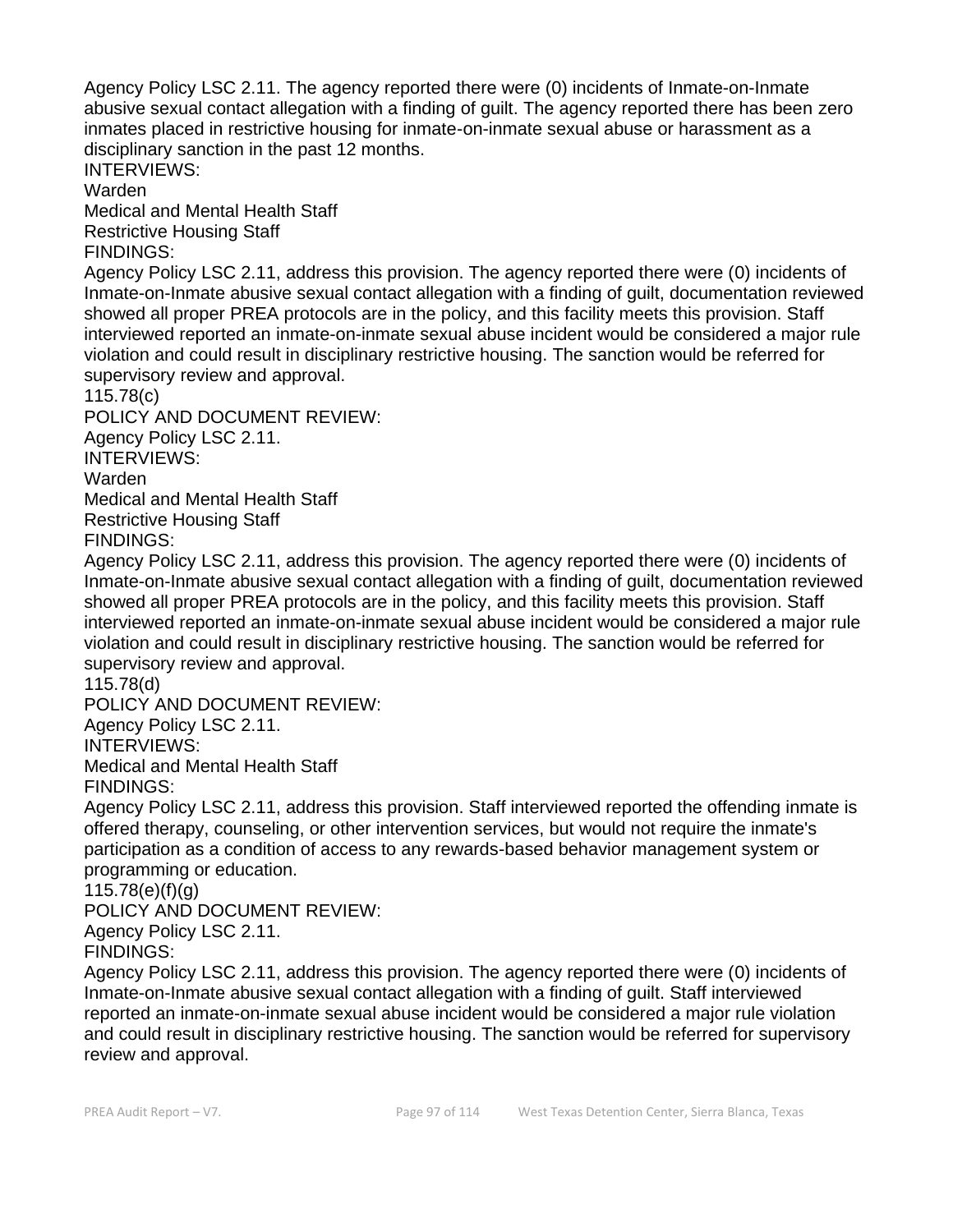Agency Policy LSC 2.11. The agency reported there were (0) incidents of Inmate-on-Inmate abusive sexual contact allegation with a finding of guilt. The agency reported there has been zero inmates placed in restrictive housing for inmate-on-inmate sexual abuse or harassment as a disciplinary sanction in the past 12 months.

INTERVIEWS:

Warden

Medical and Mental Health Staff Restrictive Housing Staff

FINDINGS:

Agency Policy LSC 2.11, address this provision. The agency reported there were (0) incidents of Inmate-on-Inmate abusive sexual contact allegation with a finding of guilt, documentation reviewed showed all proper PREA protocols are in the policy, and this facility meets this provision. Staff interviewed reported an inmate-on-inmate sexual abuse incident would be considered a major rule violation and could result in disciplinary restrictive housing. The sanction would be referred for supervisory review and approval.

115.78(c)

POLICY AND DOCUMENT REVIEW: Agency Policy LSC 2.11. INTERVIEWS: Warden Medical and Mental Health Staff Restrictive Housing Staff

FINDINGS:

Agency Policy LSC 2.11, address this provision. The agency reported there were (0) incidents of Inmate-on-Inmate abusive sexual contact allegation with a finding of guilt, documentation reviewed showed all proper PREA protocols are in the policy, and this facility meets this provision. Staff interviewed reported an inmate-on-inmate sexual abuse incident would be considered a major rule violation and could result in disciplinary restrictive housing. The sanction would be referred for supervisory review and approval.

115.78(d)

POLICY AND DOCUMENT REVIEW: Agency Policy LSC 2.11. INTERVIEWS: Medical and Mental Health Staff FINDINGS:

Agency Policy LSC 2.11, address this provision. Staff interviewed reported the offending inmate is offered therapy, counseling, or other intervention services, but would not require the inmate's participation as a condition of access to any rewards-based behavior management system or programming or education.

115.78(e)(f)(g)

POLICY AND DOCUMENT REVIEW:

Agency Policy LSC 2.11.

FINDINGS:

Agency Policy LSC 2.11, address this provision. The agency reported there were (0) incidents of Inmate-on-Inmate abusive sexual contact allegation with a finding of guilt. Staff interviewed reported an inmate-on-inmate sexual abuse incident would be considered a major rule violation and could result in disciplinary restrictive housing. The sanction would be referred for supervisory review and approval.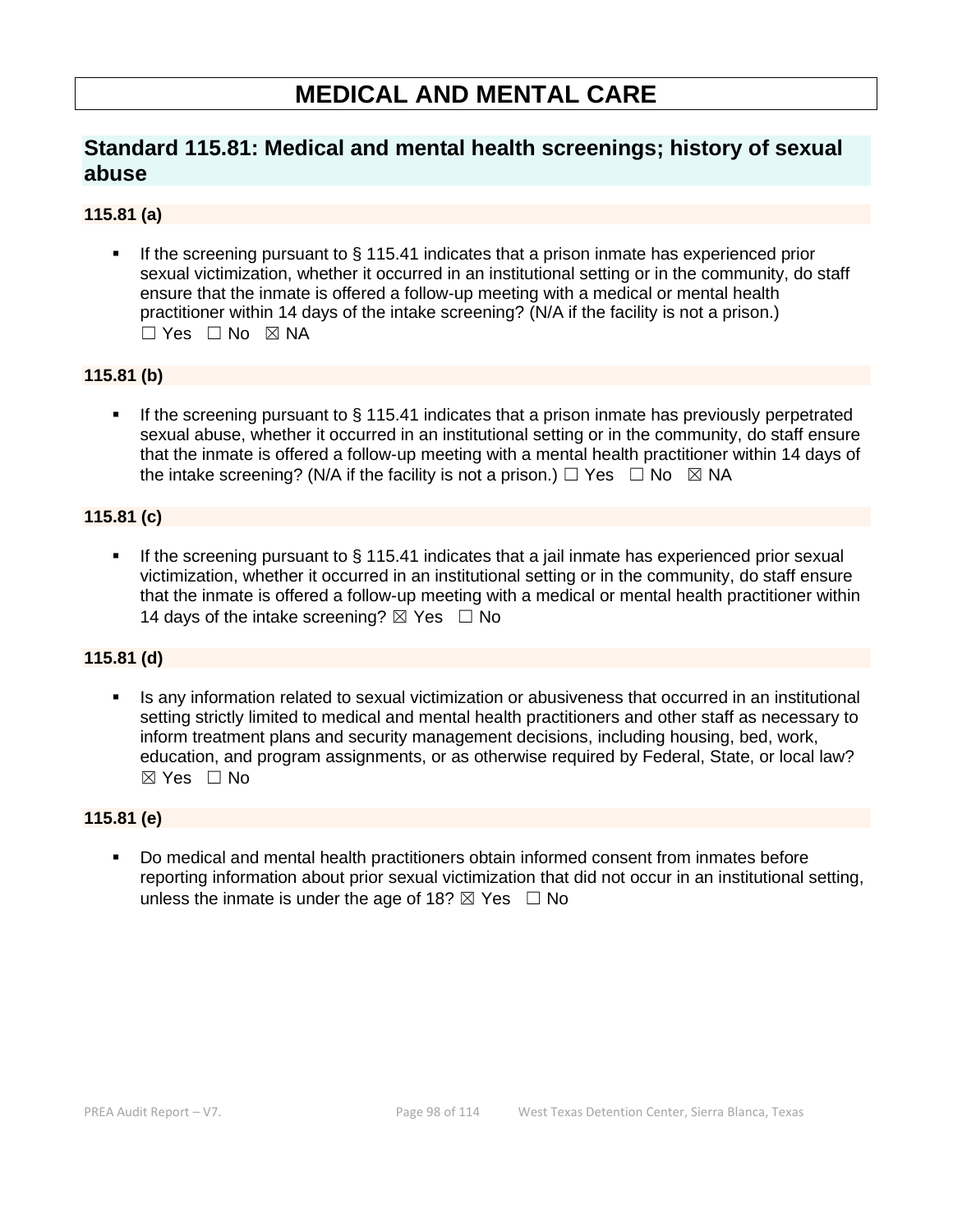# **MEDICAL AND MENTAL CARE**

# **Standard 115.81: Medical and mental health screenings; history of sexual abuse**

## **115.81 (a)**

If the screening pursuant to  $\S$  115.41 indicates that a prison inmate has experienced prior sexual victimization, whether it occurred in an institutional setting or in the community, do staff ensure that the inmate is offered a follow-up meeting with a medical or mental health practitioner within 14 days of the intake screening? (N/A if the facility is not a prison.)  $\Box$  Yes  $\Box$  No  $\boxtimes$  NA

### **115.81 (b)**

■ If the screening pursuant to § 115.41 indicates that a prison inmate has previously perpetrated sexual abuse, whether it occurred in an institutional setting or in the community, do staff ensure that the inmate is offered a follow-up meeting with a mental health practitioner within 14 days of the intake screening? (N/A if the facility is not a prison.)  $\Box$  Yes  $\Box$  No  $\boxtimes$  NA

### **115.81 (c)**

If the screening pursuant to  $\S$  115.41 indicates that a jail inmate has experienced prior sexual victimization, whether it occurred in an institutional setting or in the community, do staff ensure that the inmate is offered a follow-up meeting with a medical or mental health practitioner within 14 days of the intake screening?  $\boxtimes$  Yes  $\Box$  No

#### **115.81 (d)**

Is any information related to sexual victimization or abusiveness that occurred in an institutional setting strictly limited to medical and mental health practitioners and other staff as necessary to inform treatment plans and security management decisions, including housing, bed, work, education, and program assignments, or as otherwise required by Federal, State, or local law?  $\boxtimes$  Yes  $\Box$  No

#### **115.81 (e)**

▪ Do medical and mental health practitioners obtain informed consent from inmates before reporting information about prior sexual victimization that did not occur in an institutional setting, unless the inmate is under the age of 18?  $\boxtimes$  Yes  $\Box$  No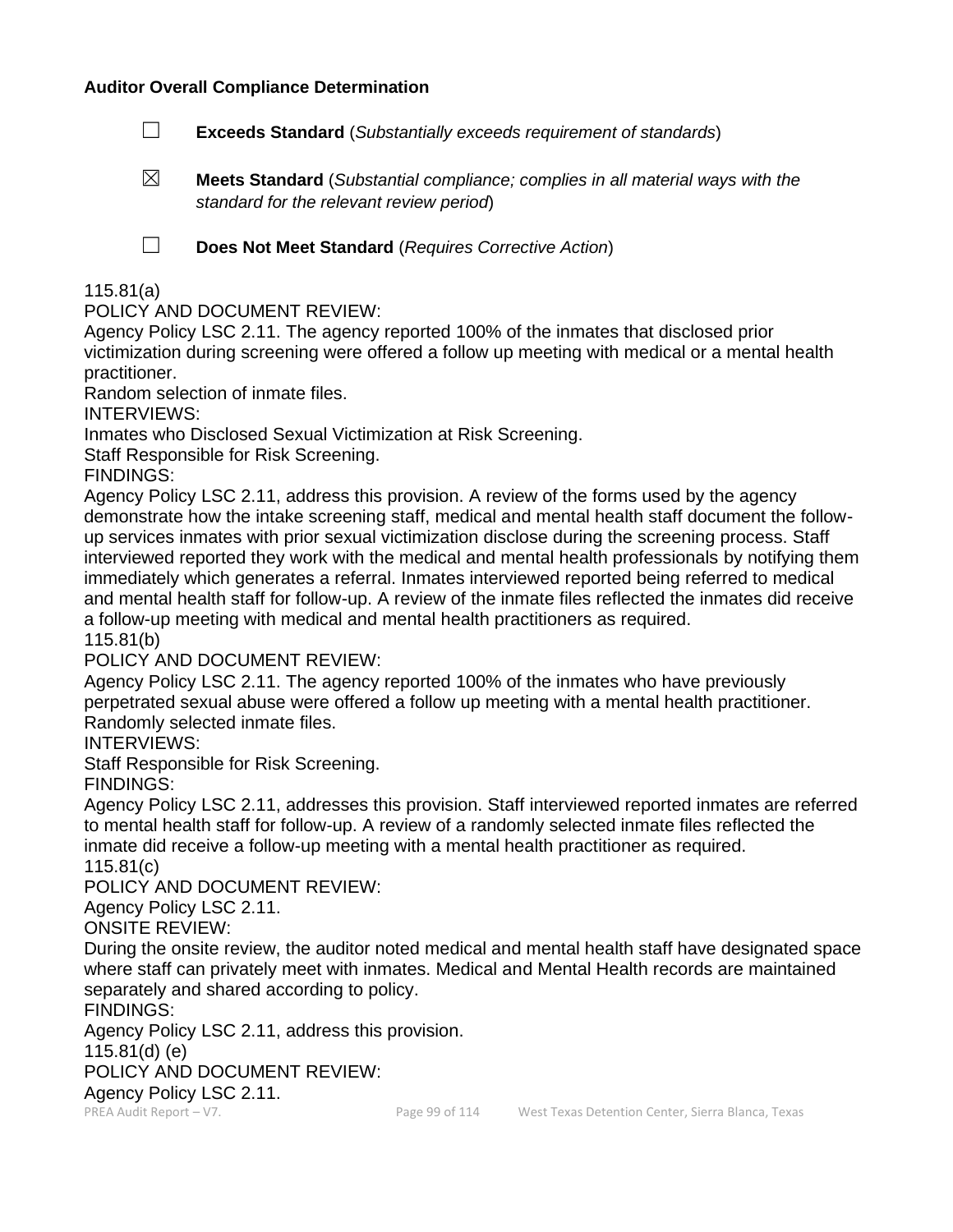#### **Auditor Overall Compliance Determination**

- ☐ **Exceeds Standard** (*Substantially exceeds requirement of standards*)
- ☒ **Meets Standard** (*Substantial compliance; complies in all material ways with the standard for the relevant review period*)

☐ **Does Not Meet Standard** (*Requires Corrective Action*)

#### 115.81(a)

POLICY AND DOCUMENT REVIEW:

Agency Policy LSC 2.11. The agency reported 100% of the inmates that disclosed prior victimization during screening were offered a follow up meeting with medical or a mental health practitioner.

Random selection of inmate files.

INTERVIEWS:

Inmates who Disclosed Sexual Victimization at Risk Screening.

Staff Responsible for Risk Screening.

FINDINGS:

Agency Policy LSC 2.11, address this provision. A review of the forms used by the agency demonstrate how the intake screening staff, medical and mental health staff document the followup services inmates with prior sexual victimization disclose during the screening process. Staff interviewed reported they work with the medical and mental health professionals by notifying them immediately which generates a referral. Inmates interviewed reported being referred to medical and mental health staff for follow-up. A review of the inmate files reflected the inmates did receive a follow-up meeting with medical and mental health practitioners as required.

115.81(b)

POLICY AND DOCUMENT REVIEW:

Agency Policy LSC 2.11. The agency reported 100% of the inmates who have previously perpetrated sexual abuse were offered a follow up meeting with a mental health practitioner. Randomly selected inmate files.

INTERVIEWS:

Staff Responsible for Risk Screening.

FINDINGS:

Agency Policy LSC 2.11, addresses this provision. Staff interviewed reported inmates are referred to mental health staff for follow-up. A review of a randomly selected inmate files reflected the inmate did receive a follow-up meeting with a mental health practitioner as required.

115.81(c)

POLICY AND DOCUMENT REVIEW:

Agency Policy LSC 2.11.

ONSITE REVIEW:

During the onsite review, the auditor noted medical and mental health staff have designated space where staff can privately meet with inmates. Medical and Mental Health records are maintained separately and shared according to policy.

FINDINGS:

Agency Policy LSC 2.11, address this provision.

115.81(d) (e)

POLICY AND DOCUMENT REVIEW:

Agency Policy LSC 2.11.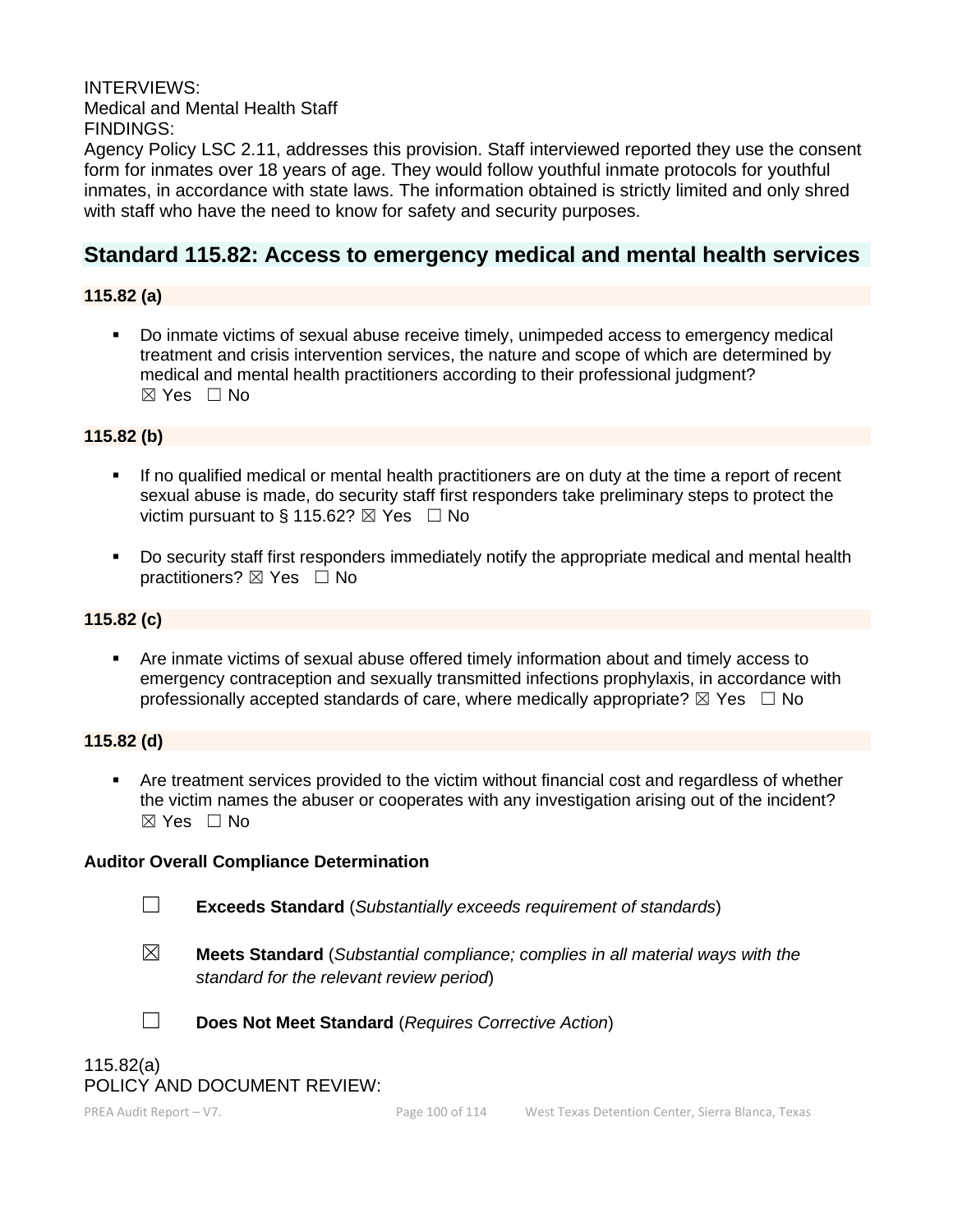INTERVIEWS: Medical and Mental Health Staff FINDINGS:

Agency Policy LSC 2.11, addresses this provision. Staff interviewed reported they use the consent form for inmates over 18 years of age. They would follow youthful inmate protocols for youthful inmates, in accordance with state laws. The information obtained is strictly limited and only shred with staff who have the need to know for safety and security purposes.

# **Standard 115.82: Access to emergency medical and mental health services**

## **115.82 (a)**

▪ Do inmate victims of sexual abuse receive timely, unimpeded access to emergency medical treatment and crisis intervention services, the nature and scope of which are determined by medical and mental health practitioners according to their professional judgment?  $\boxtimes$  Yes  $\Box$  No

### **115.82 (b)**

- If no qualified medical or mental health practitioners are on duty at the time a report of recent sexual abuse is made, do security staff first responders take preliminary steps to protect the victim pursuant to § 115.62?  $\boxtimes$  Yes  $\Box$  No
- Do security staff first responders immediately notify the appropriate medical and mental health practitioners? ⊠ Yes □ No

#### **115.82 (c)**

■ Are inmate victims of sexual abuse offered timely information about and timely access to emergency contraception and sexually transmitted infections prophylaxis, in accordance with professionally accepted standards of care, where medically appropriate?  $\boxtimes$  Yes  $\Box$  No

#### **115.82 (d)**

▪ Are treatment services provided to the victim without financial cost and regardless of whether the victim names the abuser or cooperates with any investigation arising out of the incident? ☒ Yes ☐ No

#### **Auditor Overall Compliance Determination**

☐ **Exceeds Standard** (*Substantially exceeds requirement of standards*)

- ☒ **Meets Standard** (*Substantial compliance; complies in all material ways with the standard for the relevant review period*)
- 
- ☐ **Does Not Meet Standard** (*Requires Corrective Action*)

### 115.82(a) POLICY AND DOCUMENT REVIEW: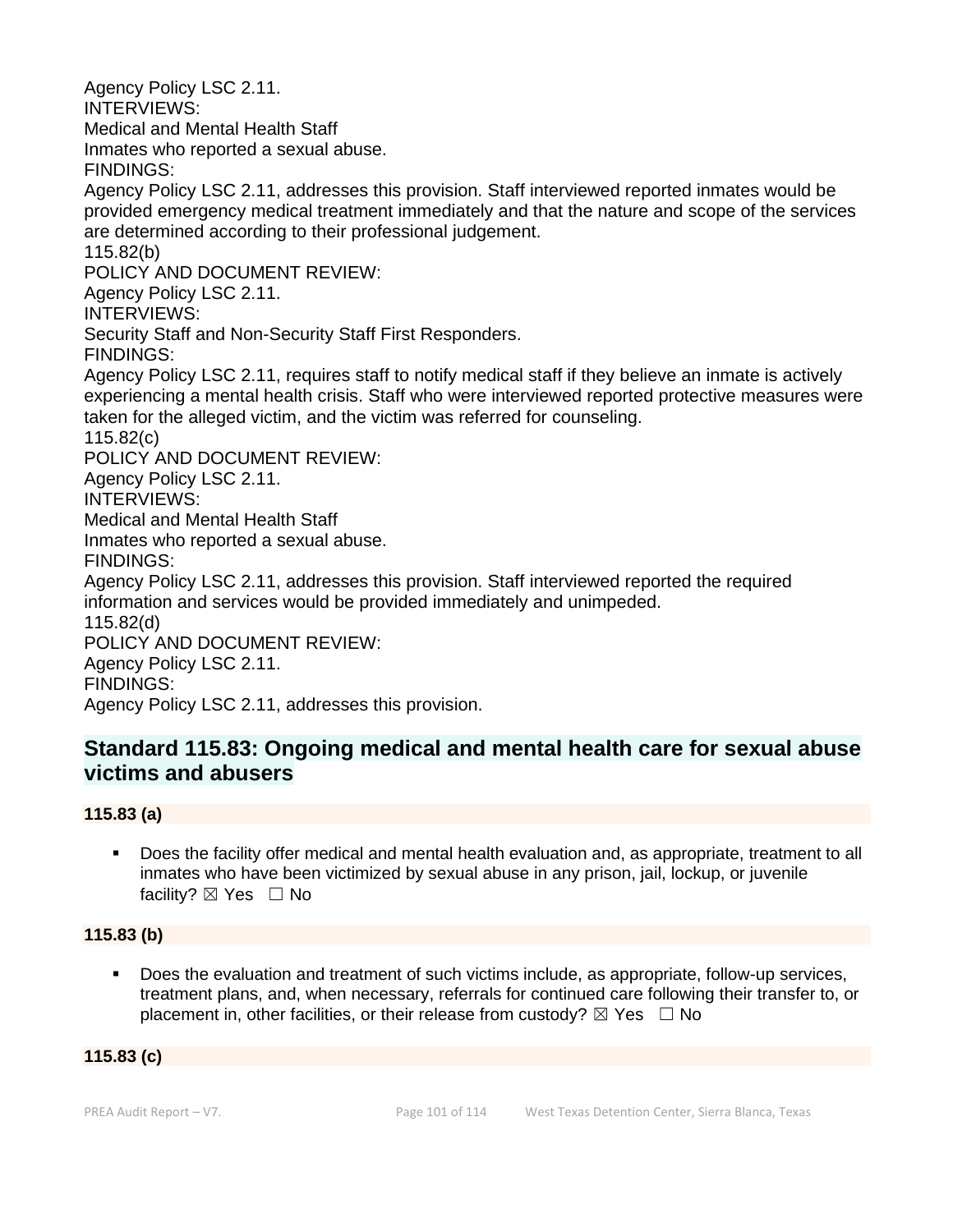Agency Policy LSC 2.11. INTERVIEWS: Medical and Mental Health Staff Inmates who reported a sexual abuse. FINDINGS: Agency Policy LSC 2.11, addresses this provision. Staff interviewed reported inmates would be provided emergency medical treatment immediately and that the nature and scope of the services are determined according to their professional judgement. 115.82(b) POLICY AND DOCUMENT REVIEW: Agency Policy LSC 2.11. INTERVIEWS: Security Staff and Non-Security Staff First Responders. FINDINGS: Agency Policy LSC 2.11, requires staff to notify medical staff if they believe an inmate is actively experiencing a mental health crisis. Staff who were interviewed reported protective measures were taken for the alleged victim, and the victim was referred for counseling. 115.82(c) POLICY AND DOCUMENT REVIEW: Agency Policy LSC 2.11. INTERVIEWS: Medical and Mental Health Staff Inmates who reported a sexual abuse. FINDINGS: Agency Policy LSC 2.11, addresses this provision. Staff interviewed reported the required information and services would be provided immediately and unimpeded. 115.82(d) POLICY AND DOCUMENT REVIEW: Agency Policy LSC 2.11. FINDINGS: Agency Policy LSC 2.11, addresses this provision.

# **Standard 115.83: Ongoing medical and mental health care for sexual abuse victims and abusers**

# **115.83 (a)**

▪ Does the facility offer medical and mental health evaluation and, as appropriate, treatment to all inmates who have been victimized by sexual abuse in any prison, jail, lockup, or juvenile facility?  $\boxtimes$  Yes  $\Box$  No

# **115.83 (b)**

Does the evaluation and treatment of such victims include, as appropriate, follow-up services, treatment plans, and, when necessary, referrals for continued care following their transfer to, or placement in, other facilities, or their release from custody?  $\boxtimes$  Yes  $\Box$  No

# **115.83 (c)**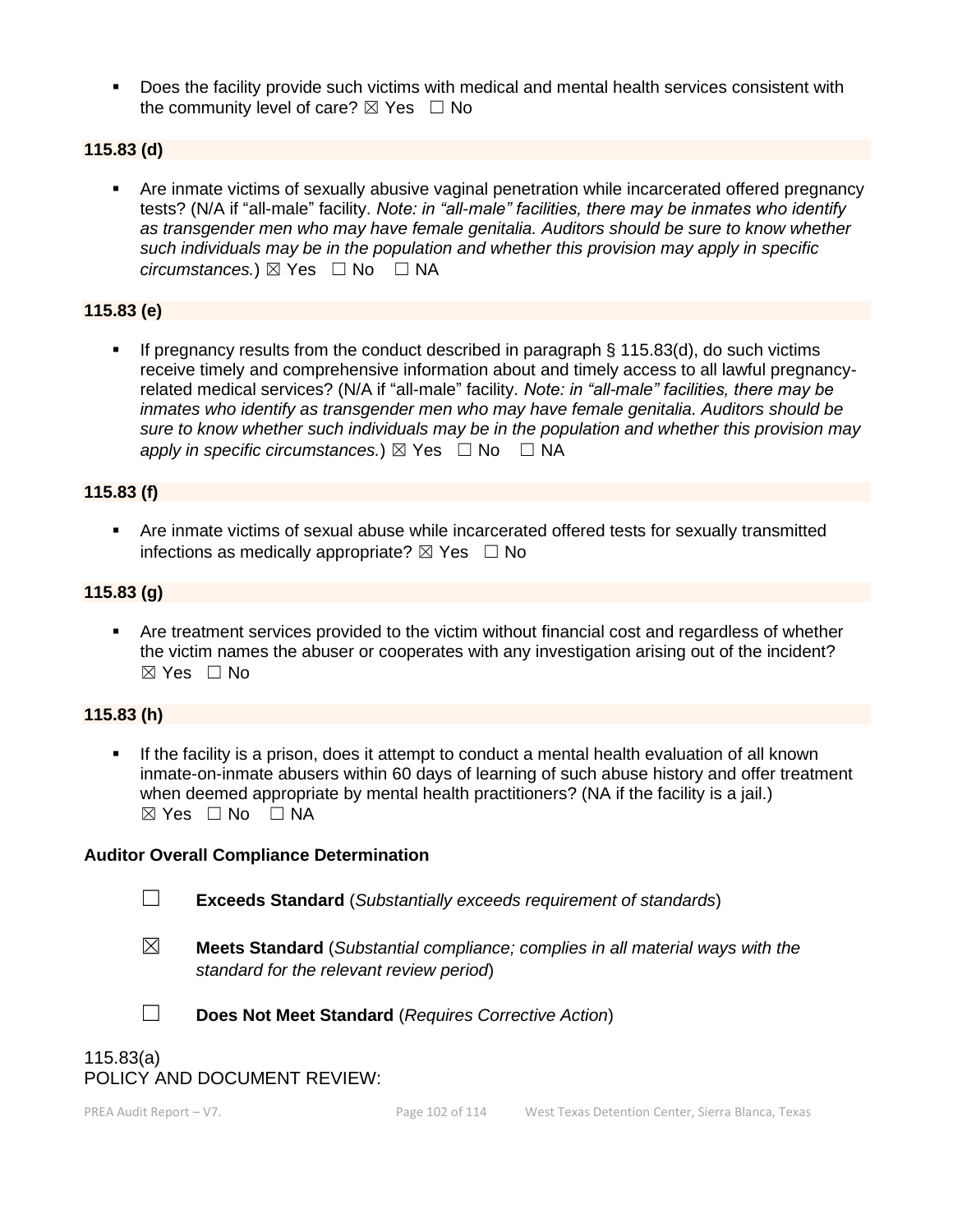▪ Does the facility provide such victims with medical and mental health services consistent with the community level of care?  $\boxtimes$  Yes  $\Box$  No

#### **115.83 (d)**

Are inmate victims of sexually abusive vaginal penetration while incarcerated offered pregnancy tests? (N/A if "all-male" facility. *Note: in "all-male" facilities, there may be inmates who identify as transgender men who may have female genitalia. Auditors should be sure to know whether such individuals may be in the population and whether this provision may apply in specific circumstances.*) ⊠ Yes  $□$  No  $□$  NA

# **115.83 (e)**

If pregnancy results from the conduct described in paragraph  $\S$  115.83(d), do such victims receive timely and comprehensive information about and timely access to all lawful pregnancyrelated medical services? (N/A if "all-male" facility. *Note: in "all-male" facilities, there may be inmates who identify as transgender men who may have female genitalia. Auditors should be sure to know whether such individuals may be in the population and whether this provision may apply in specific circumstances.*)  $\boxtimes$  Yes  $\Box$  No  $\Box$  NA

#### **115.83 (f)**

**EXTER 15 Are inmate victims of sexual abuse while incarcerated offered tests for sexually transmitted** infections as medically appropriate?  $\boxtimes$  Yes  $\Box$  No

#### **115.83 (g)**

**•** Are treatment services provided to the victim without financial cost and regardless of whether the victim names the abuser or cooperates with any investigation arising out of the incident? ☒ Yes ☐ No

#### **115.83 (h)**

If the facility is a prison, does it attempt to conduct a mental health evaluation of all known inmate-on-inmate abusers within 60 days of learning of such abuse history and offer treatment when deemed appropriate by mental health practitioners? (NA if the facility is a jail.)  $\boxtimes$  Yes  $\Box$  No  $\Box$  NA

#### **Auditor Overall Compliance Determination**

☐ **Exceeds Standard** (*Substantially exceeds requirement of standards*)

- 
- ☒ **Meets Standard** (*Substantial compliance; complies in all material ways with the standard for the relevant review period*)



☐ **Does Not Meet Standard** (*Requires Corrective Action*)

# 115.83(a) POLICY AND DOCUMENT REVIEW: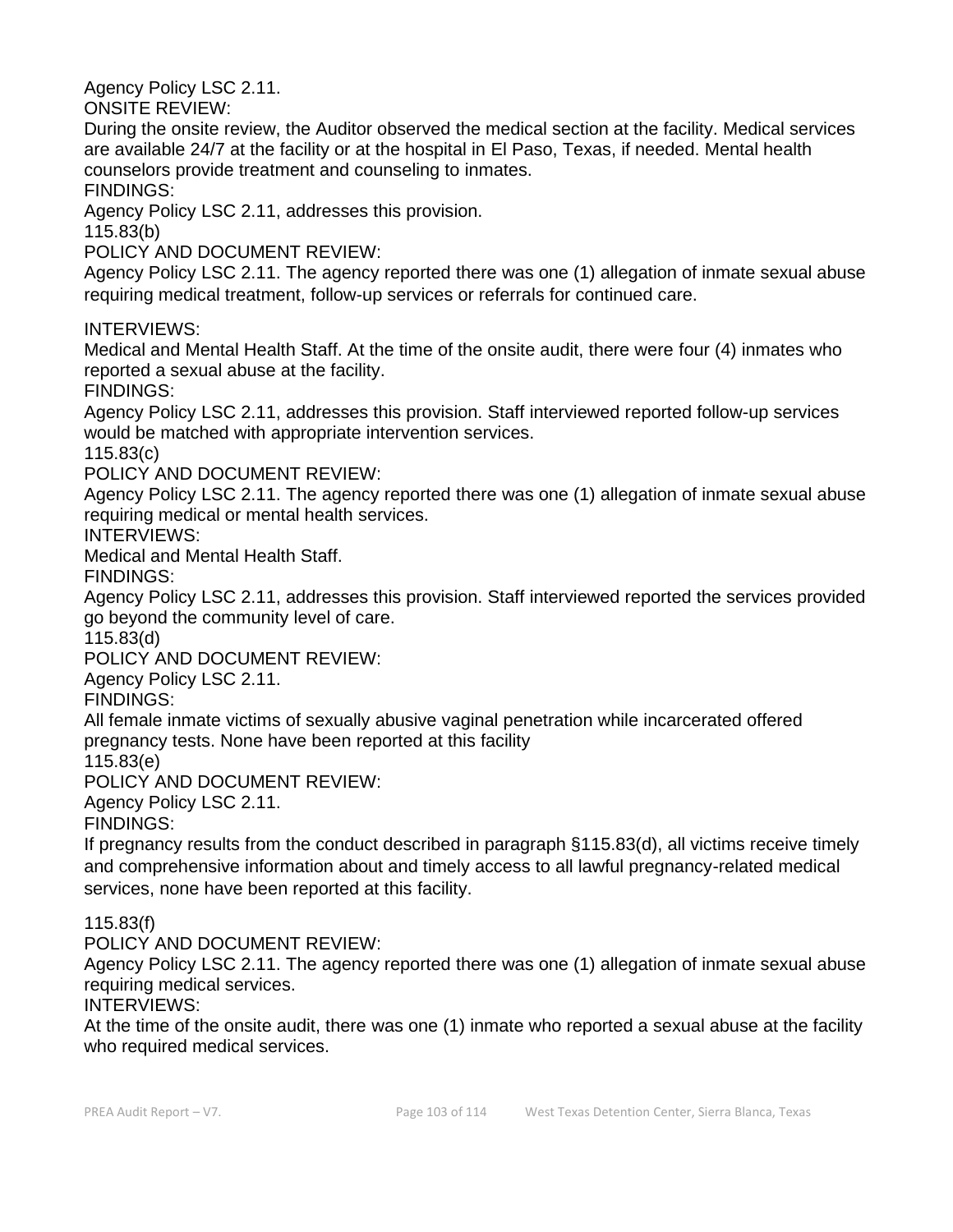Agency Policy LSC 2.11.

ONSITE REVIEW:

During the onsite review, the Auditor observed the medical section at the facility. Medical services are available 24/7 at the facility or at the hospital in El Paso, Texas, if needed. Mental health counselors provide treatment and counseling to inmates.

FINDINGS:

Agency Policy LSC 2.11, addresses this provision.

115.83(b)

POLICY AND DOCUMENT REVIEW:

Agency Policy LSC 2.11. The agency reported there was one (1) allegation of inmate sexual abuse requiring medical treatment, follow-up services or referrals for continued care.

INTERVIEWS:

Medical and Mental Health Staff. At the time of the onsite audit, there were four (4) inmates who reported a sexual abuse at the facility.

FINDINGS:

Agency Policy LSC 2.11, addresses this provision. Staff interviewed reported follow-up services would be matched with appropriate intervention services.

115.83(c)

POLICY AND DOCUMENT REVIEW:

Agency Policy LSC 2.11. The agency reported there was one (1) allegation of inmate sexual abuse requiring medical or mental health services.

INTERVIEWS:

Medical and Mental Health Staff.

FINDINGS:

Agency Policy LSC 2.11, addresses this provision. Staff interviewed reported the services provided go beyond the community level of care.

115.83(d)

POLICY AND DOCUMENT REVIEW:

Agency Policy LSC 2.11.

FINDINGS:

All female inmate victims of sexually abusive vaginal penetration while incarcerated offered pregnancy tests. None have been reported at this facility

115.83(e)

POLICY AND DOCUMENT REVIEW:

Agency Policy LSC 2.11.

FINDINGS:

If pregnancy results from the conduct described in paragraph §115.83(d), all victims receive timely and comprehensive information about and timely access to all lawful pregnancy-related medical services, none have been reported at this facility.

# 115.83(f)

POLICY AND DOCUMENT REVIEW:

Agency Policy LSC 2.11. The agency reported there was one (1) allegation of inmate sexual abuse requiring medical services.

INTERVIEWS:

At the time of the onsite audit, there was one (1) inmate who reported a sexual abuse at the facility who required medical services.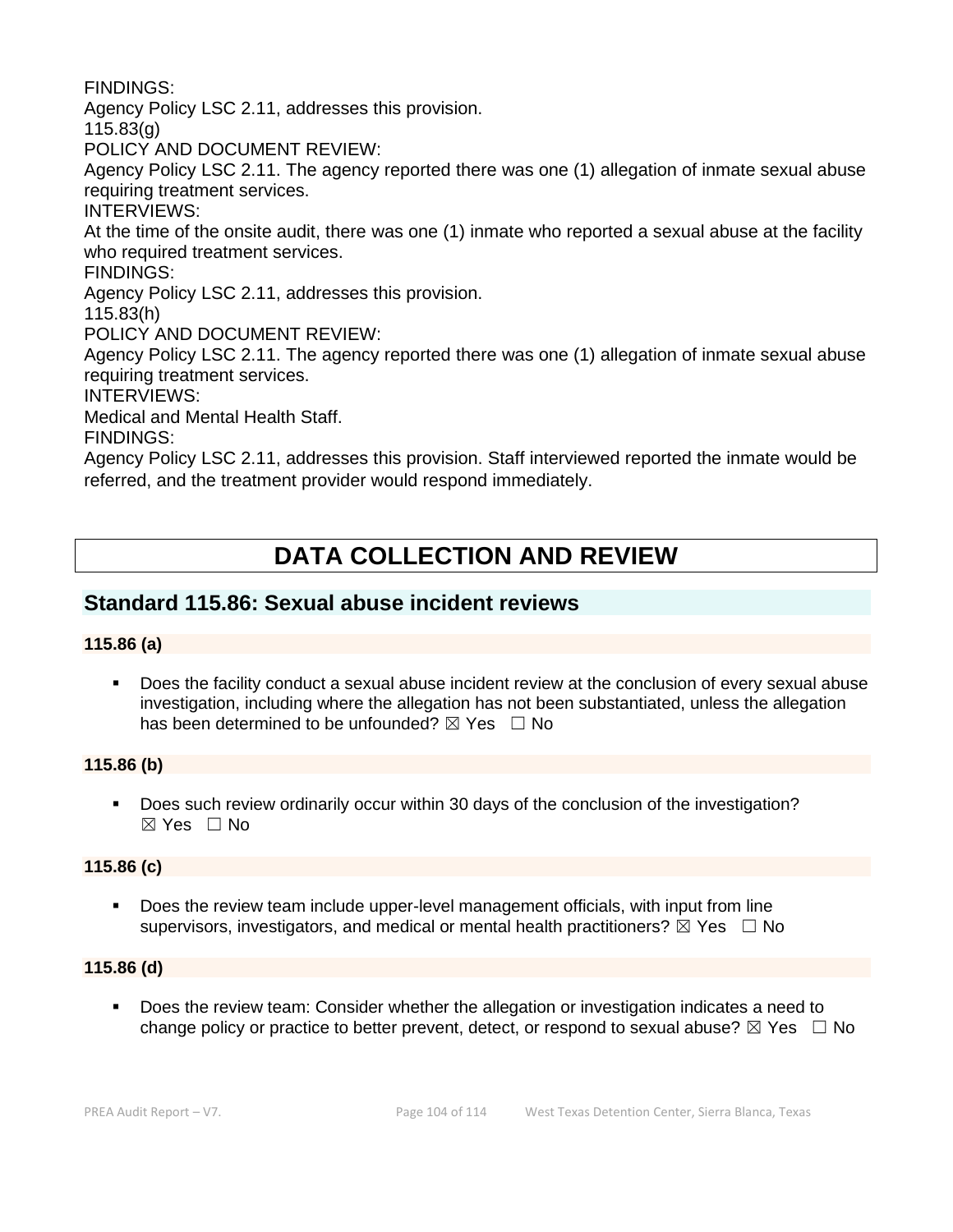FINDINGS:

Agency Policy LSC 2.11, addresses this provision.

115.83(g)

POLICY AND DOCUMENT REVIEW:

Agency Policy LSC 2.11. The agency reported there was one (1) allegation of inmate sexual abuse requiring treatment services.

INTERVIEWS:

At the time of the onsite audit, there was one (1) inmate who reported a sexual abuse at the facility who required treatment services.

FINDINGS:

Agency Policy LSC 2.11, addresses this provision.

115.83(h)

POLICY AND DOCUMENT REVIEW:

Agency Policy LSC 2.11. The agency reported there was one (1) allegation of inmate sexual abuse requiring treatment services.

INTERVIEWS:

Medical and Mental Health Staff.

FINDINGS:

Agency Policy LSC 2.11, addresses this provision. Staff interviewed reported the inmate would be referred, and the treatment provider would respond immediately.

# **DATA COLLECTION AND REVIEW**

# **Standard 115.86: Sexual abuse incident reviews**

#### **115.86 (a)**

▪ Does the facility conduct a sexual abuse incident review at the conclusion of every sexual abuse investigation, including where the allegation has not been substantiated, unless the allegation has been determined to be unfounded?  $\boxtimes$  Yes  $\Box$  No

#### **115.86 (b)**

■ Does such review ordinarily occur within 30 days of the conclusion of the investigation?  $\boxtimes$  Yes  $\Box$  No

#### **115.86 (c)**

Does the review team include upper-level management officials, with input from line supervisors, investigators, and medical or mental health practitioners?  $\boxtimes$  Yes  $\Box$  No

#### **115.86 (d)**

Does the review team: Consider whether the allegation or investigation indicates a need to change policy or practice to better prevent, detect, or respond to sexual abuse?  $\boxtimes$  Yes  $\Box$  No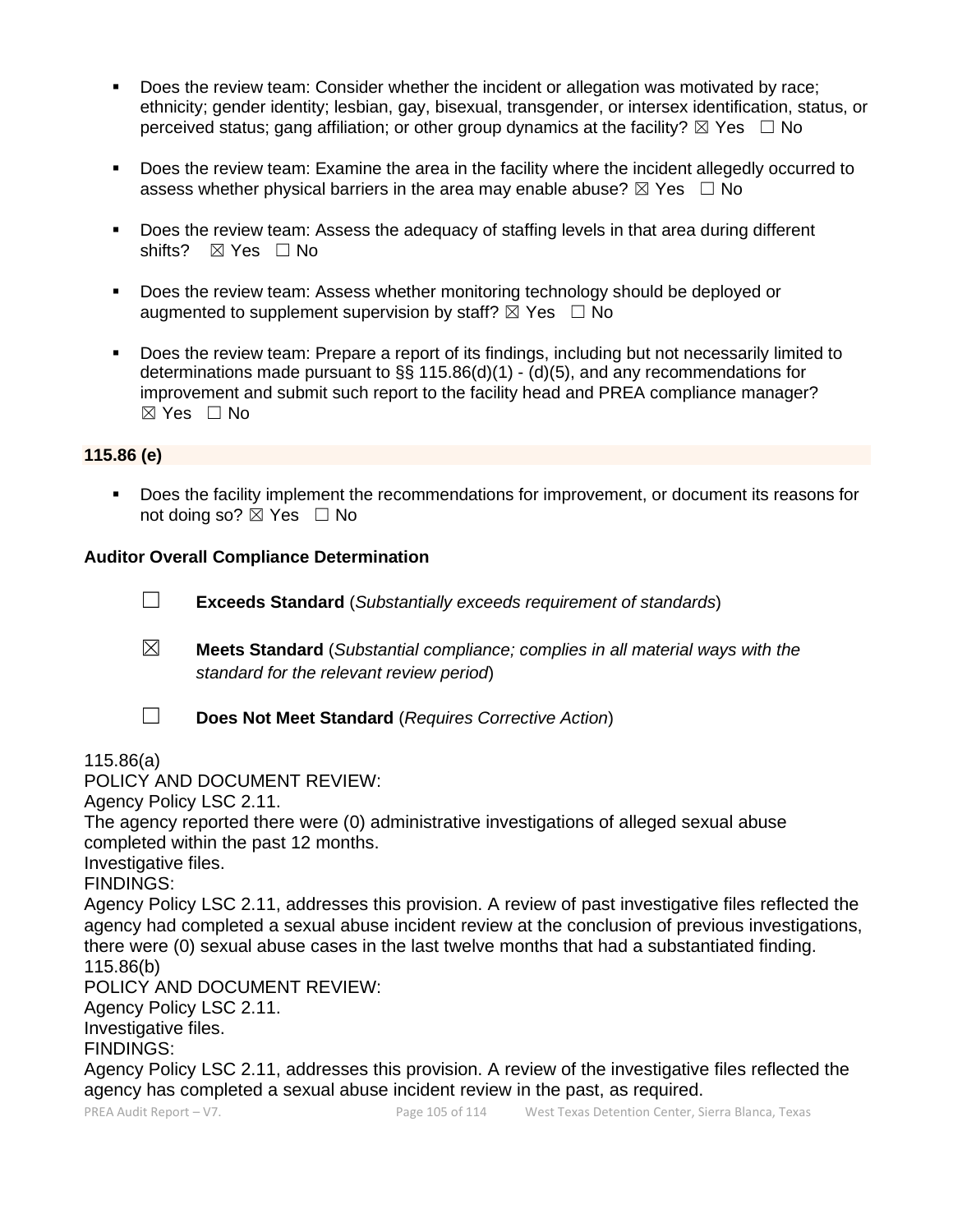- Does the review team: Consider whether the incident or allegation was motivated by race; ethnicity; gender identity; lesbian, gay, bisexual, transgender, or intersex identification, status, or perceived status; gang affiliation; or other group dynamics at the facility?  $\boxtimes$  Yes  $\Box$  No
- Does the review team: Examine the area in the facility where the incident allegedly occurred to assess whether physical barriers in the area may enable abuse?  $\boxtimes$  Yes  $\Box$  No
- Does the review team: Assess the adequacy of staffing levels in that area during different shifts? ⊠ Yes □ No
- Does the review team: Assess whether monitoring technology should be deployed or augmented to supplement supervision by staff?  $\boxtimes$  Yes  $\Box$  No
- Does the review team: Prepare a report of its findings, including but not necessarily limited to determinations made pursuant to §§ 115.86(d)(1) - (d)(5), and any recommendations for improvement and submit such report to the facility head and PREA compliance manager? ☒ Yes ☐ No

#### **115.86 (e)**

▪ Does the facility implement the recommendations for improvement, or document its reasons for not doing so?  $\boxtimes$  Yes  $\Box$  No

#### **Auditor Overall Compliance Determination**

- ☐ **Exceeds Standard** (*Substantially exceeds requirement of standards*)
- ☒ **Meets Standard** (*Substantial compliance; complies in all material ways with the standard for the relevant review period*)
- - ☐ **Does Not Meet Standard** (*Requires Corrective Action*)

#### 115.86(a)

POLICY AND DOCUMENT REVIEW:

Agency Policy LSC 2.11.

The agency reported there were (0) administrative investigations of alleged sexual abuse completed within the past 12 months.

Investigative files.

FINDINGS:

Agency Policy LSC 2.11, addresses this provision. A review of past investigative files reflected the agency had completed a sexual abuse incident review at the conclusion of previous investigations, there were (0) sexual abuse cases in the last twelve months that had a substantiated finding. 115.86(b)

POLICY AND DOCUMENT REVIEW:

Agency Policy LSC 2.11.

Investigative files.

FINDINGS:

Agency Policy LSC 2.11, addresses this provision. A review of the investigative files reflected the agency has completed a sexual abuse incident review in the past, as required.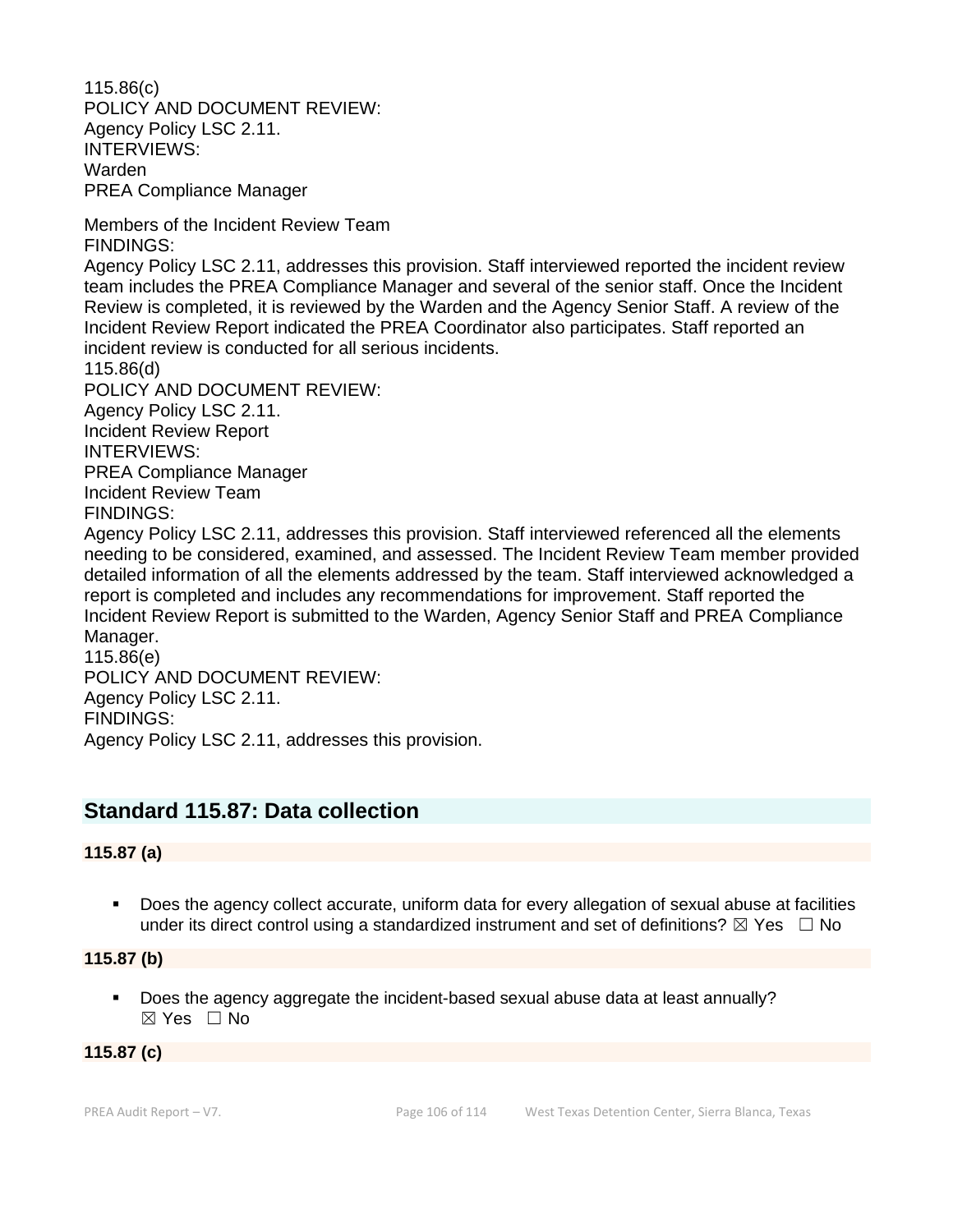115.86(c) POLICY AND DOCUMENT REVIEW: Agency Policy LSC 2.11. INTERVIEWS: Warden PREA Compliance Manager

Members of the Incident Review Team FINDINGS:

Agency Policy LSC 2.11, addresses this provision. Staff interviewed reported the incident review team includes the PREA Compliance Manager and several of the senior staff. Once the Incident Review is completed, it is reviewed by the Warden and the Agency Senior Staff. A review of the Incident Review Report indicated the PREA Coordinator also participates. Staff reported an incident review is conducted for all serious incidents.

115.86(d) POLICY AND DOCUMENT REVIEW: Agency Policy LSC 2.11. Incident Review Report INTERVIEWS: PREA Compliance Manager Incident Review Team FINDINGS:

Agency Policy LSC 2.11, addresses this provision. Staff interviewed referenced all the elements needing to be considered, examined, and assessed. The Incident Review Team member provided detailed information of all the elements addressed by the team. Staff interviewed acknowledged a report is completed and includes any recommendations for improvement. Staff reported the Incident Review Report is submitted to the Warden, Agency Senior Staff and PREA Compliance Manager.

115.86(e) POLICY AND DOCUMENT REVIEW: Agency Policy LSC 2.11. FINDINGS: Agency Policy LSC 2.11, addresses this provision.

# **Standard 115.87: Data collection**

# **115.87 (a)**

■ Does the agency collect accurate, uniform data for every allegation of sexual abuse at facilities under its direct control using a standardized instrument and set of definitions?  $\boxtimes$  Yes  $\Box$  No

**115.87 (b)**

▪ Does the agency aggregate the incident-based sexual abuse data at least annually? ☒ Yes ☐ No

# **115.87 (c)**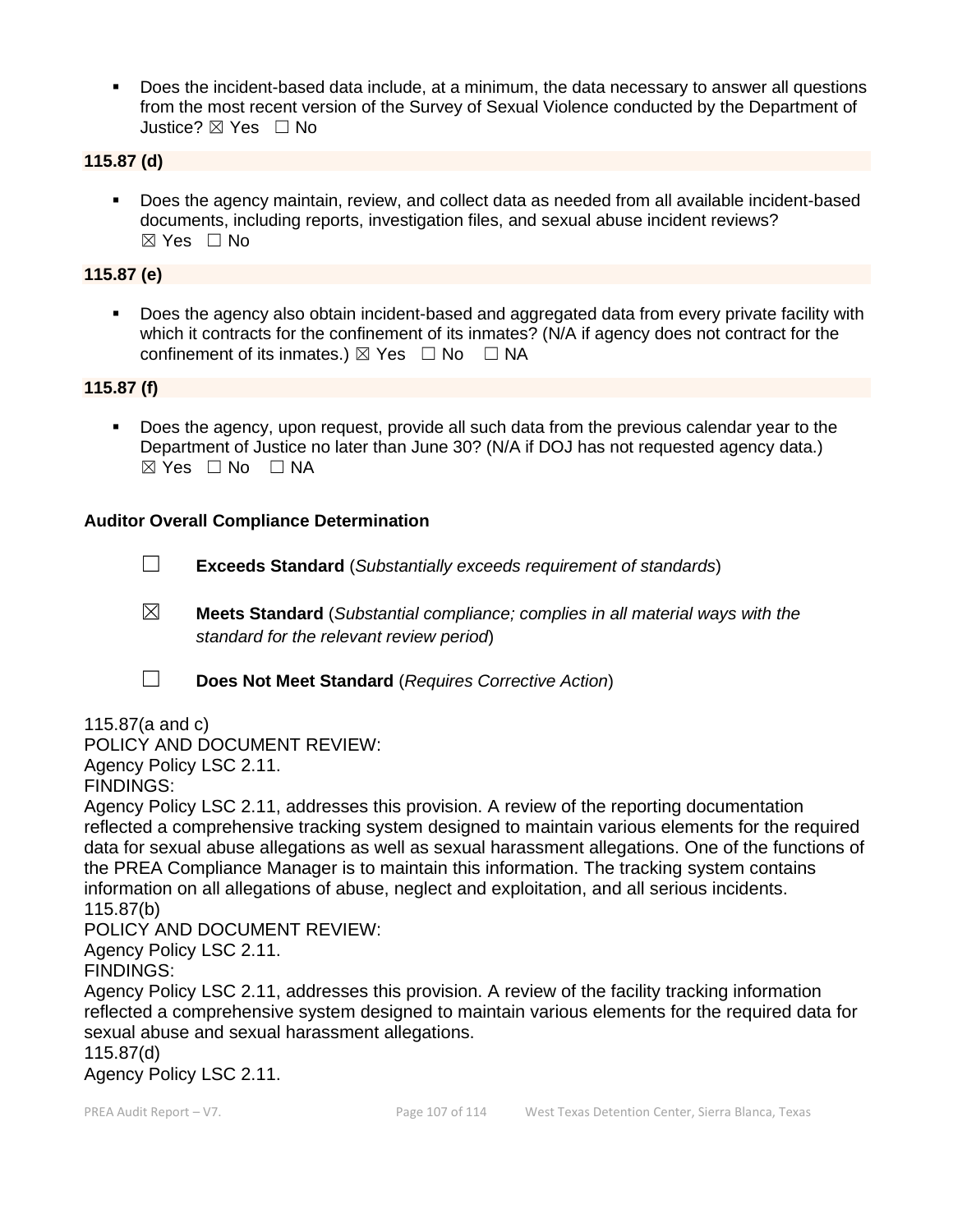▪ Does the incident-based data include, at a minimum, the data necessary to answer all questions from the most recent version of the Survey of Sexual Violence conducted by the Department of Justice? ☒ Yes ☐ No

#### **115.87 (d)**

▪ Does the agency maintain, review, and collect data as needed from all available incident-based documents, including reports, investigation files, and sexual abuse incident reviews? ☒ Yes ☐ No

### **115.87 (e)**

Does the agency also obtain incident-based and aggregated data from every private facility with which it contracts for the confinement of its inmates? (N/A if agency does not contract for the confinement of its inmates.)  $\boxtimes$  Yes  $\Box$  No  $\Box$  NA

#### **115.87 (f)**

Does the agency, upon request, provide all such data from the previous calendar year to the Department of Justice no later than June 30? (N/A if DOJ has not requested agency data.)  $⊠ Yes ⊡ No ⊡ NA$ 

#### **Auditor Overall Compliance Determination**

- ☐ **Exceeds Standard** (*Substantially exceeds requirement of standards*)
- ☒ **Meets Standard** (*Substantial compliance; complies in all material ways with the standard for the relevant review period*)
- ☐ **Does Not Meet Standard** (*Requires Corrective Action*)

115.87(a and c) POLICY AND DOCUMENT REVIEW: Agency Policy LSC 2.11. FINDINGS:

Agency Policy LSC 2.11, addresses this provision. A review of the reporting documentation reflected a comprehensive tracking system designed to maintain various elements for the required data for sexual abuse allegations as well as sexual harassment allegations. One of the functions of the PREA Compliance Manager is to maintain this information. The tracking system contains information on all allegations of abuse, neglect and exploitation, and all serious incidents. 115.87(b)

POLICY AND DOCUMENT REVIEW:

Agency Policy LSC 2.11.

FINDINGS:

Agency Policy LSC 2.11, addresses this provision. A review of the facility tracking information reflected a comprehensive system designed to maintain various elements for the required data for sexual abuse and sexual harassment allegations.

115.87(d)

Agency Policy LSC 2.11.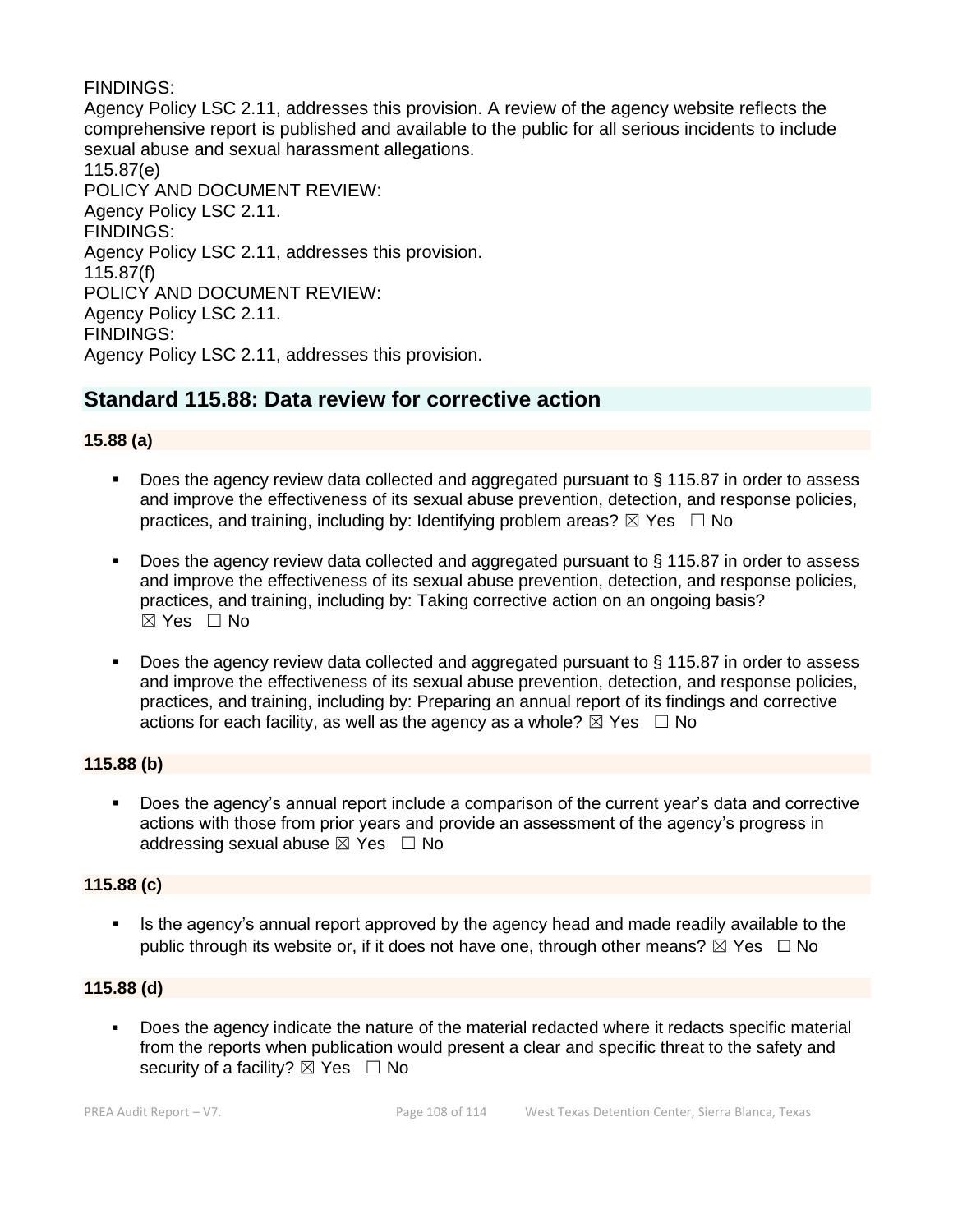### FINDINGS:

Agency Policy LSC 2.11, addresses this provision. A review of the agency website reflects the comprehensive report is published and available to the public for all serious incidents to include sexual abuse and sexual harassment allegations. 115.87(e) POLICY AND DOCUMENT REVIEW: Agency Policy LSC 2.11. FINDINGS: Agency Policy LSC 2.11, addresses this provision. 115.87(f) POLICY AND DOCUMENT REVIEW: Agency Policy LSC 2.11. FINDINGS: Agency Policy LSC 2.11, addresses this provision.

# **Standard 115.88: Data review for corrective action**

### **15.88 (a)**

- Does the agency review data collected and aggregated pursuant to  $\S$  115.87 in order to assess and improve the effectiveness of its sexual abuse prevention, detection, and response policies, practices, and training, including by: Identifying problem areas?  $\boxtimes$  Yes  $\Box$  No
- Does the agency review data collected and aggregated pursuant to  $\S$  115.87 in order to assess and improve the effectiveness of its sexual abuse prevention, detection, and response policies, practices, and training, including by: Taking corrective action on an ongoing basis?  $\boxtimes$  Yes  $\Box$  No
- Does the agency review data collected and aggregated pursuant to  $\S$  115.87 in order to assess and improve the effectiveness of its sexual abuse prevention, detection, and response policies, practices, and training, including by: Preparing an annual report of its findings and corrective actions for each facility, as well as the agency as a whole?  $\boxtimes$  Yes  $\Box$  No

#### **115.88 (b)**

■ Does the agency's annual report include a comparison of the current year's data and corrective actions with those from prior years and provide an assessment of the agency's progress in addressing sexual abuse  $\boxtimes$  Yes  $\Box$  No

#### **115.88 (c)**

**EXTE:** Is the agency's annual report approved by the agency head and made readily available to the public through its website or, if it does not have one, through other means?  $\boxtimes$  Yes  $\Box$  No

#### **115.88 (d)**

▪ Does the agency indicate the nature of the material redacted where it redacts specific material from the reports when publication would present a clear and specific threat to the safety and security of a facility?  $\boxtimes$  Yes  $\Box$  No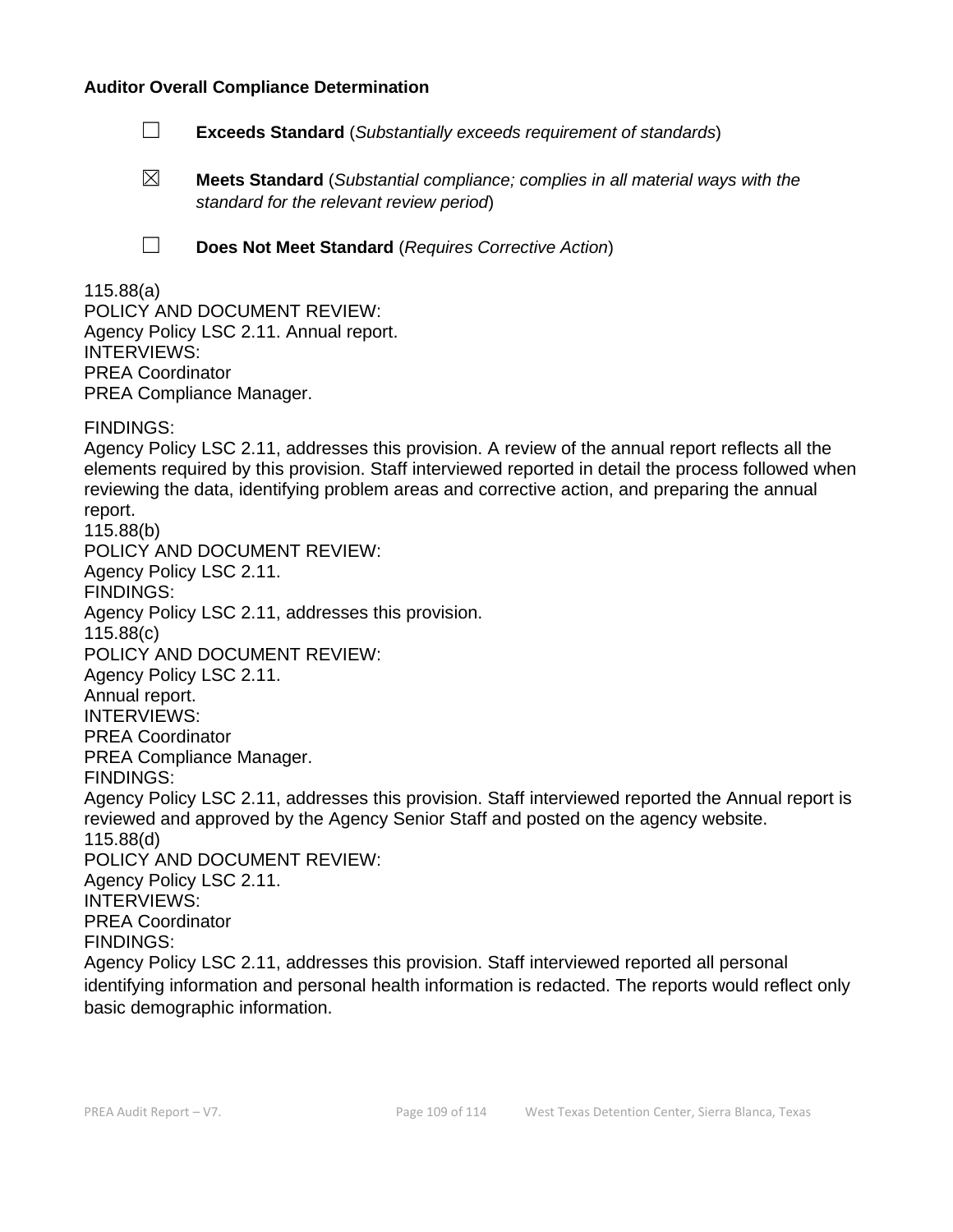#### **Auditor Overall Compliance Determination**

- ☐ **Exceeds Standard** (*Substantially exceeds requirement of standards*)
- ☒ **Meets Standard** (*Substantial compliance; complies in all material ways with the standard for the relevant review period*)
- 
- ☐ **Does Not Meet Standard** (*Requires Corrective Action*)

#### 115.88(a) POLICY AND DOCUMENT REVIEW: Agency Policy LSC 2.11. Annual report. INTERVIEWS: PREA Coordinator PREA Compliance Manager.

FINDINGS:

Agency Policy LSC 2.11, addresses this provision. A review of the annual report reflects all the elements required by this provision. Staff interviewed reported in detail the process followed when reviewing the data, identifying problem areas and corrective action, and preparing the annual report. 115.88(b) POLICY AND DOCUMENT REVIEW: Agency Policy LSC 2.11. FINDINGS: Agency Policy LSC 2.11, addresses this provision. 115.88(c) POLICY AND DOCUMENT REVIEW: Agency Policy LSC 2.11. Annual report. INTERVIEWS: PREA Coordinator PREA Compliance Manager. FINDINGS: Agency Policy LSC 2.11, addresses this provision. Staff interviewed reported the Annual report is reviewed and approved by the Agency Senior Staff and posted on the agency website. 115.88(d) POLICY AND DOCUMENT REVIEW: Agency Policy LSC 2.11. INTERVIEWS: PREA Coordinator FINDINGS: Agency Policy LSC 2.11, addresses this provision. Staff interviewed reported all personal identifying information and personal health information is redacted. The reports would reflect only basic demographic information.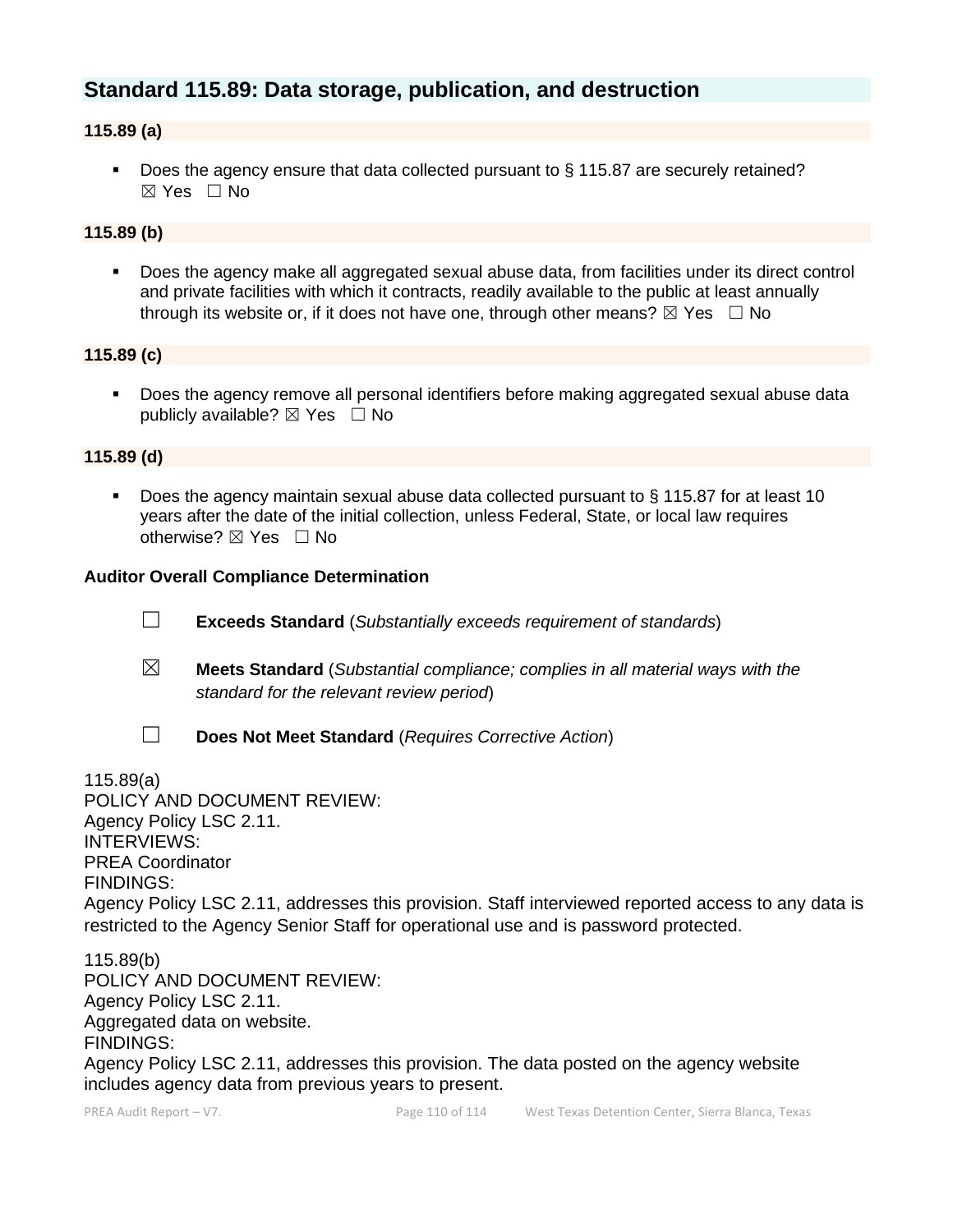# **Standard 115.89: Data storage, publication, and destruction**

### **115.89 (a)**

■ Does the agency ensure that data collected pursuant to § 115.87 are securely retained?  $\boxtimes$  Yes  $\Box$  No

## **115.89 (b)**

■ Does the agency make all aggregated sexual abuse data, from facilities under its direct control and private facilities with which it contracts, readily available to the public at least annually through its website or, if it does not have one, through other means?  $\boxtimes$  Yes  $\Box$  No

#### **115.89 (c)**

Does the agency remove all personal identifiers before making aggregated sexual abuse data publicly available?  $\boxtimes$  Yes  $\Box$  No

#### **115.89 (d)**

■ Does the agency maintain sexual abuse data collected pursuant to § 115.87 for at least 10 years after the date of the initial collection, unless Federal, State, or local law requires otherwise? ⊠ Yes □ No

#### **Auditor Overall Compliance Determination**

- ☐ **Exceeds Standard** (*Substantially exceeds requirement of standards*)
- ☒ **Meets Standard** (*Substantial compliance; complies in all material ways with the standard for the relevant review period*)
- 
- ☐ **Does Not Meet Standard** (*Requires Corrective Action*)

115.89(a) POLICY AND DOCUMENT REVIEW: Agency Policy LSC 2.11. INTERVIEWS: PREA Coordinator FINDINGS: Agency Policy LSC 2.11, addresses this provision. Staff interviewed reported access to any data is restricted to the Agency Senior Staff for operational use and is password protected.

115.89(b) POLICY AND DOCUMENT REVIEW: Agency Policy LSC 2.11. Aggregated data on website. FINDINGS: Agency Policy LSC 2.11, addresses this provision. The data posted on the agency website includes agency data from previous years to present.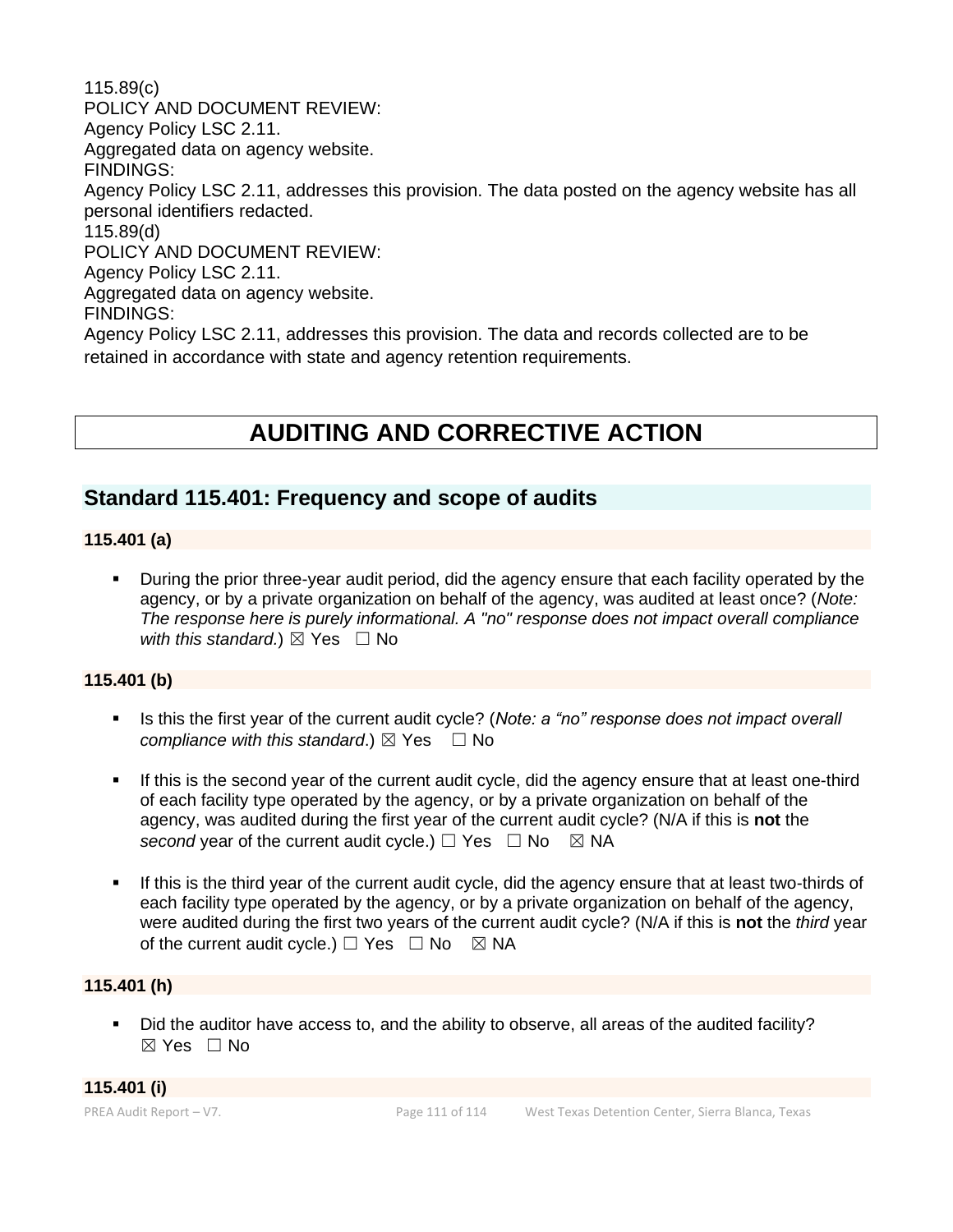115.89(c) POLICY AND DOCUMENT REVIEW: Agency Policy LSC 2.11. Aggregated data on agency website. FINDINGS: Agency Policy LSC 2.11, addresses this provision. The data posted on the agency website has all personal identifiers redacted. 115.89(d) POLICY AND DOCUMENT REVIEW: Agency Policy LSC 2.11. Aggregated data on agency website. FINDINGS: Agency Policy LSC 2.11, addresses this provision. The data and records collected are to be retained in accordance with state and agency retention requirements.

# **AUDITING AND CORRECTIVE ACTION**

# **Standard 115.401: Frequency and scope of audits**

#### **115.401 (a)**

▪ During the prior three-year audit period, did the agency ensure that each facility operated by the agency, or by a private organization on behalf of the agency, was audited at least once? (*Note: The response here is purely informational. A "no" response does not impact overall compliance with this standard.*)  $\boxtimes$  Yes  $\Box$  No

#### **115.401 (b)**

- **EXECT** Is this the first year of the current audit cycle? (*Note: a "no" response does not impact overall compliance with this standard.*)  $\boxtimes$  Yes  $\Box$  No
- **.** If this is the second year of the current audit cycle, did the agency ensure that at least one-third of each facility type operated by the agency, or by a private organization on behalf of the agency, was audited during the first year of the current audit cycle? (N/A if this is **not** the *second* year of the current audit cycle.)  $\Box$  Yes  $\Box$  No  $\boxtimes$  NA
- If this is the third year of the current audit cycle, did the agency ensure that at least two-thirds of each facility type operated by the agency, or by a private organization on behalf of the agency, were audited during the first two years of the current audit cycle? (N/A if this is **not** the *third* year of the current audit cycle.)  $\Box$  Yes  $\Box$  No  $\boxtimes$  NA

### **115.401 (h)**

▪ Did the auditor have access to, and the ability to observe, all areas of the audited facility? ☒ Yes ☐ No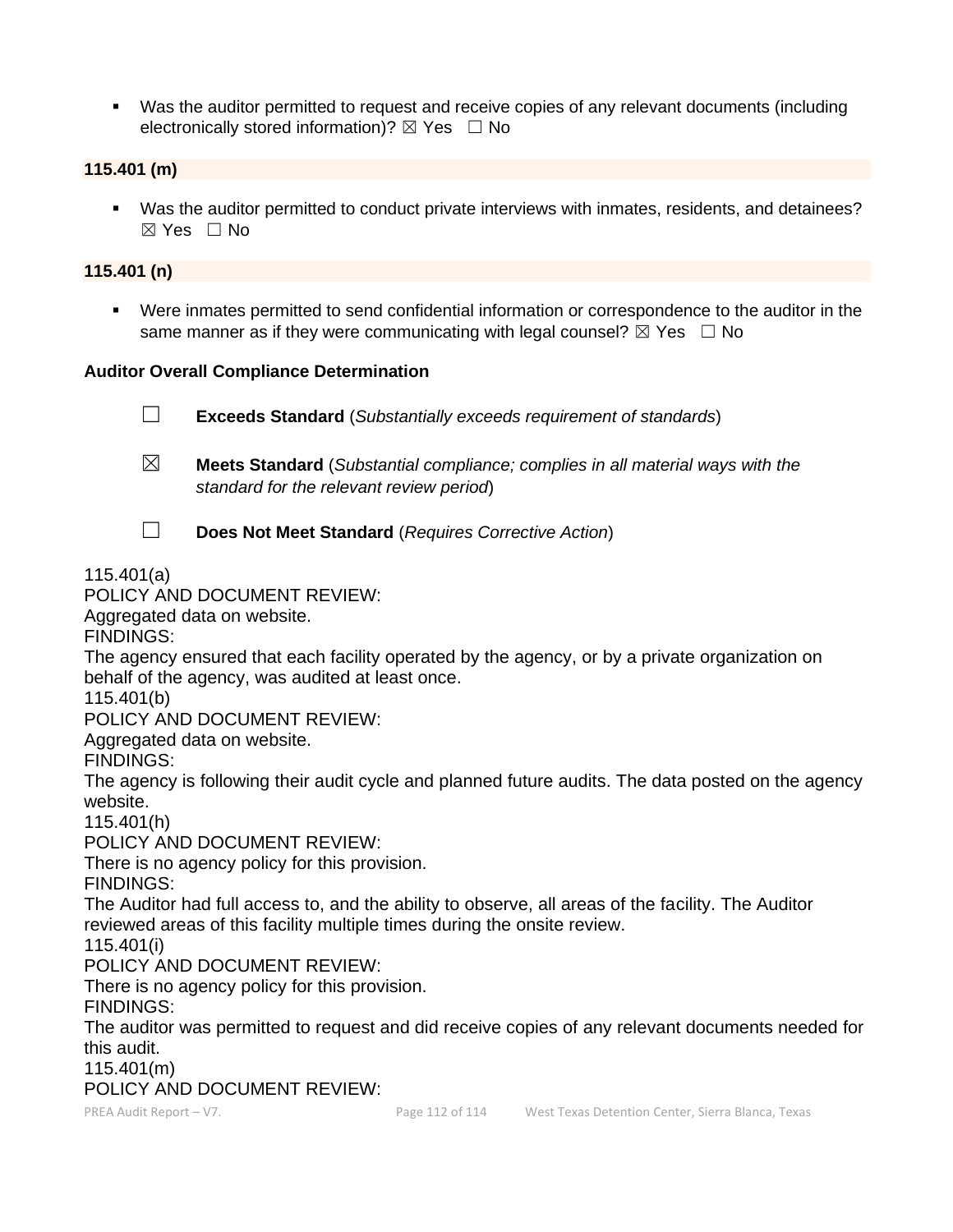■ Was the auditor permitted to request and receive copies of any relevant documents (including electronically stored information)?  $\boxtimes$  Yes  $\Box$  No

#### **115.401 (m)**

▪ Was the auditor permitted to conduct private interviews with inmates, residents, and detainees? ☒ Yes ☐ No

#### **115.401 (n)**

Were inmates permitted to send confidential information or correspondence to the auditor in the same manner as if they were communicating with legal counsel?  $\boxtimes$  Yes  $\Box$  No

#### **Auditor Overall Compliance Determination**

☐ **Exceeds Standard** (*Substantially exceeds requirement of standards*) ☒ **Meets Standard** (*Substantial compliance; complies in all material ways with the standard for the relevant review period*)

☐ **Does Not Meet Standard** (*Requires Corrective Action*)

115.401(a)

## POLICY AND DOCUMENT REVIEW:

Aggregated data on website.

FINDINGS:

The agency ensured that each facility operated by the agency, or by a private organization on behalf of the agency, was audited at least once.

115.401(b)

POLICY AND DOCUMENT REVIEW:

Aggregated data on website.

FINDINGS:

The agency is following their audit cycle and planned future audits. The data posted on the agency website.

115.401(h)

POLICY AND DOCUMENT REVIEW:

There is no agency policy for this provision.

FINDINGS:

The Auditor had full access to, and the ability to observe, all areas of the facility. The Auditor reviewed areas of this facility multiple times during the onsite review.

115.401(i)

POLICY AND DOCUMENT REVIEW:

There is no agency policy for this provision.

FINDINGS:

The auditor was permitted to request and did receive copies of any relevant documents needed for this audit.

115.401(m)

POLICY AND DOCUMENT REVIEW: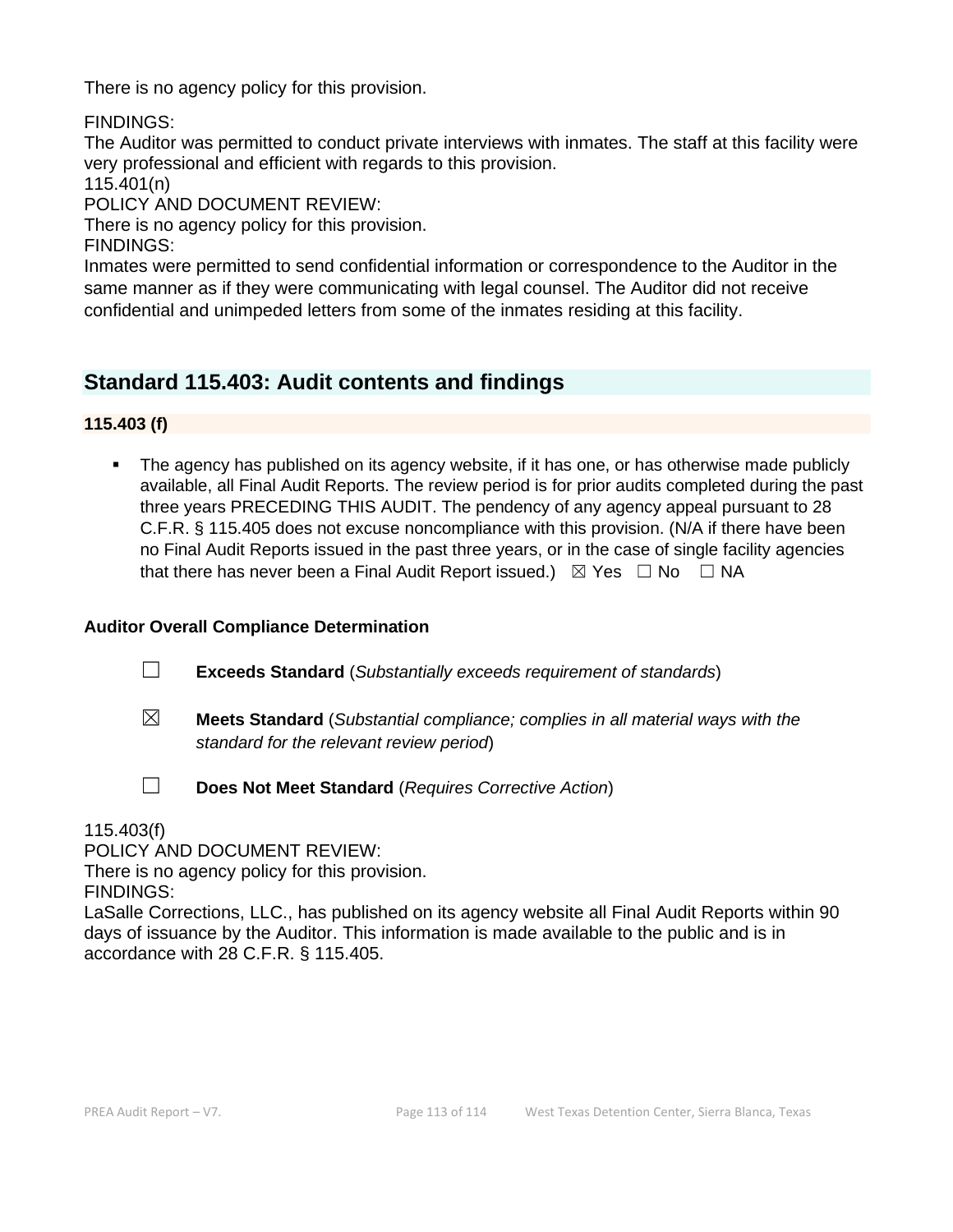There is no agency policy for this provision.

FINDINGS:

The Auditor was permitted to conduct private interviews with inmates. The staff at this facility were very professional and efficient with regards to this provision.

115.401(n)

POLICY AND DOCUMENT REVIEW:

There is no agency policy for this provision.

FINDINGS:

Inmates were permitted to send confidential information or correspondence to the Auditor in the same manner as if they were communicating with legal counsel. The Auditor did not receive confidential and unimpeded letters from some of the inmates residing at this facility.

# **Standard 115.403: Audit contents and findings**

**115.403 (f)**

**•** The agency has published on its agency website, if it has one, or has otherwise made publicly available, all Final Audit Reports. The review period is for prior audits completed during the past three years PRECEDING THIS AUDIT. The pendency of any agency appeal pursuant to 28 C.F.R. § 115.405 does not excuse noncompliance with this provision. (N/A if there have been no Final Audit Reports issued in the past three years, or in the case of single facility agencies that there has never been a Final Audit Report issued.)  $\boxtimes$  Yes  $\Box$  No  $\Box$  NA

## **Auditor Overall Compliance Determination**

- ☐ **Exceeds Standard** (*Substantially exceeds requirement of standards*)
- ☒ **Meets Standard** (*Substantial compliance; complies in all material ways with the standard for the relevant review period*)
- ☐ **Does Not Meet Standard** (*Requires Corrective Action*)

115.403(f)

POLICY AND DOCUMENT REVIEW:

There is no agency policy for this provision.

FINDINGS:

LaSalle Corrections, LLC., has published on its agency website all Final Audit Reports within 90 days of issuance by the Auditor. This information is made available to the public and is in accordance with 28 C.F.R. § 115.405.